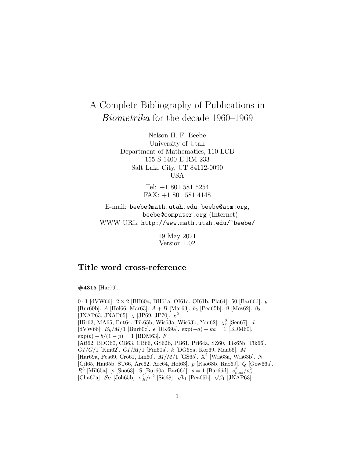# A Complete Bibliography of Publications in Biometrika for the decade 1960–1969

Nelson H. F. Beebe University of Utah Department of Mathematics, 110 LCB 155 S 1400 E RM 233 Salt Lake City, UT 84112-0090 USA

> Tel: +1 801 581 5254 FAX: +1 801 581 4148

E-mail: beebe@math.utah.edu, beebe@acm.org, beebe@computer.org (Internet) WWW URL: http://www.math.utah.edu/~beebe/

> 19 May 2021 Version 1.02

# **Title word cross-reference**

**#4315** [Har79].

0 · 1 [dVW66].  $2 \times 2$  [BH60a, BH61a, OI61a, OI61b, Pla64]. 50 [Bar66d].  $_k$ [Bur60b]. A [Hol66, Mar63].  $A + B$  [Mar63].  $b_2$  [Pea65b].  $\beta$  [Mos62].  $\beta_2$ [JNAP63, JNAP65].  $\chi$  [JP69, JP70].  $\chi^2$ [Hit62, MA65, Put64, Tik65b, Wis63a, Wis63b, You<br/>62]. $\chi^2_r$ [Sen67]. $d$ [dVW66].  $E_k/M/1$  [Bur60c].  $\epsilon$  [RK69a]. exp(-a) + ka = 1 [BDM60].  $\exp(b) - b/(1 - p) = 1$  [BDM63]. F [Ati62, BDO60, CB63, CB66, GS62b, PB61, Pri64a, SZ60, Tik65b, Tik66].  $GI/G/1$  [Kin62].  $GI/M/1$  [Fin60a].  $k$  [DG68a, Kor69, Maa66]. M [Har69a, Pea69, Cro61, Lin60].  $M/M/1$  [GS65]. X<sup>2</sup> [Wis63a, Wis63b]. N [Gil65, Hai65b, ST66, Arc62, Arc64, Hof63]. p [Rao68b, Rao69]. Q [Gow66a]. *R*<sup>3</sup> [Mil65a]. *ρ* [Sno63]. *S* [Bur60a, Bar66d].  $s = 1$  [Bar66d].  $s_{\text{max}}^2 / s_0^2$  [Cha67a]. *S<sub>U</sub>* [Joh65b].  $\sigma_B^2 / \sigma^2$  [Sis68].  $\sqrt{b_1}$  [Pea65b].  $\sqrt{\beta_1}$  [JNAP63].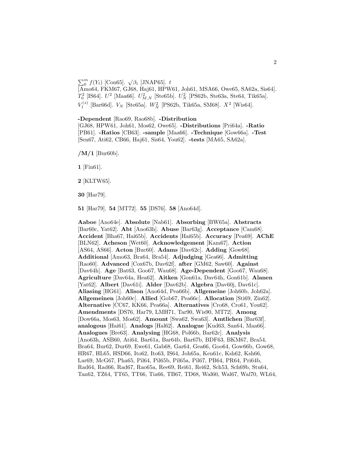# $\sum_{0}^{m} f(Y_t)$  [Con65].  $\sqrt{\beta_1}$  [JNAP65]. t

[Amo64, FKM67, GJ68, Haj61, HPW61, Joh61, MSA66, Owe65, SA62a, Sis64].  $T_0^2$  [IS64].  $U^2$  [Maa66].  $U^2_{M,N}$  [Ste65b].  $U^2_N$  [PS62b, Ste63a, Ste64, Tik65a].  $V_1^{(s)}$  [Bar66d].  $V_N$  [Ste65a].  $W_N^2$  [PS62b, Tik65a, SM68].  $X^2$  [Wis64].

**-Dependent** [Rao69, Rao68b]. **-Distribution** [GJ68, HPW61, Joh61, Mos62, Owe65]. **-Distributions** [Pri64a]. **-Ratio** [PB61]. **-Ratios** [CB63]. **-sample** [Maa66]. **-Technique** [Gow66a]. **-Test** [Sen67, Ati62, CB66, Haj61, Sis64, You62]. **-tests** [MA65, SA62a].

**/M/1** [Bur60b].

**1** [Fin61].

**2** [KLTW65].

**30** [Har79].

**51** [Har79]. **54** [MT72]. **55** [DS76]. **58** [Ano64d].

**Aaboe** [Ano64e]. **Absolute** [Nab61]. **Absorbing** [BW65a]. **Abstracts** [Bar60c, Yat62]. **Abt** [Ano63h]. **Abuse** [Bar63g]. **Acceptance** [Cam68]. **Accident** [Bha67, Hai65b]. **Accidents** [Hai65b]. **Accuracy** [Pea69]. **AChE** [BLN62]. **Acheson** [Wet60]. **Acknowledgement** [Kam67]. **Action** [AS64, AS66]. **Acton** [Buc60]. **Adams** [Dav62c]. **Adding** [Gow68]. **Additional** [Amo63, Bra64, Bra54]. **Adjudging** [Gea66]. **Admitting** [Rao60]. **Advanced** [Cox67b, Dav62f]. **after** [GM62, Saw60]. **Against** [Dav64h]. **Age** [Bat63, Goo67, Wau68]. **Age-Dependent** [Goo67, Wau68]. **Agriculture** [Dav64a, Hea62]. **Aitken** [Gon61a, Dav64h, Gon61b]. **Alanen** [Yat62]. **Albert** [Dav61i]. **Alder** [Dav62b]. **Algebra** [Dav60j, Dav61c]. **Aliasing** [HG61]. **Alison** [Ano64d, Pea66b]. **Allgemeine** [Joh60b, Joh62a]. **Allgemeinen** [Joh60c]. **Allied** [Gob67, Pea66c]. **Allocation** [Sti69, Zin62]. **Alternative** [CC67, KK66, Pea66a]. **Alternatives** [Cro68, Cro61, You62]. **Amendments** [DS76, Har79, LMH71, Tar90, Wis90, MT72]. **Among** [Dow66a, Mos63, Mos62]. **Amount** [Swa62, Swa63]. **Amtlichen** [Bar63f]. **analogous** [Hai61]. **Analogs** [Hal62]. **Analogue** [Kud63, San64, Maa66]. **Analogues** [Bre63]. **Analysing** [HG68, Pol66b, Bar62c]. **Analysis** [Ano63h, ASB60, Ati64, Bar61a, Bar64b, Bar67b, BDF63, BKM67, Bra54, Bra64, Bur62, Dur69, Ewe61, Gab68, Gar64, Gea66, Goo64, Gow66b, Gow68, HR67, HL65, HSD66, Ito62, Ito63, IS64, Joh65a, Ken61c, Ksh62, Ksh66, Lar69, McG67, Pha65, Pil64, Pil65b, Pil65a, Pil67, PB64, PR64, Pri64b, Rad64, Rad66, Rad67, Rao65a, Ree69, Rei61, Rei62, Sch53, Sch69b, Stu64, Tan62, TZ64, TT65, TT66, Tia66, TB67, TD68, Wal60, Wal67, Wal70, WL64,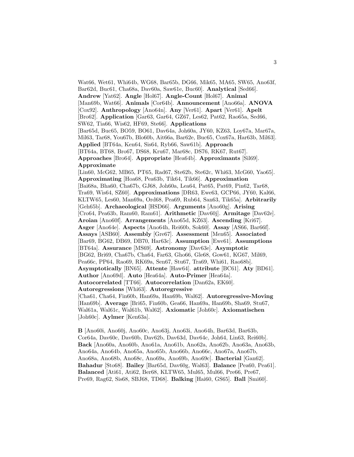Wat66, Wet61, Whi64b, WG68, Bar65b, DG66, Mik65, MA65, SW65, Ano63f, Bar62d, Buc61, Cha68a, Dav60a, Saw61e, Buc60]. **Analytical** [Sed66]. **Andrew** [Yat62]. **Angle** [Hol67]. **Angle-Count** [Hol67]. **Animal** [Man69b, Wat66]. **Animals** [Cor64b]. **Announcement** [Ano66a]. **ANOVA** [Cox92]. **Anthropology** [Ano64n]. **Any** [Ver61]. **Apart** [Ver61]. **Apelt** [Bro62]. **Application** [Gar63, Gar64, GZ67, Les62, Pat62, Rao65a, Sed66, SW62, Tia66, Wis62, HF69, Ste66]. **Applications** [Bar65d, Buc65, BO59, BO61, Dav64a, Joh60a, JY60, KZ63, Loy67a, Mar67a, Mil63, Tar68, You67b, Blo60b, Ait66a, Bar62e, Buc65, Cox67a, Har63b, Mil63]. **Applied** [BT64a, Ken64, Sis64, Ryb66, Saw61b]. **Approach** [BT64a, BT68, Bro67, DS68, Kru67, Mar68c, DS76, RK67, Rut67]. **Approaches** [Bro64]. **Appropriate** [Hea64b]. **Approximants** [Sil69]. **Approximate** [Lin60, McG62, MB65, PT65, Rad67, Ste62b, Ste62c, Whi63, McG60, Yao65]. **Approximating** [Hoa68, Pea63b, Tik64, Tik66]. **Approximation** [Bai68a, Bha60, Cha67b, GJ68, Joh60a, Lea64, Pat65, Pat69, Pin62, Tar68, Tra69, Wis64, SZ60]. **Approximations** [DR63, Ewe63, GCP66, JY60, Kal66, KLTW65, Les60, Man69a, Ord68, Pea69, Rub64, San63, Tik65a]. **Arbitrarily** [Geh65b]. **Archaeological** [HSD66]. **Arguments** [Ano60g]. **Arising** [Cro64, Pea63b, Ram60, Ram61]. **Arithmetic** [Dav60j]. **Armitage** [Dav62e]. **Aroian** [Ano60f]. **Arrangements** [Ano65d, KZ63]. **Ascending** [Kri67]. **Asger** [Ano64e]. **Aspects** [Ano64h, Rei60b, Sok60]. **Assay** [AS66, Bar66f]. **Assays** [ASB60]. **Assembly** [Gre67]. **Assessment** [Men65]. **Associated** [Bar69, BG62, DB69, DB70, Har63c]. **Assumption** [Ewe61]. **Assumptions** [BT64a]. **Assurance** [MS69]. **Astronomy** [Dav63e]. **Asymptotic** [BG62, Bri69, Cha67b, Cha64, Far63, Gho66, Gle68, Gow61, KG67, Mil69, Pea66c, PP64, Rao69, RK69a, Sen67, Stu67, Tra69, Whi61, Rao68b]. **Asymptotically** [BN65]. **Attente** [Haw64]. **attribute** [BC61]. **Aty** [BD61]. **Author** [Ano69d]. **Auto** [Hea64a]. **Auto-Primer** [Hea64a]. **Autocorrelated** [TT66]. **Autocorrelation** [Dan62a, EK60]. **Autoregressions** [Whi63]. **Autoregressive** [Cha61, Cha64, Fin60b, Han69a, Han69b, Wal62]. **Autoregressive-Moving** [Han69b]. **Average** [Bri65, Fin60b, Gea66, Han69a, Han69b, Sha69, Stu67, Wal61a, Wal61c, Wal61b, Wal62]. **Axiomatic** [Joh60c]. **Axiomatischen** [Joh60c]. **Aylmer** [Ken63a].

**B** [Ano60i, Ano60j, Ano60c, Ano63j, Ano63i, Ano64h, Bar63d, Bar63b, Cor64a, Dav60c, Dav60b, Dav62b, Dav63d, Dav64c, Joh64, Lin63, Rei60b]. **Back** [Ano60a, Ano60b, Ano61a, Ano61b, Ano62a, Ano62b, Ano63a, Ano63b, Ano64a, Ano64b, Ano65a, Ano65b, Ano66b, Ano66c, Ano67a, Ano67b, Ano68a, Ano68b, Ano68c, Ano69a, Ano69b, Ano69c]. **Bacterial** [Gan62]. **Bahadur** [Sto68]. **Bailey** [Bar65d, Dav60g, Wal63]. **Balance** [Pea60, Pea61]. **Balanced** [Ati61, Ati62, Ber68, KLTW65, Mul65, Mul66, Pre66, Pre67, Pre69, Rag62, Sis68, SBJ68, TD68]. **Balking** [Hai60, GS65]. **Ball** [Smi60].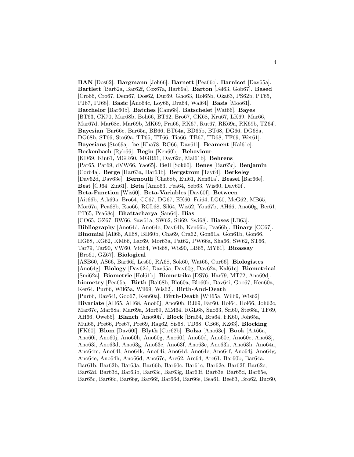**BAN** [Dos62]. **Bargmann** [Joh66]. **Barnett** [Pea66c]. **Barnicot** [Dav65a]. **Bartlett** [Bar62a, Bar62f, Cox67a, Har69a]. **Barton** [Fel63, Gob67]. **Based** [Cro66, Cro67, Dem67, Dos62, Dur69, Gho63, Hol65b, Oka63, PS62b, PT65, PJ67, PJ68]. **Basic** [Ano64c, Loy66, Dra64, Wal64]. **Basis** [Moo61]. **Batchelor** [Bar60b]. **Batches** [Cam68]. **Batschelet** [Wat66]. **Bayes** [BT63, CK70, Mar68b, Boh66, BT62, Bro67, CK68, Kru67, LK69, Mar66, Mar67d, Mar68c, Mar69b, MK69, Pra66, RK67, Rut67, RK69a, RK69b, TZ64]. **Bayesian** [Bar66c, Bar65a, BB66, BT64a, BD65b, BT68, DG66, DG68a, DG68b, ST66, Sto69a, TT65, TT66, Tia66, TB67, TD68, TF69, Wet61]. **Bayesians** [Sto69a]. **be** [Kha78, RG66, Dav61i]. **Beament** [Kal61c]. **Beckenbach** [Ryb66]. **Begin** [Ken60b]. **Behaviour** [KD69, Kin61, MGR60, MGR61, Dav62c, Mal61b]. **Behrens** [Pat65, Pat69, dVW66, Yao65]. **Bell** [Sok60]. **Benes** [Bar65c]. **Benjamin** [Cor64a]. **Berge** [Har63a, Har63b]. **Bergstrom** [Tay64]. **Berkeley** [Dav62d, Dav63e]. **Bernoulli** [Cha68b, Eul61, Ken61a]. **Bessel** [Bar66e]. **Best** [CJ64, Zin61]. **Beta** [Amo63, Pea64, Seb63, Wis60, Dav60f]. **Beta-Function** [Wis60]. **Beta-Variables** [Dav60f]. **Between** [Ait66b, Atk69a, Bro64, CC67, DG67, EK60, Fai64, LG60, McG62, MB65, Mor67a, Pea68b, Rao66, RGL68, Sil64, Wis62, You67b, AH66, Ano60g, Ber61, PT65, Pea68c]. **Bhattacharya** [San64]. **Bias** [CO65, GZ67, RW66, Saw61a, SW62, Sti69, Swi68]. **Biases** [LB63]. **Bibliography** [Ano64d, Ano64c, Dav64b, Ken66b, Pea66b]. **Binary** [CC67]. **Binomial** [All66, All68, BH60b, Cha69, Cra62, Gon61a, Gon61b, Gon66, HG68, KG62, KM66, Lac69, Mor63a, Pat62, PW66a, Sha66, SW62, ST66, Tar79, Tar90, VW60, Vid64, Wis68, Wis90, LB65, MY61]. **Bioassay** [Bro61, GZ67]. **Biological** [ASB60, AS66, Bar66f, Les60, RA68, Sok60, Wat66, Cur66]. **Biologistes** [Ano64g]. **Biology** [Dav62d, Dav65a, Dav60g, Dav62a, Kal61c]. **Biometrical** [Smi62a]. **Biometrie** [Hol61b]. **Biometrika** [DS76, Har79, MT72, Ano69d]. **biometry** [Pea65a]. **Birth** [Bai68b, Blo60a, Blo60b, Dav64i, Goo67, Ken60a, Ker64, Pur66, Wil65a, Wil69, Wis62]. **Birth-And-Death** [Pur66, Dav64i, Goo67, Ken60a]. **Birth-Death** [Wil65a, Wil69, Wis62]. **Bivariate** [AH65, AH68, Ano60j, Ano60h, BJ69, Far60, Hol64, Hol66, Joh62c, Mar67c, Mar68a, Mar69a, Mor69, MM64, RGL68, Sno63, Sri60, Ste68a, TF69, AH66, Owe65]. **Blanch** [Ano60h]. **Block** [Bra54, Bra64, FK60, Joh65a, Mul65, Pre66, Pre67, Pre69, Rag62, Sis68, TD68, CB66, KZ63]. **Blocking** [FK60]. **Blom** [Dav60f]. **Blyth** [Cor62b]. **Bolza** [Ano63e]. **Book** [Ait66a, Ano60i, Ano60j, Ano60h, Ano60g, Ano60f, Ano60d, Ano60c, Ano60e, Ano63j, Ano63i, Ano63d, Ano63g, Ano63e, Ano63f, Ano63c, Ano63k, Ano63h, Ano64n, Ano64m, Ano64l, Ano64k, Ano64i, Ano64d, Ano64c, Ano64f, Ano64j, Ano64g, Ano64e, Ano64h, Ano66d, Ano67c, Arc62, Arc64, Arc61, Bar60b, Bar64a, Bar61b, Bar62b, Bar63a, Bar66b, Bar60c, Bar61c, Bar62e, Bar62f, Bar62c, Bar62d, Bar63d, Bar63b, Bar63c, Bar63g, Bar63f, Bar63e, Bar65d, Bar65e, Bar65c, Bar66c, Bar66g, Bar66f, Bar66d, Bar66e, Bea61, Bee63, Bro62, Buc60,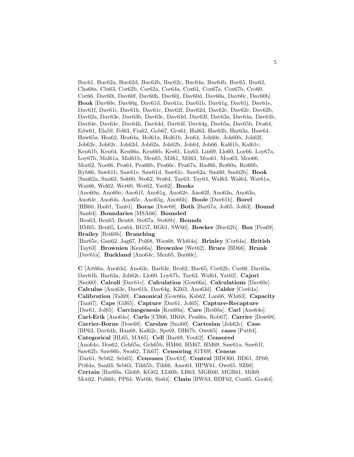Buc61, Buc62a, Buc62d, Buc62b, Buc62c, Buc64a, Buc64b, Buc65, Bur62, Cha68a, Clu63, Cor62b, Cor62a, Cor64a, Cox61, Cox67a, Cox67b, Cro60, Cur66, Dav60i, Dav60f, Dav60h, Dav60j, Dav60d, Dav60a, Dav60c, Dav60b]. **Book** [Dav60e, Dav60g, Dav61d, Dav61a, Dav61b, Dav61g, Dav61j, Dav61e, Dav61f, Dav61i, Dav61h, Dav61c, Dav62f, Dav62d, Dav62c, Dav62e, Dav62b, Dav62a, Dav63e, Dav63b, Dav63c, Dav63d, Dav63f, Dav63a, Dav64a, Dav64b, Dav64e, Dav64c, Dav64h, Dav64d, Dav64f, Dav64g, Dav65a, Dav65b, Dra64, Edw61, Ela59, Fel63, Fin62, Gob67, Gru61, Hal63, Har63b, Har63a, Haw64, Haw65a, Hea62, Hea64a, Hol61a, Hol61b, Jen64, Joh60c, Joh60b, Joh62f, Joh62e, Joh62c, Joh62d, Joh62a, Joh62b, Joh64, Joh66, Kal61b, Kal61c, Ken61b, Ken64, Ken66a, Ken66b, Kes61, Lin63, Lin69, Llo60, Loy66, Loy67a, Loy67b, Mal61a, Mal61b, Men65, Mil61, Mil63, Moo61, Moo63, Moo66, Mor62, Noe66, Pea64, Pea66b, Pea66c, Pea67a, Rad66, Rei60a, Rei60b, Ryb66, Saw61b, Saw61e, Saw61d, Saw61c, Saw62a, Smi60, Smi62b]. **Book** [Smi62a, Smi63, Sok60, Sto62, Stu64, Tay63, Tay64, Wal63, Wal64, Wat61a, Wat66, Wel62, Wet60, Wet62, Yat62]. **Books** [Ano60n, Ano60o, Ano61f, Ano61g, Ano62e, Ano62f, Ano63n, Ano63o, Ano64r, Ano64s, Ano65c, Ano65g, Ano66h]. **Boole** [Dav61h]. **Borel** [HB60, Hai61, Tan61]. **Borne** [Dow68]. **Both** [Bar67a, Jol65, Jol63]. **Bound** [San64]. **Boundaries** [MSA66]. **Bounded** [Ben63, Ben65, Ben68, Ste67a, Ste68b]. **Bounds** [BM65, Ben65, Lea64, RG57, RG61, SW60]. **Bowker** [Buc62b]. **Box** [Pea69]. **Brailey** [Rei60b]. **Branching** [Bar65e, Gan62, Jag67, Pol68, Wau68, Whi64a]. **Brinley** [Cor64a]. **British** [Tay63]. **Brownien** [Ken66a]. **Brownlee** [Wet62]. **Bruce** [BD66]. **Brunk** [Dav61a]. **Buckland** [Ano64c, Men65, Bar60c].

**C** [Ait66a, Ano63d, Ano63c, Bar63e, Bro62, Buc65, Cor62b, Cur66, Dav63a, Dav64h, Har63a, Joh62e, Llo60, Loy67b, Tay63, Wal64, Yat62]. **Cajori** [Smi60]. **Calcoli** [Dav61e]. **Calculation** [Gow66a]. **Calculations** [Dav60e]. **Calculus** [Ano63e, Dav61h, Dav64g, KZ63, Ano63d]. **Calder** [Cor64a]. **Calibration** [Tal69]. **Canonical** [Gow66a, Ksh62, Lan66, Whi63]. **Capacity** [Tan67]. **Caps** [Gil65]. **Capture** [Dar61, Jol65]. **Capture-Recapture** [Dar61, Jol65]. **Carcinogenesis** [Ken60a]. **Care** [Rei60a]. **Carl** [Ano64o]. **Carl-Erik** [Ano64o]. **Carlo** [CB66, HK68, Pea66a, Rob67]. **Carrier** [Dow68]. **Carrier-Borne** [Dow68]. **Carslaw** [Smi60]. **Cartesian** [Joh62c]. **Case** [BP63, Dav64h, Han68, Kal62c, Spr69, DH67b, Owe65]. **cases** [Put64]. **Categorical** [HL65, MA65]. **Cell** [Bar69, You62]. **Censored** [Ano64o, Dos62, Geh65a, Geh65b, HM66, HM67, HM69, Saw61a, Saw61f, Saw62b, Saw66b, Swa62, Tik67]. **Censoring** [GT69]. **Census** [Dar61, Seb62, Seb65]. **Censuses** [Dav61f]. **Central** [BDO60, BD61, JP69, Pri64a, San63, Seb63, Tik65b, Tik66, Amo64, HPW61, Owe65, SZ60]. **Certain** [Bar60a, Ghi68, KG62, LL60b, LB63, MGR60, MGR61, Mil69, Mot62, Pol66b, PP64, Wat66, Sis64]. **Chain** [BW63, BDF62, Con65, Goo64].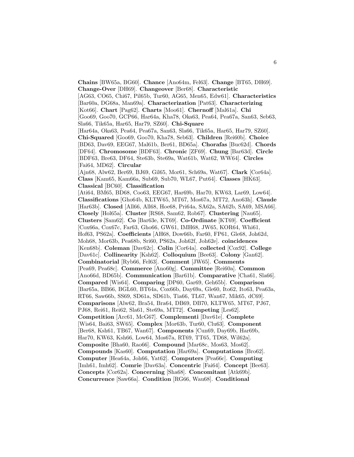**Chains** [BW65a, BG60]. **Chance** [Ano64m, Fel63]. **Change** [BT65, DH69]. **Change-Over** [DH69]. **Changeover** [Ber68]. **Characteristic** [AG63, CO65, Chi67, Pil65b, Tur60, AG65, Men65, Edw61]. **Characteristics** [Bar60a, DG68a, Man69a]. **Characterization** [Pat63]. **Characterizing** [Kot66]. **Chart** [Pag62]. **Charts** [Moo61]. **Chernoff** [Mal61a]. **Chi** [Goo69, Goo70, GCP66, Har64a, Kha78, Oka63, Pea64, Pea67a, San63, Seb63, Sla66, Tik65a, Har65, Har79, SZ60]. **Chi-Square** [Har64a, Oka63, Pea64, Pea67a, San63, Sla66, Tik65a, Har65, Har79, SZ60]. **Chi-Squared** [Goo69, Goo70, Kha78, Seb63]. **Children** [Rei60b]. **Choice** [BD63, Dav69, EEG67, Mal61b, Ber61, BD65a]. **Chorafas** [Buc62d]. **Chords** [DF64]. **Chromosome** [BDF63]. **Chronic** [ZF69]. **Chung** [Bar63d]. **Circle** [BDF63, Bre63, DF64, Ste63b, Ste69a, Wat61b, Wat62, WW64]. **Circles** [Fai64, MD62]. **Circular** [Ajn68, Alw62, Ber69, BJ69, Gil65, Mor61, Sch69a, Wat67]. **Clark** [Cor64a]. **Class** [Kam65, Kam66a, Sub69, Sub70, WL67, Put64]. **Classes** [HK63]. **Classical** [BC60]. **Classification** [Ati64, BM65, BD68, Coo63, EEG67, Har69b, Har70, KW63, Lar69, Low64]. **Classifications** [Gho64b, KLTW65, MT67, Mos67a, MT72, Ano63h]. **Claude** [Har63b]. **Closed** [All66, All68, Hoe68, Pri64a, SA62a, SA62b, SA69, MSA66]. **Closely** [Hol65a]. **Cluster** [RS68, Sam62, Rob67]. **Clustering** [Nau65]. **Clusters** [Sam62]. **Co** [Bar63e, KT69]. **Co-Ordinate** [KT69]. **Coefficient** [Cox66a, Cox67c, Far63, Gho66, GW61, IMH68, JW65, KOR64, Whi61, Hof63, PS62a]. **Coefficients** [AH68, Dow66b, Far60, FP61, Gle68, Joh62d, Moh68, Mor63b, Pea68b, Sri60, PS62a, Joh62f, Joh62e]. **coincidences** [Ken68b]. **Coleman** [Dav62c]. **Colin** [Cor64a]. **collected** [Cox92]. **College** [Dav61c]. **Collinearity** [Ksh62]. **Colloquium** [Bee63]. **Colony** [Gan62]. **Combinatorial** [Ryb66, Fel63]. **Comment** [JW65]. **Comments** [Pea69, Pea68c]. **Commerce** [Ano60g]. **Committee** [Rei60a]. **Common** [Ano66d, BD65b]. **Communication** [Bar61b]. **Comparative** [Cha61, Sla66]. **Compared** [Wis64]. **Comparing** [DP60, Gar69, Geh65b]. **Comparison** [Bar65a, BB66, BGL60, BT64a, Cox66b, Day69a, Gle60, Ito62, Ito63, Pea63a, RT66, Saw66b, SS69, SD61a, SD61b, Tia66, TL67, Wan67, Mik65, dC69]. **Comparisons** [Alw62, Bra54, Bra64, DB69, DB70, KLTW65, MT67, PJ67, PJ68, Rei61, Rei62, Sla61, Ste69a, MT72]. **Competing** [Les62]. **Competition** [Arc61, McG67]. **Complementi** [Dav61e]. **Complete** [Wis64, Bai63, SW65]. **Complex** [Mor63b, Tur60, Clu63]. **Component** [Ber68, Ksh61, TB67, Wan67]. **Components** [Cun69, Day69b, Har69b, Har70, KW63, Ksh66, Low64, Mos67a, RT69, TT65, TD68, Wil62a]. **Composite** [Bha60, Rao66]. **Compound** [Mar68c, Mos63, Mos62]. **Compounds** [Kas60]. **Computation** [Har69a]. **Computations** [Bro62]. **Computer** [Hea64a, Joh66, Yat62]. **Computers** [Pea66c]. **Computing** [Imh61, Imh62]. **Comrie** [Dav63a]. **Concentric** [Fai64]. **Concept** [Bee63]. **Concepts** [Cor62a]. **Concerning** [Sha68]. **Concomitant** [Atk69b]. **Concurrence** [Saw66a]. **Condition** [RG66, Wau68]. **Conditional**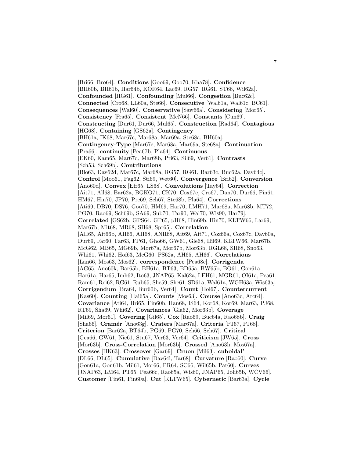[Bri66, Bro64]. **Conditions** [Goo69, Goo70, Kha78]. **Confidence** [BH60b, BH61b, Har64b, KOR64, Lac69, RG57, RG61, ST66, Wil62a]. **Confounded** [HG61]. **Confounding** [Mul66]. **Congestion** [Buc62c]. **Connected** [Cro68, LL60a, Ste66]. **Consecutive** [Wal61a, Wal61c, BC61]. **Consequences** [Wal60]. **Conservative** [Saw66a]. **Considering** [Mor65]. **Consistency** [Fra65]. **Consistent** [McN66]. **Constants** [Cun69]. **Constructing** [Dur61, Dur66, Mul65]. **Construction** [Rad64]. **Contagious** [HG68]. **Containing** [GS62a]. **Contingency** [BH61a, IK68, Mar67c, Mar68a, Mar69a, Ste68a, BH60a]. **Contingency-Type** [Mar67c, Mar68a, Mar69a, Ste68a]. **Continuation** [Pra66]. **continuity** [Pea67b, Pla64]. **Continuous** [EK60, Kam65, Mar67d, Mar68b, Pri63, Sil69, Ver61]. **Contrasts** [Sch53, Sch69b]. **Contributions** [Blo63, Dav62d, Mar67c, Mar68a, RG57, RG61, Bar63c, Buc62a, Dav64c]. **Control** [Moo61, Pag62, Sti69, Wet60]. **Convergence** [Bri62]. **Conversion** [Ano60d]. **Convex** [Efr65, LS68]. **Convolutions** [Tay64]. **Correction** [Ait71, All68, Bar62a, BGKO71, CK70, Cox67c, Cro67, Dan70, Dur66, Fin61, HM67, Hin70, JP70, Pre69, Sch67, Ste68b, Pla64]. **Corrections** [Ati69, DB70, DS76, Goo70, HM69, Har70, LMH71, Mar68a, Mar68b, MT72, PG70, Rao69, Sch69b, SA69, Sub70, Tar90, Wal70, Wis90, Har79]. **Correlated** [GS62b, GPS64, GP65, pH68, Hin69b, Hin70, KLTW66, Lar69, Mar67b, Mit68, MR68, SH68, Spr65]. **Correlation** [AH65, Ait66b, AH66, AH68, ANR68, Ait69, Ait71, Cox66a, Cox67c, Dav60a, Dur69, Far60, Far63, FP61, Gho66, GW61, Gle68, Hil69, KLTW66, Mar67b, McG62, MB65, MG69b, Mor67a, Mor67b, Mor63b, RGL68, SH68, Sno63, Whi61, Whi62, Hof63, McG60, PS62a, AH65, AH66]. **Correlations** [Lan66, Mos63, Mos62]. **correspondence** [Pea68c]. **Corrigenda** [AG65, Ano60k, Bar65b, BH61a, BT63, BD65a, BW65b, BO61, Gon61a, Har61a, Har65, Imh62, Ito63, JNAP65, Kal62a, LEH61, MGR61, OI61a, Pea61, Ram61, Rei62, RG61, Rub65, She59, She61, SD61a, Wal61a, WGH63a, Wis63a]. **Corrigendum** [Bra64, Bur60b, Ver64]. **Count** [Hol67]. **Countercurrent** [Kas60]. **Counting** [Hai65a]. **Counts** [Mos63]. **Course** [Ano63c, Arc64]. **Covariance** [Ati64, Bri65, Fin60b, Han68, IS64, Kor68, Kor69, Mar63, PJ68, RT69, Sha69, Whi62]. **Covariances** [Gla62, Mor63b]. **Coverage** [Mil69, Mor61]. **Covering** [Gil65]. **Cox** [Rao69, Buc64a, Rao68b]. **Craig** [Sha66]. **Cram´er** [Ano63g]. **Craters** [Mar67a]. **Criteria** [PJ67, PJ68]. **Criterion** [Bar62a, BT64b, PG69, PG70, Sch66, Sch67]. **Critical** [Gea66, GW61, Nic61, Stu67, Ver63, Ver64]. **Criticism** [JW65]. **Cross** [Mor63b]. **Cross-Correlation** [Mor63b]. **Crossed** [Ano63h, Mos67a]. **Crosses** [HK63]. **Crossover** [Gar69]. **Cruon** [Mil63]. **cuboidal'** [DL66, DL65]. **Cumulative** [Dav64i, Tar68]. **Curvature** [Rao60]. **Curve** [Gon61a, Gon61b, Mil61, Mor66, PR64, SC66, Wil65b, Pat60]. **Curves** [JNAP63, LM64, PT65, Pea66c, Rao65a, Wis60, JNAP65, Joh65b, WCV66]. **Customer** [Fin61, Fin60a]. **Cut** [KLTW65]. **Cybernetic** [Bar63a]. **Cycle**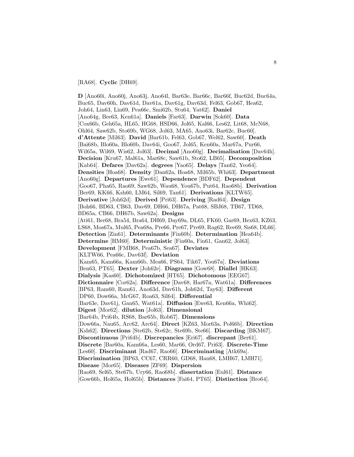#### [RA68]. **Cyclic** [DH69].

**D** [Ano60i, Ano60j, Ano63j, Ano64l, Bar63e, Bar66c, Bar66f, Buc62d, Buc64a, Buc65, Dav60h, Dav61d, Dav61a, Dav61g, Dav63d, Fel63, Gob67, Hea62, Joh64, Lin63, Lin69, Pea66c, Smi62b, Stu64, Yat62]. **Daniel** [Ano64g, Bee63, Ken61a]. **Daniels** [Far63]. **Darwin** [Sok60]. **Data** [Cox66b, Geh65a, HL65, HG68, HSD66, Jol65, Kal66, Les62, Lit68, McN68, Ohl64, Saw62b, Sto69b, WG68, Jol63, MA65, Ano63i, Bar62c, Buc60]. **d'Attente** [Mil63]. **David** [Bar61b, Fel63, Gob67, Wel62, Saw60]. **Death** [Bai68b, Blo60a, Blo60b, Dav64i, Goo67, Jol65, Ken60a, Mar67a, Pur66, Wil65a, Wil69, Wis62, Jol63]. **Decimal** [Ano60g]. **Decimalisation** [Dav64h]. **Decision** [Kru67, Mal61a, Mar68c, Saw61b, Sto62, LB65]. **Decomposition** [Kab64]. **Defares** [Dav62a]. **degrees** [Yao65]. **Delays** [Tan62, Yeo64]. **Densities** [Hoa68]. **Density** [Dan62a, Hoa68, Mil65b, Whi63]. **Department** [Ano60g]. **Departures** [Ewe61]. **Dependence** [BDF62]. **Dependent** [Goo67, Pha65, Rao69, Saw62b, Wau68, You67b, Put64, Rao68b]. **Derivation** [Ber69, KK66, Ksh60, LM64, Sil69, Tan61]. **Derivations** [KLTW65]. **Derivative** [Joh62d]. **Derived** [Pri63]. **Deriving** [Rad64]. **Design** [Boh66, BD63, CB63, Dav69, DH66, DH67a, Pat68, SBJ68, TB67, TD68, BD65a, CB66, DH67b, Saw62a]. **Designs** [Ati61, Ber68, Bra54, Bra64, DH69, Day69a, DL65, FK60, Gar69, Hex63, KZ63, LS68, Mos67a, Mul65, Pea68a, Pre66, Pre67, Pre69, Rag62, Ree69, Sis68, DL66]. **Detection** [Zin61]. **Determinants** [Fin60b]. **Determination** [Hea64b]. **Determine** [HM60]. **Deterministic** [Fin60a, Fin61, Gan62, Jol63]. **Development** [FMB68, Pea67b, Sea67]. **Deviates** [KLTW66, Pea66c, Dav63f]. **Deviation** [Kam65, Kam66a, Kam66b, Mea66, PS64, Tik67, You67a]. **Deviations** [Ben63, PT65]. **Dexter** [Joh62e]. **Diagrams** [Gow68]. **Diallel** [HK63]. **Dialysis** [Kas60]. **Dichotomized** [HT65]. **Dichotomous** [EEG67]. **Dictionnaire** [Cor62a]. **Difference** [Dav68, Har67a, Wat61a]. **Differences** [BP63, Ram60, Ram61, Ano63d, Dav61h, Joh62d, Tay63]. **Different** [DP60, Dow66a, McG67, Roa63, Sil64]. **Differential** [Bar63e, Dav61j, Gan65, Wat61a]. **Diffusion** [Ewe63, Ken66a, Whi62]. **Digest** [Mor62]. **dilution** [Jol63]. **Dimensional** [Bar64b, Pri64b, RS68, Bar65b, Rob67]. **Dimensions** [Dow66a, Nau65, Arc62, Arc64]. **Direct** [KZ63, Mor63a, Pol66b]. **Direction** [Ksh62]. **Directions** [Ste62b, Ste62c, Ste69b, Ste66]. **Discarding** [BKM67]. **Discontinuous** [Pri64b]. **Discrepancies** [Eri67]. **discrepant** [Ber61]. **Discrete** [Bar60a, Kam66a, Les60, Mar66, Ord67, Pri63]. **Discrete-Time** [Les60]. **Discriminant** [Rad67, Rao66]. **Discriminating** [Atk69a]. **Discrimination** [BP63, CC67, CRR60, GD68, Han68, LMH67, LMH71]. **Disease** [Mor65]. **Diseases** [ZF69]. **Dispersion** [Rao69, Sel65, Ste67b, Ury66, Rao68b]. **dissertation** [Eul61]. **Distance** [Gow66b, Hol65a, Hol65b]. **Distances** [Fai64, PT65]. **Distinction** [Bro64].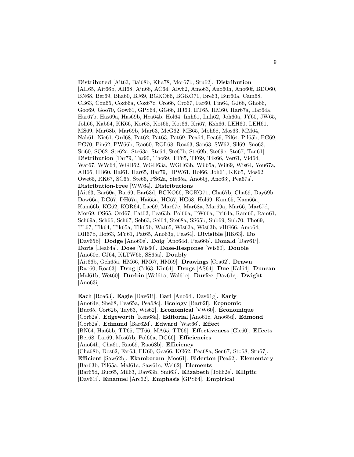**Distributed** [Ait63, Bai68b, Kha78, Mor67b, Stu62]. **Distribution** [AH65, Ait66b, AH68, Ajn68, AC64, Alw62, Amo63, Ano60h, Ano60f, BDO60, BN68, Ber69, Bha60, BJ69, BGKO66, BGKO71, Bre63, Bur60a, Cam68, CB63, Con65, Cox66a, Cox67c, Cro66, Cro67, Far60, Fin64, GJ68, Gho66, Goo69, Goo70, Gow61, GPS64, GG66, HJ63, HT65, HM60, Har67a, Har64a, Har67b, Has69a, Has69b, Hea64b, Hol64, Imh61, Imh62, Joh60a, JY60, JW65, Joh66, Kab64, KK66, Kor68, Kot65, Kot66, Kri67, Ksh66, LEH60, LEH61, MS69, Mar68b, Mar69b, Mar63, McG62, MB65, Moh68, Mos63, MM64, Nab61, Nic61, Ord68, Pat62, Pat63, Pat69, Pea64, Pea69, Pil64, Pil65b, PG69, PG70, Pin62, PW66b, Rao60, RGL68, Roa63, San63, SW62, Sil69, Sno63, Sri60, SO62, Ste62a, Ste63a, Ste64, Ste67b, Ste69b, Ste69c, Sto67, Tan61]. **Distribution** [Tar79, Tar90, Tho69, TT65, TF69, Tik66, Ver61, Vid64, Wat67, WW64, WGH62, WGH63a, WGH63b, Wil65a, Wil69, Wis64, You67a, AH66, HB60, Hai61, Har65, Har79, HPW61, Hol66, Joh61, KK65, Mos62, Owe65, RK67, SC65, Ste66, PS62a, Ste65a, Ano60j, Ano63j, Pea67a]. **Distribution-Free** [WW64]. **Distributions** [Ait63, Bar60a, Bar69, Bar63d, BGKO66, BGKO71, Cha67b, Cha69, Day69b, Dow66a, DG67, DH67a, Hai65a, HG67, HG68, Hol69, Kam65, Kam66a, Kam66b, KG62, KOR64, Lac69, Mar67c, Mar68a, Mar69a, Mar66, Mar67d, Mor69, OS65, Ord67, Pat62, Pea63b, Pol66a, PW66a, Pri64a, Ram60, Ram61, Sch69a, Sch66, Sch67, Seb63, Sel64, Ste68a, SS65b, Sub69, Sub70, Tho69, TL67, Tik64, Tik65a, Tik65b, Wat65, Wis63a, Wis63b, vHG66, Amo64, DH67b, Hof63, MY61, Pat65, Ano63g, Pea64]. **Divisible** [HK63]. **Do** [Dav65b]. **Dodge** [Ano60e]. **Doig** [Ano64d, Pea66b]. **Donald** [Dav61j]. **Doris** [Hea64a]. **Dose** [Wis60]. **Dose-Response** [Wis60]. **Double** [Ano60e, CJ64, KLTW65, SS65a]. **Doubly** [Ait66b, Geh65a, HM66, HM67, HM69]. **Drawings** [Cra62]. **Drawn** [Rao60, Roa63]. **Drug** [Col63, Kin64]. **Drugs** [AS64]. **Due** [Kal64]. **Duncan** [Mal61b, Wet60]. **Durbin** [Wal61a, Wal61c]. **Durfee** [Dav61c]. **Dwight** [Ano63i].

**Each** [Roa63]. **Eagle** [Dav61i]. **Earl** [Ano64l, Dav61g]. **Early** [Ano64e, She68, Pea65a, Pea68c]. **Ecology** [Bar62f]. **Economic** [Buc65, Cor62b, Tay63, Wis62]. **Economical** [VW60]. **Economique ´** [Cor62a]. **Edgeworth** [Ken68a]. **Editorial** [Ano61c, Ano65d]. **Edmond** [Cor62a]. **Edmund** [Bar62d]. **Edward** [Wat66]. **Effect** [BN64, Hai65b, TT65, TT66, MA65, TT66]. **Effectiveness** [Gle60]. **Effects** [Ber68, Lar69, Mos67b, Pol66a, DG66]. **Efficiencies** [Ano64h, Cha61, Rao69, Rao68b]. **Efficiency** [Cha68b, Dos62, Far63, FK60, Gea66, KG62, Pea68a, Sen67, Sto68, Stu67]. **Efficient** [Saw62b]. **Ekambaram** [Moo61]. **Elderton** [Pea62]. **Elementary** [Bar63b, Pil65a, Mal61a, Saw61c, Wel62]. **Elements** [Bar65d, Buc65, Mil63, Dav63b, Smi63]. **Elizabeth** [Joh62e]. **Elliptic** [Dav61i]. **Emanuel** [Arc62]. **Emphasis** [GPS64]. **Empirical**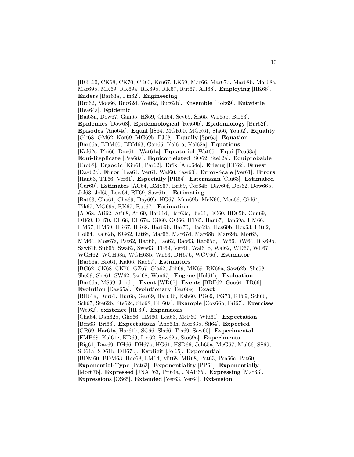[BGL60, CK68, CK70, CB63, Kru67, LK69, Mar66, Mar67d, Mar68b, Mar68c, Mar69b, MK69, RK69a, RK69b, RK67, Rut67, AH68]. **Employing** [HK68]. **Enders** [Bar63a, Fin62]. **Engineering** [Bro62, Moo66, Buc62d, Wet62, Buc62b]. **Ensemble** [Rob69]. **Entwistle** [Hea64a]. **Epidemic** [Bai68a, Dow67, Gan65, HS69, Ohl64, Sev69, Sis65, Wil65b, Bai63]. **Epidemics** [Dow68]. **Epidemiological** [Rei60b]. **Epidemiology** [Bar62f]. **Episodes** [Ano64e]. **Equal** [IS64, MGR60, MGR61, Sla66, You62]. **Equality** [Gle68, GM62, Kor69, MG69b, PJ68]. **Equally** [Spr65]. **Equation** [Bar66a, BDM60, BDM63, Gan65, Kal61a, Kal62a]. **Equations** [Kal62c, Phi66, Dav61j, Wat61a]. **Equatorial** [Wat65]. **Equi** [Pea68a]. **Equi-Replicate** [Pea68a]. **Equicorrelated** [SO62, Ste62a]. **Equiprobable** [Cro68]. **Ergodic** [Kin61, Par62]. **Erik** [Ano64o]. **Erlang** [EF62]. **Ernest** [Dav62c]. **Error** [Lea64, Ver61, Wal60, Saw60]. **Error-Scale** [Ver61]. **Errors** [Han63, TT66, Ver61]. **Especially** [PR64]. **Estermann** [Clu63]. **Estimated** [Cur60]. **Estimates** [AC64, BMS67, Bri69, Cor64b, Dav60f, Dos62, Dow66b, Jol63, Jol65, Low64, RT69, Saw61a]. **Estimating** [Bat63, Cha61, Cha69, Day69b, HG67, Man69b, McN66, Mea66, Ohl64, Tik67, MG69a, RK67, Rut67]. **Estimation** [AD68, Ati62, Ati68, Ati69, Bar61d, Bar63c, Big61, BC60, BD65b, Cun69, DB69, DB70, DH66, DH67a, Gil60, GG66, HT65, Han67, Han69a, HM66, HM67, HM69, HR67, HR68, Har69b, Har70, Has69a, Has69b, Hex63, Hit62, Hol64, Kal62b, KG62, Lit68, Mar66, Mar67d, Mar68b, Mar69b, Mor65, MM64, Mos67a, Pat62, Rad66, Rao62, Rao63, Rao65b, RW66, RW64, RK69b, Saw61f, Sub65, Swa62, Swa63, TF69, Ver61, Wal61b, Wal62, WD67, WL67, WGH62, WGH63a, WGH63b, Wil63, DH67b, WCV66]. **Estimator** [Bar66a, Bro61, Kal66, Rao67]. **Estimators** [BG62, CK68, CK70, GZ67, Gla62, Joh69, MK69, RK69a, Saw62b, She58, She59, She61, SW62, Swi68, Wan67]. **Eugene** [Hol61b]. **Evaluation** [Bar66a, MS69, Joh61]. **Event** [WD67]. **Events** [BDF62, Goo64, TR66]. **Evolution** [Dav65a]. **Evolutionary** [Bar66g]. **Exact** [BH61a, Dur61, Dur66, Gar69, Har64b, Ksh60, PG69, PG70, RT69, Sch66, Sch67, Ste62b, Ste62c, Sto68, BH60a]. **Example** [Cox66b, Eri67]. **Exercises** [Wel62]. **existence** [HF69]. **Expansions** [Cha64, Dan62b, Gho66, HM60, Lea63, McF60, Whi61]. **Expectation** [Ben63, Bri66]. **Expectations** [Ano63h, Mor63b, Sil64]. **Expected** [GR69, Har61a, Har61b, SC66, Sla66, Tra69, Saw60]. **Experimental** [FMB68, Kal61c, KD69, Les62, Saw62a, Sto69a]. **Experiments** [Big61, Dav69, DH66, DH67a, HG61, HSD66, Joh65a, McG67, Mul66, SS69, SD61a, SD61b, DH67b]. **Explicit** [Jol65]. **Exponential** [BDM60, BDM63, Hoe68, LM64, Mit68, MR68, Pat63, Pea66c, Pat60]. **Exponential-Type** [Pat63]. **Exponentiality** [PP64]. **Exponentially** [Mor67b]. **Expressed** [JNAP63, Pri64a, JNAP65]. **Expressing** [Mar63]. **Expressions** [OS65]. **Extended** [Ver63, Ver64]. **Extension**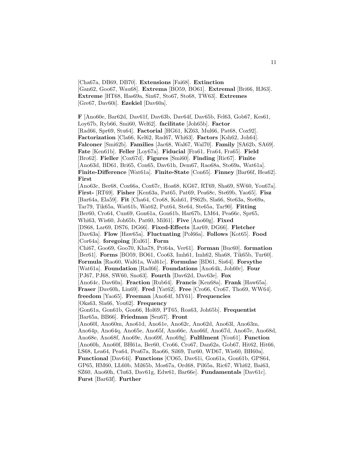[Cha67a, DB69, DB70]. **Extensions** [Fai68]. **Extinction** [Gan62, Goo67, Wau68]. **Extrema** [BO59, BO61]. **Extremal** [Bri66, HJ63]. **Extreme** [HT68, Has69a, Sin67, Sto67, Sto68, TW63]. **Extremes** [Gre67, Dav60i]. **Ezekiel** [Dav60a].

**F** [Ano60e, Bar62d, Dav61f, Dav63b, Dav64f, Dav65b, Fel63, Gob67, Kes61, Loy67b, Ryb66, Smi60, Wel62]. **facilitate** [Joh65b]. **Factor** [Rad66, Spr69, Stu64]. **Factorial** [HG61, KZ63, Mul66, Pat68, Cox92]. **Factorization** [Cla66, Kel62, Rad67, Whi63]. **Factors** [Ksh62, Joh64]. **Falconer** [Smi62b]. **Families** [Jac68, Wal67, Wal70]. **Family** [SA62b, SA69]. **Fate** [Ken61b]. **Feller** [Loy67a]. **Fiducial** [Fra61, Fra64, Fra65]. **Field** [Bro62]. **Fieller** [Cox67d]. **Figures** [Smi60]. **Finding** [Ric67]. **Finite** [Ano63d, BD61, Bri65, Con65, Dav61h, Dem67, Rao68a, Sto69a, Wat61a]. **Finite-Difference** [Wat61a]. **Finite-State** [Con65]. **Finney** [Bar66f, Hea62]. **First**

[Ano63c, Ber68, Cox66a, Cox67c, Hoa68, KG67, RT69, Sha69, SW60, You67a]. **First-** [RT69]. **Fisher** [Ken63a, Pat65, Pat69, Pea68c, Ste69b, Yao65]. **Fisz** [Bar64a, Ela59]. **Fit** [Cha64, Cro68, Ksh61, PS62b, Sla66, Ste63a, Ste69a, Tar79, Tik65a, Wat61b, Wat62, Put64, Ste64, Ste65a, Tar90]. **Fitting** [Ber60, Cro64, Cun69, Gon61a, Gon61b, Har67b, LM64, Pea66c, Spr65, Whi63, Wis60, Joh65b, Pat60, Mil61]. **Five** [Ano60g]. **Fixed** [DS68, Lar69, DS76, DG66]. **Fixed-Effects** [Lar69, DG66]. **Fletcher** [Dav63a]. **Flow** [Haw65a]. **Fluctuating** [Pol66a]. **Follows** [Kot65]. **Food** [Cor64a]. **foregoing** [Eul61]. **Form** [Chi67, Goo69, Goo70, Kha78, Pri64a, Ver61]. **Forman** [Buc60]. **formation** [Ber61]. **Forms** [BO59, BO61, Coo63, Imh61, Imh62, Sha68, Tik65b, Tur60]. **Formula** [Rao60, Wal61a, Wal61c]. **Formulae** [BD61, Sis64]. **Forsythe** [Wat61a]. **Foundation** [Rad66]. **Foundations** [Ano64k, Joh60c]. **Four** [PJ67, PJ68, SW60, Sno63]. **Fourth** [Dav62d, Dav63e]. **Fox** [Ano64c, Dav60a]. **Fraction** [Rub64]. **Francis** [Ken68a]. **Frank** [Haw65a]. **Fraser** [Dav60h, Lin69]. **Fred** [Yat62]. **Free** [Cro66, Cro67, Tho69, WW64]. **freedom** [Yao65]. **Freeman** [Ano64f, MY61]. **Frequencies** [Oka63, Sla66, You62]. **Frequency** [Gon61a, Gon61b, Gon66, Hol69, PT65, Roa63, Joh65b]. **Frequentist** [Bar65a, BB66]. **Friedman** [Sen67]. **Front** [Ano60l, Ano60m, Ano61d, Ano61e, Ano62c, Ano62d, Ano63l, Ano63m, Ano64p, Ano64q, Ano65e, Ano65f, Ano66e, Ano66f, Ano67d, Ano67e, Ano68d, Ano68e, Ano68f, Ano69e, Ano69f, Ano69g]. **Fulfilment** [You61]. **Function** [Ano60h, Ano60f, BH61a, Ber60, Cro66, Cro67, Dan62a, Gob67, Hit62, Hit66, LS68, Lea64, Pea64, Pea67a, Rao66, Sil69, Tur60, WD67, Wis60, BH60a]. **Functional** [Dav64i]. **Functions** [CO65, Dav61i, Gon61a, Gon61b, GPS64, GP65, HM60, LL60b, Mil65b, Mos67a, Ord68, Pil65a, Ric67, Whi62, Bai63, SZ60, Ano60h, Clu63, Dav61g, Edw61, Bar66e]. **Fundamentals** [Dav61c]. **Furst** [Bar63f]. **Further**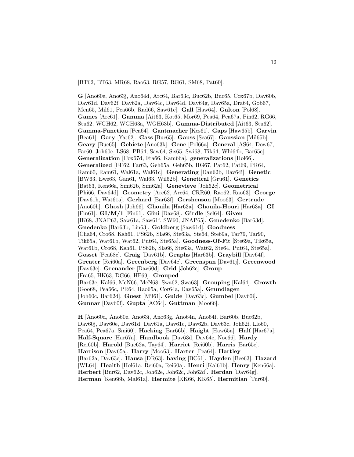[BT62, BT63, MR68, Rao63, RG57, RG61, SM68, Pat60].

**G** [Ano60e, Ano63j, Ano64d, Arc64, Bar63c, Buc62b, Buc65, Cox67b, Dav60b, Dav61d, Dav62f, Dav62a, Dav64c, Dav64d, Dav64g, Dav65a, Dra64, Gob67, Men65, Mil61, Pea66b, Rad66, Saw61c]. **Gall** [Haw64]. **Galton** [Pol68]. **Games** [Arc61]. **Gamma** [Ait63, Kot65, Mor69, Pea64, Pea67a, Pin62, RG66, Stu62, WGH62, WGH63a, WGH63b]. **Gamma-Distributed** [Ait63, Stu62]. **Gamma-Function** [Pea64]. **Gantmacher** [Kes61]. **Gaps** [Haw65b]. **Garvin** [Bea61]. **Gary** [Yat62]. **Gass** [Buc65]. **Gauss** [Sea67]. **Gaussian** [Mil65b]. **Geary** [Buc65]. **Gebiete** [Ano63k]. **Gene** [Pol66a]. **General** [AS64, Dow67, Far60, Joh60c, LS68, PB64, Saw64, Sis65, Swi68, Tik64, Whi64b, Bar65c]. **Generalization** [Cox67d, Fra66, Kam66a]. **generalizations** [Hol66]. **Generalized** [EF62, Far63, Geh65a, Geh65b, HG67, Pat62, Pat69, PR64, Ram60, Ram61, Wal61a, Wal61c]. **Generating** [Dan62b, Dav64i]. **Genetic** [BW63, Ewe63, Gan61, Wal63, Wil62b]. **Genetical** [Gru61]. **Genetics** [Bat63, Ken66a, Smi62b, Smi62a]. **Genevieve** [Joh62c]. **Geometrical** [Phi66, Dav64d]. **Geometry** [Arc62, Arc64, CRR60, Rao62, Rao63]. **George** [Dav61h, Wat61a]. **Gerhard** [Bar63f]. **Gershenson** [Moo63]. **Gertrude** [Ano60h]. **Ghosh** [Joh66]. **Ghouila** [Har63a]. **Ghouila-Houri** [Har63a]. **GI** [Fin61]. **GI/M/1** [Fin61]. **Gini** [Dav68]. **Girdle** [Sel64]. **Given** [IK68, JNAP63, Saw61a, Saw61f, SW60, JNAP65]. **Gmedenko** [Bar63d]. **Gnedenko** [Bar63b, Lin63]. **Goldberg** [Saw61d]. **Goodness** [Cha64, Cro68, Ksh61, PS62b, Sla66, Ste63a, Ste64, Ste69a, Tar79, Tar90, Tik65a, Wat61b, Wat62, Put64, Ste65a]. **Goodness-Of-Fit** [Ste69a, Tik65a, Wat61b, Cro68, Ksh61, PS62b, Sla66, Ste63a, Wat62, Ste64, Put64, Ste65a]. **Gosset** [Pea68c]. **Graig** [Dav61b]. **Graphs** [Har63b]. **Graybill** [Dav64f]. **Greater** [Rei60a]. **Greenberg** [Dav64c]. **Greenspan** [Dav61j]. **Greenwood** [Dav63c]. **Grenander** [Dav60d]. **Grid** [Joh62c]. **Group** [Fra65, HK63, DG66, HF69]. **Grouped** [Bar63c, Kal66, McN66, McN68, Swa62, Swa63]. **Grouping** [Kal64]. **Growth** [Goo68, Pea66c, PR64, Rao65a, Cor64a, Dav65a]. **Grundlagen** [Joh60c, Bar62d]. **Guest** [Mil61]. **Guide** [Dav63c]. **Gumbel** [Dav60i]. **Gunnar** [Dav60f]. **Gupta** [AC64]. **Guttman** [Moo66].

**H** [Ano60d, Ano60e, Ano63i, Ano63g, Ano64n, Ano64f, Bar60b, Buc62b, Dav60j, Dav60e, Dav61d, Dav61a, Dav61c, Dav62b, Dav63c, Joh62f, Llo60, Pea64, Pea67a, Smi60]. **Hacking** [Bar66b]. **Haight** [Haw65a]. **Half** [Har67a]. **Half-Square** [Har67a]. **Handbook** [Dav63d, Dav64e, Noe66]. **Hardy** [Rei60b]. **Harold** [Buc62a, Tay64]. **Harriet** [Rei60b]. **Harris** [Bar65e]. **Harrison** [Dav65a]. **Harry** [Moo63]. **Harter** [Pea64]. **Hartley** [Bar62a, Dav63c]. **Hausa** [DR63]. **having** [BC61]. **Hayden** [Bee63]. **Hazard** [WL64]. **Health** [Hol61a, Rei60a, Rei60a]. **Henri** [Kal61b]. **Henry** [Ken66a]. **Herbert** [Bur62, Dav62c, Joh62e, Joh62c, Joh62d]. **Herdan** [Dav64g]. **Herman** [Ken66b, Mal61a]. **Hermite** [KK66, KK65]. **Hermitian** [Tur60].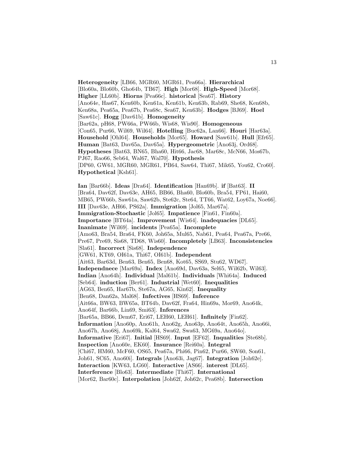**Heterogeneity** [LB66, MGR60, MGR61, Pea66a]. **Hierarchical** [Blo60a, Blo60b, Gho64b, TB67]. **High** [Mor68]. **High-Speed** [Mor68]. **Higher** [LL60b]. **Hiorns** [Pea66c]. **historical** [Sea67]. **History** [Ano64e, Has67, Ken60b, Ken61a, Ken61b, Ken63b, Rab69, She68, Ken68b, Ken68a, Pea65a, Pea67b, Pea68c, Sea67, Ken63b]. **Hodges** [BJ69]. **Hoel** [Saw61c]. **Hogg** [Dav61b]. **Homogeneity** [Bar62a, pH68, PW66a, PW66b, Wis68, Wis90]. **Homogeneous** [Con65, Pur66, Wil69, Wil64]. **Hotelling** [Buc62a, Lan66]. **Houri** [Har63a]. **Household** [Ohl64]. **Households** [Mor65]. **Howard** [Saw61b]. **Hull** [Efr65]. **Human** [Bat63, Dav65a, Dav65a]. **Hypergeometric** [Ano63j, Ord68]. **Hypotheses** [Bat63, BN65, Bha60, Hit66, Jac68, Mar68c, McN66, Mos67b, PJ67, Rao66, Seb64, Wal67, Wal70]. **Hypothesis** [DP60, GW61, MGR60, MGR61, PB64, Saw64, Thi67, Mik65, You62, Cro60]. **Hypothetical** [Ksh61]. **Ian** [Bar66b]. **Ideas** [Dra64]. **Identification** [Han69b]. **if** [Bat63]. **II** [Bra64, Dav62f, Dav63e, AH65, BB66, Bha60, Blo60b, Bra54, FP61, Hai60, MB65, PW66b, Saw61a, Saw62b, Ste62c, Ste64, TT66, Wat62, Loy67a, Noe66]. **III** [Dav63e, AH66, PS62a]. **Immigration** [Jol65, Mar67a]. **Immigration-Stochastic** [Jol65]. **Impatience** [Fin61, Fin60a]. **Importance** [BT64a]. **Improvement** [Wis64]. **inadequacies** [DL65]. **Inanimate** [Wil69]. **incidents** [Pea65a]. **Incomplete** [Amo63, Bra54, Bra64, FK60, Joh65a, Mul65, Nab61, Pea64, Pea67a, Pre66, Pre67, Pre69, Sis68, TD68, Wis60]. **Incompletely** [LB63]. **Inconsistencies** [Sla61]. **Incorrect** [Sis68]. **Independence** [GW61, KT69, OI61a, Thi67, OI61b]. **Independent** [Ait63, Bar63d, Ben63, Ben65, Ben68, Kot65, SS69, Stu62, WD67]. **Independnece** [Mar69a]. **Index** [Ano69d, Dav63a, Sel65, Wil62b, Wil63]. **Indian** [Ano64h]. **Individual** [Mal61b]. **Individuals** [Whi64a]. **Induced** [Seb64]. **induction** [Ber61]. **Industrial** [Wet60]. **Inequalities** [AG63, Ben65, Har67b, Ste67a, AG65, Kin62]. **Inequality** [Ben68, Dan62a, Mal68]. **Infectives** [HS69]. **Inference** [Ait66a, BW63, BW65a, BT64b, Dav62f, Fra64, Hin69a, Mor69, Ano64k, Ano64f, Bar66b, Lin69, Smi63]. **Inferences** [Bar65a, BB66, Dem67, Eri67, LEH60, LEH61]. **Infinitely** [Fin62]. **Information** [Ano60p, Ano61h, Ano62g, Ano63p, Ano64t, Ano65h, Ano66i, Ano67h, Ano68j, Ano69k, Kal64, Swa62, Swa63, MG69a, Ano64o]. **Informative** [Eri67]. **Initial** [HS69]. **Input** [EF62]. **Inqualities** [Ste68b]. **Inspection** [Ano60e, EK60]. **Insurance** [Rei60a]. **Integral** [Chi67, HM60, McF60, OS65, Pea67a, Phi66, Pin62, Pur66, SW60, Son61, Joh61, SC65, Ano60i]. **Integrals** [Ano63i, Jag67]. **Integration** [Joh62e]. **Interaction** [KW63, LG60]. **Interactive** [AS66]. **interest** [DL65]. **Interference** [Blo63]. **Intermediate** [Thi67]. **International** [Mor62, Bar60c]. **Interpolation** [Joh62f, Joh62c, Pea68b]. **Intersection**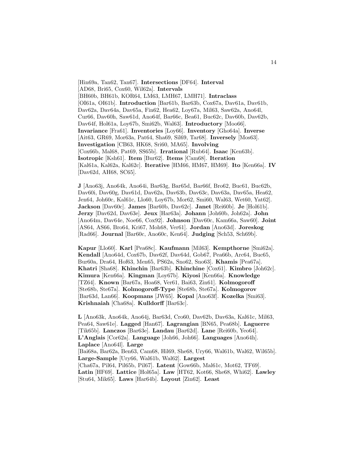[Hin69a, Tan62, Tan67]. **Intersections** [DF64]. **Interval** [AD68, Bri65, Cox60, Wil62a]. **Intervals** [BH60b, BH61b, KOR64, LM63, LMH67, LMH71]. **Intraclass** [OI61a, OI61b]. **Introduction** [Bar61b, Bar63b, Cox67a, Dav61a, Dav61b, Dav62a, Dav64a, Dav65a, Fin62, Hea62, Loy67a, Mil63, Saw62a, Ano64l, Cur66, Dav60h, Saw61d, Ano64f, Bar66c, Bea61, Buc62c, Dav60b, Dav62b, Dav64f, Hol61a, Loy67b, Smi62b, Wal63]. **Introductory** [Moo66]. **Invariance** [Fra61]. **Inventories** [Loy66]. **Inventory** [Gho64a]. **Inverse** [Ait63, GR69, Mor63a, Pat64, Sha69, Sil69, Tar68]. **Inversely** [Mos63]. **Investigation** [CB63, HK68, Sri60, MA65]. **Involving** [Cox66b, Mal68, Pat69, SS65b]. **Irrational** [Rub64]. **Isaac** [Ken63b]. **Isotropic** [Ksh61]. **Item** [Bur62]. **Items** [Cam68]. **Iteration** [Kal61a, Kal62a, Kal62c]. **Iterative** [HM66, HM67, HM69]. **Ito** [Ken66a]. **IV** [Dav62d, AH68, SC65].

**J** [Ano63j, Ano64k, Ano64i, Bar63g, Bar65d, Bar66f, Bro62, Buc61, Buc62b, Dav60i, Dav60g, Dav61d, Dav62a, Dav63b, Dav63c, Dav63a, Dav65a, Hea62, Jen64, Joh60c, Kal61c, Llo60, Loy67b, Mor62, Smi60, Wal63, Wet60, Yat62]. **Jackson** [Dav60c]. **James** [Bar60b, Dav62c]. **Janet** [Rei60b]. **Je** [Hol61b]. **Jerzy** [Dav62d, Dav63e]. **Jeux** [Har63a]. **Johann** [Joh60b, Joh62a]. **John** [Ano64m, Dav64e, Noe66, Cox92]. **Johnson** [Dav60c, Kam66a, Saw60]. **Joint** [AS64, AS66, Bro64, Kri67, Moh68, Ver61]. **Jordan** [Ano63d]. **Joreskog** [Rad66]. **Journal** [Bar60c, Ano60c, Ken64]. **Judging** [Sch53, Sch69b].

**Kapur** [Llo60]. **Karl** [Pea68c]. **Kaufmann** [Mil63]. **Kempthorne** [Smi62a]. **Kendall** [Ano64d, Cox67b, Dav62f, Dav64d, Gob67, Pea66b, Arc64, Buc65, Bur60a, Dra64, Hof63, Men65, PS62a, Sno62, Sno63]. **Khamis** [Pea67a]. **Khatri** [Sha68]. **Khinchin** [Bar63b]. **Khinchine** [Cox61]. **Kimbro** [Joh62c]. **Kimura** [Ken66a]. **Kingman** [Loy67b]. **Kiyosi** [Ken66a]. **Knowledge** [TZ64]. **Known** [Bar67a, Hoa68, Ver61, Bai63, Zin61]. **Kolmogoroff** [Ste68b, Ste67a]. **Kolmogoroff-Type** [Ste68b, Ste67a]. **Kolmogorov** [Bar63d, Lan66]. **Koopmans** [JW65]. **Kopal** [Ano63f]. **Kozelka** [Smi63]. **Krishnaiah** [Cha68a]. **Kulldorff** [Bar63c].

**L** [Ano63k, Ano64k, Ano64j, Bar63d, Cro60, Dav62b, Dav63a, Kal61c, Mil63, Pea64, Saw61e]. **Lagged** [Han67]. **Lagrangian** [BN65, Pea68b]. **Laguerre** [Tik65b]. **Lanczos** [Bar63e]. **Landau** [Bar62d]. **Lane** [Rei60b, Yeo64]. **L'Anglais** [Cor62a]. **Language** [Joh66, Joh66]. **Languages** [Ano64h]. **Laplace** [Ano64l]. **Large** [Bai68a, Bar62a, Ben63, Cam68, Hil69, She68, Ury66, Wal61b, Wal62, Wil65b]. **Large-Sample** [Ury66, Wal61b, Wal62]. **Largest** [Cha67a, Pil64, Pil65b, Pil67]. **Latent** [Gow66b, Mal61c, Mot62, TF69]. **Latin** [HF69]. **Lattice** [Hol65a]. **Law** [HT62, Kot66, She68, Whi62]. **Lawley** [Stu64, Mik65]. **Laws** [Har64b]. **Layout** [Zin62]. **Least**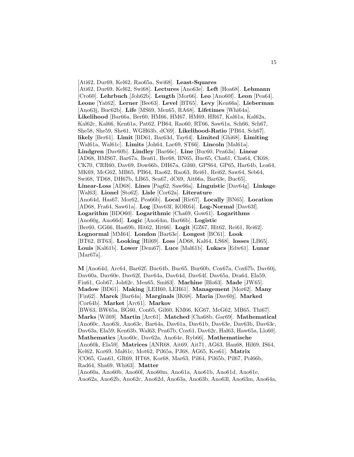[Ati62, Dur69, Kel62, Rao65a, Swi68]. **Least-Squares** [Ati62, Dur69, Kel62, Swi68]. **Lectures** [Ano63e]. **Left** [Hoa68]. **Lehmann** [Cro60]. **Lehrbuch** [Joh62b]. **Length** [Mor66]. **Leo** [Ano60f]. **Leon** [Pea64]. **Leone** [Yat62]. **Lerner** [Bee63]. **Level** [BT65]. **Levy** [Ken66a]. **Lieberman** [Ano63j, Buc62b]. **Life** [MS69, Men65, RA68]. **Lifetimes** [Whi64a]. **Likelihood** [Bar66a, Ber60, HM66, HM67, HM69, HR67, Kal61a, Kal62a, Kal62c, Kal66, Ken61a, Pat62, PB64, Rao60, RT66, Saw61a, Sch66, Sch67, She58, She59, She61, WGH63b, dC69]. **Likelihood-Ratio** [PB64, Sch67]. **likely** [Ber61]. **Limit** [BD61, Bar63d, Tay64]. **Limited** [Ghi68]. **Limiting** [Wal61a, Wal61c]. **Limits** [Joh64, Lac69, ST66]. **Lincoln** [Mal61a]. **Lindgren** [Dav60b]. **Lindley** [Bar66c]. **Line** [Buc60, Pea63a]. **Linear** [AD68, BMS67, Bar67a, Bea61, Ber68, BN65, Buc65, Cha61, Cha64, CK68, CK70, CRR60, Dav69, Dow66b, DH67a, Gil60, GPS64, GP65, Har64b, Lea64, MK69, McG62, MB65, PB64, Rao62, Rao63, Rei61, Rei62, Saw64, Seb64, Swi68, TD68, DH67b, LB65, Sea67, dC69, Ait66a, Bar63e, Buc65]. **Linear-Loss** [AD68]. **Lines** [Pag62, Saw66a]. **Linguistic** [Dav64g]. **Linkage** [Wal63]. **Lionel** [Sto62]. **Lisle** [Cor62a]. **Literature** [Ano64d, Has67, Mor62, Pea66b]. **Local** [Ric67]. **Locally** [BN65]. **Location** [AD68, Fra64, Saw61a]. **Log** [Dav63f, KOR64]. **Log-Normal** [Dav63f]. **Logarithm** [BDO60]. **Logarithmic** [Cha69, Gow61]. **Logarithms** [Ano60g, Ano66d]. **Logic** [Ano64m, Bar66b]. **Logistic** [Ber60, GG66, Has69b, Hit62, Hit66]. **Logit** [GZ67, Hit62, Rei61, Rei62]. **Lognormal** [MM64]. **London** [Bar63e]. **Longest** [BC61]. **Look** [BT62, BT63]. **Looking** [Hil69]. **Loss** [AD68, Kal64, LS68]. **losses** [LB65]. **Louis** [Kal61b]. **Lower** [Dem67]. **Luce** [Mal61b]. **Lukacs** [Edw61]. **Lunar** [Mar67a].

15

**M** [Ano64d, Arc64, Bar62f, Buc64b, Buc65, Bur60b, Cox67a, Cox67b, Dav60j, Dav60a, Dav60e, Dav62f, Dav64a, Dav64d, Dav64f, Dav65a, Dra64, Ela59, Fin61, Gob67, Joh62c, Men65, Smi63]. **Machine** [Blo63]. **Made** [JW65]. **Madow** [BD61]. **Making** [LEH60, LEH61]. **Management** [Mor62]. **Many** [Fin62]. **Marek** [Bar64a]. **Marginals** [IK68]. **Maria** [Dav60j]. **Marked** [Cor64b]. **Market** [Arc61]. **Markov** [BW63, BW65a, BG60, Con65, Gil60, KM66, KG67, McG62, MB65, Thi67]. **Marks** [Wil69]. **Martin** [Arc61]. **Matched** [Cha68b, Gar69]. **Mathematical** [Ano60c, Ano63i, Ano63c, Bar64a, Dav61a, Dav61b, Dav63e, Dav63b, Dav63c, Dav63a, Ela59, Ken63b, Wal63, Pea67b, Cox61, Dav62c, Hal63, Haw65a, Llo60]. **Mathematics** [Ano60c, Dav62a, Ano64e, Ryb66]. **Mathematische** [Ano60k, Ela59]. **Matrices** [ANR68, Ait69, Ait71, AG63, Han68, Hil69, IS64, Kel62, Kor69, Mal61c, Mot62, Pil65a, PJ68, AG65, Kes61]. **Matrix** [CO65, Gan61, GR69, HT68, Kor68, Mar63, Pil64, Pil65b, Pil67, Pol66b, Rad64, Sha69, Whi63]. **Matter** [Ano60a, Ano60b, Ano60l, Ano60m, Ano61a, Ano61b, Ano61d, Ano61e,

Ano62a, Ano62b, Ano62c, Ano62d, Ano63a, Ano63b, Ano63l, Ano63m, Ano64a,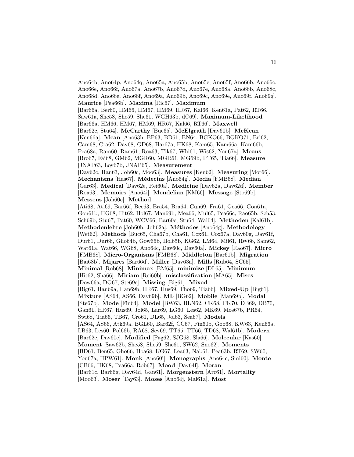Ano64b, Ano64p, Ano64q, Ano65a, Ano65b, Ano65e, Ano65f, Ano66b, Ano66c, Ano66e, Ano66f, Ano67a, Ano67b, Ano67d, Ano67e, Ano68a, Ano68b, Ano68c, Ano68d, Ano68e, Ano68f, Ano69a, Ano69b, Ano69c, Ano69e, Ano69f, Ano69g]. **Maurice** [Pea66b]. **Maxima** [Ric67]. **Maximum**

[Bar66a, Ber60, HM66, HM67, HM69, HR67, Kal66, Ken61a, Pat62, RT66, Saw61a, She58, She59, She61, WGH63b, dC69]. **Maximum-Likelihood** [Bar66a, HM66, HM67, HM69, HR67, Kal66, RT66]. **Maxwell** [Bar62c, Stu64]. **McCarthy** [Buc65]. **McElgrath** [Dav60b]. **McKean**

[Ken66a]. **Mean** [Ano63h, BP63, BD61, BN64, BGKO66, BGKO71, Bri62, Cam68, Cra62, Dav68, GD68, Har67a, HK68, Kam65, Kam66a, Kam66b, Pea68a, Ram60, Ram61, Roa63, Tik67, Whi61, Wis62, You67a]. **Means** [Bro67, Fai68, GM62, MGR60, MGR61, MG69b, PT65, Tia66]. **Measure** [JNAP63, Loy67b, JNAP65]. **Measurement**

[Dav62c, Han63, Joh60c, Moo63]. **Measures** [Ken62]. **Measuring** [Mor66]. **Mechanisms** [Has67]. **M´edecins** [Ano64g]. **Media** [FMB68]. **Median** [Gar63]. **Medical** [Dav62e, Rei60a]. **Medicine** [Dav62a, Dav62d]. **Member** [Roa63]. **Memoirs** [Ano64i]. **Mendelian** [KM66]. **Message** [Sto69b]. **Messens** [Joh60c]. **Method**

[Ati68, Ati69, Bar66f, Bee63, Bra54, Bra64, Cun69, Fra61, Gea66, Gon61a, Gon61b, HG68, Hit62, Hol67, Man69b, Mea66, Mul65, Pea66c, Rao65b, Sch53, Sch69b, Stu67, Pat60, WCV66, Bar60c, Stu64, Wal64]. **Methoden** [Kal61b]. **Methodenlehre** [Joh60b, Joh62a]. **M´ethodes** [Ano64g]. **Methodology** [Wet62]. **Methods** [Buc65, Cha67b, Cha61, Cox61, Cox67a, Dav60g, Dav61f, Dur61, Dur66, Gho64b, Gow66b, Hol65b, KG62, LM64, Mil61, RW66, Sam62, Wat61a, Wat66, WG68, Ano64c, Dav60c, Dav60a]. **Mickey** [Rao67]. **Micro** [FMB68]. **Micro-Organisms** [FMB68]. **Middleton** [Bar61b]. **Migration** [Bai68b]. **Mijares** [Bar66d]. **Miller** [Dav63a]. **Mills** [Rub64, SC65]. **Minimal** [Rob68]. **Minimax** [BM65]. **minimize** [DL65]. **Minimum** [Hit62, Sha66]. **Miriam** [Rei60b]. **misclassification** [MA65]. **Mises** [Dow66a, DG67, Ste69c]. **Missing** [Big61]. **Mixed** [Big61, Han69a, Han69b, HR67, Hus69, Tho69, Tia66]. **Mixed-Up** [Big61]. **Mixture** [AS64, AS66, Day69b]. **ML** [BG62]. **Mobile** [Man69b]. **Modal** [Ste67b]. **Mode** [Fin64]. **Model** [BW63, BLN62, CK68, CK70, DB69, DB70, Gan61, HR67, Hus69, Jol65, Lar69, LG60, Les62, MK69, Mos67b, PR64, Swi68, Tia66, TB67, Cro61, DL65, Jol63, Sea67]. **Models** [AS64, AS66, Atk69a, BGL60, Bar62f, CC67, Fin60b, Goo68, KW63, Ken66a, LB63, Les60, Pol66b, RA68, Sev69, TT65, TT66, TD68, Wal61b]. **Modern** [Bar62e, Dav60c]. **Modified** [Pag62, SJG68, Sla66]. **Molecular** [Kas60]. **Moment** [Saw62b, She58, She59, She61, SW62, Sno62]. **Moments** [BD61, Ben65, Gho66, Hoa68, KG67, Lea63, Nab61, Pea63b, RT69, SW60, You67a, HPW61]. **Monk** [Ano60i]. **Monographs** [Ano64c, Smi60]. **Monte** [CB66, HK68, Pea66a, Rob67]. **Mood** [Dav64f]. **Moran** [Bar61c, Bar66g, Dav64d, Gan61]. **Morgenstern** [Arc61]. **Mortality** [Moo63]. **Moser** [Tay63]. **Moses** [Ano64j, Mal61a]. **Most**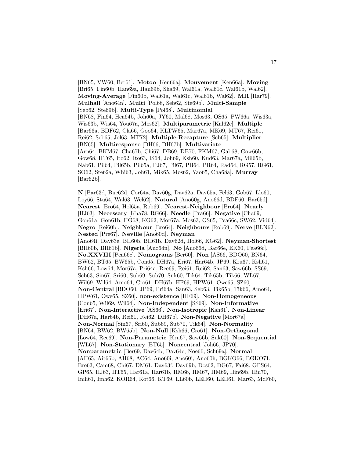[BN65, VW60, Ber61]. **Motoo** [Ken66a]. **Mouvement** [Ken66a]. **Moving** [Bri65, Fin60b, Han69a, Han69b, Sha69, Wal61a, Wal61c, Wal61b, Wal62]. **Moving-Average** [Fin60b, Wal61a, Wal61c, Wal61b, Wal62]. **MR** [Har79]. **Mulhall** [Ano64n]. **Multi** [Pol68, Seb62, Ste69b]. **Multi-Sample** [Seb62, Ste69b]. **Multi-Type** [Pol68]. **Multinomial** [BN68, Fin64, Hea64b, Joh60a, JY60, Mal68, Mos63, OS65, PW66a, Wis63a, Wis63b, Wis64, You67a, Mos62]. **Multiparametric** [Kal62c]. **Multiple** [Bar66a, BDF62, Cla66, Goo64, KLTW65, Mar67a, MK69, MT67, Rei61, Rei62, Seb65, Jol63, MT72]. **Multiple-Recapture** [Seb65]. **Multiplier** [BN65]. **Multiresponse** [DH66, DH67b]. **Multivariate** [Arn64, BKM67, Cha67b, Chi67, DB69, DB70, FKM67, Gab68, Gow66b, Gow68, HT65, Ito62, Ito63, IS64, Joh69, Ksh60, Kud63, Mar67a, Mil65b, Nab61, Pil64, Pil65b, Pil65a, PJ67, Pil67, PB64, PR64, Rad64, RG57, RG61, SO62, Ste62a, Whi63, Joh61, Mik65, Mos62, Yao65, Cha68a]. **Murray** [Bar62b].

**N** [Bar63d, Buc62d, Cor64a, Dav60g, Dav62a, Dav65a, Fel63, Gob67, Llo60, Loy66, Stu64, Wal63, Wel62]. **Natural** [Ano60g, Ano66d, BDF60, Bar65d]. **Nearest** [Bro64, Hol65a, Rob69]. **Nearest-Neighbour** [Bro64]. **Nearly** [HJ63]. **Necessary** [Kha78, RG66]. **Needle** [Pra66]. **Negative** [Cha69, Gon61a, Gon61b, HG68, KG62, Mor67a, Mos63, OS65, Pea66c, SW62, Vid64]. **Negro** [Rei60b]. **Neighbour** [Bro64]. **Neighbours** [Rob69]. **Nerve** [BLN62]. **Nested** [Pre67]. **Neville** [Ano60d]. **Neyman** [Ano64i, Dav63e, BH60b, BH61b, Dav62d, Hol66, KG62]. **Neyman-Shortest** [BH60b, BH61b]. **Nigeria** [Ano64n]. **No** [Ano66d, Bar66e, EK60, Pea66c]. **No.XXVIII** [Pea66c]. **Nomograms** [Ber60]. **Non** [AS66, BDO60, BN64, BW62, BT65, BW65b, Con65, DH67a, Eri67, Har64b, JP69, Kru67, Ksh61, Ksh66, Low64, Mor67a, Pri64a, Ree69, Rei61, Rei62, San63, Saw66b, SS69, Seb63, Sin67, Sri60, Sub69, Sub70, Suk60, Tik64, Tik65b, Tik66, WL67, Wil69, Wil64, Amo64, Cro61, DH67b, HF69, HPW61, Owe65, SZ60]. **Non-Central** [BDO60, JP69, Pri64a, San63, Seb63, Tik65b, Tik66, Amo64, HPW61, Owe65, SZ60]. **non-existence** [HF69]. **Non-Homogeneous** [Con65, Wil69, Wil64]. **Non-Independent** [SS69]. **Non-Informative** [Eri67]. **Non-Interactive** [AS66]. **Non-Isotropic** [Ksh61]. **Non-Linear** [DH67a, Har64b, Rei61, Rei62, DH67b]. **Non-Negative** [Mor67a]. **Non-Normal** [Sin67, Sri60, Sub69, Sub70, Tik64]. **Non-Normality** [BN64, BW62, BW65b]. **Non-Null** [Ksh66, Cro61]. **Non-Orthogonal** [Low64, Ree69]. **Non-Parametric** [Kru67, Saw66b, Suk60]. **Non-Sequential** [WL67]. **Non-Stationary** [BT65]. **Noncentral** [Joh66, JP70]. **Nonparametric** [Ber69, Dav64b, Dav64e, Noe66, Sch69a]. **Normal** [AH65, Ait66b, AH68, AC64, Ano60i, Ano60j, Ano60h, BGKO66, BGKO71, Bre63, Cam68, Chi67, DM61, Dav63f, Day69b, Dos62, DG67, Fai68, GPS64, GP65, HJ63, HT65, Har61a, Har61b, HM66, HM67, HM69, Hin69b, Hin70, Imh61, Imh62, KOR64, Kot66, KT69, LL60b, LEH60, LEH61, Mar63, McF60,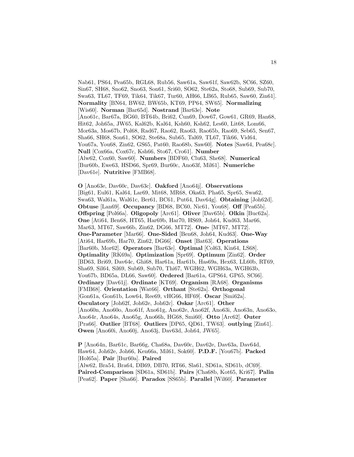Nab61, PS64, Pea65b, RGL68, Rub56, Saw61a, Saw61f, Saw62b, SC66, SZ60, Sin67, SH68, Sno62, Sno63, Son61, Sri60, SO62, Ste62a, Sto68, Sub69, Sub70, Swa63, TL67, TF69, Tik64, Tik67, Tur60, AH66, LB65, Rub65, Saw60, Zin61]. **Normality** [BN64, BW62, BW65b, KT69, PP64, SW65]. **Normalizing** [Wis60]. **Norman** [Bar65d]. **Nostrand** [Bar63e]. **Note** [Ano61c, Bar67a, BG60, BT64b, Bri62, Cun69, Dow67, Gow61, GR69, Han68, Hit62, Joh65a, JW65, Kal62b, Kal64, Ksh60, Ksh62, Les60, Lit68, Lom66, Mor63a, Mos67b, Pol68, Rad67, Rao62, Rao63, Rao65b, Rao69, Seb65, Sen67, Sha66, SH68, Son61, SO62, Ste68a, Sub65, Tal69, TL67, Tik66, Vid64, You67a, You68, Zin62, GS65, Pat60, Rao68b, Saw60]. **Notes** [Saw64, Pea68c]. **Null** [Cox66a, Cox67c, Ksh66, Sto67, Cro61]. **Number** [Alw62, Cox60, Saw60]. **Numbers** [BDF60, Clu63, She68]. **Numerical** [Bur60b, Ewe63, HSD66, Spr69, Bur60c, Ano63f, Mil61]. **Numeriche** [Dav61e]. **Nutritive** [FMB68].

**O** [Ano63e, Dav60c, Dav63c]. **Oakford** [Ano64j]. **Observations** [Big61, Eul61, Kal64, Lar69, Mit68, MR68, Oka63, Pha65, Spr65, Swa62, Swa63, Wal61a, Wal61c, Ber61, BC61, Put64, Dav64g]. **Obtaining** [Joh62d]. **Obtuse** [Lan69]. **Occupancy** [BD68, BC60, Nic61, You68]. **Off** [Pea65b]. **Offspring** [Pol66a]. **Oligopoly** [Arc61]. **Oliver** [Dav65b]. **Olkin** [Buc62a]. **One** [Ati64, Ben68, HT65, Har69b, Har70, HS69, Joh64, Kud63, Mar66, Mar63, MT67, Saw66b, Zin62, DG66, MT72]. **One-** [MT67, MT72]. **One-Parameter** [Mar66]. **One-Sided** [Ben68, Joh64, Kud63]. **One-Way** [Ati64, Har69b, Har70, Zin62, DG66]. **Onset** [Bat63]. **Operations** [Bar60b, Mor62]. **Operators** [Bar63e]. **Optimal** [Col63, Kin64, LS68]. **Optimality** [RK69a]. **Optimization** [Spr69]. **Optimum** [Zin62]. **Order** [BD63, Bri69, Dav64c, Ghi68, Har61a, Har61b, Has69a, Hex63, LL60b, RT69, Sha69, Sil64, Sil69, Sub69, Sub70, Thi67, WGH62, WGH63a, WGH63b, You67b, BD65a, DL66, Saw60]. **Ordered** [Bar61a, GPS64, GP65, SC66]. **Ordinary** [Dav61j]. **Ordinate** [KT69]. **Organism** [RA68]. **Organisms** [FMB68]. **Orientation** [Wat66]. **Orthant** [Ste62a]. **Orthogonal** [Gon61a, Gon61b, Low64, Ree69, vHG66, HF69]. **Oscar** [Smi62a]. **Osculatory** [Joh62f, Joh62e, Joh62c]. **Oskar** [Arc61]. **Other** [Ano60n, Ano60o, Ano61f, Ano61g, Ano62e, Ano62f, Ano63i, Ano63n, Ano63o, Ano64r, Ano64s, Ano65g, Ano66h, HG68, Smi60]. **Otto** [Arc62]. **Outer** [Pra66]. **Outlier** [BT68]. **Outliers** [DP65, QD61, TW63]. **outlying** [Zin61]. **Owen** [Ano60i, Ano60j, Ano63j, Dav63d, Joh64, JW65].

**P** [Ano64n, Bar61c, Bar66g, Cha68a, Dav60c, Dav62e, Dav63a, Dav64d, Haw64, Joh62e, Joh66, Ken66a, Mil61, Sok60]. **P.D.F.** [You67b]. **Packed** [Hol65a]. **Pair** [Bur60a]. **Paired** [Alw62, Bra54, Bra64, DB69, DB70, RT66, Sla61, SD61a, SD61b, dC69]. **Paired-Comparison** [SD61a, SD61b]. **Pairs** [Cha68b, Kot65, Kri67]. **Palin** [Pea62]. **Paper** [Sha66]. **Paradox** [SS65b]. **Parallel** [Wil60]. **Parameter**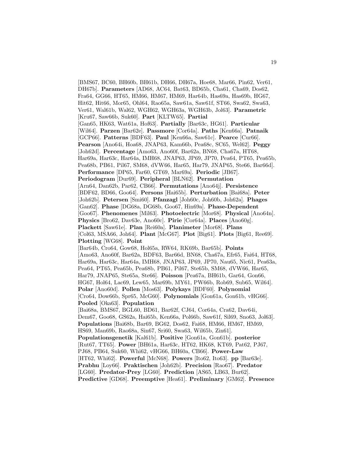[BMS67, BC60, BH60b, BH61b, DH66, DH67a, Hoe68, Mar66, Pin62, Ver61, DH67b]. **Parameters** [AD68, AC64, Bat63, BD65b, Cha61, Cha69, Dos62, Fra64, GG66, HT65, HM66, HM67, HM69, Har64b, Has69a, Has69b, HG67, Hit62, Hit66, Mor65, Ohl64, Rao65a, Saw61a, Saw61f, ST66, Swa62, Swa63, Ver61, Wal61b, Wal62, WGH62, WGH63a, WGH63b, Jol63]. **Parametric** [Kru67, Saw66b, Suk60]. **Part** [KLTW65]. **Partial** [Gan65, HK63, Wat61a, Hof63]. **Partially** [Bar63c, HG61]. **Particular** [Wil64]. **Parzen** [Bar62e]. **Passmore** [Cor64a]. **Paths** [Ken66a]. **Patnaik** [GCP66]. **Patterns** [BDF63]. **Paul** [Ken66a, Saw61c]. **Pearce** [Cur66]. **Pearson** [Ano64i, Hoa68, JNAP63, Kam66b, Pea68c, SC65, Wel62]. **Peggy** [Joh62d]. **Percentage** [Amo63, Ano60f, Bar62a, BN68, Cha67a, HT68, Har69a, Har63c, Har64a, IMH68, JNAP63, JP69, JP70, Pea64, PT65, Pea65b, Pea68b, PB61, Pil67, SM68, dVW66, Har65, Har79, JNAP65, Ste66, Bar66d]. **Performance** [DP65, Far60, GT69, Mar69a]. **Periodic** [JB67]. **Periodogram** [Dur69]. **Peripheral** [BLN62]. **Permutation** [Arn64, Dan62b, Par62, CB66]. **Permutations** [Ano64j]. **Persistence** [BDF62, BD66, Goo64]. **Persons** [Hai65b]. **Perturbation** [Bai68a]. **Peter** [Joh62b]. **Petersen** [Smi60]. **Pfanzagl** [Joh60c, Joh60b, Joh62a]. **Phages** [Gan62]. **Phase** [DG68a, DG68b, Goo67, Hin69a]. **Phase-Dependent** [Goo67]. **Phenomenes** [Mil63]. **Photoelectric** [Mor68]. **Physical** [Ano64n]. **Physics** [Bro62, Dav63e, Ano60c]. **Pirie** [Cor64a]. **Places** [Ano60g]. **Plackett** [Saw61e]. **Plan** [Rei60a]. **Planimeter** [Mor68]. **Plans** [Col63, MSA66, Joh64]. **Plant** [McG67]. **Plot** [Big61]. **Plots** [Big61, Ree69]. **Plotting** [WG68]. **Point** [Bar64b, Cro64, Gow68, Hol65a, RW64, RK69b, Bar65b]. **Points** [Amo63, Ano60f, Bar62a, BDF63, Bar66d, BN68, Cha67a, Efr65, Fai64, HT68, Har69a, Har63c, Har64a, IMH68, JNAP63, JP69, JP70, Nau65, Nic61, Pea63a, Pea64, PT65, Pea65b, Pea68b, PB61, Pil67, Ste65b, SM68, dVW66, Har65, Har79, JNAP65, Ste65a, Ste66]. **Poisson** [Pea67a, BH61b, Gar64, Gon66, HG67, Hol64, Lac69, Lew65, Mar69b, MY61, PW66b, Rob69, Sub65, Wil64]. **Polar** [Ano60d]. **Pollen** [Mos63]. **Polykays** [BDF60]. **Polynomial** [Cro64, Dow66b, Spr65, McG60]. **Polynomials** [Gon61a, Gon61b, vHG66]. **Pooled** [Oka63]. **Population** [Bai68a, BMS67, BGL60, BD61, Bar62f, CJ64, Cor64a, Cra62, Dav64i, Dem67, Goo68, GS62a, Hai65b, Ken66a, Pol66b, Saw61f, Sil69, Sno63, Jol63]. **Populations** [Bai68b, Bar69, BG62, Dos62, Fai68, HM66, HM67, HM69, HS69, Man69b, Rao68a, Sin67, Sri60, Swa63, Wil65b, Zin61]. **Populationsgenetik** [Kal61b]. **Positive** [Gon61a, Gon61b]. **posterior** [Rut67, TT65]. **Power** [BH61a, Har63c, HT62, HK68, KT69, Pat62, PJ67, PJ68, PB64, Suk60, Whi62, vHG66, BH60a, CB66]. **Power-Law** [HT62, Whi62]. **Powerful** [McN68]. **Powers** [Ito62, Ito63]. **pp** [Bar63e]. **Prabhu** [Loy66]. **Praktischen** [Joh62b]. **Precision** [Rao67]. **Predator** [LG60]. **Predator-Prey** [LG60]. **Prediction** [AS65, LB63, Bur62]. **Predictive** [GD68]. **Preemptive** [Hea61]. **Preliminary** [GM62]. **Presence**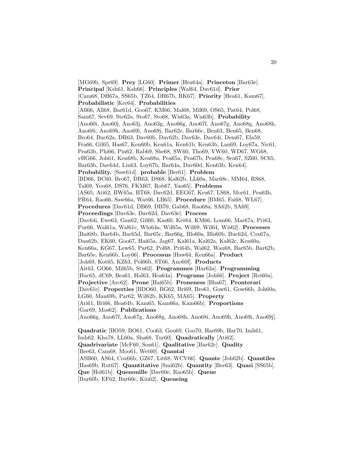[MG69b, Spr69]. **Prey** [LG60]. **Primer** [Hea64a]. **Princeton** [Bar63e]. **Principal** [Ksh61, Ksh66]. **Principles** [Wal64, Dav61d]. **Prior** [Cam68, DH67a, SS65b, TZ64, DH67b, RK67]. **Priority** [Hea61, Kam67]. **Probabilistic** [Ker64]. **Probabilities** [All66, All68, Bar61d, Goo67, KM66, Mal68, Mil69, OS65, Pat64, Pol68, Sam67, Sev69, Ste62a, Sto67, Sto68, Wis63a, Wis63b]. **Probability** [Ano60i, Ano60j, Ano63j, Ano63g, Ano66g, Ano67f, Ano67g, Ano68g, Ano68h, Ano68i, Ano69h, Ano69i, Ano69j, Bar62e, Bar66c, Ben63, Ben65, Ben68, Bro64, Buc62a, DR63, Dav60b, Dav62b, Dav63e, Dav64i, Dem67, Ela59, Fra66, Gil65, Has67, Ken60b, Ken61a, Ken61b, Ken63b, Lan69, Loy67a, Nic61, Pea63b, Phi66, Pin62, Rab69, She68, SW60, Tho69, VW60, WD67, WG68, vHG66, Joh61, Ken68b, Ken68a, Pea65a, Pea67b, Pea68c, Sea67, SZ60, SC65, Bar63b, Dav64d, Lin63, Loy67b, Bar64a, Dav60d, Ken63b, Ken64]. **Probability.** [Saw61d]. **probable** [Ber61]. **Problem** [BD66, BC60, Bro67, DR63, DS68, Kal62b, LL60a, Mar68c, MM64, RS68, Tal69, You68, DS76, FKM67, Rob67, Yao65]. **Problems** [AS65, Ati62, BW65a, BT68, Dav62d, EEG67, Kru67, LS68, Mor61, Pea63b, PR64, Rao66, Saw66a, Wat66, LB65]. **Procedure** [BM65, Fai68, WL67]. **Procedures** [Dav61d, DB69, DB70, Gab68, Rao68a, SA62b, SA69]. **Proceedings** [Dav63e, Dav62d, Dav63e]. **Process** [Dav64i, Ewe63, Gan62, Gil60, Kas60, Ker64, KM66, Lom66, Mar67a, Pri63, Pur66, Wal61a, Wal61c, Whi64a, Wil65a, Wil69, Wil64, Wis62]. **Processes** [Bai68b, Bar64b, Bar65d, Bar65c, Bar66g, Blo60a, Blo60b, Buc62d, Cox67a, Dan62b, EK60, Goo67, Hai65a, Jag67, Kal61a, Kal62a, Kal62c, Ken60a, Ken66a, KG67, Lew65, Par62, Pol68, Pri64b, Wal62, Wau68, Bar65b, Bar62b, Bar65e, Ken66b, Loy66]. **Processus** [Haw64, Ken66a]. **Product** [Joh69, Kot65, KZ63, Pol66b, ST66, Ano60f]. **Products** [Ait63, GO66, Mil65b, Stu62]. **Programmes** [Har63a]. **Programming** [Buc65, dC69, Bea61, Hal63, Hea64a]. **Programs** [Joh66]. **Project** [Rei60a]. **Projective** [Arc62]. **Prone** [Hai65b]. **Proneness** [Bha67]. **Pronterari** [Dav61e]. **Properties** [BDO60, BG62, Bri69, Bro61, Gow61, Gow66b, Joh60a, LG60, Man69b, Par62, Wil62b, KK65, MA65]. **Property** [Ati61, Bri66, Hea64b, Kam65, Kam66a, Kam66b]. **Proportions** [Gar69, Mos62]. **Publications** [Ano66g, Ano67f, Ano67g, Ano68g, Ano68h, Ano68i, Ano69h, Ano69i, Ano69j]. **Quadratic** [BO59, BO61, Coo63, Goo69, Goo70, Har69b, Har70, Imh61, Imh62, Kha78, LL60a, Sha68, Tur60]. **Quadratically** [Ati62]. **Quadrivariate** [McF60, Son61]. **Qualitative** [Bar62c]. **Quality**

[Bee63, Cam68, Moo61, Wet60]. **Quantal**

[ASB60, AS64, Cox66b, GZ67, Lit68, WCV66]. **Quante** [Joh62b]. **Quantiles**

[Has69b, Rut67]. **Quantitative** [Smi62b]. **Quantity** [Bee63]. **Quasi** [SS65b].

**Que** [Hol61b]. **Quenouille** [Dav60e, Rao65b]. **Queue**

[Bur60b, EF62, Bur60c, Kin62]. **Queueing**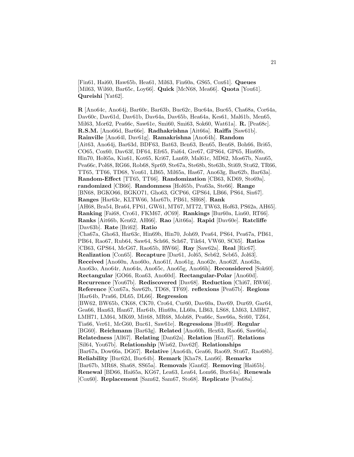[Fin61, Hai60, Haw65b, Hea61, Mil63, Fin60a, GS65, Cox61]. **Queues** [Mil63, Wil60, Bar65c, Loy66]. **Quick** [McN68, Mea66]. **Quota** [You61]. **Qureishi** [Yat62].

**R** [Ano64c, Ano64j, Bar60c, Bar63b, Buc62c, Buc64a, Buc65, Cha68a, Cor64a, Dav60c, Dav61d, Dav61b, Dav64a, Dav65b, Hea64a, Kes61, Mal61b, Men65, Mil63, Mor62, Pea66c, Saw61e, Smi60, Smi63, Sok60, Wat61a]. **R.** [Pea68c]. **R.S.M.** [Ano66d, Bar66e]. **Radhakrishna** [Ait66a]. **Raiffa** [Saw61b]. **Rainville** [Ano64l, Dav61g]. **Ramakrishna** [Ano64h]. **Random** [Ait63, Ano64j, Bar63d, BDF63, Bat63, Ben63, Ben65, Ben68, Boh66, Bri65, CO65, Cox60, Dav63f, DF64, Efr65, Fai64, Gre67, GPS64, GP65, Hin69b, Hin70, Hol65a, Kin61, Kot65, Kri67, Lan69, Mal61c, MD62, Mos67b, Nau65, Pea66c, Pol68, RG66, Rob68, Spr69, Ste67a, Ste68b, Ste63b, Sti69, Stu62, TR66, TT65, TT66, TD68, You61, LB65, Mil65a, Has67, Ano63g, Bar62b, Bar63a]. **Random-Effect** [TT65, TT66]. **Randomization** [CB63, KD69, Sto69a]. **randomized** [CB66]. **Randomness** [Hol65b, Pea63a, Ste66]. **Range** [BN68, BGKO66, BGKO71, Gho63, GCP66, GPS64, LB66, PS64, Sin67]. **Ranges** [Har63c, KLTW66, Mar67b, PB61, SH68]. **Rank** [AH68, Bra54, Bra64, FP61, GW61, MT67, MT72, TW63, Hof63, PS62a, AH65]. **Ranking** [Fai68, Cro61, FKM67, dC69]. **Rankings** [Bur60a, Lin60, RT66]. **Ranks** [Ait66b, Ken62, AH66]. **Rao** [Ait66a]. **Rapid** [Dav60e]. **Ratcliffe** [Dav63b]. **Rate** [Bri62]. **Ratio** [Cha67a, Gho63, Har63c, Hin69b, Hin70, Joh69, Pea64, PS64, Pea67a, PB61, PB64, Rao67, Rub64, Saw64, Sch66, Sch67, Tik64, VW60, SC65]. **Ratios** [CB63, GPS64, McG67, Rao65b, RW66]. **Ray** [Saw62a]. **Real** [Ric67]. **Realization** [Con65]. **Recapture** [Dar61, Jol65, Seb62, Seb65, Jol63]. **Received** [Ano60n, Ano60o, Ano61f, Ano61g, Ano62e, Ano62f, Ano63n, Ano63o, Ano64r, Ano64s, Ano65c, Ano65g, Ano66h]. **Reconsidered** [Sok60]. **Rectangular** [GO66, Roa63, Ano60d]. **Rectangular-Polar** [Ano60d]. **Recurrence** [You67b]. **Rediscovered** [Dav68]. **Reduction** [Chi67, RW66]. **Reference** [Cox67a, Saw62b, TD68, TF69]. **reflexions** [Pea67b]. **Regions** [Har64b, Pra66, DL65, DL66]. **Regression** [BW62, BW65b, CK68, CK70, Cro64, Cur60, Dav60a, Dav69, Dur69, Gar64, Gea66, Han63, Han67, Har64b, Hin69a, LL60a, LB63, LS68, LM63, LMH67, LMH71, LM64, MK69, Mit68, MR68, Moh68, Pea66c, Saw66a, Sri60, TZ64, Tia66, Ver61, McG60, Buc61, Saw61e]. **Regressions** [Hus69]. **Regular** [BG60]. **Reichmann** [Bar63g]. **Related** [Ano60h, Hex63, Rao66, Saw66a]. **Relatedness** [All67]. **Relating** [Dan62a]. **Relation** [Han67]. **Relations** [Sil64, You67b]. **Relationship** [Wis62, Dav62f]. **Relationships** [Bar67a, Dow66a, DG67]. **Relative** [Ano64h, Gea66, Rao69, Stu67, Rao68b]. **Reliability** [Buc62d, Buc64b]. **Remark** [Kha78, Lan66]. **Remarks** [Bar67b, MR68, Sha68, SS65a]. **Removals** [Gan62]. **Removing** [Hai65b]. **Renewal** [BD66, Hai65a, KG67, Lea63, Lea64, Lom66, Buc64a]. **Renewals** [Cox60]. **Replacement** [Sam62, Sam67, Sto68]. **Replicate** [Pea68a].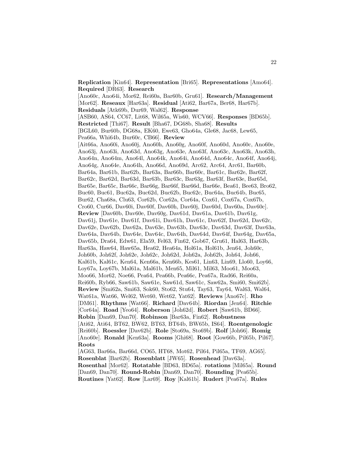**Replication** [Kin64]. **Representation** [Bri65]. **Representations** [Amo64]. **Required** [DR63]. **Research** [Ano60c, Ano64i, Mor62, Rei60a, Bar60b, Gru61]. **Research/Management** [Mor62]. **Reseaux** [Har63a]. **Residual** [Ati62, Bar67a, Ber68, Har67b]. **Residuals** [Atk69b, Dur69, Wal62]. **Response** [ASB60, AS64, CC67, Lit68, Wil65a, Wis60, WCV66]. **Responses** [BD65b]. **Restricted** [Thi67]. **Result** [Bha67, DG68b, Sha68]. **Results** [BGL60, Bur60b, DG68a, EK60, Ewe63, Gho64a, Gle68, Jac68, Lew65, Pea66a, Whi64b, Bur60c, CB66]. **Review** [Ait66a, Ano60i, Ano60j, Ano60h, Ano60g, Ano60f, Ano60d, Ano60c, Ano60e, Ano63j, Ano63i, Ano63d, Ano63g, Ano63e, Ano63f, Ano63c, Ano63k, Ano63h, Ano64n, Ano64m, Ano64l, Ano64k, Ano64i, Ano64d, Ano64c, Ano64f, Ano64j, Ano64g, Ano64e, Ano64h, Ano66d, Ano69d, Arc62, Arc64, Arc61, Bar60b, Bar64a, Bar61b, Bar62b, Bar63a, Bar66b, Bar60c, Bar61c, Bar62e, Bar62f, Bar62c, Bar62d, Bar63d, Bar63b, Bar63c, Bar63g, Bar63f, Bar63e, Bar65d, Bar65e, Bar65c, Bar66c, Bar66g, Bar66f, Bar66d, Bar66e, Bea61, Bee63, Bro62, Buc60, Buc61, Buc62a, Buc62d, Buc62b, Buc62c, Buc64a, Buc64b, Buc65, Bur62, Cha68a, Clu63, Cor62b, Cor62a, Cor64a, Cox61, Cox67a, Cox67b, Cro60, Cur66, Dav60i, Dav60f, Dav60h, Dav60j, Dav60d, Dav60a, Dav60c]. **Review** [Dav60b, Dav60e, Dav60g, Dav61d, Dav61a, Dav61b, Dav61g, Dav61j, Dav61e, Dav61f, Dav61i, Dav61h, Dav61c, Dav62f, Dav62d, Dav62c, Dav62e, Dav62b, Dav62a, Dav63e, Dav63b, Dav63c, Dav63d, Dav63f, Dav63a, Dav64a, Dav64b, Dav64e, Dav64c, Dav64h, Dav64d, Dav64f, Dav64g, Dav65a, Dav65b, Dra64, Edw61, Ela59, Fel63, Fin62, Gob67, Gru61, Hal63, Har63b, Har63a, Haw64, Haw65a, Hea62, Hea64a, Hol61a, Hol61b, Jen64, Joh60c, Joh60b, Joh62f, Joh62e, Joh62c, Joh62d, Joh62a, Joh62b, Joh64, Joh66, Kal61b, Kal61c, Ken64, Ken66a, Ken66b, Kes61, Lin63, Lin69, Llo60, Loy66, Loy67a, Loy67b, Mal61a, Mal61b, Men65, Mil61, Mil63, Moo61, Moo63, Moo66, Mor62, Noe66, Pea64, Pea66b, Pea66c, Pea67a, Rad66, Rei60a, Rei60b, Ryb66, Saw61b, Saw61e, Saw61d, Saw61c, Saw62a, Smi60, Smi62b]. **Review** [Smi62a, Smi63, Sok60, Sto62, Stu64, Tay63, Tay64, Wal63, Wal64, Wat61a, Wat66, Wel62, Wet60, Wet62, Yat62]. **Reviews** [Ano67c]. **Rho** [DM61]. **Rhythms** [Wat66]. **Richard** [Dav64b]. **Riordan** [Jen64]. **Ritchie** [Cor64a]. **Road** [Yeo64]. **Roberson** [Joh62d]. **Robert** [Saw61b, BD66]. **Robin** [Dan69, Dan70]. **Robinson** [Bar63a, Fin62]. **Robustness** [Ati62, Ati64, BT62, BW62, BT63, BT64b, BW65b, IS64]. **Roentgenologic** [Rei60b]. **Roessler** [Dav62b]. **Role** [Sto69a, Sto69b]. **Rolf** [Joh66]. **Romig** [Ano60e]. **Ronald** [Ken63a]. **Rooms** [Ghi68]. **Root** [Gow66b, Pil65b, Pil67]. **Roots** [AG63, Bar66a, Bar66d, CO65, HT68, Mot62, Pil64, Pil65a, TF69, AG65]. **Rosenblat** [Bar62b]. **Rosenblatt** [JW65]. **Rosenhead** [Dav63a].

**Rosenthal** [Mor62]. **Rotatable** [BD63, BD65a]. **rotations** [Mil65a]. **Round** [Dan69, Dan70]. **Round-Robin** [Dan69, Dan70]. **Rounding** [Pea65b]. **Routines** [Yat62]. **Row** [Lar69]. **Roy** [Kal61b]. **Rudert** [Pea67a]. **Rules**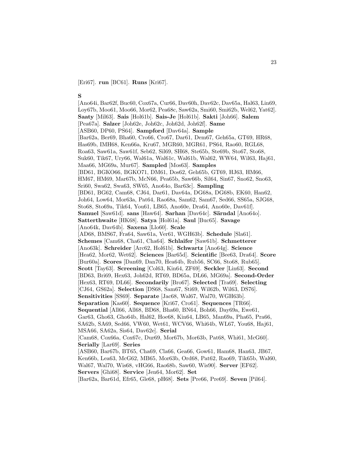[Eri67]. **run** [BC61]. **Runs** [Kri67].

## **S**

[Ano64i, Bar62f, Buc60, Cox67a, Cur66, Dav60h, Dav62c, Dav65a, Hal63, Lin69, Loy67b, Moo61, Moo66, Mor62, Pea68c, Saw62a, Smi60, Smi62b, Wel62, Yat62]. **Saaty** [Mil63]. **Sais** [Hol61b]. **Sais-Je** [Hol61b]. **Sakti** [Joh66]. **Salem** [Pea67a]. **Salzer** [Joh62e, Joh62c, Joh62d, Joh62f]. **Same** [ASB60, DP60, PS64]. **Sampford** [Dav64a]. **Sample** [Bar62a, Ber69, Bha60, Cro66, Cro67, Dar61, Dem67, Geh65a, GT69, HR68, Has69b, IMH68, Ken66a, Kru67, MGR60, MGR61, PS64, Rao60, RGL68, Roa63, Saw61a, Saw61f, Seb62, Sil69, SH68, Ste65b, Ste69b, Sto67, Sto68, Suk60, Tik67, Ury66, Wal61a, Wal61c, Wal61b, Wal62, WW64, Wil63, Haj61, Maa66, MG69a, Mur67]. **Sampled** [Mos63]. **Samples** [BD61, BGKO66, BGKO71, DM61, Dos62, Geh65b, GT69, HJ63, HM66, HM67, HM69, Mar67b, McN66, Pea65b, Saw66b, Sil64, Sin67, Sno62, Sno63, Sri60, Swa62, Swa63, SW65, Ano64o, Bar63c]. **Sampling** [BD61, BG62, Cam68, CJ64, Dar61, Dav64a, DG68a, DG68b, EK60, Han62, Joh64, Low64, Mor63a, Pat64, Rao68a, Sam62, Sam67, Sed66, SS65a, SJG68, Sto68, Sto69a, Tik64, You61, LB65, Ano60e, Dra64, Ano60e, Dav61f]. **Samuel** [Saw61d]. **sans** [Haw64]. **Sarhan** [Dav64c]. **Särndal** [Ano64o]. **Satterthwaite** [HK68]. **Satya** [Hol61a]. **Saul** [Buc65]. **Savage** [Ano64k, Dav64b]. **Saxena** [Llo60]. **Scale** [AD68, BMS67, Fra64, Saw61a, Ver61, WGH63b]. **Schedule** [Sla61]. **Schemes** [Cam68, Cha61, Cha64]. **Schlaifer** [Saw61b]. **Schmetterer** [Ano63k]. **Schreider** [Arc62, Hol61b]. **Schwartz** [Ano64g]. **Science** [Hea62, Mor62, Wet62]. **Sciences** [Bar65d]. **Scientific** [Bee63, Dra64]. **Score** [Bur60a]. **Scores** [Dan69, Dan70, Hea64b, Rub56, SC66, Sto68, Rub65]. **Scott** [Tay63]. **Screening** [Col63, Kin64, ZF69]. **Seckler** [Lin63]. **Second** [BD63, Bri69, Hex63, Joh62d, RT69, BD65a, DL66, MG69a]. **Second-Order** [Hex63, RT69, DL66]. **Secondarily** [Bro67]. **Selected** [Tra69]. **Selecting** [CJ64, GS62a]. **Selection** [DS68, Sam67, Sti69, Wil62b, Wil63, DS76]. **Sensitivities** [SS69]. **Separate** [Jac68, Wal67, Wal70, WGH63b]. **Separation** [Kas60]. **Sequence** [Kri67, Cro61]. **Sequences** [TR66]. **Sequential** [All66, All68, BD68, Bha60, BN64, Boh66, Day69a, Ewe61, Gar63, Gho63, Gho64b, Hal62, Hoe68, Kin64, LB65, Man69a, Pha65, Pra66, SA62b, SA69, Sed66, VW60, Wet61, WCV66, Whi64b, WL67, You68, Haj61, MSA66, SA62a, Sis64, Dav62e]. **Serial** [Cam68, Cox66a, Cox67c, Dur69, Mor67b, Mor63b, Pat68, Whi61, McG60]. **Serially** [Lar69]. **Series** [ASB60, Bar67b, BT65, Cha69, Cla66, Gea66, Gow61, Ham68, Han63, JB67, Ken66b, Lea63, McG62, MB65, Mor63b, Ord68, Pat62, Rao69, Tik65b, Wal60, Wal67, Wal70, Wis68, vHG66, Rao68b, Saw60, Wis90]. **Server** [EF62]. **Servers** [Ghi68]. **Service** [Jen64, Mor62]. **Set**

[Bar62a, Bar61d, Efr65, Gle68, pH68]. **Sets** [Pre66, Pre69]. **Seven** [Pil64].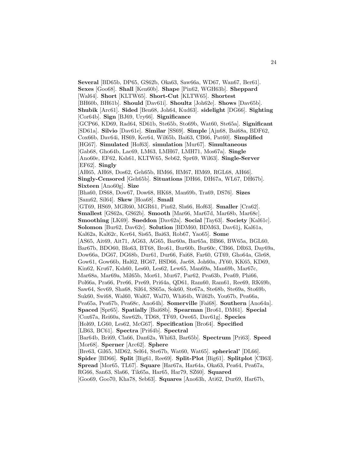**Several** [BD65b, DP65, GS62b, Oka63, Saw66a, WD67, Wan67, Ber61]. **Sexes** [Goo68]. **Shall** [Ken60b]. **Shape** [Pin62, WGH63b]. **Sheppard** [Wal64]. **Short** [KLTW65]. **Short-Cut** [KLTW65]. **Shortest** [BH60b, BH61b]. **Should** [Dav61i]. **Shoultz** [Joh62e]. **Shows** [Dav65b]. **Shubik** [Arc61]. **Sided** [Ben68, Joh64, Kud63]. **sidelight** [DG66]. **Sighting** [Cor64b]. **Sign** [BJ69, Ury66]. **Significance** [GCP66, KD69, Rad64, SD61b, Ste65b, Sto69b, Wat60, Ste65a]. **Significant** [SD61a]. **Silvio** [Dav61e]. **Similar** [SS69]. **Simple** [Ajn68, Bai68a, BDF62, Cox66b, Dav64i, HS69, Ker64, Wil65b, Bai63, CB66, Pat60]. **Simplified** [HG67]. **Simulated** [Hof63]. **simulation** [Mur67]. **Simultaneous** [Gab68, Gho64b, Lac69, LM63, LMH67, LMH71, Mos67a]. **Single** [Ano60e, EF62, Ksh61, KLTW65, Seb62, Spr69, Wil63]. **Single-Server** [EF62]. **Singly** [AH65, AH68, Dos62, Geh65b, HM66, HM67, HM69, RGL68, AH66]. **Singly-Censored** [Geh65b]. **Situations** [DH66, DH67a, WL67, DH67b]. **Sixteen** [Ano60g]. **Size** [Bha60, DS68, Dow67, Dow68, HK68, Man69b, Tra69, DS76]. **Sizes** [Sam62, Sil64]. **Skew** [Hoa68]. **Small** [GT69, HS69, MGR60, MGR61, Pin62, Sla66, Hof63]. **Smaller** [Cra62]. **Smallest** [GS62a, GS62b]. **Smooth** [Mar66, Mar67d, Mar68b, Mar68c]. **Smoothing** [LK69]. **Sneddon** [Dav62a]. **Social** [Tay63]. **Society** [Kal61c]. **Solomon** [Bur62, Dav62c]. **Solution** [BDM60, BDM63, Dav61j, Kal61a, Kal62a, Kal62c, Ker64, Sis65, Bai63, Rob67, Yao65]. **Some** [AS65, Ait69, Ait71, AG63, AG65, Bar60a, Bar65a, BB66, BW65a, BGL60, Bar67b, BDO60, Blo63, BT68, Bro61, Bur60b, Bur60c, CB66, DR63, Day69a, Dow66a, DG67, DG68b, Dur61, Dur66, Fai68, Far60, GT69, Gho64a, Gle68, Gow61, Gow66b, Hal62, HG67, HSD66, Jac68, Joh60a, JY60, KK65, KD69, Kin62, Kru67, Ksh60, Les60, Les62, Lew65, Man69a, Man69b, Mar67c, Mar68a, Mar69a, Mil65b, Mor61, Mur67, Par62, Pea63b, Pea69, Phi66, Pol66a, Pra66, Pre66, Pre69, Pri64a, QD61, Ram60, Ram61, Ree69, RK69b, Saw64, Sev69, Sha68, Sil64, SS65a, Sok60, Ste67a, Ste68b, Ste69a, Sto69b, Suk60, Swi68, Wal60, Wal67, Wal70, Whi64b, Wil62b, You67b, Pea66a, Pea65a, Pea67b, Pea68c, Ano64h]. **Somerville** [Fai68]. **Southern** [Ano64n]. **Spaced** [Spr65]. **Spatially** [Bai68b]. **Spearman** [Bro61, DM61]. **Special** [Cox67a, Rei60a, Saw62b, TD68, TF69, Owe65, Dav61g]. **Species** [Hol69, LG60, Les62, McG67]. **Specification** [Bro64]. **Specified** [LB63, BC61]. **Spectra** [Pri64b]. **Spectral** [Bar64b, Bri69, Cla66, Dan62a, Whi63, Bar65b]. **Spectrum** [Pri63]. **Speed** [Mor68]. **Sperner** [Arc62]. **Sphere** [Bre63, Gil65, MD62, Sel64, Ste67b, Wat60, Wat65]. **spherical'** [DL66]. **Spider** [BD66]. **Split** [Big61, Ree69]. **Split-Plot** [Big61]. **Splitplot** [CB63]. **Spread** [Mor65, TL67]. **Square** [Har67a, Har64a, Oka63, Pea64, Pea67a, RG66, San63, Sla66, Tik65a, Har65, Har79, SZ60]. **Squared** [Goo69, Goo70, Kha78, Seb63]. **Squares** [Ano63h, Ati62, Dur69, Har67b,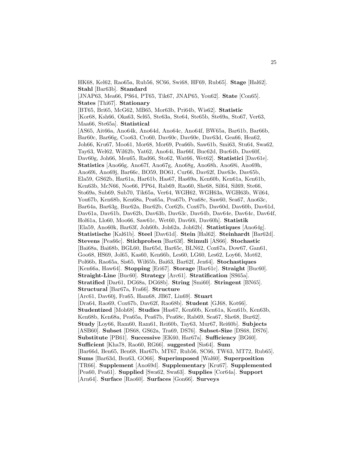**States** [Thi67]. **Stationary** [BT65, Bri65, McG62, MB65, Mor63b, Pri64b, Wis62]. **Statistic** [Kor68, Ksh66, Oka63, Sel65, Ste63a, Ste64, Ste65b, Ste69a, Sto67, Ver63, Maa66, Ste65a]. **Statistical** [AS65, Ait66a, Ano64k, Ano64d, Ano64c, Ano64f, BW65a, Bar61b, Bar66b, Bar60c, Bar66g, Coo63, Cro60, Dav60c, Dav60e, Dav63d, Gea66, Hea62, Joh66, Kru67, Moo61, Mor68, Mor69, Pea66b, Saw61b, Smi63, Stu64, Swa62, Tay63, Wel62, Wil62b, Yat62, Ano64i, Bar66f, Buc62d, Buc64b, Dav60f, Dav60g, Joh66, Men65, Rad66, Sto62, Wat66, Wet62]. **Statistici** [Dav61e]. **Statistics** [Ano66g, Ano67f, Ano67g, Ano68g, Ano68h, Ano68i, Ano69h, Ano69i, Ano69j, Bar66c, BO59, BO61, Cur66, Dav62f, Dav63e, Dav65b, Ela59, GS62b, Har61a, Har61b, Has67, Has69a, Ken60b, Ken61a, Ken61b, Ken63b, McN66, Noe66, PP64, Rab69, Rao60, She68, Sil64, Sil69, Ste66, Sto69a, Sub69, Sub70, Tik65a, Ver64, WGH62, WGH63a, WGH63b, Wil64, You67b, Ken68b, Ken68a, Pea65a, Pea67b, Pea68c, Saw60, Sea67, Ano63c, Bar64a, Bar63g, Buc62a, Buc62b, Cor62b, Cox67b, Dav60d, Dav60b, Dav61d, Dav61a, Dav61b, Dav62b, Dav63b, Dav63c, Dav64b, Dav64e, Dav64c, Dav64f, Hol61a, Llo60, Moo66, Saw61c, Wet60, Dav60i, Dav60h]. **Statistik** [Ela59, Ano60k, Bar63f, Joh60b, Joh62a, Joh62b]. **Statistiques** [Ano64g]. **Statistische** [Kal61b]. **Steel** [Dav61d]. **Stein** [Hal62]. **Steinhardt** [Bar62d]. **Stevens** [Pea66c]. **Stichproben** [Bar63f]. **Stimuli** [AS66]. **Stochastic** [Bai68a, Bai68b, BGL60, Bar65d, Bar65c, BLN62, Cox67a, Dow67, Gan61, Goo68, HS69, Jol65, Kas60, Ken66b, Les60, LG60, Les62, Loy66, Mot62, Pol66b, Rao65a, Sis65, Wil65b, Bai63, Bar62f, Jen64]. **Stochastiques** [Ken66a, Haw64]. **Stopping** [Eri67]. **Storage** [Bar61c]. **Straight** [Buc60]. **Straight-Line** [Buc60]. **Strategy** [Arc61]. **Stratification** [SS65a]. **Stratified** [Dar61, DG68a, DG68b]. **String** [Smi60]. **Stringent** [BN65]. **Structural** [Bar67a, Fra66]. **Structure** [Arc61, Dav60j, Fra65, Ham68, JB67, Lin69]. **Stuart** [Dra64, Rao69, Cox67b, Dav62f, Rao68b]. **Student** [GJ68, Kot66]. **Studentized** [Moh68]. **Studies** [Has67, Ken60b, Ken61a, Ken61b, Ken63b, Ken68b, Ken68a, Pea65a, Pea67b, Pea68c, Rab69, Sea67, She68, Bur62]. **Study** [Loy66, Ram60, Ram61, Rei60b, Tay63, Mur67, Rei60b]. **Subjects** [ASB60]. **Subset** [DS68, GS62a, Tra69, DS76]. **Subset-Size** [DS68, DS76]. **Substitute** [PB61]. **Successive** [EK60, Har67a]. **Sufficiency** [BG60]. **Sufficient** [Kha78, Rao60, RG66]. **suggested** [Sis64]. **Sum** [Bar66d, Ben65, Ben68, Har67b, MT67, Rub56, SC66, TW63, MT72, Rub65]. **Sums** [Bar63d, Ben63, GO66]. **Superimposed** [Wal60]. **Superposition** [TR66]. **Supplement** [Ano69d]. **Supplementary** [Kru67]. **Supplemented** [Pea60, Pea61]. **Supplied** [Swa62, Swa63]. **Supplies** [Cor64a]. **Support** [Arn64]. **Surface** [Rao60]. **Surfaces** [Gon66]. **Surveys**

HK68, Kel62, Rao65a, Rub56, SC66, Swi68, HF69, Rub65]. **Stage** [Hal62].

[JNAP63, Mea66, PS64, PT65, Tik67, JNAP65, You62]. **State** [Con65].

**Stahl** [Bar63b]. **Standard**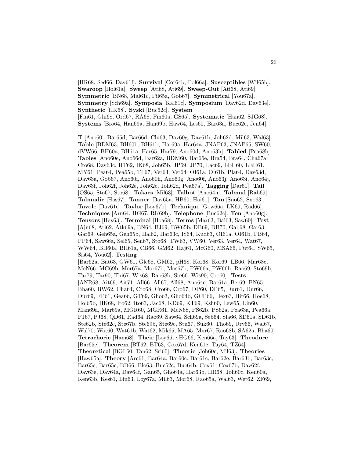[HR68, Sed66, Dav61f]. **Survival** [Cor64b, Pol66a]. **Susceptibles** [Wil65b]. **Swaroop** [Hol61a]. **Sweep** [Ati68, Ati69]. **Sweep-Out** [Ati68, Ati69]. **Symmetric** [BN68, Mal61c, Pil65a, Gob67]. **Symmetrical** [You67a]. **Symmetry** [Sch69a]. **Symposia** [Kal61c]. **Symposium** [Dav62d, Dav63e]. **Synthetic** [HK68]. **Syski** [Buc62c]. **System** [Fin61, Ghi68, Ord67, RA68, Fin60a, GS65]. **Systematic** [Han62, SJG68]. **Systems** [Bro64, Han69a, Han69b, Haw64, Les60, Bar63a, Buc62c, Jen64].

**T** [Ano60i, Bar65d, Bar66d, Clu63, Dav60g, Dav61b, Joh62d, Mil63, Wal63]. **Table** [BDM63, BH60b, BH61b, Har69a, Har64a, JNAP63, JNAP65, SW60, dVW66, BH60a, BH61a, Har65, Har79, Ano60d, Ano63h]. **Tabled** [Pea68b]. **Tables** [Ano60e, Ano66d, Bar62a, BDM60, Bar66e, Bra54, Bra64, Cha67a, Cro68, Dav63c, HT62, IK68, Joh65b, JP69, JP70, Lac69, LEH60, LEH61, MY61, Pea64, Pea65b, TL67, Ver63, Ver64, OI61a, OI61b, Pla64, Dav63d, Dav63a, Gob67, Ano60i, Ano60h, Ano60g, Ano60f, Ano63j, Ano63i, Ano64j, Dav63f, Joh62f, Joh62e, Joh62c, Joh62d, Pea67a]. **Tagging** [Dar61]. **Tail** [OS65, Sto67, Sto68]. **Takacs** [Mil63]. **Talbot** [Ano64n]. **Talmud** [Rab69]. **Talmudic** [Has67]. **Tanner** [Dav65a, HB60, Hai61]. **Tau** [Sno62, Sno63]. **Tavole** [Dav61e]. **Taylor** [Loy67b]. **Technique** [Gow66a, LK69, Rad66]. **Techniques** [Arn64, HG67, RK69b]. **Telephone** [Buc62c]. **Ten** [Ano60g]. **Tensors** [Hex63]. **Terminal** [Hoa68]. **Terms** [Mar63, Bai63, Saw60]. **Test** [Ajn68, Ati62, Atk69a, BN64, BJ69, BW65b, DB69, DB70, Gab68, Gar63, Gar69, Geh65a, Geh65b, Hal62, Har63c, IS64, Kud63, OI61a, OI61b, PB64, PP64, Saw66a, Sel65, Sen67, Sto68, TW63, VW60, Ver63, Ver64, Wat67, WW64, BH60a, BH61a, CB66, GM62, Haj61, McG60, MSA66, Put64, SW65, Sis64, You62]. **Testing** [Bar62a, Bat63, GW61, Gle68, GM62, pH68, Kor68, Kor69, LB66, Mar68c, McN66, MG69b, Mor67a, Mor67b, Mos67b, PW66a, PW66b, Rao69, Sto69b, Tar79, Tar90, Thi67, Wis68, Rao68b, Ste66, Wis90, Cro60]. **Tests** [ANR68, Ait69, Ait71, All66, All67, All68, Ano64c, Bar61a, Ber69, BN65, Bha60, BW62, Cha64, Cro68, Cro66, Cro67, DP60, DP65, Dur61, Dur66, Dur69, FP61, Gea66, GT69, Gho63, Gho64b, GCP66, Hex63, Hit66, Hoe68, Hol65b, HK68, Ito62, Ito63, Jac68, KD69, KT69, Ksh60, Lew65, Lin60, Man69a, Mar69a, MGR60, MGR61, McN68, PS62b, PS62a, Pea63a, Pea66a, PJ67, PJ68, QD61, Rad64, Rao69, Saw64, Sch69a, Seb64, Sla66, SD61a, SD61b, Ste62b, Ste62c, Ste67b, Ste69b, Ste69c, Stu67, Suk60, Tho69, Ury66, Wal67, Wal70, Wat60, Wat61b, Wat62, Mik65, MA65, Mur67, Rao68b, SA62a, Bha60]. **Tetrachoric** [Ham68]. **Their** [Loy66, vHG66, Ken66a, Tay63]. **Theodore** [Bar65e]. **Theorem** [BT62, BT63, Cox67d, Ken61c, Tay64, TZ64]. **Theoretical** [BGL60, Tan62, Sri60]. **Theorie** [Joh60c, Mil63]. **Theories**

[Haw65a]. **Theory** [Arc61, Bar64a, Bar60c, Bar61c, Bar62e, Bar63b, Bar63c, Bar65e, Bar65c, BD66, Blo63, Buc62c, Buc64b, Cox61, Cox67b, Dav62f, Dav63e, Dav64a, Dav64f, Gan65, Gho64a, Har63b, HR68, Joh60c, Ken60a, Ken63b, Kes61, Lin63, Loy67a, Mil63, Mor68, Rao65a, Wal63, Wet62, ZF69,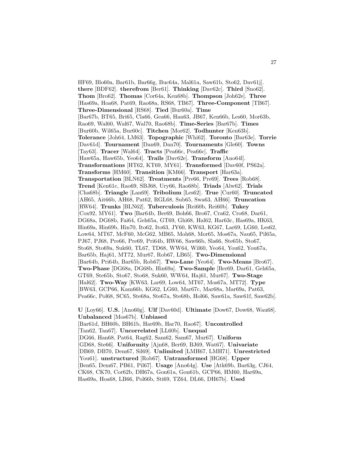HF69, Blo60a, Bar61b, Bar66g, Buc64a, Mal61a, Saw61b, Sto62, Dav61j]. **there** [BDF62]. **therefrom** [Ber61]. **Thinking** [Dav62c]. **Third** [Sno62]. **Thom** [Bro62]. **Thomas** [Cor64a, Ken68b]. **Thompson** [Joh62e]. **Three** [Has69a, Hoa68, Pat69, Rao68a, RS68, TB67]. **Three-Component** [TB67]. **Three-Dimensional** [RS68]. **Tied** [Bur60a]. **Time** [Bar67b, BT65, Bri65, Cla66, Gea66, Han63, JB67, Ken66b, Les60, Mor63b, Rao69, Wal60, Wal67, Wal70, Rao68b]. **Time-Series** [Bar67b]. **Times** [Bur60b, Wil65a, Bur60c]. **Titchen** [Mor62]. **Todhunter** [Ken63b]. **Tolerance** [Joh64, LM63]. **Topographic** [Whi62]. **Toronto** [Bar63e]. **Torrie** [Dav61d]. **Tournament** [Dan69, Dan70]. **Tournaments** [Gle60]. **Towns** [Tay63]. **Tracer** [Wal64]. **Tracts** [Pea66c, Pea66c]. **Traffic** [Haw65a, Haw65b, Yeo64]. **Trails** [Dav62e]. **Transform** [Ano64l]. **Transformations** [HT62, KT69, MY61]. **Transformed** [Dav60f, PS62a]. **Transforms** [HM60]. **Transition** [KM66]. **Transport** [Har63a]. **Transportation** [BLN62]. **Treatments** [Pre66, Pre69]. **Trees** [Rob68]. **Trend** [Ken61c, Rao69, SBJ68, Ury66, Rao68b]. **Triads** [Alw62]. **Trials** [Cha68b]. **Triangle** [Lan69]. **Tribolium** [Les62]. **True** [Cur60]. **Truncated** [AH65, Ait66b, AH68, Pat62, RGL68, Sub65, Swa63, AH66]. **Truncation** [RW64]. **Trunks** [BLN62]. **Tuberculosis** [Rei60b, Rei60b]. **Tukey** [Cox92, MY61]. **Two** [Bar64b, Ber69, Boh66, Bro67, Cra62, Cro68, Dar61, DG68a, DG68b, Fai64, Geh65a, GT69, Ghi68, Hal62, Har63c, Has69a, HK63, Hin69a, Hin69b, Hin70, Ito62, Ito63, JY60, KW63, KG67, Lar69, LG60, Les62, Low64, MT67, McF60, McG62, MB65, Moh68, Mor65, Mos67a, Nau65, Pil65a, PJ67, PJ68, Pre66, Pre69, Pri64b, RW66, Saw66b, Sla66, Ste65b, Sto67, Sto68, Sto69a, Suk60, TL67, TD68, WW64, Wil60, Yeo64, You62, You67a, Bar65b, Haj61, MT72, Mur67, Rob67, LB65]. **Two-Dimensional** [Bar64b, Pri64b, Bar65b, Rob67]. **Two-Lane** [Yeo64]. **Two-Means** [Bro67]. **Two-Phase** [DG68a, DG68b, Hin69a]. **Two-Sample** [Ber69, Dar61, Geh65a, GT69, Ste65b, Sto67, Sto68, Suk60, WW64, Haj61, Mur67]. **Two-Stage** [Hal62]. **Two-Way** [KW63, Lar69, Low64, MT67, Mos67a, MT72]. **Type** [BW63, GCP66, Kam66b, KG62, LG60, Mar67c, Mar68a, Mar69a, Pat63, Pea66c, Pol68, SC65, Ste68a, Ste67a, Ste68b, Hol66, Saw61a, Saw61f, Saw62b].

**U** [Loy66]. **U.S.** [Ano60g]. **Ulf** [Dav60d]. **Ultimate** [Dow67, Dow68, Wau68]. **Unbalanced** [Mos67b]. **Unbiased** [Bar61d, BH60b, BH61b, Har69b, Har70, Rao67]. **Uncontrolled** [Tan62, Tan67]. **Uncorrelated** [LL60b]. **Unequal** [DG66, Han68, Pat64, Rag62, Sam62, Sam67, Mur67]. **Uniform** [GD68, Ste66]. **Uniformity** [Ajn68, Ber69, BJ69, Wat67]. **Univariate** [DB69, DB70, Dem67, Sil69]. **Unlimited** [LMH67, LMH71]. **Unrestricted** [You61]. **unstructured** [Rob67]. **Untransformed** [HG68]. **Upper** [Ben65, Dem67, PB61, Pil67]. **Usage** [Ano64g]. **Use** [Atk69b, Bar63g, CJ64, CK68, CK70, Cor62b, DH67a, Gon61a, Gon61b, GCP66, HM60, Har69a, Has69a, Hoa68, LB66, Pol66b, Sti69, TZ64, DL66, DH67b]. **Used**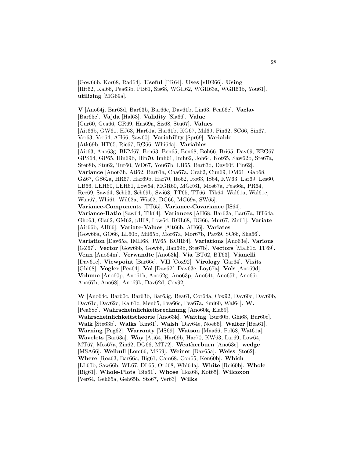[Gow66b, Kor68, Rad64]. **Useful** [PR64]. **Uses** [vHG66]. **Using** [Hit62, Kal66, Pea63b, PB61, Sis68, WGH62, WGH63a, WGH63b, You61]. **utilizing** [MG69a].

**V** [Ano64j, Bar63d, Bar63b, Bar66c, Dav61b, Lin63, Pea66c]. **Vaclav** [Bar65c]. **Vajda** [Hal63]. **Validity** [Sla66]. **Value** [Cur60, Gea66, GR69, Has69a, Sis68, Stu67]. **Values** [Ait66b, GW61, HJ63, Har61a, Har61b, KG67, Mil69, Pin62, SC66, Sin67, Ver63, Ver64, AH66, Saw60]. **Variability** [Spr69]. **Variable** [Atk69b, HT65, Ric67, RG66, Whi64a]. **Variables** [Ait63, Ano63g, BKM67, Ben63, Ben65, Ben68, Boh66, Bri65, Dav69, EEG67, GPS64, GP65, Hin69b, Hin70, Imh61, Imh62, Joh64, Kot65, Saw62b, Ste67a, Ste68b, Stu62, Tur60, WD67, You67b, LB65, Bar63d, Dav60f, Fin62]. **Variance** [Ano63h, Ati62, Bar61a, Cha67a, Cra62, Cun69, DM61, Gab68, GZ67, GS62a, HR67, Har69b, Har70, Ito62, Ito63, IS64, KW63, Lar69, Les60, LB66, LEH60, LEH61, Low64, MGR60, MGR61, Mos67a, Pea66a, PR64, Ree69, Saw64, Sch53, Sch69b, Swi68, TT65, TT66, Tik64, Wal61a, Wal61c, Wan67, Whi61, Wil62a, Wis62, DG66, MG69a, SW65]. **Variance-Components** [TT65]. **Variance-Covariance** [IS64]. **Variance-Ratio** [Saw64, Tik64]. **Variances** [AH68, Bar62a, Bar67a, BT64a, Gho63, Gla62, GM62, pH68, Low64, RGL68, DG66, Mur67, Zin61]. **Variate** [Ait66b, AH66]. **Variate-Values** [Ait66b, AH66]. **Variates** [Gow66a, GO66, LL60b, Mil65b, Mor67a, Mor67b, Pat69, SC66, Sha66]. **Variation** [Dav65a, IMH68, JW65, KOR64]. **Variations** [Ano63e]. **Various** [GZ67]. **Vector** [Gow66b, Gow68, Han69b, Ste67b]. **Vectors** [Mal61c, TF69]. **Venn** [Ano64m]. **Verwandte** [Ano63k]. **Via** [BT62, BT63]. **Vianelli** [Dav61e]. **Viewpoint** [Bar66c]. **VII** [Cox92]. **Virology** [Gar64]. **Visits** [Ghi68]. **Vogler** [Pea64]. **Vol** [Dav62f, Dav63e, Loy67a]. **Vols** [Ano69d]. **Volume** [Ano60p, Ano61h, Ano62g, Ano63p, Ano64t, Ano65h, Ano66i, Ano67h, Ano68j, Ano69k, Dav62d, Cox92].

**W** [Ano64c, Bar60c, Bar63b, Bar63g, Bea61, Cor64a, Cox92, Dav60c, Dav60b, Dav61c, Dav62c, Kal61c, Men65, Pea66c, Pea67a, Smi60, Wal64]. **W.** [Pea68c]. **Wahrscheinlichkeitsrechnung** [Ano60k, Ela59]. **Wahrscheinlichkeitstheorie** [Ano63k]. **Waiting** [Bur60b, Ghi68, Bur60c]. **Walk** [Ste63b]. **Walks** [Kin61]. **Walsh** [Dav64e, Noe66]. **Walter** [Bea61]. **Warning** [Pag62]. **Warranty** [MS69]. **Watson** [Maa66, Pol68, Wat61a]. **Wavelets** [Bar63a]. **Way** [Ati64, Har69b, Har70, KW63, Lar69, Low64, MT67, Mos67a, Zin62, DG66, MT72]. **Weatherburn** [Ano63c]. **wedge** [MSA66]. **Weibull** [Lom66, MS69]. **Weiner** [Dav65a]. **Weiss** [Sto62]. **Where** [Roa63, Bar66a, Big61, Cam68, Con65, Ken60b]. **Which** [LL60b, Saw66b, WL67, DL65, Ord68, Whi64a]. **White** [Rei60b]. **Whole** [Big61]. **Whole-Plots** [Big61]. **Whose** [Hoa68, Kot65]. **Wilcoxon** [Ver64, Geh65a, Geh65b, Sto67, Ver63]. **Wilks**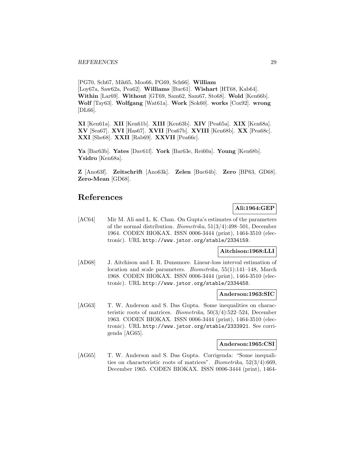[PG70, Sch67, Mik65, Moo66, PG69, Sch66]. **William** [Loy67a, Saw62a, Pea62]. **Williams** [Buc61]. **Wishart** [HT68, Kab64]. **Within** [Lar69]. **Without** [GT69, Sam62, Sam67, Sto68]. **Wold** [Ken66b]. **Wolf** [Tay63]. **Wolfgang** [Wat61a]. **Work** [Sok60]. **works** [Cox92]. **wrong** [DL66].

**XI** [Ken61a]. **XII** [Ken61b]. **XIII** [Ken63b]. **XIV** [Pea65a]. **XIX** [Ken68a]. **XV** [Sea67]. **XVI** [Has67]. **XVII** [Pea67b]. **XVIII** [Ken68b]. **XX** [Pea68c]. **XXI** [She68]. **XXII** [Rab69]. **XXVII** [Pea66c].

**Ya** [Bar63b]. **Yates** [Dav61f]. **York** [Bar63e, Rei60a]. **Young** [Ken68b]. **Ysidro** [Ken68a].

**Z** [Ano63f]. **Zeitschrift** [Ano63k]. **Zelen** [Buc64b]. **Zero** [BP63, GD68]. **Zero-Mean** [GD68].

# **References**

# **Ali:1964:GEP**

[AC64] Mir M. Ali and L. K. Chan. On Gupta's estimates of the parameters of the normal distribution. Biometrika, 51(3/4):498–501, December 1964. CODEN BIOKAX. ISSN 0006-3444 (print), 1464-3510 (electronic). URL http://www.jstor.org/stable/2334159.

## **Aitchison:1968:LLI**

[AD68] J. Aitchison and I. R. Dunsmore. Linear-loss interval estimation of location and scale parameters. Biometrika, 55(1):141–148, March 1968. CODEN BIOKAX. ISSN 0006-3444 (print), 1464-3510 (electronic). URL http://www.jstor.org/stable/2334458.

## **Anderson:1963:SIC**

[AG63] T. W. Anderson and S. Das Gupta. Some inequalities on characteristic roots of matrices. Biometrika, 50(3/4):522–524, December 1963. CODEN BIOKAX. ISSN 0006-3444 (print), 1464-3510 (electronic). URL http://www.jstor.org/stable/2333921. See corrigenda [AG65].

## **Anderson:1965:CSI**

[AG65] T. W. Anderson and S. Das Gupta. Corrigenda: "Some inequalities on characteristic roots of matrices". Biometrika, 52(3/4):669, December 1965. CODEN BIOKAX. ISSN 0006-3444 (print), 1464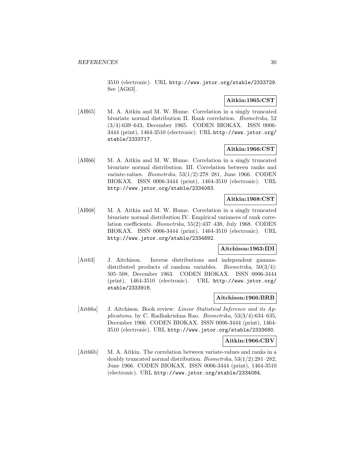3510 (electronic). URL http://www.jstor.org/stable/2333729. See [AG63].

## **Aitkin:1965:CST**

[AH65] M. A. Aitkin and M. W. Hume. Correlation in a singly truncated bivariate normal distribution II. Rank correlation. Biometrika, 52 (3/4):639–643, December 1965. CODEN BIOKAX. ISSN 0006- 3444 (print), 1464-3510 (electronic). URL http://www.jstor.org/ stable/2333717.

## **Aitkin:1966:CST**

[AH66] M. A. Aitkin and M. W. Hume. Correlation in a singly truncated bivariate normal distribution. III. Correlation between ranks and variate-values. Biometrika, 53(1/2):278–281, June 1966. CODEN BIOKAX. ISSN 0006-3444 (print), 1464-3510 (electronic). URL http://www.jstor.org/stable/2334083.

## **Aitkin:1968:CST**

[AH68] M. A. Aitkin and M. W. Hume. Correlation in a singly truncated bivariate normal distribution IV. Empirical variances of rank correlation coefficients. Biometrika, 55(2):437–438, July 1968. CODEN BIOKAX. ISSN 0006-3444 (print), 1464-3510 (electronic). URL http://www.jstor.org/stable/2334892.

## **Aitchison:1963:IDI**

[Ait63] J. Aitchison. Inverse distributions and independent gammadistributed products of random variables. *Biometrika*,  $50(3/4)$ : 505–508, December 1963. CODEN BIOKAX. ISSN 0006-3444 (print), 1464-3510 (electronic). URL http://www.jstor.org/ stable/2333916.

## **Aitchison:1966:BRB**

[Ait66a] J. Aitchison. Book review: Linear Statistical Inference and its Applications, by C. Radhakrishna Rao. Biometrika, 53(3/4):634–635, December 1966. CODEN BIOKAX. ISSN 0006-3444 (print), 1464- 3510 (electronic). URL http://www.jstor.org/stable/2333680.

#### **Aitkin:1966:CBV**

[Ait66b] M. A. Aitkin. The correlation between variate-values and ranks in a doubly truncated normal distribution. Biometrika, 53(1/2):281–282, June 1966. CODEN BIOKAX. ISSN 0006-3444 (print), 1464-3510 (electronic). URL http://www.jstor.org/stable/2334084.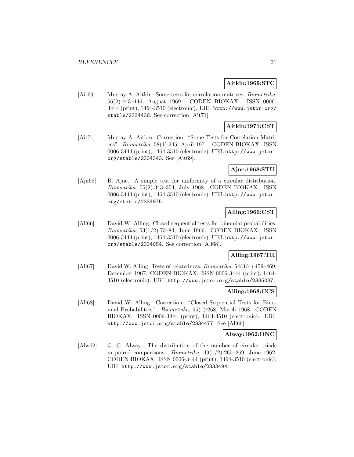## **Aitkin:1969:STC**

[Ait69] Murray A. Aitkin. Some tests for correlation matrices. Biometrika, 56(2):443–446, August 1969. CODEN BIOKAX. ISSN 0006- 3444 (print), 1464-3510 (electronic). URL http://www.jstor.org/ stable/2334438. See correction [Ait71].

## **Aitkin:1971:CST**

[Ait71] Murray A. Aitkin. Correction: "Some Tests for Correlation Matrices". Biometrika, 58(1):245, April 1971. CODEN BIOKAX. ISSN 0006-3444 (print), 1464-3510 (electronic). URL http://www.jstor. org/stable/2334343. See [Ait69].

## **Ajne:1968:STU**

[Ajn68] B. Ajne. A simple test for uniformity of a circular distribution. Biometrika, 55(2):343–354, July 1968. CODEN BIOKAX. ISSN 0006-3444 (print), 1464-3510 (electronic). URL http://www.jstor. org/stable/2334875.

## **Alling:1966:CST**

[All66] David W. Alling. Closed sequential tests for binomial probabilities. Biometrika, 53(1/2):73–84, June 1966. CODEN BIOKAX. ISSN 0006-3444 (print), 1464-3510 (electronic). URL http://www.jstor. org/stable/2334054. See correction [All68].

## **Alling:1967:TR**

[All67] David W. Alling. Tests of relatedness. Biometrika, 54(3/4):459–469, December 1967. CODEN BIOKAX. ISSN 0006-3444 (print), 1464- 3510 (electronic). URL http://www.jstor.org/stable/2335037.

## **Alling:1968:CCS**

[All68] David W. Alling. Correction: "Closed Sequential Tests for Binomial Probabilities". Biometrika, 55(1):268, March 1968. CODEN BIOKAX. ISSN 0006-3444 (print), 1464-3510 (electronic). URL http://www.jstor.org/stable/2334477. See [All66].

#### **Alway:1962:DNC**

[Alw62] G. G. Alway. The distribution of the number of circular triads in paired comparisons. *Biometrika*,  $49(1/2):265-269$ , June 1962. CODEN BIOKAX. ISSN 0006-3444 (print), 1464-3510 (electronic). URL http://www.jstor.org/stable/2333494.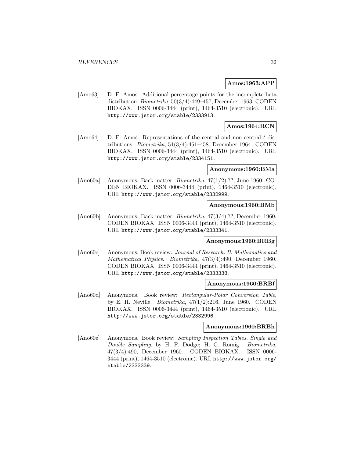#### **Amos:1963:APP**

[Amo63] D. E. Amos. Additional percentage points for the incomplete beta distribution. Biometrika, 50(3/4):449–457, December 1963. CODEN BIOKAX. ISSN 0006-3444 (print), 1464-3510 (electronic). URL http://www.jstor.org/stable/2333913.

## **Amos:1964:RCN**

[Amo64] D. E. Amos. Representations of the central and non-central t distributions. *Biometrika*,  $51(3/4):451-458$ , December 1964. CODEN BIOKAX. ISSN 0006-3444 (print), 1464-3510 (electronic). URL http://www.jstor.org/stable/2334151.

#### **Anonymous:1960:BMa**

[Ano60a] Anonymous. Back matter. Biometrika, 47(1/2):??, June 1960. CO-DEN BIOKAX. ISSN 0006-3444 (print), 1464-3510 (electronic). URL http://www.jstor.org/stable/2332999.

#### **Anonymous:1960:BMb**

[Ano60b] Anonymous. Back matter. Biometrika, 47(3/4):??, December 1960. CODEN BIOKAX. ISSN 0006-3444 (print), 1464-3510 (electronic). URL http://www.jstor.org/stable/2333341.

## **Anonymous:1960:BRBg**

[Ano60c] Anonymous. Book review: Journal of Research. B. Mathematics and Mathematical Physics. Biometrika, 47(3/4):490, December 1960. CODEN BIOKAX. ISSN 0006-3444 (print), 1464-3510 (electronic). URL http://www.jstor.org/stable/2333338.

#### **Anonymous:1960:BRBf**

[Ano60d] Anonymous. Book review: Rectangular-Polar Conversion Table, by E. H. Neville. *Biometrika*,  $47(1/2):216$ , June 1960. CODEN BIOKAX. ISSN 0006-3444 (print), 1464-3510 (electronic). URL http://www.jstor.org/stable/2332996.

## **Anonymous:1960:BRBh**

[Ano60e] Anonymous. Book review: Sampling Inspection Tables. Single and Double Sampling. by H. F. Dodge; H. G. Romig. Biometrika, 47(3/4):490, December 1960. CODEN BIOKAX. ISSN 0006- 3444 (print), 1464-3510 (electronic). URL http://www.jstor.org/ stable/2333339.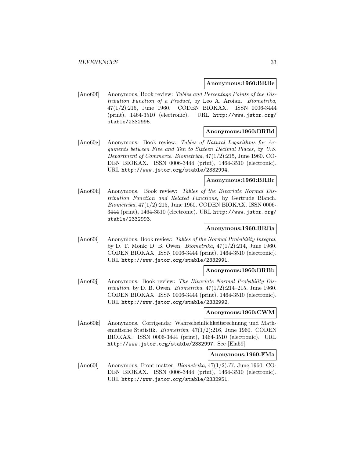#### **Anonymous:1960:BRBe**

[Ano60f] Anonymous. Book review: Tables and Percentage Points of the Distribution Function of a Product, by Leo A. Aroian. Biometrika, 47(1/2):215, June 1960. CODEN BIOKAX. ISSN 0006-3444 (print), 1464-3510 (electronic). URL http://www.jstor.org/ stable/2332995.

#### **Anonymous:1960:BRBd**

[Ano60g] Anonymous. Book review: Tables of Natural Logarithms for Arguments between Five and Ten to Sixteen Decimal Places, by U.S. Department of Commerce. Biometrika, 47(1/2):215, June 1960. CO-DEN BIOKAX. ISSN 0006-3444 (print), 1464-3510 (electronic). URL http://www.jstor.org/stable/2332994.

## **Anonymous:1960:BRBc**

[Ano60h] Anonymous. Book review: Tables of the Bivariate Normal Distribution Function and Related Functions, by Gertrude Blanch. Biometrika, 47(1/2):215, June 1960. CODEN BIOKAX. ISSN 0006- 3444 (print), 1464-3510 (electronic). URL http://www.jstor.org/ stable/2332993.

## **Anonymous:1960:BRBa**

[Ano60i] Anonymous. Book review: Tables of the Normal Probability Integral, by D. T. Monk; D. B. Owen. Biometrika, 47(1/2):214, June 1960. CODEN BIOKAX. ISSN 0006-3444 (print), 1464-3510 (electronic). URL http://www.jstor.org/stable/2332991.

#### **Anonymous:1960:BRBb**

[Ano60j] Anonymous. Book review: The Bivariate Normal Probability Distribution. by D. B. Owen. Biometrika,  $47(1/2):214-215$ , June 1960. CODEN BIOKAX. ISSN 0006-3444 (print), 1464-3510 (electronic). URL http://www.jstor.org/stable/2332992.

#### **Anonymous:1960:CWM**

[Ano60k] Anonymous. Corrigenda: Wahrscheinlichkeitsrechnung und Mathematische Statistik. Biometrika, 47(1/2):216, June 1960. CODEN BIOKAX. ISSN 0006-3444 (print), 1464-3510 (electronic). URL http://www.jstor.org/stable/2332997. See [Ela59].

## **Anonymous:1960:FMa**

[Ano60l] Anonymous. Front matter. Biometrika, 47(1/2):??, June 1960. CO-DEN BIOKAX. ISSN 0006-3444 (print), 1464-3510 (electronic). URL http://www.jstor.org/stable/2332951.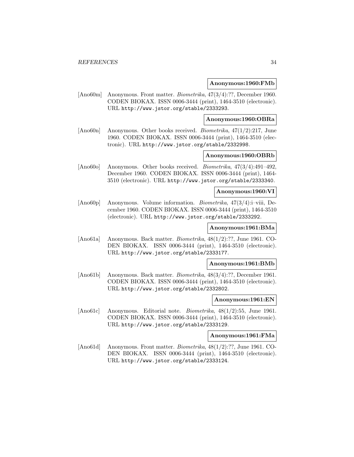#### **Anonymous:1960:FMb**

[Ano60m] Anonymous. Front matter. Biometrika, 47(3/4):??, December 1960. CODEN BIOKAX. ISSN 0006-3444 (print), 1464-3510 (electronic). URL http://www.jstor.org/stable/2333293.

**Anonymous:1960:OBRa**

[Ano60n] Anonymous. Other books received. Biometrika, 47(1/2):217, June 1960. CODEN BIOKAX. ISSN 0006-3444 (print), 1464-3510 (electronic). URL http://www.jstor.org/stable/2332998.

## **Anonymous:1960:OBRb**

[Ano60o] Anonymous. Other books received. Biometrika, 47(3/4):491–492, December 1960. CODEN BIOKAX. ISSN 0006-3444 (print), 1464- 3510 (electronic). URL http://www.jstor.org/stable/2333340.

## **Anonymous:1960:VI**

[Ano60p] Anonymous. Volume information. Biometrika, 47(3/4):i–viii, December 1960. CODEN BIOKAX. ISSN 0006-3444 (print), 1464-3510 (electronic). URL http://www.jstor.org/stable/2333292.

## **Anonymous:1961:BMa**

[Ano61a] Anonymous. Back matter. Biometrika, 48(1/2):??, June 1961. CO-DEN BIOKAX. ISSN 0006-3444 (print), 1464-3510 (electronic). URL http://www.jstor.org/stable/2333177.

## **Anonymous:1961:BMb**

[Ano61b] Anonymous. Back matter. Biometrika, 48(3/4):??, December 1961. CODEN BIOKAX. ISSN 0006-3444 (print), 1464-3510 (electronic). URL http://www.jstor.org/stable/2332802.

#### **Anonymous:1961:EN**

[Ano61c] Anonymous. Editorial note. Biometrika, 48(1/2):55, June 1961. CODEN BIOKAX. ISSN 0006-3444 (print), 1464-3510 (electronic). URL http://www.jstor.org/stable/2333129.

## **Anonymous:1961:FMa**

[Ano61d] Anonymous. Front matter. *Biometrika*,  $48(1/2)$ :??, June 1961. CO-DEN BIOKAX. ISSN 0006-3444 (print), 1464-3510 (electronic). URL http://www.jstor.org/stable/2333124.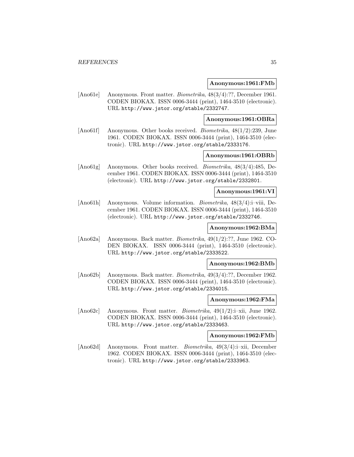#### **Anonymous:1961:FMb**

[Ano61e] Anonymous. Front matter. Biometrika, 48(3/4):??, December 1961. CODEN BIOKAX. ISSN 0006-3444 (print), 1464-3510 (electronic). URL http://www.jstor.org/stable/2332747.

**Anonymous:1961:OBRa**

[Ano61f] Anonymous. Other books received. Biometrika, 48(1/2):239, June 1961. CODEN BIOKAX. ISSN 0006-3444 (print), 1464-3510 (electronic). URL http://www.jstor.org/stable/2333176.

## **Anonymous:1961:OBRb**

[Ano61g] Anonymous. Other books received. Biometrika, 48(3/4):485, December 1961. CODEN BIOKAX. ISSN 0006-3444 (print), 1464-3510 (electronic). URL http://www.jstor.org/stable/2332801.

#### **Anonymous:1961:VI**

[Ano61h] Anonymous. Volume information. Biometrika, 48(3/4):i–viii, December 1961. CODEN BIOKAX. ISSN 0006-3444 (print), 1464-3510 (electronic). URL http://www.jstor.org/stable/2332746.

## **Anonymous:1962:BMa**

[Ano62a] Anonymous. Back matter. Biometrika, 49(1/2):??, June 1962. CO-DEN BIOKAX. ISSN 0006-3444 (print), 1464-3510 (electronic). URL http://www.jstor.org/stable/2333522.

## **Anonymous:1962:BMb**

[Ano62b] Anonymous. Back matter. Biometrika, 49(3/4):??, December 1962. CODEN BIOKAX. ISSN 0006-3444 (print), 1464-3510 (electronic). URL http://www.jstor.org/stable/2334015.

#### **Anonymous:1962:FMa**

[Ano62c] Anonymous. Front matter. Biometrika, 49(1/2):i–xii, June 1962. CODEN BIOKAX. ISSN 0006-3444 (print), 1464-3510 (electronic). URL http://www.jstor.org/stable/2333463.

## **Anonymous:1962:FMb**

[Ano62d] Anonymous. Front matter. *Biometrika*, 49(3/4):i–xii, December 1962. CODEN BIOKAX. ISSN 0006-3444 (print), 1464-3510 (electronic). URL http://www.jstor.org/stable/2333963.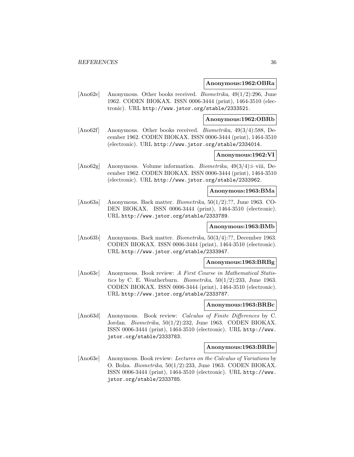#### **Anonymous:1962:OBRa**

[Ano62e] Anonymous. Other books received. Biometrika, 49(1/2):296, June 1962. CODEN BIOKAX. ISSN 0006-3444 (print), 1464-3510 (electronic). URL http://www.jstor.org/stable/2333521.

#### **Anonymous:1962:OBRb**

[Ano62f] Anonymous. Other books received. Biometrika, 49(3/4):588, December 1962. CODEN BIOKAX. ISSN 0006-3444 (print), 1464-3510 (electronic). URL http://www.jstor.org/stable/2334014.

## **Anonymous:1962:VI**

[Ano62g] Anonymous. Volume information. *Biometrika*, 49(3/4):i–viii, December 1962. CODEN BIOKAX. ISSN 0006-3444 (print), 1464-3510 (electronic). URL http://www.jstor.org/stable/2333962.

## **Anonymous:1963:BMa**

[Ano63a] Anonymous. Back matter. *Biometrika*,  $50(1/2)$ :??, June 1963. CO-DEN BIOKAX. ISSN 0006-3444 (print), 1464-3510 (electronic). URL http://www.jstor.org/stable/2333789.

#### **Anonymous:1963:BMb**

[Ano63b] Anonymous. Back matter. Biometrika, 50(3/4):??, December 1963. CODEN BIOKAX. ISSN 0006-3444 (print), 1464-3510 (electronic). URL http://www.jstor.org/stable/2333947.

## **Anonymous:1963:BRBg**

[Ano63c] Anonymous. Book review: A First Course in Mathematical Statistics by C. E. Weatherburn. *Biometrika*,  $50(1/2):233$ , June 1963. CODEN BIOKAX. ISSN 0006-3444 (print), 1464-3510 (electronic). URL http://www.jstor.org/stable/2333787.

## **Anonymous:1963:BRBc**

[Ano63d] Anonymous. Book review: *Calculus of Finite Differences* by C. Jordan. Biometrika, 50(1/2):232, June 1963. CODEN BIOKAX. ISSN 0006-3444 (print), 1464-3510 (electronic). URL http://www. jstor.org/stable/2333783.

#### **Anonymous:1963:BRBe**

[Ano63e] Anonymous. Book review: Lectures on the Calculus of Variations by O. Bolza. Biometrika, 50(1/2):233, June 1963. CODEN BIOKAX. ISSN 0006-3444 (print), 1464-3510 (electronic). URL http://www. jstor.org/stable/2333785.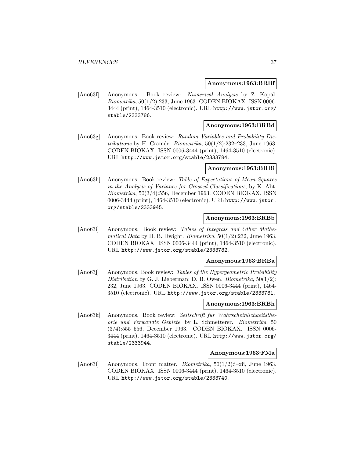#### **Anonymous:1963:BRBf**

[Ano63f] Anonymous. Book review: Numerical Analysis by Z. Kopal. Biometrika, 50(1/2):233, June 1963. CODEN BIOKAX. ISSN 0006- 3444 (print), 1464-3510 (electronic). URL http://www.jstor.org/ stable/2333786.

## **Anonymous:1963:BRBd**

[Ano63g] Anonymous. Book review: Random Variables and Probability Distributions by H. Cramér. Biometrika,  $50(1/2):232-233$ , June 1963. CODEN BIOKAX. ISSN 0006-3444 (print), 1464-3510 (electronic). URL http://www.jstor.org/stable/2333784.

#### **Anonymous:1963:BRBi**

[Ano63h] Anonymous. Book review: Table of Expectations of Mean Squares in the Analysis of Variance for Crossed Classifications, by K. Abt. Biometrika, 50(3/4):556, December 1963. CODEN BIOKAX. ISSN 0006-3444 (print), 1464-3510 (electronic). URL http://www.jstor. org/stable/2333945.

### **Anonymous:1963:BRBb**

[Ano63i] Anonymous. Book review: Tables of Integrals and Other Mathematical Data by H. B. Dwight. Biometrika,  $50(1/2):232$ , June 1963. CODEN BIOKAX. ISSN 0006-3444 (print), 1464-3510 (electronic). URL http://www.jstor.org/stable/2333782.

## **Anonymous:1963:BRBa**

[Ano63]] Anonymous. Book review: Tables of the Hypergeometric Probability Distribution by G. J. Lieberman; D. B. Owen. Biometrika,  $50(1/2)$ : 232, June 1963. CODEN BIOKAX. ISSN 0006-3444 (print), 1464- 3510 (electronic). URL http://www.jstor.org/stable/2333781.

# **Anonymous:1963:BRBh**

[Ano63k] Anonymous. Book review: Zeitschrift fur Wahrscheinlichkeitstheorie und Verwandte Gebiete. by L. Schmetterer. Biometrika, 50 (3/4):555–556, December 1963. CODEN BIOKAX. ISSN 0006- 3444 (print), 1464-3510 (electronic). URL http://www.jstor.org/ stable/2333944.

#### **Anonymous:1963:FMa**

[Ano63l] Anonymous. Front matter. Biometrika, 50(1/2):i–xii, June 1963. CODEN BIOKAX. ISSN 0006-3444 (print), 1464-3510 (electronic). URL http://www.jstor.org/stable/2333740.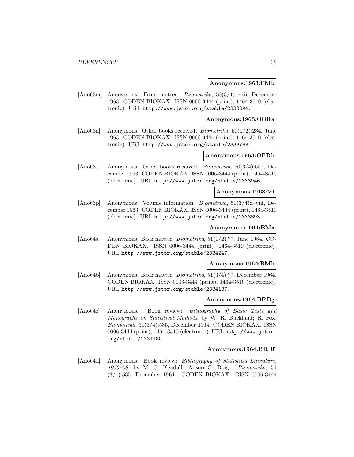### **Anonymous:1963:FMb**

[Ano63m] Anonymous. Front matter. Biometrika, 50(3/4):i–xii, December 1963. CODEN BIOKAX. ISSN 0006-3444 (print), 1464-3510 (electronic). URL http://www.jstor.org/stable/2333894.

**Anonymous:1963:OBRa**

[Ano63n] Anonymous. Other books received. Biometrika, 50(1/2):234, June 1963. CODEN BIOKAX. ISSN 0006-3444 (print), 1464-3510 (electronic). URL http://www.jstor.org/stable/2333788.

## **Anonymous:1963:OBRb**

[Ano63o] Anonymous. Other books received. Biometrika, 50(3/4):557, December 1963. CODEN BIOKAX. ISSN 0006-3444 (print), 1464-3510 (electronic). URL http://www.jstor.org/stable/2333946.

### **Anonymous:1963:VI**

[Ano63p] Anonymous. Volume information. Biometrika, 50(3/4):i–viii, December 1963. CODEN BIOKAX. ISSN 0006-3444 (print), 1464-3510 (electronic). URL http://www.jstor.org/stable/2333893.

# **Anonymous:1964:BMa**

[Ano64a] Anonymous. Back matter. Biometrika, 51(1/2):??, June 1964. CO-DEN BIOKAX. ISSN 0006-3444 (print), 1464-3510 (electronic). URL http://www.jstor.org/stable/2334247.

### **Anonymous:1964:BMb**

[Ano64b] Anonymous. Back matter. Biometrika, 51(3/4):??, December 1964. CODEN BIOKAX. ISSN 0006-3444 (print), 1464-3510 (electronic). URL http://www.jstor.org/stable/2334187.

#### **Anonymous:1964:BRBg**

[Ano64c] Anonymous. Book review: Bibliography of Basic Tests and Monographs on Statistical Methods. by W. R. Buckland; R. Fox. Biometrika, 51(3/4):535, December 1964. CODEN BIOKAX. ISSN 0006-3444 (print), 1464-3510 (electronic). URL http://www.jstor. org/stable/2334180.

#### **Anonymous:1964:BRBf**

[Ano64d] Anonymous. Book review: Bibliography of Statistical Literature, 1950–58, by M. G. Kendall; Alison G. Doig. Biometrika, 51 (3/4):535, December 1964. CODEN BIOKAX. ISSN 0006-3444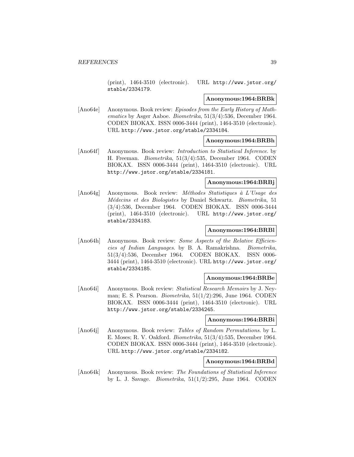(print), 1464-3510 (electronic). URL http://www.jstor.org/ stable/2334179.

### **Anonymous:1964:BRBk**

[Ano64e] Anonymous. Book review: Episodes from the Early History of Mathematics by Asger Aaboe. Biometrika, 51(3/4):536, December 1964. CODEN BIOKAX. ISSN 0006-3444 (print), 1464-3510 (electronic). URL http://www.jstor.org/stable/2334184.

## **Anonymous:1964:BRBh**

[Ano64f] Anonymous. Book review: *Introduction to Statistical Inference*. by H. Freeman. Biometrika, 51(3/4):535, December 1964. CODEN BIOKAX. ISSN 0006-3444 (print), 1464-3510 (electronic). URL http://www.jstor.org/stable/2334181.

## **Anonymous:1964:BRBj**

[Ano64g] Anonymous. Book review: Méthodes Statistiques à L'Usage des Médecins et des Biologistes by Daniel Schwartz. Biometrika, 51 (3/4):536, December 1964. CODEN BIOKAX. ISSN 0006-3444 (print), 1464-3510 (electronic). URL http://www.jstor.org/ stable/2334183.

## **Anonymous:1964:BRBl**

[Ano64h] Anonymous. Book review: Some Aspects of the Relative Efficiencies of Indian Languages. by B. A. Ramakrishna. Biometrika, 51(3/4):536, December 1964. CODEN BIOKAX. ISSN 0006- 3444 (print), 1464-3510 (electronic). URL http://www.jstor.org/ stable/2334185.

#### **Anonymous:1964:BRBe**

[Ano64i] Anonymous. Book review: Statistical Research Memoirs by J. Neyman; E. S. Pearson. Biometrika, 51(1/2):296, June 1964. CODEN BIOKAX. ISSN 0006-3444 (print), 1464-3510 (electronic). URL http://www.jstor.org/stable/2334245.

### **Anonymous:1964:BRBi**

[Ano64j] Anonymous. Book review: Tables of Random Permutations. by L. E. Moses; R. V. Oakford. Biometrika, 51(3/4):535, December 1964. CODEN BIOKAX. ISSN 0006-3444 (print), 1464-3510 (electronic). URL http://www.jstor.org/stable/2334182.

# **Anonymous:1964:BRBd**

[Ano64k] Anonymous. Book review: The Foundations of Statistical Inference by L. J. Savage. *Biometrika*,  $51(1/2):295$ , June 1964. CODEN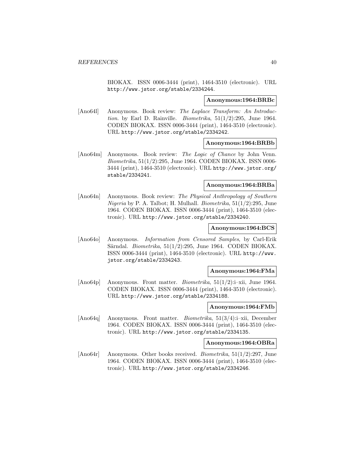BIOKAX. ISSN 0006-3444 (print), 1464-3510 (electronic). URL http://www.jstor.org/stable/2334244.

#### **Anonymous:1964:BRBc**

[Ano64l] Anonymous. Book review: The Laplace Transform: An Introduction. by Earl D. Rainville. *Biometrika*,  $51(1/2):295$ , June 1964. CODEN BIOKAX. ISSN 0006-3444 (print), 1464-3510 (electronic). URL http://www.jstor.org/stable/2334242.

### **Anonymous:1964:BRBb**

[Ano64m] Anonymous. Book review: The Logic of Chance by John Venn. Biometrika, 51(1/2):295, June 1964. CODEN BIOKAX. ISSN 0006- 3444 (print), 1464-3510 (electronic). URL http://www.jstor.org/ stable/2334241.

#### **Anonymous:1964:BRBa**

[Ano64n] Anonymous. Book review: The Physical Anthropology of Southern Nigeria by P. A. Talbot; H. Mulhall. Biometrika, 51(1/2):295, June 1964. CODEN BIOKAX. ISSN 0006-3444 (print), 1464-3510 (electronic). URL http://www.jstor.org/stable/2334240.

## **Anonymous:1964:BCS**

[Ano64o] Anonymous. Information from Censored Samples, by Carl-Erik Särndal. Biometrika,  $51(1/2)$ :295, June 1964. CODEN BIOKAX. ISSN 0006-3444 (print), 1464-3510 (electronic). URL http://www. jstor.org/stable/2334243.

#### **Anonymous:1964:FMa**

[Ano64p] Anonymous. Front matter. Biometrika, 51(1/2):i–xii, June 1964. CODEN BIOKAX. ISSN 0006-3444 (print), 1464-3510 (electronic). URL http://www.jstor.org/stable/2334188.

#### **Anonymous:1964:FMb**

[Ano64q] Anonymous. Front matter. Biometrika, 51(3/4):i–xii, December 1964. CODEN BIOKAX. ISSN 0006-3444 (print), 1464-3510 (electronic). URL http://www.jstor.org/stable/2334135.

# **Anonymous:1964:OBRa**

[Ano64r] Anonymous. Other books received. Biometrika, 51(1/2):297, June 1964. CODEN BIOKAX. ISSN 0006-3444 (print), 1464-3510 (electronic). URL http://www.jstor.org/stable/2334246.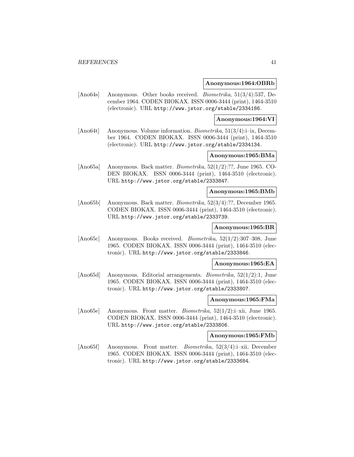#### **Anonymous:1964:OBRb**

[Ano64s] Anonymous. Other books received. Biometrika, 51(3/4):537, December 1964. CODEN BIOKAX. ISSN 0006-3444 (print), 1464-3510 (electronic). URL http://www.jstor.org/stable/2334186.

#### **Anonymous:1964:VI**

[Ano64t] Anonymous. Volume information. Biometrika, 51(3/4):i–ix, December 1964. CODEN BIOKAX. ISSN 0006-3444 (print), 1464-3510 (electronic). URL http://www.jstor.org/stable/2334134.

# **Anonymous:1965:BMa**

[Ano65a] Anonymous. Back matter. Biometrika, 52(1/2):??, June 1965. CO-DEN BIOKAX. ISSN 0006-3444 (print), 1464-3510 (electronic). URL http://www.jstor.org/stable/2333847.

### **Anonymous:1965:BMb**

[Ano65b] Anonymous. Back matter. Biometrika, 52(3/4):??, December 1965. CODEN BIOKAX. ISSN 0006-3444 (print), 1464-3510 (electronic). URL http://www.jstor.org/stable/2333739.

## **Anonymous:1965:BR**

[Ano65c] Anonymous. Books received. Biometrika, 52(1/2):307–308, June 1965. CODEN BIOKAX. ISSN 0006-3444 (print), 1464-3510 (electronic). URL http://www.jstor.org/stable/2333846.

#### **Anonymous:1965:EA**

[Ano65d] Anonymous. Editorial arrangements. Biometrika, 52(1/2):1, June 1965. CODEN BIOKAX. ISSN 0006-3444 (print), 1464-3510 (electronic). URL http://www.jstor.org/stable/2333807.

#### **Anonymous:1965:FMa**

[Ano65e] Anonymous. Front matter. Biometrika, 52(1/2):i–xii, June 1965. CODEN BIOKAX. ISSN 0006-3444 (print), 1464-3510 (electronic). URL http://www.jstor.org/stable/2333806.

### **Anonymous:1965:FMb**

[Ano65f] Anonymous. Front matter. *Biometrika*, 52(3/4):i–xii, December 1965. CODEN BIOKAX. ISSN 0006-3444 (print), 1464-3510 (electronic). URL http://www.jstor.org/stable/2333684.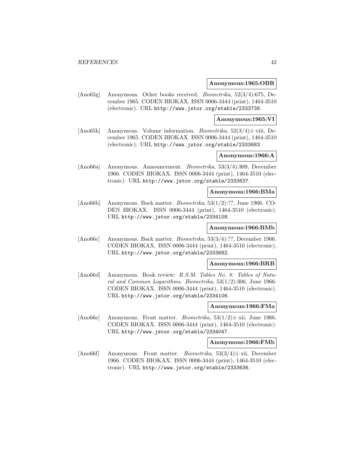#### **Anonymous:1965:OBR**

[Ano65g] Anonymous. Other books received. Biometrika, 52(3/4):675, December 1965. CODEN BIOKAX. ISSN 0006-3444 (print), 1464-3510 (electronic). URL http://www.jstor.org/stable/2333738.

#### **Anonymous:1965:VI**

[Ano65h] Anonymous. Volume information. Biometrika, 52(3/4):i–viii, December 1965. CODEN BIOKAX. ISSN 0006-3444 (print), 1464-3510 (electronic). URL http://www.jstor.org/stable/2333683.

# **Anonymous:1966:A**

[Ano66a] Anonymous. Announcement. Biometrika, 53(3/4):309, December 1966. CODEN BIOKAX. ISSN 0006-3444 (print), 1464-3510 (electronic). URL http://www.jstor.org/stable/2333637.

### **Anonymous:1966:BMa**

[Ano66b] Anonymous. Back matter. Biometrika, 53(1/2):??, June 1966. CO-DEN BIOKAX. ISSN 0006-3444 (print), 1464-3510 (electronic). URL http://www.jstor.org/stable/2334108.

# **Anonymous:1966:BMb**

[Ano66c] Anonymous. Back matter. Biometrika, 53(3/4):??, December 1966. CODEN BIOKAX. ISSN 0006-3444 (print), 1464-3510 (electronic). URL http://www.jstor.org/stable/2333682.

### **Anonymous:1966:BRB**

[Ano66d] Anonymous. Book review: R.S.M. Tables No. 8: Tables of Natural and Common Logarithms. Biometrika, 53(1/2):306, June 1966. CODEN BIOKAX. ISSN 0006-3444 (print), 1464-3510 (electronic). URL http://www.jstor.org/stable/2334106.

# **Anonymous:1966:FMa**

[Ano66e] Anonymous. Front matter. Biometrika, 53(1/2):i–xii, June 1966. CODEN BIOKAX. ISSN 0006-3444 (print), 1464-3510 (electronic). URL http://www.jstor.org/stable/2334047.

# **Anonymous:1966:FMb**

[Ano66f] Anonymous. Front matter. Biometrika, 53(3/4):i–xii, December 1966. CODEN BIOKAX. ISSN 0006-3444 (print), 1464-3510 (electronic). URL http://www.jstor.org/stable/2333636.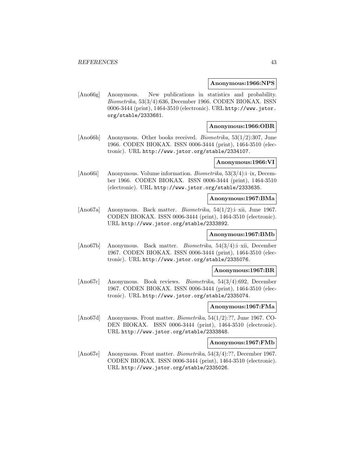#### **Anonymous:1966:NPS**

[Ano66g] Anonymous. New publications in statistics and probability. Biometrika, 53(3/4):636, December 1966. CODEN BIOKAX. ISSN 0006-3444 (print), 1464-3510 (electronic). URL http://www.jstor. org/stable/2333681.

## **Anonymous:1966:OBR**

[Ano66h] Anonymous. Other books received. Biometrika, 53(1/2):307, June 1966. CODEN BIOKAX. ISSN 0006-3444 (print), 1464-3510 (electronic). URL http://www.jstor.org/stable/2334107.

### **Anonymous:1966:VI**

[Ano66i] Anonymous. Volume information. *Biometrika*, 53(3/4):i–ix, December 1966. CODEN BIOKAX. ISSN 0006-3444 (print), 1464-3510 (electronic). URL http://www.jstor.org/stable/2333635.

#### **Anonymous:1967:BMa**

[Ano67a] Anonymous. Back matter. Biometrika, 54(1/2):i–xii, June 1967. CODEN BIOKAX. ISSN 0006-3444 (print), 1464-3510 (electronic). URL http://www.jstor.org/stable/2333892.

### **Anonymous:1967:BMb**

[Ano67b] Anonymous. Back matter. Biometrika, 54(3/4):i–xii, December 1967. CODEN BIOKAX. ISSN 0006-3444 (print), 1464-3510 (electronic). URL http://www.jstor.org/stable/2335076.

#### **Anonymous:1967:BR**

[Ano67c] Anonymous. Book reviews. Biometrika, 54(3/4):692, December 1967. CODEN BIOKAX. ISSN 0006-3444 (print), 1464-3510 (electronic). URL http://www.jstor.org/stable/2335074.

### **Anonymous:1967:FMa**

[Ano67d] Anonymous. Front matter. *Biometrika*,  $54(1/2)$ :??, June 1967. CO-DEN BIOKAX. ISSN 0006-3444 (print), 1464-3510 (electronic). URL http://www.jstor.org/stable/2333848.

## **Anonymous:1967:FMb**

[Ano67e] Anonymous. Front matter. Biometrika, 54(3/4):??, December 1967. CODEN BIOKAX. ISSN 0006-3444 (print), 1464-3510 (electronic). URL http://www.jstor.org/stable/2335026.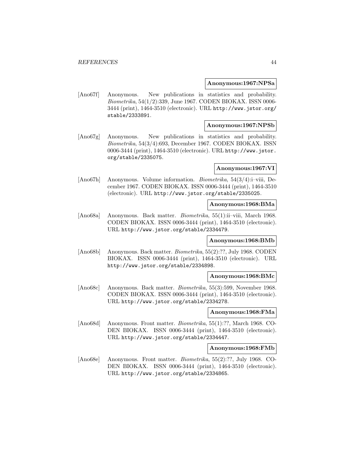#### **Anonymous:1967:NPSa**

[Ano67f] Anonymous. New publications in statistics and probability. Biometrika, 54(1/2):339, June 1967. CODEN BIOKAX. ISSN 0006- 3444 (print), 1464-3510 (electronic). URL http://www.jstor.org/ stable/2333891.

# **Anonymous:1967:NPSb**

[Ano67g] Anonymous. New publications in statistics and probability. Biometrika, 54(3/4):693, December 1967. CODEN BIOKAX. ISSN 0006-3444 (print), 1464-3510 (electronic). URL http://www.jstor. org/stable/2335075.

### **Anonymous:1967:VI**

[Ano67h] Anonymous. Volume information. *Biometrika*,  $54(3/4)$ :i–viii, December 1967. CODEN BIOKAX. ISSN 0006-3444 (print), 1464-3510 (electronic). URL http://www.jstor.org/stable/2335025.

### **Anonymous:1968:BMa**

[Ano68a] Anonymous. Back matter. Biometrika, 55(1):ii–viii, March 1968. CODEN BIOKAX. ISSN 0006-3444 (print), 1464-3510 (electronic). URL http://www.jstor.org/stable/2334479.

## **Anonymous:1968:BMb**

[Ano68b] Anonymous. Back matter. Biometrika, 55(2):??, July 1968. CODEN BIOKAX. ISSN 0006-3444 (print), 1464-3510 (electronic). URL http://www.jstor.org/stable/2334898.

#### **Anonymous:1968:BMc**

[Ano68c] Anonymous. Back matter. Biometrika, 55(3):599, November 1968. CODEN BIOKAX. ISSN 0006-3444 (print), 1464-3510 (electronic). URL http://www.jstor.org/stable/2334278.

## **Anonymous:1968:FMa**

[Ano68d] Anonymous. Front matter. Biometrika, 55(1):??, March 1968. CO-DEN BIOKAX. ISSN 0006-3444 (print), 1464-3510 (electronic). URL http://www.jstor.org/stable/2334447.

#### **Anonymous:1968:FMb**

[Ano68e] Anonymous. Front matter. Biometrika, 55(2):??, July 1968. CO-DEN BIOKAX. ISSN 0006-3444 (print), 1464-3510 (electronic). URL http://www.jstor.org/stable/2334865.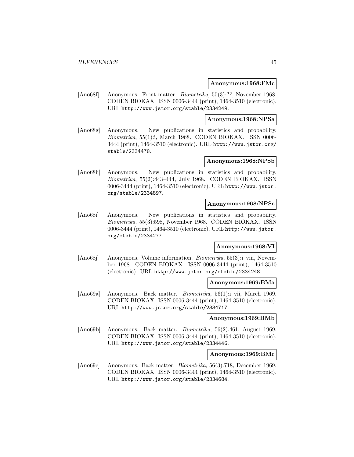#### **Anonymous:1968:FMc**

[Ano68f] Anonymous. Front matter. Biometrika, 55(3):??, November 1968. CODEN BIOKAX. ISSN 0006-3444 (print), 1464-3510 (electronic). URL http://www.jstor.org/stable/2334249.

### **Anonymous:1968:NPSa**

[Ano68g] Anonymous. New publications in statistics and probability. Biometrika, 55(1):i, March 1968. CODEN BIOKAX. ISSN 0006- 3444 (print), 1464-3510 (electronic). URL http://www.jstor.org/ stable/2334478.

## **Anonymous:1968:NPSb**

[Ano68h] Anonymous. New publications in statistics and probability. Biometrika, 55(2):443–444, July 1968. CODEN BIOKAX. ISSN 0006-3444 (print), 1464-3510 (electronic). URL http://www.jstor. org/stable/2334897.

### **Anonymous:1968:NPSc**

[Ano68i] Anonymous. New publications in statistics and probability. Biometrika, 55(3):598, November 1968. CODEN BIOKAX. ISSN 0006-3444 (print), 1464-3510 (electronic). URL http://www.jstor. org/stable/2334277.

## **Anonymous:1968:VI**

[Ano68j] Anonymous. Volume information. Biometrika, 55(3):i–viii, November 1968. CODEN BIOKAX. ISSN 0006-3444 (print), 1464-3510 (electronic). URL http://www.jstor.org/stable/2334248.

#### **Anonymous:1969:BMa**

[Ano69a] Anonymous. Back matter. Biometrika, 56(1):i–vii, March 1969. CODEN BIOKAX. ISSN 0006-3444 (print), 1464-3510 (electronic). URL http://www.jstor.org/stable/2334717.

#### **Anonymous:1969:BMb**

[Ano69b] Anonymous. Back matter. Biometrika, 56(2):461, August 1969. CODEN BIOKAX. ISSN 0006-3444 (print), 1464-3510 (electronic). URL http://www.jstor.org/stable/2334446.

#### **Anonymous:1969:BMc**

[Ano69c] Anonymous. Back matter. Biometrika, 56(3):718, December 1969. CODEN BIOKAX. ISSN 0006-3444 (print), 1464-3510 (electronic). URL http://www.jstor.org/stable/2334684.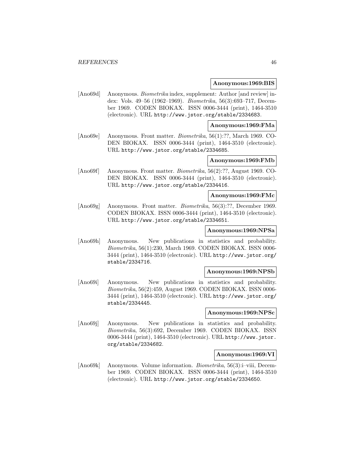#### **Anonymous:1969:BIS**

[Ano69d] Anonymous. *Biometrika* index, supplement: Author [and review] index: Vols. 49–56 (1962–1969). Biometrika, 56(3):693–717, December 1969. CODEN BIOKAX. ISSN 0006-3444 (print), 1464-3510 (electronic). URL http://www.jstor.org/stable/2334683.

#### **Anonymous:1969:FMa**

[Ano69e] Anonymous. Front matter. Biometrika, 56(1):??, March 1969. CO-DEN BIOKAX. ISSN 0006-3444 (print), 1464-3510 (electronic). URL http://www.jstor.org/stable/2334685.

### **Anonymous:1969:FMb**

[Ano69f] Anonymous. Front matter. Biometrika, 56(2):??, August 1969. CO-DEN BIOKAX. ISSN 0006-3444 (print), 1464-3510 (electronic). URL http://www.jstor.org/stable/2334416.

#### **Anonymous:1969:FMc**

[Ano69g] Anonymous. Front matter. Biometrika, 56(3):??, December 1969. CODEN BIOKAX. ISSN 0006-3444 (print), 1464-3510 (electronic). URL http://www.jstor.org/stable/2334651.

## **Anonymous:1969:NPSa**

[Ano69h] Anonymous. New publications in statistics and probability. Biometrika, 56(1):230, March 1969. CODEN BIOKAX. ISSN 0006- 3444 (print), 1464-3510 (electronic). URL http://www.jstor.org/ stable/2334716.

#### **Anonymous:1969:NPSb**

[Ano69i] Anonymous. New publications in statistics and probability. Biometrika, 56(2):459, August 1969. CODEN BIOKAX. ISSN 0006- 3444 (print), 1464-3510 (electronic). URL http://www.jstor.org/ stable/2334445.

#### **Anonymous:1969:NPSc**

[Ano69j] Anonymous. New publications in statistics and probability. Biometrika, 56(3):692, December 1969. CODEN BIOKAX. ISSN 0006-3444 (print), 1464-3510 (electronic). URL http://www.jstor. org/stable/2334682.

#### **Anonymous:1969:VI**

[Ano69k] Anonymous. Volume information. Biometrika, 56(3):i–viii, December 1969. CODEN BIOKAX. ISSN 0006-3444 (print), 1464-3510 (electronic). URL http://www.jstor.org/stable/2334650.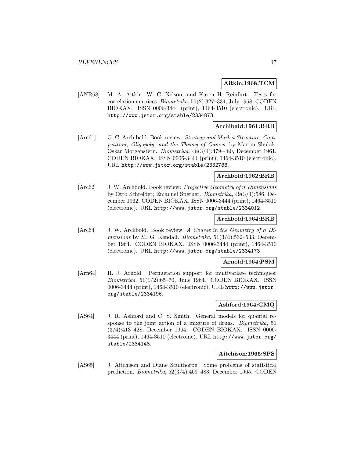### **Aitkin:1968:TCM**

[ANR68] M. A. Aitkin, W. C. Nelson, and Karen H. Reinfurt. Tests for correlation matrices. Biometrika, 55(2):327–334, July 1968. CODEN BIOKAX. ISSN 0006-3444 (print), 1464-3510 (electronic). URL http://www.jstor.org/stable/2334873.

## **Archibald:1961:BRB**

[Arc61] G. C. Archibald. Book review: Strategy and Market Structure. Competition, Oligopoly, and the Theory of Games, by Martin Shubik; Oskar Morgenstern. Biometrika, 48(3/4):479–480, December 1961. CODEN BIOKAX. ISSN 0006-3444 (print), 1464-3510 (electronic). URL http://www.jstor.org/stable/2332788.

### **Archbold:1962:BRB**

[Arc62] J. W. Archbold. Book review: Projective Geometry of n Dimensions by Otto Schreider; Emanuel Sperner. Biometrika, 49(3/4):586, December 1962. CODEN BIOKAX. ISSN 0006-3444 (print), 1464-3510 (electronic). URL http://www.jstor.org/stable/2334012.

### **Archbold:1964:BRB**

[Arc64] J. W. Archbold. Book review: A Course in the Geometry of n Dimensions by M. G. Kendall. Biometrika,  $51(3/4)$ :532–533, December 1964. CODEN BIOKAX. ISSN 0006-3444 (print), 1464-3510 (electronic). URL http://www.jstor.org/stable/2334173.

## **Arnold:1964:PSM**

[Arn64] H. J. Arnold. Permutation support for multivariate techniques.  $Biometrika$ ,  $51(1/2):65–70$ , June 1964. CODEN BIOKAX. ISSN 0006-3444 (print), 1464-3510 (electronic). URL http://www.jstor. org/stable/2334196.

# **Ashford:1964:GMQ**

[AS64] J. R. Ashford and C. S. Smith. General models for quantal response to the joint action of a mixture of drugs. Biometrika, 51 (3/4):413–428, December 1964. CODEN BIOKAX. ISSN 0006- 3444 (print), 1464-3510 (electronic). URL http://www.jstor.org/ stable/2334148.

### **Aitchison:1965:SPS**

[AS65] J. Aitchison and Diane Sculthorpe. Some problems of statistical prediction. Biometrika, 52(3/4):469–483, December 1965. CODEN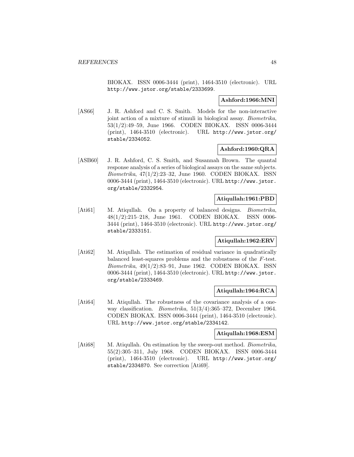BIOKAX. ISSN 0006-3444 (print), 1464-3510 (electronic). URL http://www.jstor.org/stable/2333699.

## **Ashford:1966:MNI**

[AS66] J. R. Ashford and C. S. Smith. Models for the non-interactive joint action of a mixture of stimuli in biological assay. Biometrika, 53(1/2):49–59, June 1966. CODEN BIOKAX. ISSN 0006-3444 (print), 1464-3510 (electronic). URL http://www.jstor.org/ stable/2334052.

# **Ashford:1960:QRA**

[ASB60] J. R. Ashford, C. S. Smith, and Susannah Brown. The quantal response analysis of a series of biological assays on the same subjects. Biometrika, 47(1/2):23–32, June 1960. CODEN BIOKAX. ISSN 0006-3444 (print), 1464-3510 (electronic). URL http://www.jstor. org/stable/2332954.

## **Atiqullah:1961:PBD**

[Ati61] M. Atiqullah. On a property of balanced designs. Biometrika, 48(1/2):215–218, June 1961. CODEN BIOKAX. ISSN 0006- 3444 (print), 1464-3510 (electronic). URL http://www.jstor.org/ stable/2333151.

# **Atiqullah:1962:ERV**

[Ati62] M. Atiqullah. The estimation of residual variance in quadratically balanced least-squares problems and the robustness of the F-test. Biometrika, 49(1/2):83–91, June 1962. CODEN BIOKAX. ISSN 0006-3444 (print), 1464-3510 (electronic). URL http://www.jstor. org/stable/2333469.

# **Atiqullah:1964:RCA**

[Ati64] M. Atiqullah. The robustness of the covariance analysis of a oneway classification. Biometrika, 51(3/4):365–372, December 1964. CODEN BIOKAX. ISSN 0006-3444 (print), 1464-3510 (electronic). URL http://www.jstor.org/stable/2334142.

### **Atiqullah:1968:ESM**

[Ati68] M. Atiquilah. On estimation by the sweep-out method. Biometrika, 55(2):305–311, July 1968. CODEN BIOKAX. ISSN 0006-3444 (print), 1464-3510 (electronic). URL http://www.jstor.org/ stable/2334870. See correction [Ati69].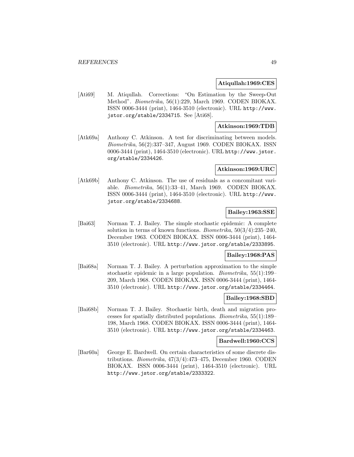### **Atiqullah:1969:CES**

[Ati69] M. Atiqullah. Corrections: "On Estimation by the Sweep-Out Method". Biometrika, 56(1):229, March 1969. CODEN BIOKAX. ISSN 0006-3444 (print), 1464-3510 (electronic). URL http://www. jstor.org/stable/2334715. See [Ati68].

## **Atkinson:1969:TDB**

[Atk69a] Anthony C. Atkinson. A test for discriminating between models. Biometrika, 56(2):337–347, August 1969. CODEN BIOKAX. ISSN 0006-3444 (print), 1464-3510 (electronic). URL http://www.jstor. org/stable/2334426.

#### **Atkinson:1969:URC**

[Atk69b] Anthony C. Atkinson. The use of residuals as a concomitant variable. Biometrika, 56(1):33–41, March 1969. CODEN BIOKAX. ISSN 0006-3444 (print), 1464-3510 (electronic). URL http://www. jstor.org/stable/2334688.

## **Bailey:1963:SSE**

[Bai63] Norman T. J. Bailey. The simple stochastic epidemic: A complete solution in terms of known functions. Biometrika, 50(3/4):235–240, December 1963. CODEN BIOKAX. ISSN 0006-3444 (print), 1464- 3510 (electronic). URL http://www.jstor.org/stable/2333895.

# **Bailey:1968:PAS**

[Bai68a] Norman T. J. Bailey. A perturbation approximation to the simple stochastic epidemic in a large population. Biometrika, 55(1):199– 209, March 1968. CODEN BIOKAX. ISSN 0006-3444 (print), 1464- 3510 (electronic). URL http://www.jstor.org/stable/2334464.

#### **Bailey:1968:SBD**

[Bai68b] Norman T. J. Bailey. Stochastic birth, death and migration processes for spatially distributed populations. Biometrika, 55(1):189– 198, March 1968. CODEN BIOKAX. ISSN 0006-3444 (print), 1464- 3510 (electronic). URL http://www.jstor.org/stable/2334463.

#### **Bardwell:1960:CCS**

[Bar60a] George E. Bardwell. On certain characteristics of some discrete distributions. Biometrika, 47(3/4):473–475, December 1960. CODEN BIOKAX. ISSN 0006-3444 (print), 1464-3510 (electronic). URL http://www.jstor.org/stable/2333322.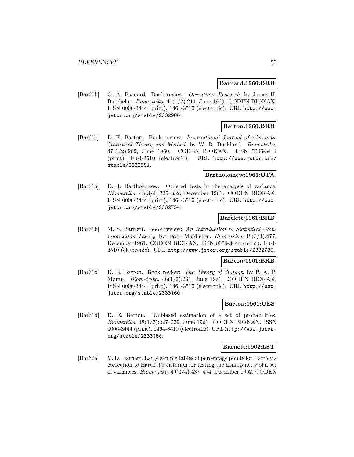### **Barnard:1960:BRB**

[Bar60b] G. A. Barnard. Book review: Operations Research, by James H. Batchelor. Biometrika, 47(1/2):211, June 1960. CODEN BIOKAX. ISSN 0006-3444 (print), 1464-3510 (electronic). URL http://www. jstor.org/stable/2332986.

## **Barton:1960:BRB**

[Bar60c] D. E. Barton. Book review: International Journal of Abstracts: Statistical Theory and Method, by W. R. Buckland. Biometrika, 47(1/2):209, June 1960. CODEN BIOKAX. ISSN 0006-3444 (print), 1464-3510 (electronic). URL http://www.jstor.org/ stable/2332981.

### **Bartholomew:1961:OTA**

[Bar61a] D. J. Bartholomew. Ordered tests in the analysis of variance. Biometrika, 48(3/4):325–332, December 1961. CODEN BIOKAX. ISSN 0006-3444 (print), 1464-3510 (electronic). URL http://www. jstor.org/stable/2332754.

# **Bartlett:1961:BRB**

[Bar61b] M. S. Bartlett. Book review: An Introduction to Statistical Communication Theory, by David Middleton. Biometrika,  $48(3/4)$ :477, December 1961. CODEN BIOKAX. ISSN 0006-3444 (print), 1464- 3510 (electronic). URL http://www.jstor.org/stable/2332785.

### **Barton:1961:BRB**

[Bar61c] D. E. Barton. Book review: The Theory of Storage, by P. A. P. Moran. Biometrika, 48(1/2):231, June 1961. CODEN BIOKAX. ISSN 0006-3444 (print), 1464-3510 (electronic). URL http://www. jstor.org/stable/2333160.

# **Barton:1961:UES**

[Bar61d] D. E. Barton. Unbiased estimation of a set of probabilities. Biometrika, 48(1/2):227–229, June 1961. CODEN BIOKAX. ISSN 0006-3444 (print), 1464-3510 (electronic). URL http://www.jstor. org/stable/2333156.

#### **Barnett:1962:LST**

[Bar62a] V. D. Barnett. Large sample tables of percentage points for Hartley's correction to Bartlett's criterion for testing the homogeneity of a set of variances. Biometrika, 49(3/4):487–494, December 1962. CODEN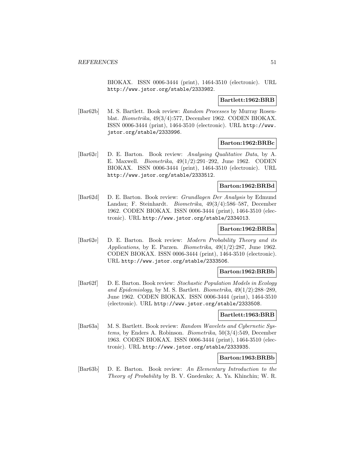BIOKAX. ISSN 0006-3444 (print), 1464-3510 (electronic). URL http://www.jstor.org/stable/2333982.

## **Bartlett:1962:BRB**

[Bar62b] M. S. Bartlett. Book review: Random Processes by Murray Rosenblat. Biometrika, 49(3/4):577, December 1962. CODEN BIOKAX. ISSN 0006-3444 (print), 1464-3510 (electronic). URL http://www. jstor.org/stable/2333996.

## **Barton:1962:BRBc**

[Bar62c] D. E. Barton. Book review: Analysing Qualitative Data, by A. E. Maxwell. Biometrika, 49(1/2):291–292, June 1962. CODEN BIOKAX. ISSN 0006-3444 (print), 1464-3510 (electronic). URL http://www.jstor.org/stable/2333512.

## **Barton:1962:BRBd**

[Bar62d] D. E. Barton. Book review: Grundlagen Der Analysis by Edmund Landau; F. Steinhardt. Biometrika, 49(3/4):586–587, December 1962. CODEN BIOKAX. ISSN 0006-3444 (print), 1464-3510 (electronic). URL http://www.jstor.org/stable/2334013.

## **Barton:1962:BRBa**

[Bar62e] D. E. Barton. Book review: Modern Probability Theory and its Applications, by E. Parzen. Biometrika, 49(1/2):287, June 1962. CODEN BIOKAX. ISSN 0006-3444 (print), 1464-3510 (electronic). URL http://www.jstor.org/stable/2333506.

## **Barton:1962:BRBb**

[Bar62f] D. E. Barton. Book review: Stochastic Population Models in Ecology and Epidemiology, by M. S. Bartlett. Biometrika, 49(1/2):288–289, June 1962. CODEN BIOKAX. ISSN 0006-3444 (print), 1464-3510 (electronic). URL http://www.jstor.org/stable/2333508.

#### **Bartlett:1963:BRB**

[Bar63a] M. S. Bartlett. Book review: Random Wavelets and Cybernetic Systems, by Enders A. Robinson. Biometrika, 50(3/4):549, December 1963. CODEN BIOKAX. ISSN 0006-3444 (print), 1464-3510 (electronic). URL http://www.jstor.org/stable/2333935.

## **Barton:1963:BRBb**

[Bar63b] D. E. Barton. Book review: An Elementary Introduction to the Theory of Probability by B. V. Gnedenko; A. Ya. Khinchin; W. R.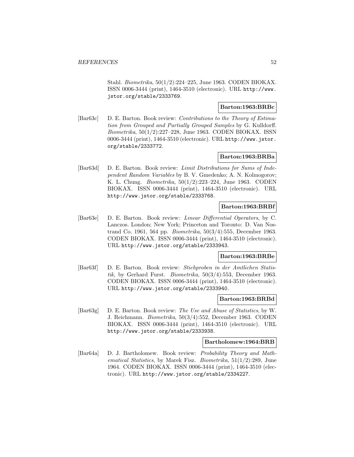Stahl. Biometrika, 50(1/2):224–225, June 1963. CODEN BIOKAX. ISSN 0006-3444 (print), 1464-3510 (electronic). URL http://www. jstor.org/stable/2333769.

# **Barton:1963:BRBc**

[Bar63c] D. E. Barton. Book review: Contributions to the Theory of Estimation from Grouped and Partially Grouped Samples by G. Kulldorff. Biometrika, 50(1/2):227–228, June 1963. CODEN BIOKAX. ISSN 0006-3444 (print), 1464-3510 (electronic). URL http://www.jstor. org/stable/2333772.

## **Barton:1963:BRBa**

[Bar63d] D. E. Barton. Book review: Limit Distributions for Sums of Independent Random Variables by B. V. Gmedenko; A. N. Kolmogorov; K. L. Chung. Biometrika, 50(1/2):223–224, June 1963. CODEN BIOKAX. ISSN 0006-3444 (print), 1464-3510 (electronic). URL http://www.jstor.org/stable/2333768.

### **Barton:1963:BRBf**

[Bar63e] D. E. Barton. Book review: Linear Differential Operators, by C. Lanczos. London; New York; Princeton and Toronto: D. Van Nostrand Co. 1961, 564 pp. Biometrika, 50(3/4):555, December 1963. CODEN BIOKAX. ISSN 0006-3444 (print), 1464-3510 (electronic). URL http://www.jstor.org/stable/2333943.

# **Barton:1963:BRBe**

[Bar63f] D. E. Barton. Book review: Stichproben in der Amtlichen Statistik, by Gerhard Furst. Biometrika, 50(3/4):553, December 1963. CODEN BIOKAX. ISSN 0006-3444 (print), 1464-3510 (electronic). URL http://www.jstor.org/stable/2333940.

#### **Barton:1963:BRBd**

[Bar63g] D. E. Barton. Book review: The Use and Abuse of Statistics, by W. J. Reichmann. Biometrika, 50(3/4):552, December 1963. CODEN BIOKAX. ISSN 0006-3444 (print), 1464-3510 (electronic). URL http://www.jstor.org/stable/2333938.

## **Bartholomew:1964:BRB**

[Bar64a] D. J. Bartholomew. Book review: Probability Theory and Mathematical Statistics, by Marek Fisz. Biometrika, 51(1/2):289, June 1964. CODEN BIOKAX. ISSN 0006-3444 (print), 1464-3510 (electronic). URL http://www.jstor.org/stable/2334227.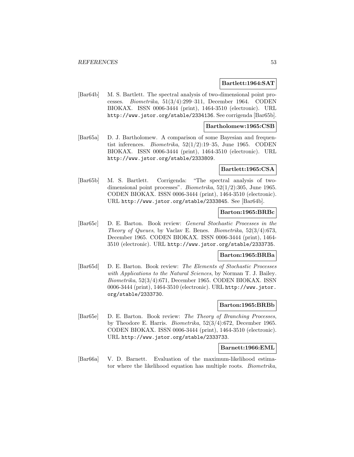#### **Bartlett:1964:SAT**

[Bar64b] M. S. Bartlett. The spectral analysis of two-dimensional point processes. Biometrika, 51(3/4):299–311, December 1964. CODEN BIOKAX. ISSN 0006-3444 (print), 1464-3510 (electronic). URL http://www.jstor.org/stable/2334136. See corrigenda [Bar65b].

## **Bartholomew:1965:CSB**

[Bar65a] D. J. Bartholomew. A comparison of some Bayesian and frequentist inferences. Biometrika, 52(1/2):19–35, June 1965. CODEN BIOKAX. ISSN 0006-3444 (print), 1464-3510 (electronic). URL http://www.jstor.org/stable/2333809.

### **Bartlett:1965:CSA**

[Bar65b] M. S. Bartlett. Corrigenda: "The spectral analysis of twodimensional point processes". Biometrika, 52(1/2):305, June 1965. CODEN BIOKAX. ISSN 0006-3444 (print), 1464-3510 (electronic). URL http://www.jstor.org/stable/2333845. See [Bar64b].

# **Barton:1965:BRBc**

[Bar65c] D. E. Barton. Book review: General Stochastic Processes in the Theory of Queues, by Vaclav E. Benes. Biometrika, 52(3/4):673, December 1965. CODEN BIOKAX. ISSN 0006-3444 (print), 1464- 3510 (electronic). URL http://www.jstor.org/stable/2333735.

#### **Barton:1965:BRBa**

[Bar65d] D. E. Barton. Book review: The Elements of Stochastic Processes with Applications to the Natural Sciences, by Norman T. J. Bailey. Biometrika, 52(3/4):671, December 1965. CODEN BIOKAX. ISSN 0006-3444 (print), 1464-3510 (electronic). URL http://www.jstor. org/stable/2333730.

# **Barton:1965:BRBb**

[Bar65e] D. E. Barton. Book review: The Theory of Branching Processes, by Theodore E. Harris. Biometrika, 52(3/4):672, December 1965. CODEN BIOKAX. ISSN 0006-3444 (print), 1464-3510 (electronic). URL http://www.jstor.org/stable/2333733.

#### **Barnett:1966:EML**

[Bar66a] V. D. Barnett. Evaluation of the maximum-likelihood estimator where the likelihood equation has multiple roots. Biometrika,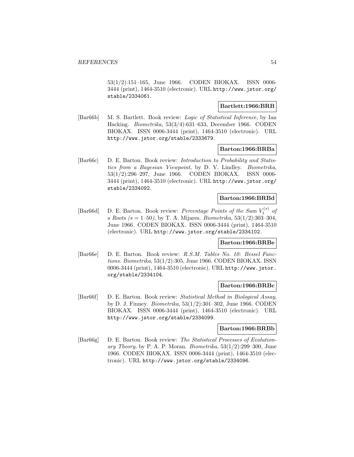53(1/2):151–165, June 1966. CODEN BIOKAX. ISSN 0006- 3444 (print), 1464-3510 (electronic). URL http://www.jstor.org/ stable/2334061.

## **Bartlett:1966:BRB**

[Bar66b] M. S. Bartlett. Book review: Logic of Statistical Inference, by Ian Hacking. Biometrika, 53(3/4):631–633, December 1966. CODEN BIOKAX. ISSN 0006-3444 (print), 1464-3510 (electronic). URL http://www.jstor.org/stable/2333679.

### **Barton:1966:BRBa**

[Bar66c] D. E. Barton. Book review: Introduction to Probability and Statistics from a Bayesian Viewpoint, by D. V. Lindley. Biometrika, 53(1/2):296–297, June 1966. CODEN BIOKAX. ISSN 0006- 3444 (print), 1464-3510 (electronic). URL http://www.jstor.org/ stable/2334092.

## **Barton:1966:BRBd**

[Bar66d] D. E. Barton. Book review: *Percentage Points of the Sum*  $V_1^{(s)}$  of s Roots (s = 1–50), by T. A. Mijares. Biometrika,  $53(1/2)$ :303–304, June 1966. CODEN BIOKAX. ISSN 0006-3444 (print), 1464-3510 (electronic). URL http://www.jstor.org/stable/2334102.

#### **Barton:1966:BRBe**

[Bar66e] D. E. Barton. Book review: R.S.M. Tables No. 10: Bessel Functions. Biometrika, 53(1/2):305, June 1966. CODEN BIOKAX. ISSN 0006-3444 (print), 1464-3510 (electronic). URL http://www.jstor. org/stable/2334104.

#### **Barton:1966:BRBc**

[Bar66f] D. E. Barton. Book review: Statistical Method in Biological Assay, by D. J. Finney. Biometrika, 53(1/2):301–302, June 1966. CODEN BIOKAX. ISSN 0006-3444 (print), 1464-3510 (electronic). URL http://www.jstor.org/stable/2334099.

#### **Barton:1966:BRBb**

[Bar66g] D. E. Barton. Book review: The Statistical Processes of Evolutionary Theory, by P. A. P. Moran. Biometrika,  $53(1/2):299-300$ , June 1966. CODEN BIOKAX. ISSN 0006-3444 (print), 1464-3510 (electronic). URL http://www.jstor.org/stable/2334096.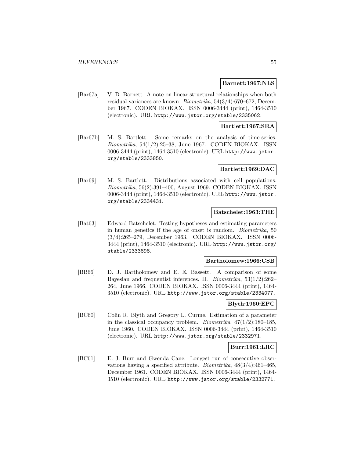### **Barnett:1967:NLS**

[Bar67a] V. D. Barnett. A note on linear structural relationships when both residual variances are known. Biometrika, 54(3/4):670–672, December 1967. CODEN BIOKAX. ISSN 0006-3444 (print), 1464-3510 (electronic). URL http://www.jstor.org/stable/2335062.

### **Bartlett:1967:SRA**

[Bar67b] M. S. Bartlett. Some remarks on the analysis of time-series. Biometrika, 54(1/2):25–38, June 1967. CODEN BIOKAX. ISSN 0006-3444 (print), 1464-3510 (electronic). URL http://www.jstor. org/stable/2333850.

#### **Bartlett:1969:DAC**

[Bar69] M. S. Bartlett. Distributions associated with cell populations. Biometrika, 56(2):391–400, August 1969. CODEN BIOKAX. ISSN 0006-3444 (print), 1464-3510 (electronic). URL http://www.jstor. org/stable/2334431.

## **Batschelet:1963:THE**

[Bat63] Edward Batschelet. Testing hypotheses and estimating parameters in human genetics if the age of onset is random. Biometrika, 50 (3/4):265–279, December 1963. CODEN BIOKAX. ISSN 0006- 3444 (print), 1464-3510 (electronic). URL http://www.jstor.org/ stable/2333898.

### **Bartholomew:1966:CSB**

[BB66] D. J. Bartholomew and E. E. Bassett. A comparison of some Bayesian and frequentist inferences. II. Biometrika, 53(1/2):262– 264, June 1966. CODEN BIOKAX. ISSN 0006-3444 (print), 1464- 3510 (electronic). URL http://www.jstor.org/stable/2334077.

# **Blyth:1960:EPC**

[BC60] Colin R. Blyth and Gregory L. Curme. Estimation of a parameter in the classical occupancy problem. Biometrika, 47(1/2):180–185, June 1960. CODEN BIOKAX. ISSN 0006-3444 (print), 1464-3510 (electronic). URL http://www.jstor.org/stable/2332971.

#### **Burr:1961:LRC**

[BC61] E. J. Burr and Gwenda Cane. Longest run of consecutive observations having a specified attribute. *Biometrika*,  $48(3/4):461-465$ , December 1961. CODEN BIOKAX. ISSN 0006-3444 (print), 1464- 3510 (electronic). URL http://www.jstor.org/stable/2332771.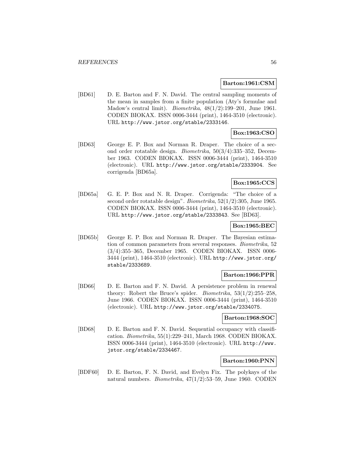#### **Barton:1961:CSM**

[BD61] D. E. Barton and F. N. David. The central sampling moments of the mean in samples from a finite population (Aty's formulae and Madow's central limit). Biometrika, 48(1/2):199–201, June 1961. CODEN BIOKAX. ISSN 0006-3444 (print), 1464-3510 (electronic). URL http://www.jstor.org/stable/2333146.

# **Box:1963:CSO**

[BD63] George E. P. Box and Norman R. Draper. The choice of a second order rotatable design. Biometrika, 50(3/4):335–352, December 1963. CODEN BIOKAX. ISSN 0006-3444 (print), 1464-3510 (electronic). URL http://www.jstor.org/stable/2333904. See corrigenda [BD65a].

# **Box:1965:CCS**

[BD65a] G. E. P. Box and N. R. Draper. Corrigenda: "The choice of a second order rotatable design". Biometrika, 52(1/2):305, June 1965. CODEN BIOKAX. ISSN 0006-3444 (print), 1464-3510 (electronic). URL http://www.jstor.org/stable/2333843. See [BD63].

### **Box:1965:BEC**

[BD65b] George E. P. Box and Norman R. Draper. The Bayesian estimation of common parameters from several responses. Biometrika, 52 (3/4):355–365, December 1965. CODEN BIOKAX. ISSN 0006- 3444 (print), 1464-3510 (electronic). URL http://www.jstor.org/ stable/2333689.

### **Barton:1966:PPR**

[BD66] D. E. Barton and F. N. David. A persistence problem in renewal theory: Robert the Bruce's spider. *Biometrika*,  $53(1/2)$ :255–258, June 1966. CODEN BIOKAX. ISSN 0006-3444 (print), 1464-3510 (electronic). URL http://www.jstor.org/stable/2334075.

### **Barton:1968:SOC**

[BD68] D. E. Barton and F. N. David. Sequential occupancy with classification. Biometrika, 55(1):229–241, March 1968. CODEN BIOKAX. ISSN 0006-3444 (print), 1464-3510 (electronic). URL http://www. jstor.org/stable/2334467.

### **Barton:1960:PNN**

[BDF60] D. E. Barton, F. N. David, and Evelyn Fix. The polykays of the natural numbers. Biometrika, 47(1/2):53–59, June 1960. CODEN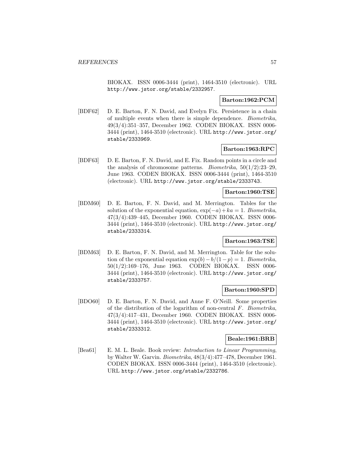BIOKAX. ISSN 0006-3444 (print), 1464-3510 (electronic). URL http://www.jstor.org/stable/2332957.

## **Barton:1962:PCM**

[BDF62] D. E. Barton, F. N. David, and Evelyn Fix. Persistence in a chain of multiple events when there is simple dependence. Biometrika, 49(3/4):351–357, December 1962. CODEN BIOKAX. ISSN 0006- 3444 (print), 1464-3510 (electronic). URL http://www.jstor.org/ stable/2333969.

## **Barton:1963:RPC**

[BDF63] D. E. Barton, F. N. David, and E. Fix. Random points in a circle and the analysis of chromosome patterns. *Biometrika*,  $50(1/2)$ : 23–29, June 1963. CODEN BIOKAX. ISSN 0006-3444 (print), 1464-3510 (electronic). URL http://www.jstor.org/stable/2333743.

## **Barton:1960:TSE**

[BDM60] D. E. Barton, F. N. David, and M. Merrington. Tables for the solution of the exponential equation,  $\exp(-a) + ka = 1$ . Biometrika, 47(3/4):439–445, December 1960. CODEN BIOKAX. ISSN 0006- 3444 (print), 1464-3510 (electronic). URL http://www.jstor.org/ stable/2333314.

## **Barton:1963:TSE**

[BDM63] D. E. Barton, F. N. David, and M. Merrington. Table for the solution of the exponential equation  $\exp(b) - b/(1-p) = 1$ . Biometrika, 50(1/2):169–176, June 1963. CODEN BIOKAX. ISSN 0006- 3444 (print), 1464-3510 (electronic). URL http://www.jstor.org/ stable/2333757.

### **Barton:1960:SPD**

[BDO60] D. E. Barton, F. N. David, and Anne F. O'Neill. Some properties of the distribution of the logarithm of non-central  $F$ . Biometrika, 47(3/4):417–431, December 1960. CODEN BIOKAX. ISSN 0006- 3444 (print), 1464-3510 (electronic). URL http://www.jstor.org/ stable/2333312.

#### **Beale:1961:BRB**

[Bea61] E. M. L. Beale. Book review: Introduction to Linear Programming, by Walter W. Garvin. Biometrika, 48(3/4):477–478, December 1961. CODEN BIOKAX. ISSN 0006-3444 (print), 1464-3510 (electronic). URL http://www.jstor.org/stable/2332786.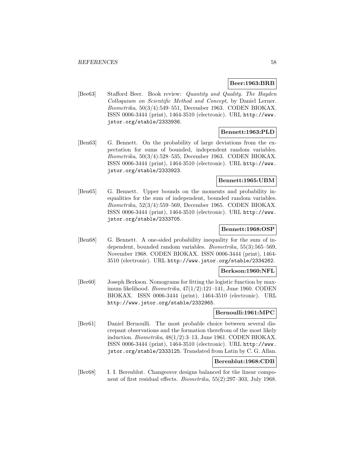## **Beer:1963:BRB**

[Bee63] Stafford Beer. Book review: Quantity and Quality. The Hayden Colloquium on Scientific Method and Concept, by Daniel Lerner. Biometrika, 50(3/4):549–551, December 1963. CODEN BIOKAX. ISSN 0006-3444 (print), 1464-3510 (electronic). URL http://www. jstor.org/stable/2333936.

## **Bennett:1963:PLD**

[Ben63] G. Bennett. On the probability of large deviations from the expectation for sums of bounded, independent random variables. Biometrika, 50(3/4):528–535, December 1963. CODEN BIOKAX. ISSN 0006-3444 (print), 1464-3510 (electronic). URL http://www. jstor.org/stable/2333923.

# **Bennett:1965:UBM**

[Ben65] G. Bennett. Upper bounds on the moments and probability inequalities for the sum of independent, bounded random variables. Biometrika, 52(3/4):559–569, December 1965. CODEN BIOKAX. ISSN 0006-3444 (print), 1464-3510 (electronic). URL http://www. jstor.org/stable/2333705.

# **Bennett:1968:OSP**

[Ben68] G. Bennett. A one-sided probability inequality for the sum of independent, bounded random variables. Biometrika, 55(3):565–569, November 1968. CODEN BIOKAX. ISSN 0006-3444 (print), 1464- 3510 (electronic). URL http://www.jstor.org/stable/2334262.

#### **Berkson:1960:NFL**

[Ber60] Joseph Berkson. Nomograms for fitting the logistic function by maximum likelihood. Biometrika, 47(1/2):121–141, June 1960. CODEN BIOKAX. ISSN 0006-3444 (print), 1464-3510 (electronic). URL http://www.jstor.org/stable/2332965.

# **Bernoulli:1961:MPC**

[Ber61] Daniel Bernoulli. The most probable choice between several discrepant observations and the formation therefrom of the most likely induction. Biometrika, 48(1/2):3–13, June 1961. CODEN BIOKAX. ISSN 0006-3444 (print), 1464-3510 (electronic). URL http://www. jstor.org/stable/2333125. Translated from Latin by C. G. Allan.

## **Berenblut:1968:CDB**

[Ber68] I. I. Berenblut. Changeover designs balanced for the linear component of first residual effects. Biometrika, 55(2):297–303, July 1968.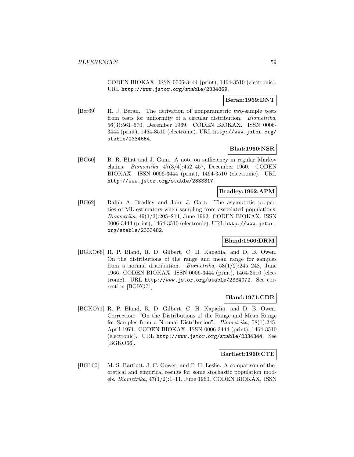CODEN BIOKAX. ISSN 0006-3444 (print), 1464-3510 (electronic). URL http://www.jstor.org/stable/2334869.

## **Beran:1969:DNT**

[Ber69] R. J. Beran. The derivation of nonparametric two-sample tests from tests for uniformity of a circular distribution. Biometrika, 56(3):561–570, December 1969. CODEN BIOKAX. ISSN 0006- 3444 (print), 1464-3510 (electronic). URL http://www.jstor.org/ stable/2334664.

## **Bhat:1960:NSR**

[BG60] B. R. Bhat and J. Gani. A note on sufficiency in regular Markov chains. Biometrika, 47(3/4):452–457, December 1960. CODEN BIOKAX. ISSN 0006-3444 (print), 1464-3510 (electronic). URL http://www.jstor.org/stable/2333317.

### **Bradley:1962:APM**

[BG62] Ralph A. Bradley and John J. Gart. The asymptotic properties of ML estimators when sampling from associated populations. Biometrika, 49(1/2):205–214, June 1962. CODEN BIOKAX. ISSN 0006-3444 (print), 1464-3510 (electronic). URL http://www.jstor. org/stable/2333482.

## **Bland:1966:DRM**

[BGKO66] R. P. Bland, R. D. Gilbert, C. H. Kapadia, and D. B. Owen. On the distributions of the range and mean range for samples from a normal distribution. *Biometrika*,  $53(1/2):245-248$ , June 1966. CODEN BIOKAX. ISSN 0006-3444 (print), 1464-3510 (electronic). URL http://www.jstor.org/stable/2334072. See correction [BGKO71].

## **Bland:1971:CDR**

[BGKO71] R. P. Bland, R. D. Gilbert, C. H. Kapadia, and D. B. Owen. Correction: "On the Distributions of the Range and Mean Range for Samples from a Normal Distribution". Biometrika, 58(1):245, April 1971. CODEN BIOKAX. ISSN 0006-3444 (print), 1464-3510 (electronic). URL http://www.jstor.org/stable/2334344. See [BGKO66].

#### **Bartlett:1960:CTE**

[BGL60] M. S. Bartlett, J. C. Gower, and P. H. Leslie. A comparison of theoretical and empirical results for some stochastic population models. Biometrika, 47(1/2):1–11, June 1960. CODEN BIOKAX. ISSN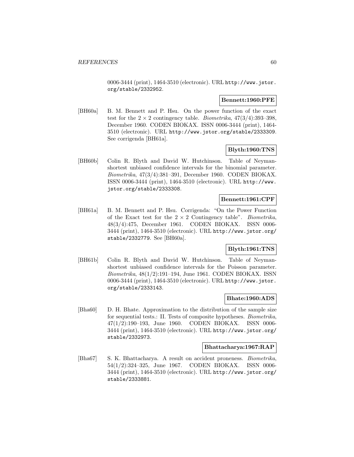0006-3444 (print), 1464-3510 (electronic). URL http://www.jstor. org/stable/2332952.

### **Bennett:1960:PFE**

[BH60a] B. M. Bennett and P. Hsu. On the power function of the exact test for the  $2 \times 2$  contingency table. *Biometrika*,  $47(3/4)$ :393-398, December 1960. CODEN BIOKAX. ISSN 0006-3444 (print), 1464- 3510 (electronic). URL http://www.jstor.org/stable/2333309. See corrigenda [BH61a].

## **Blyth:1960:TNS**

[BH60b] Colin R. Blyth and David W. Hutchinson. Table of Neymanshortest unbiased confidence intervals for the binomial parameter. Biometrika, 47(3/4):381–391, December 1960. CODEN BIOKAX. ISSN 0006-3444 (print), 1464-3510 (electronic). URL http://www. jstor.org/stable/2333308.

## **Bennett:1961:CPF**

[BH61a] B. M. Bennett and P. Hsu. Corrigenda: "On the Power Function of the Exact test for the  $2 \times 2$  Contingency table". *Biometrika*,  $48(3/4):475$ , December 1961. CODEN BIOKAX. ISSN 0006- $48(3/4):475$ , December 1961. CODEN BIOKAX. 3444 (print), 1464-3510 (electronic). URL http://www.jstor.org/ stable/2332779. See [BH60a].

# **Blyth:1961:TNS**

[BH61b] Colin R. Blyth and David W. Hutchinson. Table of Neymanshortest unbiased confidence intervals for the Poisson parameter. Biometrika, 48(1/2):191–194, June 1961. CODEN BIOKAX. ISSN 0006-3444 (print), 1464-3510 (electronic). URL http://www.jstor. org/stable/2333143.

## **Bhate:1960:ADS**

[Bha60] D. H. Bhate. Approximation to the distribution of the sample size for sequential tests.: II. Tests of composite hypotheses. Biometrika, 47(1/2):190–193, June 1960. CODEN BIOKAX. ISSN 0006- 3444 (print), 1464-3510 (electronic). URL http://www.jstor.org/ stable/2332973.

### **Bhattacharya:1967:RAP**

[Bha67] S. K. Bhattacharya. A result on accident proneness. *Biometrika*, 54(1/2):324–325, June 1967. CODEN BIOKAX. ISSN 0006- 3444 (print), 1464-3510 (electronic). URL http://www.jstor.org/ stable/2333881.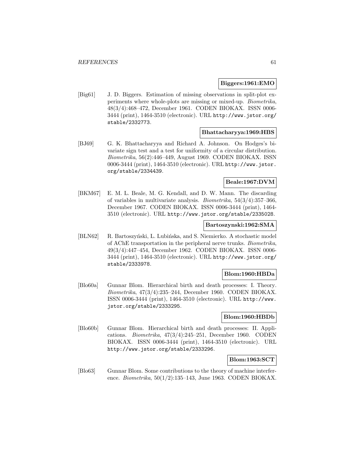### **Biggers:1961:EMO**

[Big61] J. D. Biggers. Estimation of missing observations in split-plot experiments where whole-plots are missing or mixed-up. Biometrika, 48(3/4):468–472, December 1961. CODEN BIOKAX. ISSN 0006- 3444 (print), 1464-3510 (electronic). URL http://www.jstor.org/ stable/2332773.

### **Bhattacharyya:1969:HBS**

[BJ69] G. K. Bhattacharyya and Richard A. Johnson. On Hodges's bivariate sign test and a test for uniformity of a circular distribution. Biometrika, 56(2):446–449, August 1969. CODEN BIOKAX. ISSN 0006-3444 (print), 1464-3510 (electronic). URL http://www.jstor. org/stable/2334439.

### **Beale:1967:DVM**

[BKM67] E. M. L. Beale, M. G. Kendall, and D. W. Mann. The discarding of variables in multivariate analysis. Biometrika, 54(3/4):357–366, December 1967. CODEN BIOKAX. ISSN 0006-3444 (print), 1464- 3510 (electronic). URL http://www.jstor.org/stable/2335028.

### **Bartoszynski:1962:SMA**

[BLN62] R. Bartoszyński, L. Lubińska, and S. Niemierko. A stochastic model of AChE transportation in the peripheral nerve trunks. Biometrika, 49(3/4):447–454, December 1962. CODEN BIOKAX. ISSN 0006- 3444 (print), 1464-3510 (electronic). URL http://www.jstor.org/ stable/2333978.

#### **Blom:1960:HBDa**

[Blo60a] Gunnar Blom. Hierarchical birth and death processes: I. Theory. Biometrika, 47(3/4):235–244, December 1960. CODEN BIOKAX. ISSN 0006-3444 (print), 1464-3510 (electronic). URL http://www. jstor.org/stable/2333295.

## **Blom:1960:HBDb**

[Blo60b] Gunnar Blom. Hierarchical birth and death processes: II. Applications. Biometrika, 47(3/4):245–251, December 1960. CODEN BIOKAX. ISSN 0006-3444 (print), 1464-3510 (electronic). URL http://www.jstor.org/stable/2333296.

### **Blom:1963:SCT**

[Blo63] Gunnar Blom. Some contributions to the theory of machine interference. Biometrika, 50(1/2):135–143, June 1963. CODEN BIOKAX.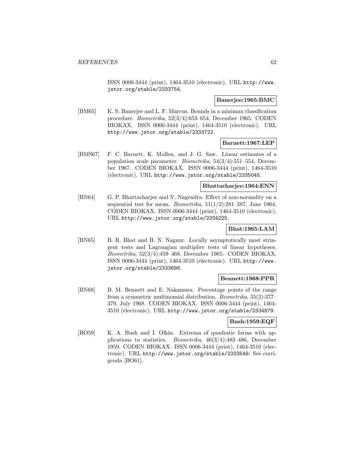ISSN 0006-3444 (print), 1464-3510 (electronic). URL http://www. jstor.org/stable/2333754.

### **Banerjee:1965:BMC**

[BM65] K. S. Banerjee and L. F. Marcus. Bounds in a minimax classification procedure. Biometrika, 52(3/4):653–654, December 1965. CODEN BIOKAX. ISSN 0006-3444 (print), 1464-3510 (electronic). URL http://www.jstor.org/stable/2333722.

### **Barnett:1967:LEP**

[BMS67] F. C. Barnett, K. Mullen, and J. G. Saw. Linear estimates of a population scale parameter. Biometrika, 54(3/4):551–554, December 1967. CODEN BIOKAX. ISSN 0006-3444 (print), 1464-3510 (electronic). URL http://www.jstor.org/stable/2335045.

### **Bhattacharjee:1964:ENN**

[BN64] G. P. Bhattacharjee and Y. Nagendra. Effect of non-normality on a sequential test for mean. *Biometrika*,  $51(1/2)$ :281–287, June 1964. CODEN BIOKAX. ISSN 0006-3444 (print), 1464-3510 (electronic). URL http://www.jstor.org/stable/2334225.

# **Bhat:1965:LAM**

[BN65] B. R. Bhat and B. N. Nagnur. Locally asymptotically most stringent tests and Lagrangian multiplier tests of linear hypotheses. Biometrika, 52(3/4):459–468, December 1965. CODEN BIOKAX. ISSN 0006-3444 (print), 1464-3510 (electronic). URL http://www. jstor.org/stable/2333698.

## **Bennett:1968:PPR**

[BN68] B. M. Bennett and E. Nakamura. Percentage points of the range from a symmetric multinomial distribution. Biometrika, 55(2):377– 379, July 1968. CODEN BIOKAX. ISSN 0006-3444 (print), 1464- 3510 (electronic). URL http://www.jstor.org/stable/2334879.

### **Bush:1959:EQF**

[BO59] K. A. Bush and I. Olkin. Extrema of quadratic forms with applications to statistics. Biometrika, 46(3/4):483–486, December 1959. CODEN BIOKAX. ISSN 0006-3444 (print), 1464-3510 (electronic). URL http://www.jstor.org/stable/2333549. See corrigenda [BO61].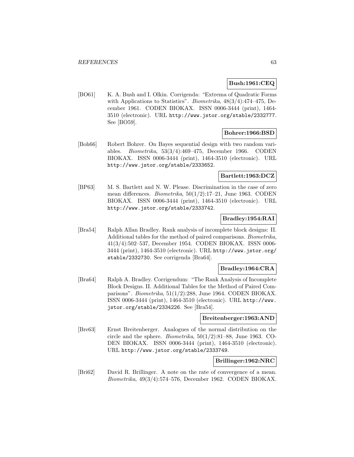## **Bush:1961:CEQ**

[BO61] K. A. Bush and I. Olkin. Corrigenda: "Extrema of Quadratic Forms with Applications to Statistics". Biometrika, 48(3/4):474–475, December 1961. CODEN BIOKAX. ISSN 0006-3444 (print), 1464- 3510 (electronic). URL http://www.jstor.org/stable/2332777. See [BO59].

# **Bohrer:1966:BSD**

[Boh66] Robert Bohrer. On Bayes sequential design with two random variables. Biometrika, 53(3/4):469–475, December 1966. CODEN BIOKAX. ISSN 0006-3444 (print), 1464-3510 (electronic). URL http://www.jstor.org/stable/2333652.

## **Bartlett:1963:DCZ**

[BP63] M. S. Bartlett and N. W. Please. Discrimination in the case of zero mean differences. *Biometrika*,  $50(1/2)$ :17-21, June 1963. CODEN BIOKAX. ISSN 0006-3444 (print), 1464-3510 (electronic). URL http://www.jstor.org/stable/2333742.

## **Bradley:1954:RAI**

[Bra54] Ralph Allan Bradley. Rank analysis of incomplete block designs: II. Additional tables for the method of paired comparisons. Biometrika, 41(3/4):502–537, December 1954. CODEN BIOKAX. ISSN 0006- 3444 (print), 1464-3510 (electronic). URL http://www.jstor.org/ stable/2332730. See corrigenda [Bra64].

## **Bradley:1964:CRA**

[Bra64] Ralph A. Bradley. Corrigendum: "The Rank Analysis of Incomplete Block Designs. II. Additional Tables for the Method of Paired Comparisons". Biometrika, 51(1/2):288, June 1964. CODEN BIOKAX. ISSN 0006-3444 (print), 1464-3510 (electronic). URL http://www. jstor.org/stable/2334226. See [Bra54].

### **Breitenberger:1963:AND**

[Bre63] Ernst Breitenberger. Analogues of the normal distribution on the circle and the sphere. *Biometrika*,  $50(1/2):81-88$ , June 1963. CO-DEN BIOKAX. ISSN 0006-3444 (print), 1464-3510 (electronic). URL http://www.jstor.org/stable/2333749.

## **Brillinger:1962:NRC**

[Bri62] David R. Brillinger. A note on the rate of convergence of a mean. Biometrika, 49(3/4):574–576, December 1962. CODEN BIOKAX.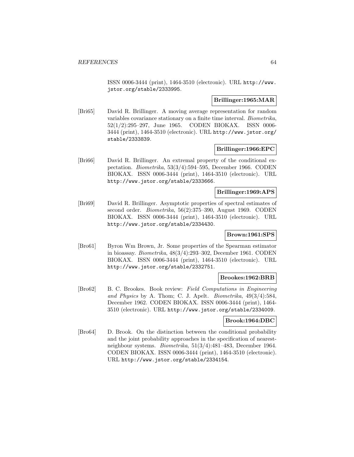ISSN 0006-3444 (print), 1464-3510 (electronic). URL http://www. jstor.org/stable/2333995.

# **Brillinger:1965:MAR**

[Bri65] David R. Brillinger. A moving average representation for random variables covariance stationary on a finite time interval. Biometrika, 52(1/2):295–297, June 1965. CODEN BIOKAX. ISSN 0006- 3444 (print), 1464-3510 (electronic). URL http://www.jstor.org/ stable/2333839.

## **Brillinger:1966:EPC**

[Bri66] David R. Brillinger. An extremal property of the conditional expectation. Biometrika, 53(3/4):594–595, December 1966. CODEN BIOKAX. ISSN 0006-3444 (print), 1464-3510 (electronic). URL http://www.jstor.org/stable/2333666.

# **Brillinger:1969:APS**

[Bri69] David R. Brillinger. Asymptotic properties of spectral estimates of second order. Biometrika, 56(2):375–390, August 1969. CODEN BIOKAX. ISSN 0006-3444 (print), 1464-3510 (electronic). URL http://www.jstor.org/stable/2334430.

## **Brown:1961:SPS**

[Bro61] Byron Wm Brown, Jr. Some properties of the Spearman estimator in bioassay. Biometrika, 48(3/4):293–302, December 1961. CODEN BIOKAX. ISSN 0006-3444 (print), 1464-3510 (electronic). URL http://www.jstor.org/stable/2332751.

## **Brookes:1962:BRB**

[Bro62] B. C. Brookes. Book review: Field Computations in Engineering and Physics by A. Thom; C. J. Apelt. Biometrika, 49(3/4):584, December 1962. CODEN BIOKAX. ISSN 0006-3444 (print), 1464- 3510 (electronic). URL http://www.jstor.org/stable/2334009.

## **Brook:1964:DBC**

[Bro64] D. Brook. On the distinction between the conditional probability and the joint probability approaches in the specification of nearestneighbour systems. Biometrika, 51(3/4):481–483, December 1964. CODEN BIOKAX. ISSN 0006-3444 (print), 1464-3510 (electronic). URL http://www.jstor.org/stable/2334154.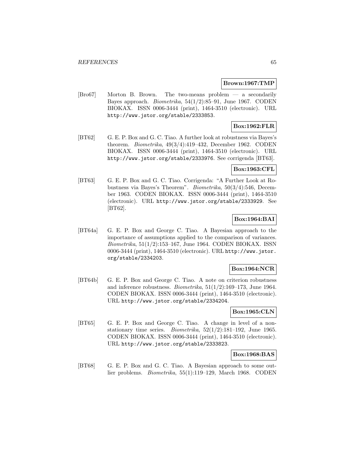### **Brown:1967:TMP**

[Bro67] Morton B. Brown. The two-means problem — a secondarily Bayes approach. Biometrika, 54(1/2):85–91, June 1967. CODEN BIOKAX. ISSN 0006-3444 (print), 1464-3510 (electronic). URL http://www.jstor.org/stable/2333853.

# **Box:1962:FLR**

[BT62] G. E. P. Box and G. C. Tiao. A further look at robustness via Bayes's theorem. Biometrika, 49(3/4):419–432, December 1962. CODEN BIOKAX. ISSN 0006-3444 (print), 1464-3510 (electronic). URL http://www.jstor.org/stable/2333976. See corrigenda [BT63].

## **Box:1963:CFL**

[BT63] G. E. P. Box and G. C. Tiao. Corrigenda: "A Further Look at Robustness via Bayes's Theorem". Biometrika, 50(3/4):546, December 1963. CODEN BIOKAX. ISSN 0006-3444 (print), 1464-3510 (electronic). URL http://www.jstor.org/stable/2333929. See [BT62].

# **Box:1964:BAI**

[BT64a] G. E. P. Box and George C. Tiao. A Bayesian approach to the importance of assumptions applied to the comparison of variances. Biometrika, 51(1/2):153–167, June 1964. CODEN BIOKAX. ISSN 0006-3444 (print), 1464-3510 (electronic). URL http://www.jstor. org/stable/2334203.

## **Box:1964:NCR**

[BT64b] G. E. P. Box and George C. Tiao. A note on criterion robustness and inference robustness. *Biometrika*,  $51(1/2):169-173$ , June 1964. CODEN BIOKAX. ISSN 0006-3444 (print), 1464-3510 (electronic). URL http://www.jstor.org/stable/2334204.

### **Box:1965:CLN**

[BT65] G. E. P. Box and George C. Tiao. A change in level of a nonstationary time series. *Biometrika*,  $52(1/2):181-192$ , June 1965. CODEN BIOKAX. ISSN 0006-3444 (print), 1464-3510 (electronic). URL http://www.jstor.org/stable/2333823.

### **Box:1968:BAS**

[BT68] G. E. P. Box and G. C. Tiao. A Bayesian approach to some outlier problems. Biometrika, 55(1):119–129, March 1968. CODEN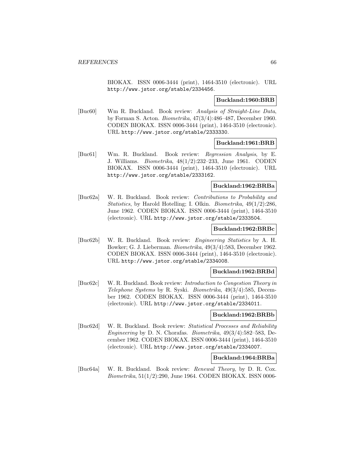BIOKAX. ISSN 0006-3444 (print), 1464-3510 (electronic). URL http://www.jstor.org/stable/2334456.

### **Buckland:1960:BRB**

[Buc60] Wm R. Buckland. Book review: Analysis of Straight-Line Data, by Forman S. Acton. Biometrika, 47(3/4):486–487, December 1960. CODEN BIOKAX. ISSN 0006-3444 (print), 1464-3510 (electronic). URL http://www.jstor.org/stable/2333330.

### **Buckland:1961:BRB**

[Buc61] Wm. R. Buckland. Book review: Regression Analysis, by E. J. Williams. Biometrika, 48(1/2):232–233, June 1961. CODEN BIOKAX. ISSN 0006-3444 (print), 1464-3510 (electronic). URL http://www.jstor.org/stable/2333162.

## **Buckland:1962:BRBa**

[Buc62a] W. R. Buckland. Book review: Contributions to Probability and Statistics, by Harold Hotelling; I. Olkin. Biometrika, 49(1/2):286, June 1962. CODEN BIOKAX. ISSN 0006-3444 (print), 1464-3510 (electronic). URL http://www.jstor.org/stable/2333504.

## **Buckland:1962:BRBc**

[Buc62b] W. R. Buckland. Book review: Engineering Statistics by A. H. Bowker; G. J. Lieberman. Biometrika, 49(3/4):583, December 1962. CODEN BIOKAX. ISSN 0006-3444 (print), 1464-3510 (electronic). URL http://www.jstor.org/stable/2334008.

## **Buckland:1962:BRBd**

[Buc62c] W. R. Buckland. Book review: Introduction to Congestion Theory in Telephone Systems by R. Syski. Biometrika, 49(3/4):585, December 1962. CODEN BIOKAX. ISSN 0006-3444 (print), 1464-3510 (electronic). URL http://www.jstor.org/stable/2334011.

## **Buckland:1962:BRBb**

[Buc62d] W. R. Buckland. Book review: Statistical Processes and Reliability Engineering by D. N. Chorafas. Biometrika,  $49(3/4)$ :582–583, December 1962. CODEN BIOKAX. ISSN 0006-3444 (print), 1464-3510 (electronic). URL http://www.jstor.org/stable/2334007.

## **Buckland:1964:BRBa**

[Buc64a] W. R. Buckland. Book review: Renewal Theory, by D. R. Cox. Biometrika, 51(1/2):290, June 1964. CODEN BIOKAX. ISSN 0006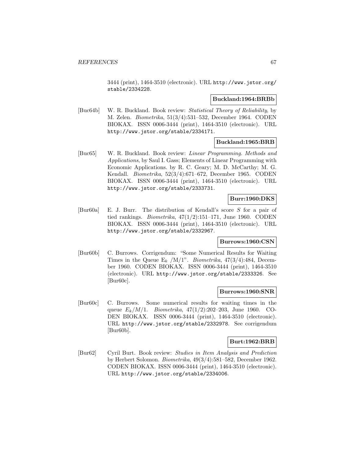3444 (print), 1464-3510 (electronic). URL http://www.jstor.org/ stable/2334228.

### **Buckland:1964:BRBb**

[Buc64b] W. R. Buckland. Book review: Statistical Theory of Reliability, by M. Zelen. Biometrika, 51(3/4):531–532, December 1964. CODEN BIOKAX. ISSN 0006-3444 (print), 1464-3510 (electronic). URL http://www.jstor.org/stable/2334171.

# **Buckland:1965:BRB**

[Buc65] W. R. Buckland. Book review: Linear Programming. Methods and Applications, by Saul I. Gass; Elements of Linear Programming with Economic Applications. by R. C. Geary; M. D. McCarthy; M. G. Kendall. Biometrika, 52(3/4):671–672, December 1965. CODEN BIOKAX. ISSN 0006-3444 (print), 1464-3510 (electronic). URL http://www.jstor.org/stable/2333731.

## **Burr:1960:DKS**

[Bur60a] E. J. Burr. The distribution of Kendall's score S for a pair of tied rankings. *Biometrika*,  $47(1/2):151-171$ , June 1960. CODEN BIOKAX. ISSN 0006-3444 (print), 1464-3510 (electronic). URL http://www.jstor.org/stable/2332967.

## **Burrows:1960:CSN**

[Bur60b] C. Burrows. Corrigendum: "Some Numerical Results for Waiting Times in the Queue  $E_k / M/1$ ". *Biometrika*, 47(3/4):484, December 1960. CODEN BIOKAX. ISSN 0006-3444 (print), 1464-3510 (electronic). URL http://www.jstor.org/stable/2333326. See [Bur60c].

#### **Burrows:1960:SNR**

[Bur60c] C. Burrows. Some numerical results for waiting times in the queue  $E_k/M/1$ . Biometrika, 47(1/2):202–203, June 1960. CO-DEN BIOKAX. ISSN 0006-3444 (print), 1464-3510 (electronic). URL http://www.jstor.org/stable/2332978. See corrigendum [Bur60b].

## **Burt:1962:BRB**

[Bur62] Cyril Burt. Book review: Studies in Item Analysis and Prediction by Herbert Solomon. Biometrika, 49(3/4):581–582, December 1962. CODEN BIOKAX. ISSN 0006-3444 (print), 1464-3510 (electronic). URL http://www.jstor.org/stable/2334006.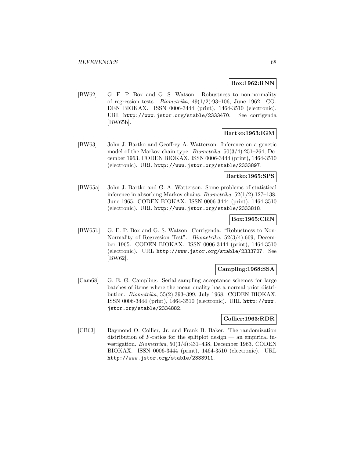## **Box:1962:RNN**

[BW62] G. E. P. Box and G. S. Watson. Robustness to non-normality of regression tests. *Biometrika*,  $49(1/2):93-106$ , June 1962. CO-DEN BIOKAX. ISSN 0006-3444 (print), 1464-3510 (electronic). URL http://www.jstor.org/stable/2333470. See corrigenda [BW65b].

# **Bartko:1963:IGM**

[BW63] John J. Bartko and Geoffrey A. Watterson. Inference on a genetic model of the Markov chain type. Biometrika, 50(3/4):251–264, December 1963. CODEN BIOKAX. ISSN 0006-3444 (print), 1464-3510 (electronic). URL http://www.jstor.org/stable/2333897.

## **Bartko:1965:SPS**

[BW65a] John J. Bartko and G. A. Watterson. Some problems of statistical inference in absorbing Markov chains. Biometrika, 52(1/2):127–138, June 1965. CODEN BIOKAX. ISSN 0006-3444 (print), 1464-3510 (electronic). URL http://www.jstor.org/stable/2333818.

### **Box:1965:CRN**

[BW65b] G. E. P. Box and G. S. Watson. Corrigenda: "Robustness to Non-Normality of Regression Test". Biometrika, 52(3/4):669, December 1965. CODEN BIOKAX. ISSN 0006-3444 (print), 1464-3510 (electronic). URL http://www.jstor.org/stable/2333727. See [BW62].

## **Campling:1968:SSA**

[Cam68] G. E. G. Campling. Serial sampling acceptance schemes for large batches of items where the mean quality has a normal prior distribution. Biometrika, 55(2):393–399, July 1968. CODEN BIOKAX. ISSN 0006-3444 (print), 1464-3510 (electronic). URL http://www. jstor.org/stable/2334882.

## **Collier:1963:RDR**

[CB63] Raymond O. Collier, Jr. and Frank B. Baker. The randomization distribution of  $F$ -ratios for the splitplot design — an empirical investigation. Biometrika, 50(3/4):431–438, December 1963. CODEN BIOKAX. ISSN 0006-3444 (print), 1464-3510 (electronic). URL http://www.jstor.org/stable/2333911.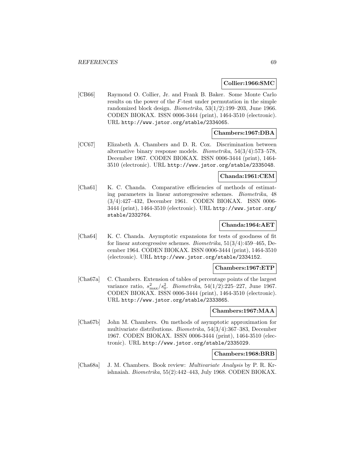### **Collier:1966:SMC**

[CB66] Raymond O. Collier, Jr. and Frank B. Baker. Some Monte Carlo results on the power of the F-test under permutation in the simple randomized block design. Biometrika, 53(1/2):199–203, June 1966. CODEN BIOKAX. ISSN 0006-3444 (print), 1464-3510 (electronic). URL http://www.jstor.org/stable/2334065.

### **Chambers:1967:DBA**

[CC67] Elizabeth A. Chambers and D. R. Cox. Discrimination between alternative binary response models. Biometrika, 54(3/4):573–578, December 1967. CODEN BIOKAX. ISSN 0006-3444 (print), 1464- 3510 (electronic). URL http://www.jstor.org/stable/2335048.

### **Chanda:1961:CEM**

[Cha61] K. C. Chanda. Comparative efficiencies of methods of estimating parameters in linear autoregressive schemes. Biometrika, 48 (3/4):427–432, December 1961. CODEN BIOKAX. ISSN 0006- 3444 (print), 1464-3510 (electronic). URL http://www.jstor.org/ stable/2332764.

### **Chanda:1964:AET**

[Cha64] K. C. Chanda. Asymptotic expansions for tests of goodness of fit for linear autoregressive schemes. Biometrika, 51(3/4):459–465, December 1964. CODEN BIOKAX. ISSN 0006-3444 (print), 1464-3510 (electronic). URL http://www.jstor.org/stable/2334152.

#### **Chambers:1967:ETP**

[Cha67a] C. Chambers. Extension of tables of percentage points of the largest variance ratio,  $s_{\text{max}}^2 / s_0^2$ . *Biometrika*, 54(1/2):225–227, June 1967. CODEN BIOKAX. ISSN 0006-3444 (print), 1464-3510 (electronic). URL http://www.jstor.org/stable/2333865.

#### **Chambers:1967:MAA**

[Cha67b] John M. Chambers. On methods of asymptotic approximation for multivariate distributions. Biometrika, 54(3/4):367–383, December 1967. CODEN BIOKAX. ISSN 0006-3444 (print), 1464-3510 (electronic). URL http://www.jstor.org/stable/2335029.

## **Chambers:1968:BRB**

[Cha68a] J. M. Chambers. Book review: Multivariate Analysis by P. R. Krishnaiah. Biometrika, 55(2):442–443, July 1968. CODEN BIOKAX.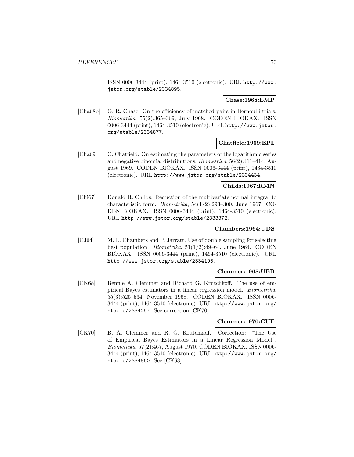ISSN 0006-3444 (print), 1464-3510 (electronic). URL http://www. jstor.org/stable/2334895.

### **Chase:1968:EMP**

[Cha68b] G. R. Chase. On the efficiency of matched pairs in Bernoulli trials. Biometrika, 55(2):365–369, July 1968. CODEN BIOKAX. ISSN 0006-3444 (print), 1464-3510 (electronic). URL http://www.jstor. org/stable/2334877.

## **Chatfield:1969:EPL**

[Cha69] C. Chatfield. On estimating the parameters of the logarithmic series and negative binomial distributions. Biometrika, 56(2):411–414, August 1969. CODEN BIOKAX. ISSN 0006-3444 (print), 1464-3510 (electronic). URL http://www.jstor.org/stable/2334434.

# **Childs:1967:RMN**

[Chi67] Donald R. Childs. Reduction of the multivariate normal integral to characteristic form. Biometrika, 54(1/2):293–300, June 1967. CO-DEN BIOKAX. ISSN 0006-3444 (print), 1464-3510 (electronic). URL http://www.jstor.org/stable/2333872.

# **Chambers:1964:UDS**

[CJ64] M. L. Chambers and P. Jarratt. Use of double sampling for selecting best population. Biometrika, 51(1/2):49–64, June 1964. CODEN BIOKAX. ISSN 0006-3444 (print), 1464-3510 (electronic). URL http://www.jstor.org/stable/2334195.

## **Clemmer:1968:UEB**

[CK68] Bennie A. Clemmer and Richard G. Krutchkoff. The use of empirical Bayes estimators in a linear regression model. Biometrika, 55(3):525–534, November 1968. CODEN BIOKAX. ISSN 0006- 3444 (print), 1464-3510 (electronic). URL http://www.jstor.org/ stable/2334257. See correction [CK70].

#### **Clemmer:1970:CUE**

[CK70] B. A. Clemmer and R. G. Krutchkoff. Correction: "The Use of Empirical Bayes Estimators in a Linear Regression Model". Biometrika, 57(2):467, August 1970. CODEN BIOKAX. ISSN 0006- 3444 (print), 1464-3510 (electronic). URL http://www.jstor.org/ stable/2334860. See [CK68].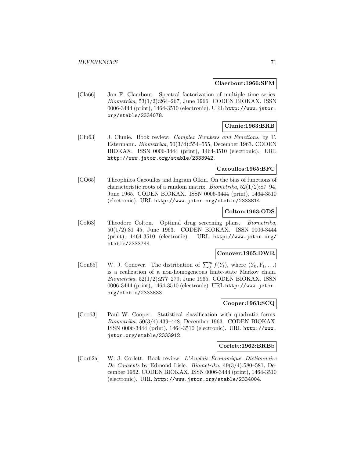#### **Claerbout:1966:SFM**

[Cla66] Jon F. Claerbout. Spectral factorization of multiple time series. Biometrika, 53(1/2):264–267, June 1966. CODEN BIOKAX. ISSN 0006-3444 (print), 1464-3510 (electronic). URL http://www.jstor. org/stable/2334078.

# **Clunie:1963:BRB**

[Clu63] J. Clunie. Book review: Complex Numbers and Functions, by T. Estermann. Biometrika, 50(3/4):554–555, December 1963. CODEN BIOKAX. ISSN 0006-3444 (print), 1464-3510 (electronic). URL http://www.jstor.org/stable/2333942.

#### **Cacoullos:1965:BFC**

[CO65] Theophilos Cacoullos and Ingram Olkin. On the bias of functions of characteristic roots of a random matrix. Biometrika, 52(1/2):87–94, June 1965. CODEN BIOKAX. ISSN 0006-3444 (print), 1464-3510 (electronic). URL http://www.jstor.org/stable/2333814.

## **Colton:1963:ODS**

[Col63] Theodore Colton. Optimal drug screening plans. Biometrika, 50(1/2):31–45, June 1963. CODEN BIOKAX. ISSN 0006-3444 (print), 1464-3510 (electronic). URL http://www.jstor.org/ stable/2333744.

# **Conover:1965:DWR**

[Con65] W. J. Conover. The distribution of  $\sum_{0}^{m} f(Y_t)$ , where  $(Y_0, Y_1, \ldots)$ is a realization of a non-homogeneous finite-state Markov chain. Biometrika, 52(1/2):277–279, June 1965. CODEN BIOKAX. ISSN 0006-3444 (print), 1464-3510 (electronic). URL http://www.jstor. org/stable/2333833.

# **Cooper:1963:SCQ**

[Coo63] Paul W. Cooper. Statistical classification with quadratic forms. Biometrika, 50(3/4):439–448, December 1963. CODEN BIOKAX. ISSN 0006-3444 (print), 1464-3510 (electronic). URL http://www. jstor.org/stable/2333912.

#### **Corlett:1962:BRBb**

[Cor62a] W. J. Corlett. Book review: L'Anglais Economique. Dictionnaire ´ De Concepts by Edmond Lisle. Biometrika, 49(3/4):580–581, December 1962. CODEN BIOKAX. ISSN 0006-3444 (print), 1464-3510 (electronic). URL http://www.jstor.org/stable/2334004.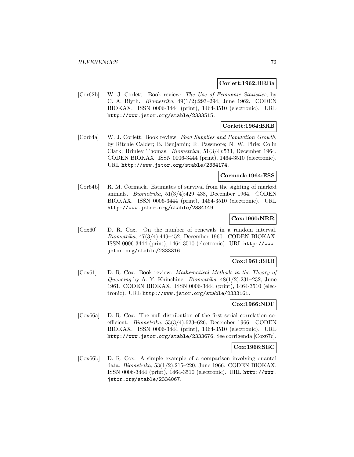## **Corlett:1962:BRBa**

[Cor62b] W. J. Corlett. Book review: The Use of Economic Statistics, by C. A. Blyth. Biometrika, 49(1/2):293–294, June 1962. CODEN BIOKAX. ISSN 0006-3444 (print), 1464-3510 (electronic). URL http://www.jstor.org/stable/2333515.

## **Corlett:1964:BRB**

[Cor64a] W. J. Corlett. Book review: Food Supplies and Population Growth, by Ritchie Calder; B. Benjamin; R. Passmore; N. W. Pirie; Colin Clark; Brinley Thomas. Biometrika, 51(3/4):533, December 1964. CODEN BIOKAX. ISSN 0006-3444 (print), 1464-3510 (electronic). URL http://www.jstor.org/stable/2334174.

## **Cormack:1964:ESS**

[Cor64b] R. M. Cormack. Estimates of survival from the sighting of marked animals. Biometrika, 51(3/4):429–438, December 1964. CODEN BIOKAX. ISSN 0006-3444 (print), 1464-3510 (electronic). URL http://www.jstor.org/stable/2334149.

## **Cox:1960:NRR**

[Cox60] D. R. Cox. On the number of renewals in a random interval. Biometrika, 47(3/4):449–452, December 1960. CODEN BIOKAX. ISSN 0006-3444 (print), 1464-3510 (electronic). URL http://www. jstor.org/stable/2333316.

## **Cox:1961:BRB**

[Cox61] D. R. Cox. Book review: Mathematical Methods in the Theory of Queueing by A. Y. Khinchine. Biometrika,  $48(1/2):231-232$ , June 1961. CODEN BIOKAX. ISSN 0006-3444 (print), 1464-3510 (electronic). URL http://www.jstor.org/stable/2333161.

# **Cox:1966:NDF**

[Cox66a] D. R. Cox. The null distribution of the first serial correlation coefficient. Biometrika, 53(3/4):623–626, December 1966. CODEN BIOKAX. ISSN 0006-3444 (print), 1464-3510 (electronic). URL http://www.jstor.org/stable/2333676. See corrigenda [Cox67c].

## **Cox:1966:SEC**

[Cox66b] D. R. Cox. A simple example of a comparison involving quantal data. Biometrika, 53(1/2):215–220, June 1966. CODEN BIOKAX. ISSN 0006-3444 (print), 1464-3510 (electronic). URL http://www. jstor.org/stable/2334067.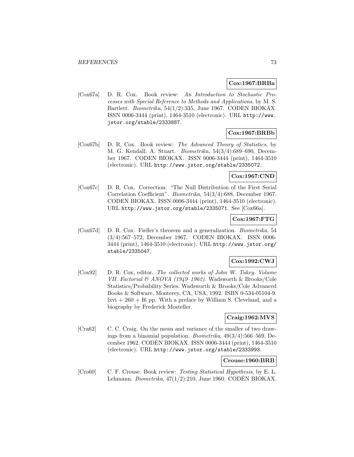#### **Cox:1967:BRBa**

[Cox67a] D. R. Cox. Book review: An Introduction to Stochastic Processes with Special Reference to Methods and Applications, by M. S. Bartlett. Biometrika, 54(1/2):335, June 1967. CODEN BIOKAX. ISSN 0006-3444 (print), 1464-3510 (electronic). URL http://www. jstor.org/stable/2333887.

# **Cox:1967:BRBb**

[Cox67b] D. R. Cox. Book review: The Advanced Theory of Statistics, by M. G. Kendall; A. Stuart. Biometrika, 54(3/4):689–690, December 1967. CODEN BIOKAX. ISSN 0006-3444 (print), 1464-3510 (electronic). URL http://www.jstor.org/stable/2335072.

### **Cox:1967:CND**

[Cox67c] D. R. Cox. Correction: "The Null Distribution of the First Serial Correlation Coefficient". Biometrika, 54(3/4):688, December 1967. CODEN BIOKAX. ISSN 0006-3444 (print), 1464-3510 (electronic). URL http://www.jstor.org/stable/2335071. See [Cox66a].

### **Cox:1967:FTG**

[Cox67d] D. R. Cox. Fieller's theorem and a generalization. Biometrika, 54 (3/4):567–572, December 1967. CODEN BIOKAX. ISSN 0006- 3444 (print), 1464-3510 (electronic). URL http://www.jstor.org/ stable/2335047.

### **Cox:1992:CWJ**

[Cox92] D. R. Cox, editor. The collected works of John W. Tukey. Volume VII. Factorial & ANOVA (1949–1962). Wadsworth & Brooks/Cole Statistics/Probability Series. Wadsworth & Brooks/Cole Advanced Books & Software, Monterey, CA, USA, 1992. ISBN 0-534-05104-9.  $l$ xvi + 260 + I6 pp. With a preface by William S. Cleveland, and a biography by Frederick Mosteller.

### **Craig:1962:MVS**

[Cra62] C. C. Craig. On the mean and variance of the smaller of two drawings from a binomial population. Biometrika, 49(3/4):566–569, December 1962. CODEN BIOKAX. ISSN 0006-3444 (print), 1464-3510 (electronic). URL http://www.jstor.org/stable/2333993.

#### **Crouse:1960:BRB**

[Cro60] C. F. Crouse. Book review: Testing Statistical Hypothesis, by E. L. Lehmann. Biometrika, 47(1/2):210, June 1960. CODEN BIOKAX.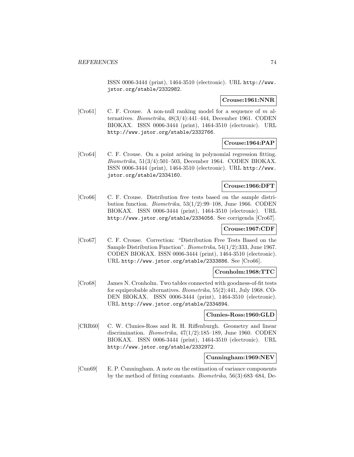ISSN 0006-3444 (print), 1464-3510 (electronic). URL http://www. jstor.org/stable/2332982.

### **Crouse:1961:NNR**

[Cro61] C. F. Crouse. A non-null ranking model for a sequence of m alternatives. Biometrika, 48(3/4):441–444, December 1961. CODEN BIOKAX. ISSN 0006-3444 (print), 1464-3510 (electronic). URL http://www.jstor.org/stable/2332766.

### **Crouse:1964:PAP**

[Cro64] C. F. Crouse. On a point arising in polynomial regression fitting. Biometrika, 51(3/4):501–503, December 1964. CODEN BIOKAX. ISSN 0006-3444 (print), 1464-3510 (electronic). URL http://www. jstor.org/stable/2334160.

### **Crouse:1966:DFT**

[Cro66] C. F. Crouse. Distribution free tests based on the sample distribution function. *Biometrika*,  $53(1/2):99-108$ , June 1966. CODEN BIOKAX. ISSN 0006-3444 (print), 1464-3510 (electronic). URL http://www.jstor.org/stable/2334056. See corrigenda [Cro67].

# **Crouse:1967:CDF**

[Cro67] C. F. Crouse. Correction: "Distribution Free Tests Based on the Sample Distribution Function". Biometrika, 54(1/2):333, June 1967. CODEN BIOKAX. ISSN 0006-3444 (print), 1464-3510 (electronic). URL http://www.jstor.org/stable/2333886. See [Cro66].

# **Cronholm:1968:TTC**

[Cro68] James N. Cronholm. Two tables connected with goodness-of-fit tests for equiprobable alternatives. Biometrika, 55(2):441, July 1968. CO-DEN BIOKAX. ISSN 0006-3444 (print), 1464-3510 (electronic). URL http://www.jstor.org/stable/2334894.

### **Clunies-Ross:1960:GLD**

[CRR60] C. W. Clunies-Ross and R. H. Riffenburgh. Geometry and linear discrimination. *Biometrika*,  $47(1/2)$ :185-189, June 1960. CODEN BIOKAX. ISSN 0006-3444 (print), 1464-3510 (electronic). URL http://www.jstor.org/stable/2332972.

# **Cunningham:1969:NEV**

[Cun69] E. P. Cunningham. A note on the estimation of variance components by the method of fitting constants. Biometrika, 56(3):683–684, De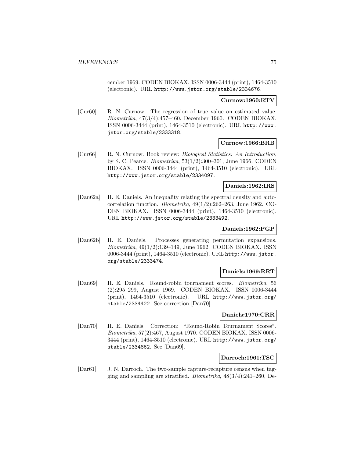cember 1969. CODEN BIOKAX. ISSN 0006-3444 (print), 1464-3510 (electronic). URL http://www.jstor.org/stable/2334676.

#### **Curnow:1960:RTV**

[Cur60] R. N. Curnow. The regression of true value on estimated value. Biometrika, 47(3/4):457–460, December 1960. CODEN BIOKAX. ISSN 0006-3444 (print), 1464-3510 (electronic). URL http://www. jstor.org/stable/2333318.

#### **Curnow:1966:BRB**

[Cur66] R. N. Curnow. Book review: Biological Statistics: An Introduction, by S. C. Pearce. Biometrika, 53(1/2):300–301, June 1966. CODEN BIOKAX. ISSN 0006-3444 (print), 1464-3510 (electronic). URL http://www.jstor.org/stable/2334097.

#### **Daniels:1962:IRS**

[Dan62a] H. E. Daniels. An inequality relating the spectral density and autocorrelation function. Biometrika, 49(1/2):262–263, June 1962. CO-DEN BIOKAX. ISSN 0006-3444 (print), 1464-3510 (electronic). URL http://www.jstor.org/stable/2333492.

### **Daniels:1962:PGP**

[Dan62b] H. E. Daniels. Processes generating permutation expansions. Biometrika, 49(1/2):139–149, June 1962. CODEN BIOKAX. ISSN 0006-3444 (print), 1464-3510 (electronic). URL http://www.jstor. org/stable/2333474.

### **Daniels:1969:RRT**

[Dan69] H. E. Daniels. Round-robin tournament scores. Biometrika, 56 (2):295–299, August 1969. CODEN BIOKAX. ISSN 0006-3444 (print), 1464-3510 (electronic). URL http://www.jstor.org/ stable/2334422. See correction [Dan70].

#### **Daniels:1970:CRR**

[Dan70] H. E. Daniels. Correction: "Round-Robin Tournament Scores". Biometrika, 57(2):467, August 1970. CODEN BIOKAX. ISSN 0006- 3444 (print), 1464-3510 (electronic). URL http://www.jstor.org/ stable/2334862. See [Dan69].

#### **Darroch:1961:TSC**

[Dar61] J. N. Darroch. The two-sample capture-recapture census when tagging and sampling are stratified. *Biometrika*,  $48(3/4):241-260$ , De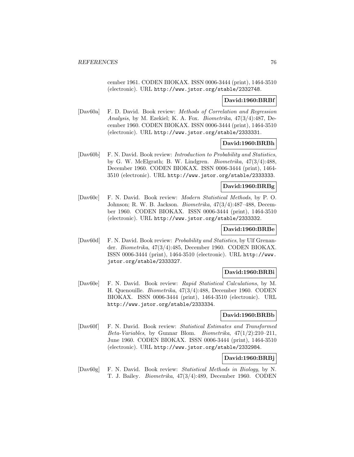cember 1961. CODEN BIOKAX. ISSN 0006-3444 (print), 1464-3510 (electronic). URL http://www.jstor.org/stable/2332748.

#### **David:1960:BRBf**

[Dav60a] F. D. David. Book review: Methods of Correlation and Regression Analysis, by M. Ezekiel; K. A. Fox. Biometrika, 47(3/4):487, December 1960. CODEN BIOKAX. ISSN 0006-3444 (print), 1464-3510 (electronic). URL http://www.jstor.org/stable/2333331.

#### **David:1960:BRBh**

[Dav60b] F. N. David. Book review: Introduction to Probability and Statistics, by G. W. McElgrath; B. W. Lindgren. Biometrika, 47(3/4):488, December 1960. CODEN BIOKAX. ISSN 0006-3444 (print), 1464- 3510 (electronic). URL http://www.jstor.org/stable/2333333.

### **David:1960:BRBg**

[Dav60c] F. N. David. Book review: Modern Statistical Methods, by P. O. Johnson; R. W. B. Jackson. Biometrika, 47(3/4):487–488, December 1960. CODEN BIOKAX. ISSN 0006-3444 (print), 1464-3510 (electronic). URL http://www.jstor.org/stable/2333332.

### **David:1960:BRBe**

[Dav60d] F. N. David. Book review: Probability and Statistics, by Ulf Grenander. Biometrika, 47(3/4):485, December 1960. CODEN BIOKAX. ISSN 0006-3444 (print), 1464-3510 (electronic). URL http://www. jstor.org/stable/2333327.

### **David:1960:BRBi**

[Dav60e] F. N. David. Book review: Rapid Statistical Calculations, by M. H. Quenouille. Biometrika, 47(3/4):488, December 1960. CODEN BIOKAX. ISSN 0006-3444 (print), 1464-3510 (electronic). URL http://www.jstor.org/stable/2333334.

### **David:1960:BRBb**

[Dav60f] F. N. David. Book review: Statistical Estimates and Transformed Beta-Variables, by Gunnar Blom. Biometrika, 47(1/2):210–211, June 1960. CODEN BIOKAX. ISSN 0006-3444 (print), 1464-3510 (electronic). URL http://www.jstor.org/stable/2332984.

## **David:1960:BRBj**

[Dav60g] F. N. David. Book review: Statistical Methods in Biology, by N. T. J. Bailey. Biometrika, 47(3/4):489, December 1960. CODEN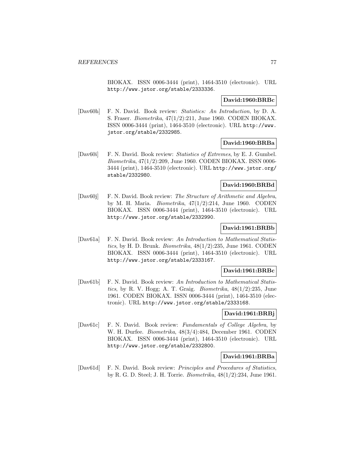BIOKAX. ISSN 0006-3444 (print), 1464-3510 (electronic). URL http://www.jstor.org/stable/2333336.

#### **David:1960:BRBc**

[Dav60h] F. N. David. Book review: Statistics: An Introduction, by D. A. S. Fraser. Biometrika, 47(1/2):211, June 1960. CODEN BIOKAX. ISSN 0006-3444 (print), 1464-3510 (electronic). URL http://www. jstor.org/stable/2332985.

#### **David:1960:BRBa**

[Dav60i] F. N. David. Book review: Statistics of Extremes, by E. J. Gumbel. Biometrika, 47(1/2):209, June 1960. CODEN BIOKAX. ISSN 0006- 3444 (print), 1464-3510 (electronic). URL http://www.jstor.org/ stable/2332980.

#### **David:1960:BRBd**

[Dav60j] F. N. David. Book review: The Structure of Arithmetic and Algebra, by M. H. Maria. Biometrika, 47(1/2):214, June 1960. CODEN BIOKAX. ISSN 0006-3444 (print), 1464-3510 (electronic). URL http://www.jstor.org/stable/2332990.

### **David:1961:BRBb**

[Dav61a] F. N. David. Book review: An Introduction to Mathematical Statistics, by H. D. Brunk. Biometrika,  $48(1/2)$ :235, June 1961. CODEN BIOKAX. ISSN 0006-3444 (print), 1464-3510 (electronic). URL http://www.jstor.org/stable/2333167.

### **David:1961:BRBc**

[Dav61b] F. N. David. Book review: An Introduction to Mathematical Statistics, by R. V. Hogg; A. T. Graig. Biometrika, 48(1/2):235, June 1961. CODEN BIOKAX. ISSN 0006-3444 (print), 1464-3510 (electronic). URL http://www.jstor.org/stable/2333168.

### **David:1961:BRBj**

[Dav61c] F. N. David. Book review: Fundamentals of College Algebra, by W. H. Durfee. Biometrika, 48(3/4):484, December 1961. CODEN BIOKAX. ISSN 0006-3444 (print), 1464-3510 (electronic). URL http://www.jstor.org/stable/2332800.

#### **David:1961:BRBa**

[Dav61d] F. N. David. Book review: Principles and Procedures of Statistics, by R. G. D. Steel; J. H. Torrie. Biometrika, 48(1/2):234, June 1961.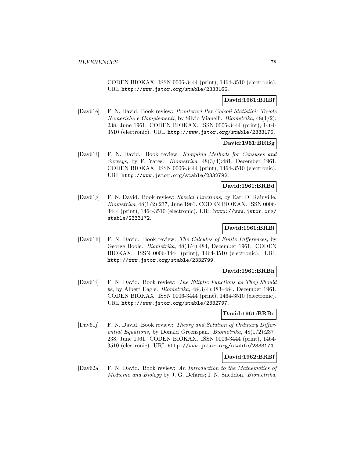CODEN BIOKAX. ISSN 0006-3444 (print), 1464-3510 (electronic). URL http://www.jstor.org/stable/2333165.

# **David:1961:BRBf**

[Dav61e] F. N. David. Book review: Pronterari Per Calcoli Statistici: Tavole Numeriche e Complementi, by Silvio Vianelli. Biometrika, 48(1/2): 238, June 1961. CODEN BIOKAX. ISSN 0006-3444 (print), 1464- 3510 (electronic). URL http://www.jstor.org/stable/2333175.

### **David:1961:BRBg**

[Dav61f] F. N. David. Book review: Sampling Methods for Censuses and Surveys, by F. Yates. Biometrika, 48(3/4):481, December 1961. CODEN BIOKAX. ISSN 0006-3444 (print), 1464-3510 (electronic). URL http://www.jstor.org/stable/2332792.

### **David:1961:BRBd**

[Dav61g] F. N. David. Book review: Special Functions, by Earl D. Rainville. Biometrika, 48(1/2):237, June 1961. CODEN BIOKAX. ISSN 0006- 3444 (print), 1464-3510 (electronic). URL http://www.jstor.org/ stable/2333172.

# **David:1961:BRBi**

[Dav61h] F. N. David. Book review: The Calculus of Finite Differences, by George Boole. Biometrika, 48(3/4):484, December 1961. CODEN BIOKAX. ISSN 0006-3444 (print), 1464-3510 (electronic). URL http://www.jstor.org/stable/2332799.

### **David:1961:BRBh**

[Dav61i] F. N. David. Book review: The Elliptic Functions as They Should be, by Albert Eagle. Biometrika, 48(3/4):483–484, December 1961. CODEN BIOKAX. ISSN 0006-3444 (print), 1464-3510 (electronic). URL http://www.jstor.org/stable/2332797.

# **David:1961:BRBe**

[Dav61j] F. N. David. Book review: Theory and Solution of Ordinary Differential Equations, by Donald Greenspan. Biometrika, 48(1/2):237– 238, June 1961. CODEN BIOKAX. ISSN 0006-3444 (print), 1464- 3510 (electronic). URL http://www.jstor.org/stable/2333174.

### **David:1962:BRBf**

[Dav62a] F. N. David. Book review: An Introduction to the Mathematics of Medicine and Biology by J. G. Defares; I. N. Sneddon. Biometrika,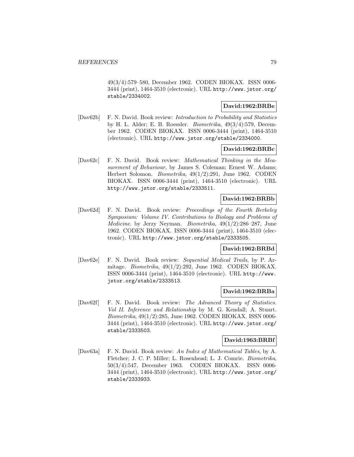49(3/4):579–580, December 1962. CODEN BIOKAX. ISSN 0006- 3444 (print), 1464-3510 (electronic). URL http://www.jstor.org/ stable/2334002.

### **David:1962:BRBe**

[Dav62b] F. N. David. Book review: Introduction to Probability and Statistics by H. L. Alder; E. B. Roessler. Biometrika, 49(3/4):579, December 1962. CODEN BIOKAX. ISSN 0006-3444 (print), 1464-3510 (electronic). URL http://www.jstor.org/stable/2334000.

#### **David:1962:BRBc**

[Dav62c] F. N. David. Book review: Mathematical Thinking in the Measurement of Behaviour, by James S. Coleman; Ernest W. Adams; Herbert Solomon. Biometrika, 49(1/2):291, June 1962. CODEN BIOKAX. ISSN 0006-3444 (print), 1464-3510 (electronic). URL http://www.jstor.org/stable/2333511.

### **David:1962:BRBb**

[Dav62d] F. N. David. Book review: Proceedings of the Fourth Berkeley Symposium: Volume IV. Contributions to Biology and Problems of Medicine. by Jerzy Neyman. Biometrika, 49(1/2):286–287, June 1962. CODEN BIOKAX. ISSN 0006-3444 (print), 1464-3510 (electronic). URL http://www.jstor.org/stable/2333505.

### **David:1962:BRBd**

[Dav62e] F. N. David. Book review: Sequential Medical Trails, by P. Armitage. Biometrika, 49(1/2):292, June 1962. CODEN BIOKAX. ISSN 0006-3444 (print), 1464-3510 (electronic). URL http://www. jstor.org/stable/2333513.

#### **David:1962:BRBa**

[Dav62f] F. N. David. Book review: The Advanced Theory of Statistics. Vol II. Inference and Relationship by M. G. Kendall; A. Stuart. Biometrika, 49(1/2):285, June 1962. CODEN BIOKAX. ISSN 0006- 3444 (print), 1464-3510 (electronic). URL http://www.jstor.org/ stable/2333503.

#### **David:1963:BRBf**

[Dav63a] F. N. David. Book review: An Index of Mathematical Tables, by A. Fletcher; J. C. P. Miller; L. Rosenhead; L. J. Comrie. Biometrika, 50(3/4):547, December 1963. CODEN BIOKAX. ISSN 0006- 3444 (print), 1464-3510 (electronic). URL http://www.jstor.org/ stable/2333933.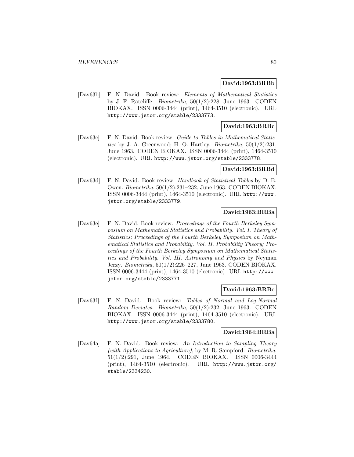#### **David:1963:BRBb**

[Dav63b] F. N. David. Book review: Elements of Mathematical Statistics by J. F. Ratcliffe. *Biometrika*,  $50(1/2):228$ , June 1963. CODEN BIOKAX. ISSN 0006-3444 (print), 1464-3510 (electronic). URL http://www.jstor.org/stable/2333773.

### **David:1963:BRBc**

[Dav63c] F. N. David. Book review: Guide to Tables in Mathematical Statistics by J. A. Greenwood; H. O. Hartley. *Biometrika*,  $50(1/2):231$ , June 1963. CODEN BIOKAX. ISSN 0006-3444 (print), 1464-3510 (electronic). URL http://www.jstor.org/stable/2333778.

#### **David:1963:BRBd**

[Dav63d] F. N. David. Book review: Handbook of Statistical Tables by D. B. Owen. Biometrika, 50(1/2):231–232, June 1963. CODEN BIOKAX. ISSN 0006-3444 (print), 1464-3510 (electronic). URL http://www. jstor.org/stable/2333779.

### **David:1963:BRBa**

[Dav63e] F. N. David. Book review: Proceedings of the Fourth Berkeley Symposium on Mathematical Statistics and Probability. Vol. I. Theory of Statistics; Proceedings of the Fourth Berkeley Symposium on Mathematical Statistics and Probability. Vol. II. Probability Theory; Proceedings of the Fourth Berkeley Symposium on Mathematical Statistics and Probability. Vol. III. Astronomy and Physics by Neyman Jerzy. Biometrika, 50(1/2):226–227, June 1963. CODEN BIOKAX. ISSN 0006-3444 (print), 1464-3510 (electronic). URL http://www. jstor.org/stable/2333771.

#### **David:1963:BRBe**

[Dav63f] F. N. David. Book review: Tables of Normal and Log-Normal Random Deviates. Biometrika, 50(1/2):232, June 1963. CODEN BIOKAX. ISSN 0006-3444 (print), 1464-3510 (electronic). URL http://www.jstor.org/stable/2333780.

### **David:1964:BRBa**

[Dav64a] F. N. David. Book review: An Introduction to Sampling Theory (with Applications to Agriculture), by M. R. Sampford. Biometrika, 51(1/2):291, June 1964. CODEN BIOKAX. ISSN 0006-3444 (print), 1464-3510 (electronic). URL http://www.jstor.org/ stable/2334230.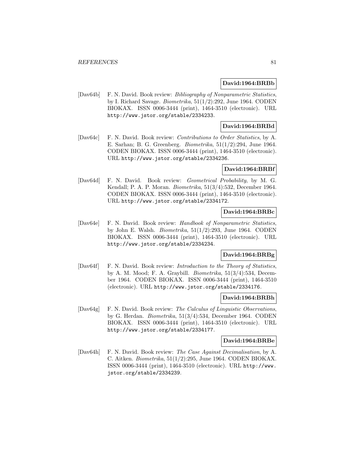#### **David:1964:BRBb**

[Dav64b] F. N. David. Book review: Bibliography of Nonparametric Statistics, by I. Richard Savage. Biometrika, 51(1/2):292, June 1964. CODEN BIOKAX. ISSN 0006-3444 (print), 1464-3510 (electronic). URL http://www.jstor.org/stable/2334233.

### **David:1964:BRBd**

[Dav64c] F. N. David. Book review: Contributions to Order Statistics, by A. E. Sarhan; B. G. Greenberg. Biometrika, 51(1/2):294, June 1964. CODEN BIOKAX. ISSN 0006-3444 (print), 1464-3510 (electronic). URL http://www.jstor.org/stable/2334236.

### **David:1964:BRBf**

[Dav64d] F. N. David. Book review: Geometrical Probability, by M. G. Kendall; P. A. P. Moran. Biometrika, 51(3/4):532, December 1964. CODEN BIOKAX. ISSN 0006-3444 (print), 1464-3510 (electronic). URL http://www.jstor.org/stable/2334172.

#### **David:1964:BRBc**

[Dav64e] F. N. David. Book review: Handbook of Nonparametric Statistics, by John E. Walsh. Biometrika, 51(1/2):293, June 1964. CODEN BIOKAX. ISSN 0006-3444 (print), 1464-3510 (electronic). URL http://www.jstor.org/stable/2334234.

## **David:1964:BRBg**

[Dav64f] F. N. David. Book review: Introduction to the Theory of Statistics, by A. M. Mood; F. A. Graybill. Biometrika, 51(3/4):534, December 1964. CODEN BIOKAX. ISSN 0006-3444 (print), 1464-3510 (electronic). URL http://www.jstor.org/stable/2334176.

#### **David:1964:BRBh**

[Dav64g] F. N. David. Book review: The Calculus of Linguistic Observations, by G. Herdan. Biometrika, 51(3/4):534, December 1964. CODEN BIOKAX. ISSN 0006-3444 (print), 1464-3510 (electronic). URL http://www.jstor.org/stable/2334177.

#### **David:1964:BRBe**

[Dav64h] F. N. David. Book review: The Case Against Decimalisation, by A. C. Aitken. Biometrika, 51(1/2):295, June 1964. CODEN BIOKAX. ISSN 0006-3444 (print), 1464-3510 (electronic). URL http://www. jstor.org/stable/2334239.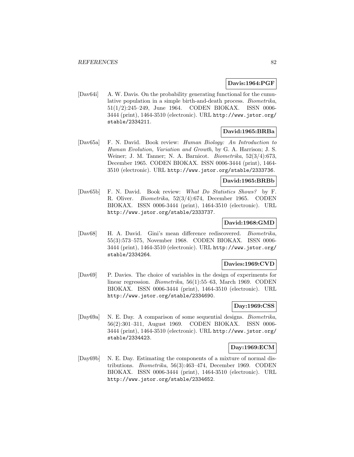### **Davis:1964:PGF**

[Dav64i] A. W. Davis. On the probability generating functional for the cumulative population in a simple birth-and-death process. Biometrika, 51(1/2):245–249, June 1964. CODEN BIOKAX. ISSN 0006- 3444 (print), 1464-3510 (electronic). URL http://www.jstor.org/ stable/2334211.

#### **David:1965:BRBa**

[Dav65a] F. N. David. Book review: Human Biology: An Introduction to Human Evolution, Variation and Growth, by G. A. Harrison; J. S. Weiner; J. M. Tanner; N. A. Barnicot. Biometrika, 52(3/4):673, December 1965. CODEN BIOKAX. ISSN 0006-3444 (print), 1464- 3510 (electronic). URL http://www.jstor.org/stable/2333736.

## **David:1965:BRBb**

[Dav65b] F. N. David. Book review: What Do Statistics Shows? by F. R. Oliver. Biometrika, 52(3/4):674, December 1965. CODEN BIOKAX. ISSN 0006-3444 (print), 1464-3510 (electronic). URL http://www.jstor.org/stable/2333737.

## **David:1968:GMD**

[Dav68] H. A. David. Gini's mean difference rediscovered. Biometrika, 55(3):573–575, November 1968. CODEN BIOKAX. ISSN 0006- 3444 (print), 1464-3510 (electronic). URL http://www.jstor.org/ stable/2334264.

#### **Davies:1969:CVD**

[Dav69] P. Davies. The choice of variables in the design of experiments for linear regression. *Biometrika*, 56(1):55–63, March 1969. CODEN BIOKAX. ISSN 0006-3444 (print), 1464-3510 (electronic). URL http://www.jstor.org/stable/2334690.

## **Day:1969:CSS**

[Day69a] N. E. Day. A comparison of some sequential designs. Biometrika, 56(2):301–311, August 1969. CODEN BIOKAX. ISSN 0006- 3444 (print), 1464-3510 (electronic). URL http://www.jstor.org/ stable/2334423.

### **Day:1969:ECM**

[Day69b] N. E. Day. Estimating the components of a mixture of normal distributions. Biometrika, 56(3):463–474, December 1969. CODEN BIOKAX. ISSN 0006-3444 (print), 1464-3510 (electronic). URL http://www.jstor.org/stable/2334652.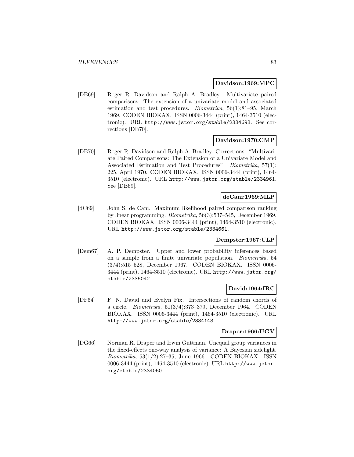#### **Davidson:1969:MPC**

[DB69] Roger R. Davidson and Ralph A. Bradley. Multivariate paired comparisons: The extension of a univariate model and associated estimation and test procedures. Biometrika, 56(1):81–95, March 1969. CODEN BIOKAX. ISSN 0006-3444 (print), 1464-3510 (electronic). URL http://www.jstor.org/stable/2334693. See corrections [DB70].

#### **Davidson:1970:CMP**

[DB70] Roger R. Davidson and Ralph A. Bradley. Corrections: "Multivariate Paired Comparisons: The Extension of a Univariate Model and Associated Estimation and Test Procedures". Biometrika, 57(1): 225, April 1970. CODEN BIOKAX. ISSN 0006-3444 (print), 1464- 3510 (electronic). URL http://www.jstor.org/stable/2334961. See [DB69].

### **deCani:1969:MLP**

[dC69] John S. de Cani. Maximum likelihood paired comparison ranking by linear programming. Biometrika, 56(3):537–545, December 1969. CODEN BIOKAX. ISSN 0006-3444 (print), 1464-3510 (electronic). URL http://www.jstor.org/stable/2334661.

### **Dempster:1967:ULP**

[Dem67] A. P. Dempster. Upper and lower probability inferences based on a sample from a finite univariate population. Biometrika, 54 (3/4):515–528, December 1967. CODEN BIOKAX. ISSN 0006- 3444 (print), 1464-3510 (electronic). URL http://www.jstor.org/ stable/2335042.

### **David:1964:IRC**

[DF64] F. N. David and Evelyn Fix. Intersections of random chords of a circle. Biometrika, 51(3/4):373–379, December 1964. CODEN BIOKAX. ISSN 0006-3444 (print), 1464-3510 (electronic). URL http://www.jstor.org/stable/2334143.

### **Draper:1966:UGV**

[DG66] Norman R. Draper and Irwin Guttman. Unequal group variances in the fixed-effects one-way analysis of variance: A Bayesian sidelight. Biometrika, 53(1/2):27–35, June 1966. CODEN BIOKAX. ISSN 0006-3444 (print), 1464-3510 (electronic). URL http://www.jstor. org/stable/2334050.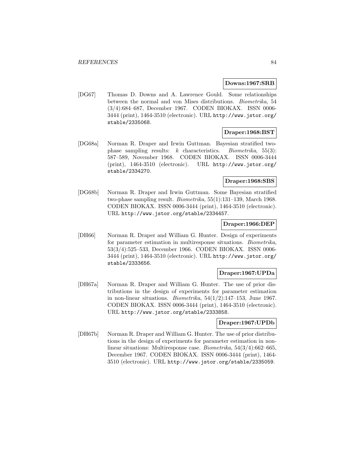#### **Downs:1967:SRB**

[DG67] Thomas D. Downs and A. Lawrence Gould. Some relationships between the normal and von Mises distributions. Biometrika, 54 (3/4):684–687, December 1967. CODEN BIOKAX. ISSN 0006- 3444 (print), 1464-3510 (electronic). URL http://www.jstor.org/ stable/2335068.

### **Draper:1968:BST**

[DG68a] Norman R. Draper and Irwin Guttman. Bayesian stratified twophase sampling results: k characteristics. *Biometrika*,  $55(3)$ : 587–589, November 1968. CODEN BIOKAX. ISSN 0006-3444 (print), 1464-3510 (electronic). URL http://www.jstor.org/ stable/2334270.

# **Draper:1968:SBS**

[DG68b] Norman R. Draper and Irwin Guttman. Some Bayesian stratified two-phase sampling result. Biometrika, 55(1):131–139, March 1968. CODEN BIOKAX. ISSN 0006-3444 (print), 1464-3510 (electronic). URL http://www.jstor.org/stable/2334457.

# **Draper:1966:DEP**

[DH66] Norman R. Draper and William G. Hunter. Design of experiments for parameter estimation in multiresponse situations. Biometrika, 53(3/4):525–533, December 1966. CODEN BIOKAX. ISSN 0006- 3444 (print), 1464-3510 (electronic). URL http://www.jstor.org/ stable/2333656.

### **Draper:1967:UPDa**

[DH67a] Norman R. Draper and William G. Hunter. The use of prior distributions in the design of experiments for parameter estimation in non-linear situations. *Biometrika*,  $54(1/2):147-153$ , June 1967. CODEN BIOKAX. ISSN 0006-3444 (print), 1464-3510 (electronic). URL http://www.jstor.org/stable/2333858.

### **Draper:1967:UPDb**

[DH67b] Norman R. Draper and William G. Hunter. The use of prior distributions in the design of experiments for parameter estimation in nonlinear situations: Multiresponse case. Biometrika, 54(3/4):662–665, December 1967. CODEN BIOKAX. ISSN 0006-3444 (print), 1464- 3510 (electronic). URL http://www.jstor.org/stable/2335059.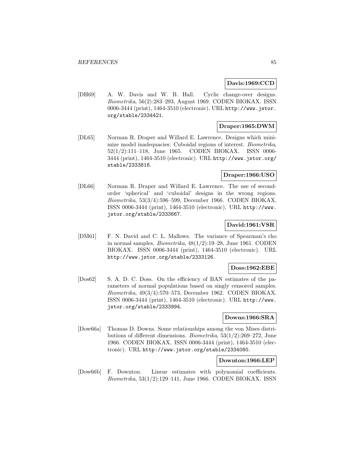### **Davis:1969:CCD**

[DH69] A. W. Davis and W. B. Hall. Cyclic change-over designs. Biometrika, 56(2):283–293, August 1969. CODEN BIOKAX. ISSN 0006-3444 (print), 1464-3510 (electronic). URL http://www.jstor. org/stable/2334421.

# **Draper:1965:DWM**

[DL65] Norman R. Draper and Willard E. Lawrence. Designs which minimize model inadequacies: Cuboidal regions of interest. Biometrika, 52(1/2):111–118, June 1965. CODEN BIOKAX. ISSN 0006- 3444 (print), 1464-3510 (electronic). URL http://www.jstor.org/ stable/2333816.

### **Draper:1966:USO**

[DL66] Norman R. Draper and Willard E. Lawrence. The use of secondorder 'spherical' and 'cuboidal' designs in the wrong regions. Biometrika, 53(3/4):596–599, December 1966. CODEN BIOKAX. ISSN 0006-3444 (print), 1464-3510 (electronic). URL http://www. jstor.org/stable/2333667.

### **David:1961:VSR**

[DM61] F. N. David and C. L. Mallows. The variance of Spearman's rho in normal samples. Biometrika, 48(1/2):19–28, June 1961. CODEN BIOKAX. ISSN 0006-3444 (print), 1464-3510 (electronic). URL http://www.jstor.org/stable/2333126.

#### **Doss:1962:EBE**

[Dos62] S. A. D. C. Doss. On the efficiency of BAN estimates of the parameters of normal populations based on singly censored samples. Biometrika, 49(3/4):570–573, December 1962. CODEN BIOKAX. ISSN 0006-3444 (print), 1464-3510 (electronic). URL http://www. jstor.org/stable/2333994.

### **Downs:1966:SRA**

[Dow66a] Thomas D. Downs. Some relationships among the von Mises distributions of different dimensions. Biometrika, 53(1/2):269–272, June 1966. CODEN BIOKAX. ISSN 0006-3444 (print), 1464-3510 (electronic). URL http://www.jstor.org/stable/2334080.

#### **Downton:1966:LEP**

[Dow66b] F. Downton. Linear estimates with polynomial coefficients. Biometrika, 53(1/2):129–141, June 1966. CODEN BIOKAX. ISSN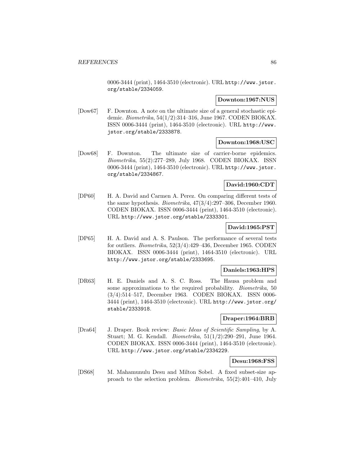0006-3444 (print), 1464-3510 (electronic). URL http://www.jstor. org/stable/2334059.

#### **Downton:1967:NUS**

[Dow67] F. Downton. A note on the ultimate size of a general stochastic epidemic. Biometrika, 54(1/2):314–316, June 1967. CODEN BIOKAX. ISSN 0006-3444 (print), 1464-3510 (electronic). URL http://www. jstor.org/stable/2333878.

## **Downton:1968:USC**

[Dow68] F. Downton. The ultimate size of carrier-borne epidemics. Biometrika, 55(2):277–289, July 1968. CODEN BIOKAX. ISSN 0006-3444 (print), 1464-3510 (electronic). URL http://www.jstor. org/stable/2334867.

# **David:1960:CDT**

[DP60] H. A. David and Carmen A. Perez. On comparing different tests of the same hypothesis. Biometrika, 47(3/4):297–306, December 1960. CODEN BIOKAX. ISSN 0006-3444 (print), 1464-3510 (electronic). URL http://www.jstor.org/stable/2333301.

# **David:1965:PST**

[DP65] H. A. David and A. S. Paulson. The performance of several tests for outliers. Biometrika, 52(3/4):429–436, December 1965. CODEN BIOKAX. ISSN 0006-3444 (print), 1464-3510 (electronic). URL http://www.jstor.org/stable/2333695.

### **Daniels:1963:HPS**

[DR63] H. E. Daniels and A. S. C. Ross. The Hausa problem and some approximations to the required probability. Biometrika, 50 (3/4):514–517, December 1963. CODEN BIOKAX. ISSN 0006- 3444 (print), 1464-3510 (electronic). URL http://www.jstor.org/ stable/2333918.

### **Draper:1964:BRB**

[Dra64] J. Draper. Book review: Basic Ideas of Scientific Sampling, by A. Stuart; M. G. Kendall. Biometrika, 51(1/2):290–291, June 1964. CODEN BIOKAX. ISSN 0006-3444 (print), 1464-3510 (electronic). URL http://www.jstor.org/stable/2334229.

# **Desu:1968:FSS**

[DS68] M. Mahamunulu Desu and Milton Sobel. A fixed subset-size approach to the selection problem. Biometrika, 55(2):401–410, July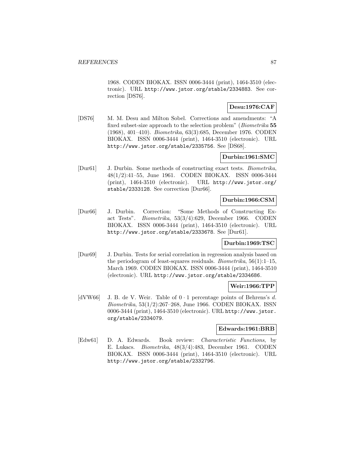1968. CODEN BIOKAX. ISSN 0006-3444 (print), 1464-3510 (electronic). URL http://www.jstor.org/stable/2334883. See correction [DS76].

## **Desu:1976:CAF**

[DS76] M. M. Desu and Milton Sobel. Corrections and amendments: "A fixed subset-size approach to the selection problem" (Biometrika **55** (1968), 401–410). Biometrika, 63(3):685, December 1976. CODEN BIOKAX. ISSN 0006-3444 (print), 1464-3510 (electronic). URL http://www.jstor.org/stable/2335756. See [DS68].

### **Durbin:1961:SMC**

[Dur61] J. Durbin. Some methods of constructing exact tests. Biometrika, 48(1/2):41–55, June 1961. CODEN BIOKAX. ISSN 0006-3444 (print), 1464-3510 (electronic). URL http://www.jstor.org/ stable/2333128. See correction [Dur66].

### **Durbin:1966:CSM**

[Dur66] J. Durbin. Correction: "Some Methods of Constructing Exact Tests". Biometrika, 53(3/4):629, December 1966. CODEN BIOKAX. ISSN 0006-3444 (print), 1464-3510 (electronic). URL http://www.jstor.org/stable/2333678. See [Dur61].

# **Durbin:1969:TSC**

[Dur69] J. Durbin. Tests for serial correlation in regression analysis based on the periodogram of least-squares residuals. *Biometrika*,  $56(1):1-15$ , March 1969. CODEN BIOKAX. ISSN 0006-3444 (print), 1464-3510 (electronic). URL http://www.jstor.org/stable/2334686.

### **Weir:1966:TPP**

[dVW66] J. B. de V. Weir. Table of  $0 \cdot 1$  percentage points of Behrens's d. Biometrika, 53(1/2):267–268, June 1966. CODEN BIOKAX. ISSN 0006-3444 (print), 1464-3510 (electronic). URL http://www.jstor. org/stable/2334079.

### **Edwards:1961:BRB**

[Edw61] D. A. Edwards. Book review: Characteristic Functions, by E. Lukacs. Biometrika, 48(3/4):483, December 1961. CODEN BIOKAX. ISSN 0006-3444 (print), 1464-3510 (electronic). URL http://www.jstor.org/stable/2332796.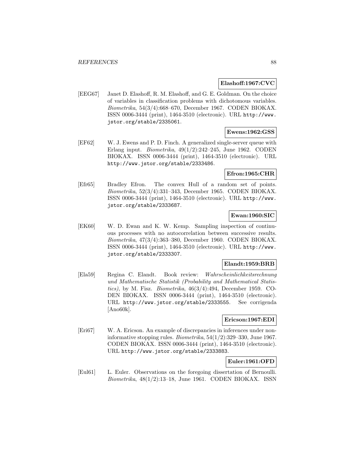### **Elashoff:1967:CVC**

[EEG67] Janet D. Elashoff, R. M. Elashoff, and G. E. Goldman. On the choice of variables in classification problems with dichotomous variables. Biometrika, 54(3/4):668–670, December 1967. CODEN BIOKAX. ISSN 0006-3444 (print), 1464-3510 (electronic). URL http://www. jstor.org/stable/2335061.

# **Ewens:1962:GSS**

[EF62] W. J. Ewens and P. D. Finch. A generalized single-server queue with Erlang input. Biometrika, 49(1/2):242–245, June 1962. CODEN BIOKAX. ISSN 0006-3444 (print), 1464-3510 (electronic). URL http://www.jstor.org/stable/2333486.

### **Efron:1965:CHR**

[Efr65] Bradley Efron. The convex Hull of a random set of points. Biometrika, 52(3/4):331–343, December 1965. CODEN BIOKAX. ISSN 0006-3444 (print), 1464-3510 (electronic). URL http://www. jstor.org/stable/2333687.

### **Ewan:1960:SIC**

[EK60] W. D. Ewan and K. W. Kemp. Sampling inspection of continuous processes with no autocorrelation between successive results. Biometrika, 47(3/4):363–380, December 1960. CODEN BIOKAX. ISSN 0006-3444 (print), 1464-3510 (electronic). URL http://www. jstor.org/stable/2333307.

### **Elandt:1959:BRB**

[Ela59] Regina C. Elandt. Book review: Wahrscheinlichkeitsrechnung und Mathematische Statistik (Probability and Mathematical Statistics), by M. Fisz. Biometrika,  $46(3/4):494$ , December 1959. CO-DEN BIOKAX. ISSN 0006-3444 (print), 1464-3510 (electronic). URL http://www.jstor.org/stable/2333555. See corrigenda [Ano60k].

### **Ericson:1967:EDI**

[Eri67] W. A. Ericson. An example of discrepancies in inferences under noninformative stopping rules. *Biometrika*,  $54(1/2)$ :329–330, June 1967. CODEN BIOKAX. ISSN 0006-3444 (print), 1464-3510 (electronic). URL http://www.jstor.org/stable/2333883.

# **Euler:1961:OFD**

[Eul61] L. Euler. Observations on the foregoing dissertation of Bernoulli.  $Biometrika$ ,  $48(1/2):13-18$ , June 1961. CODEN BIOKAX. ISSN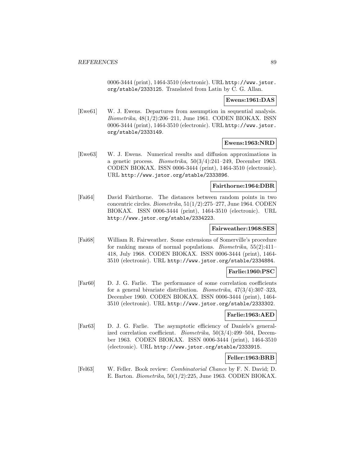0006-3444 (print), 1464-3510 (electronic). URL http://www.jstor. org/stable/2333125. Translated from Latin by C. G. Allan.

### **Ewens:1961:DAS**

[Ewe61] W. J. Ewens. Departures from assumption in sequential analysis. Biometrika, 48(1/2):206–211, June 1961. CODEN BIOKAX. ISSN 0006-3444 (print), 1464-3510 (electronic). URL http://www.jstor. org/stable/2333149.

### **Ewens:1963:NRD**

[Ewe63] W. J. Ewens. Numerical results and diffusion approximations in a genetic process. *Biometrika*,  $50(3/4):241-249$ , December 1963. CODEN BIOKAX. ISSN 0006-3444 (print), 1464-3510 (electronic). URL http://www.jstor.org/stable/2333896.

#### **Fairthorne:1964:DBR**

[Fai64] David Fairthorne. The distances between random points in two concentric circles. Biometrika, 51(1/2):275–277, June 1964. CODEN BIOKAX. ISSN 0006-3444 (print), 1464-3510 (electronic). URL http://www.jstor.org/stable/2334223.

### **Fairweather:1968:SES**

[Fai68] William R. Fairweather. Some extensions of Somerville's procedure for ranking means of normal populations. Biometrika, 55(2):411– 418, July 1968. CODEN BIOKAX. ISSN 0006-3444 (print), 1464- 3510 (electronic). URL http://www.jstor.org/stable/2334884.

### **Farlie:1960:PSC**

[Far60] D. J. G. Farlie. The performance of some correlation coefficients for a general bivariate distribution. *Biometrika*,  $47(3/4):307-323$ , December 1960. CODEN BIOKAX. ISSN 0006-3444 (print), 1464- 3510 (electronic). URL http://www.jstor.org/stable/2333302.

#### **Farlie:1963:AED**

[Far63] D. J. G. Farlie. The asymptotic efficiency of Daniels's generalized correlation coefficient. Biometrika, 50(3/4):499–504, December 1963. CODEN BIOKAX. ISSN 0006-3444 (print), 1464-3510 (electronic). URL http://www.jstor.org/stable/2333915.

### **Feller:1963:BRB**

[Fel63] W. Feller. Book review: Combinatorial Chance by F. N. David; D. E. Barton. Biometrika, 50(1/2):225, June 1963. CODEN BIOKAX.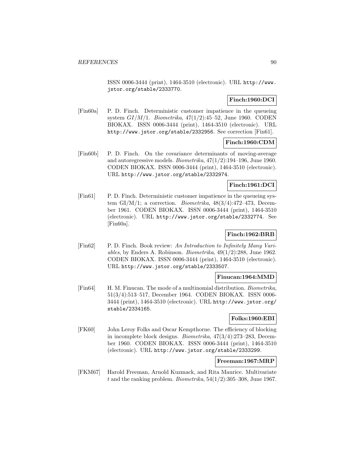ISSN 0006-3444 (print), 1464-3510 (electronic). URL http://www. jstor.org/stable/2333770.

# **Finch:1960:DCI**

[Fin60a] P. D. Finch. Deterministic customer impatience in the queueing system  $GI/M/1$ . Biometrika,  $47(1/2)$ :45–52, June 1960. CODEN BIOKAX. ISSN 0006-3444 (print), 1464-3510 (electronic). URL http://www.jstor.org/stable/2332956. See correction [Fin61].

# **Finch:1960:CDM**

[Fin60b] P. D. Finch. On the covariance determinants of moving-average and autoregressive models. Biometrika, 47(1/2):194–196, June 1960. CODEN BIOKAX. ISSN 0006-3444 (print), 1464-3510 (electronic). URL http://www.jstor.org/stable/2332974.

# **Finch:1961:DCI**

[Fin61] P. D. Finch. Deterministic customer impatience in the queueing system GI/M/1; a correction. Biometrika,  $48(3/4)$ :472-473, December 1961. CODEN BIOKAX. ISSN 0006-3444 (print), 1464-3510 (electronic). URL http://www.jstor.org/stable/2332774. See [Fin60a].

# **Finch:1962:BRB**

[Fin62] P. D. Finch. Book review: An Introduction to Infinitely Many Variables, by Enders A. Robinson. Biometrika, 49(1/2):288, June 1962. CODEN BIOKAX. ISSN 0006-3444 (print), 1464-3510 (electronic). URL http://www.jstor.org/stable/2333507.

# **Finucan:1964:MMD**

[Fin64] H. M. Finucan. The mode of a multinomial distribution. Biometrika, 51(3/4):513–517, December 1964. CODEN BIOKAX. ISSN 0006- 3444 (print), 1464-3510 (electronic). URL http://www.jstor.org/ stable/2334165.

# **Folks:1960:EBI**

[FK60] John Leroy Folks and Oscar Kempthorne. The efficiency of blocking in incomplete block designs. Biometrika, 47(3/4):273–283, December 1960. CODEN BIOKAX. ISSN 0006-3444 (print), 1464-3510 (electronic). URL http://www.jstor.org/stable/2333299.

# **Freeman:1967:MRP**

[FKM67] Harold Freeman, Arnold Kuzmack, and Rita Maurice. Multivariate t and the ranking problem. *Biometrika*,  $54(1/2)$ :305–308, June 1967.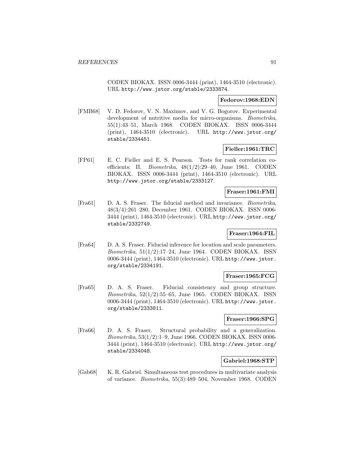CODEN BIOKAX. ISSN 0006-3444 (print), 1464-3510 (electronic). URL http://www.jstor.org/stable/2333874.

#### **Fedorov:1968:EDN**

[FMB68] V. D. Fedorov, V. N. Maximov, and V. G. Bogorov. Experimental development of nutritive media for micro-organisms. *Biometrika*, 55(1):43–51, March 1968. CODEN BIOKAX. ISSN 0006-3444 (print), 1464-3510 (electronic). URL http://www.jstor.org/ stable/2334451.

### **Fieller:1961:TRC**

[FP61] E. C. Fieller and E. S. Pearson. Tests for rank correlation coefficients: II. Biometrika, 48(1/2):29–40, June 1961. CODEN BIOKAX. ISSN 0006-3444 (print), 1464-3510 (electronic). URL http://www.jstor.org/stable/2333127.

#### **Fraser:1961:FMI**

[Fra61] D. A. S. Fraser. The fiducial method and invariance. Biometrika, 48(3/4):261–280, December 1961. CODEN BIOKAX. ISSN 0006- 3444 (print), 1464-3510 (electronic). URL http://www.jstor.org/ stable/2332749.

### **Fraser:1964:FIL**

[Fra64] D. A. S. Fraser. Fiducial inference for location and scale parameters. Biometrika, 51(1/2):17–24, June 1964. CODEN BIOKAX. ISSN 0006-3444 (print), 1464-3510 (electronic). URL http://www.jstor. org/stable/2334191.

### **Fraser:1965:FCG**

[Fra65] D. A. S. Fraser. Fiducial consistency and group structure. Biometrika, 52(1/2):55–65, June 1965. CODEN BIOKAX. ISSN 0006-3444 (print), 1464-3510 (electronic). URL http://www.jstor. org/stable/2333811.

### **Fraser:1966:SPG**

[Fra66] D. A. S. Fraser. Structural probability and a generalization. Biometrika, 53(1/2):1–9, June 1966. CODEN BIOKAX. ISSN 0006- 3444 (print), 1464-3510 (electronic). URL http://www.jstor.org/ stable/2334048.

### **Gabriel:1968:STP**

[Gab68] K. R. Gabriel. Simultaneous test procedures in multivariate analysis of variance. Biometrika, 55(3):489–504, November 1968. CODEN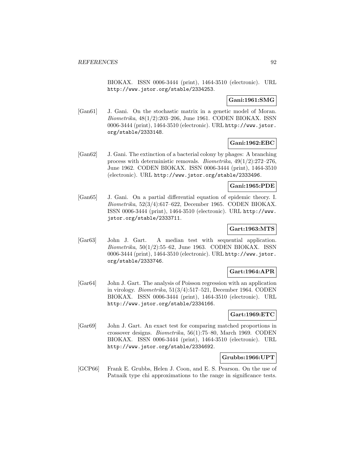BIOKAX. ISSN 0006-3444 (print), 1464-3510 (electronic). URL http://www.jstor.org/stable/2334253.

## **Gani:1961:SMG**

[Gan61] J. Gani. On the stochastic matrix in a genetic model of Moran. Biometrika, 48(1/2):203–206, June 1961. CODEN BIOKAX. ISSN 0006-3444 (print), 1464-3510 (electronic). URL http://www.jstor. org/stable/2333148.

# **Gani:1962:EBC**

[Gan62] J. Gani. The extinction of a bacterial colony by phages: A branching process with deterministic removals. Biometrika, 49(1/2):272–276, June 1962. CODEN BIOKAX. ISSN 0006-3444 (print), 1464-3510 (electronic). URL http://www.jstor.org/stable/2333496.

### **Gani:1965:PDE**

[Gan65] J. Gani. On a partial differential equation of epidemic theory. I. Biometrika, 52(3/4):617–622, December 1965. CODEN BIOKAX. ISSN 0006-3444 (print), 1464-3510 (electronic). URL http://www. jstor.org/stable/2333711.

# **Gart:1963:MTS**

[Gar63] John J. Gart. A median test with sequential application.  $Biometrika$ ,  $50(1/2):55–62$ , June 1963. CODEN BIOKAX. ISSN 0006-3444 (print), 1464-3510 (electronic). URL http://www.jstor. org/stable/2333746.

# **Gart:1964:APR**

[Gar64] John J. Gart. The analysis of Poisson regression with an application in virology. Biometrika, 51(3/4):517–521, December 1964. CODEN BIOKAX. ISSN 0006-3444 (print), 1464-3510 (electronic). URL http://www.jstor.org/stable/2334166.

### **Gart:1969:ETC**

[Gar69] John J. Gart. An exact test for comparing matched proportions in crossover designs. Biometrika, 56(1):75–80, March 1969. CODEN BIOKAX. ISSN 0006-3444 (print), 1464-3510 (electronic). URL http://www.jstor.org/stable/2334692.

### **Grubbs:1966:UPT**

[GCP66] Frank E. Grubbs, Helen J. Coon, and E. S. Pearson. On the use of Patnaik type chi approximations to the range in significance tests.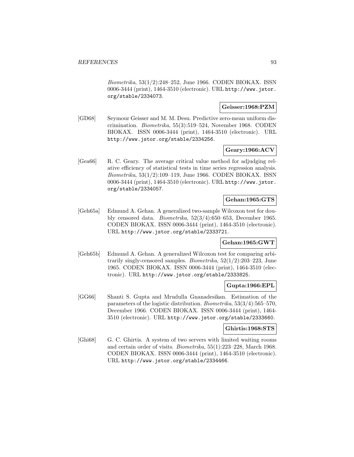Biometrika, 53(1/2):248–252, June 1966. CODEN BIOKAX. ISSN 0006-3444 (print), 1464-3510 (electronic). URL http://www.jstor. org/stable/2334073.

### **Geisser:1968:PZM**

[GD68] Seymour Geisser and M. M. Desu. Predictive zero-mean uniform discrimination. Biometrika, 55(3):519–524, November 1968. CODEN BIOKAX. ISSN 0006-3444 (print), 1464-3510 (electronic). URL http://www.jstor.org/stable/2334256.

### **Geary:1966:ACV**

[Gea66] R. C. Geary. The average critical value method for adjudging relative efficiency of statistical tests in time series regression analysis. Biometrika, 53(1/2):109–119, June 1966. CODEN BIOKAX. ISSN 0006-3444 (print), 1464-3510 (electronic). URL http://www.jstor. org/stable/2334057.

# **Gehan:1965:GTS**

[Geh65a] Edmund A. Gehan. A generalized two-sample Wilcoxon test for doubly censored data. Biometrika, 52(3/4):650–653, December 1965. CODEN BIOKAX. ISSN 0006-3444 (print), 1464-3510 (electronic). URL http://www.jstor.org/stable/2333721.

# **Gehan:1965:GWT**

[Geh65b] Edmund A. Gehan. A generalized Wilcoxon test for comparing arbitrarily singly-censored samples. Biometrika, 52(1/2):203–223, June 1965. CODEN BIOKAX. ISSN 0006-3444 (print), 1464-3510 (electronic). URL http://www.jstor.org/stable/2333825.

# **Gupta:1966:EPL**

[GG66] Shanti S. Gupta and Mrudulla Gnanadesikan. Estimation of the parameters of the logistic distribution. Biometrika, 53(3/4):565–570, December 1966. CODEN BIOKAX. ISSN 0006-3444 (print), 1464- 3510 (electronic). URL http://www.jstor.org/stable/2333660.

### **Ghirtis:1968:STS**

[Ghi68] G. C. Ghirtis. A system of two servers with limited waiting rooms and certain order of visits. Biometrika, 55(1):223–228, March 1968. CODEN BIOKAX. ISSN 0006-3444 (print), 1464-3510 (electronic). URL http://www.jstor.org/stable/2334466.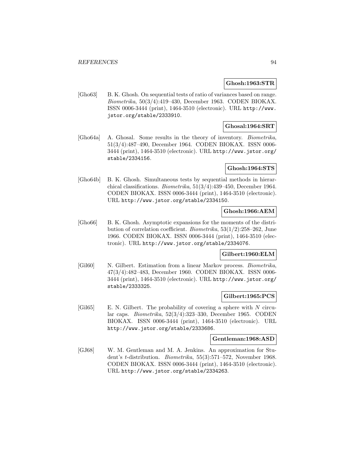#### **Ghosh:1963:STR**

[Gho63] B. K. Ghosh. On sequential tests of ratio of variances based on range. Biometrika, 50(3/4):419–430, December 1963. CODEN BIOKAX. ISSN 0006-3444 (print), 1464-3510 (electronic). URL http://www. jstor.org/stable/2333910.

### **Ghosal:1964:SRT**

[Gho64a] A. Ghosal. Some results in the theory of inventory. Biometrika, 51(3/4):487–490, December 1964. CODEN BIOKAX. ISSN 0006- 3444 (print), 1464-3510 (electronic). URL http://www.jstor.org/ stable/2334156.

### **Ghosh:1964:STS**

[Gho64b] B. K. Ghosh. Simultaneous tests by sequential methods in hierarchical classifications. Biometrika, 51(3/4):439–450, December 1964. CODEN BIOKAX. ISSN 0006-3444 (print), 1464-3510 (electronic). URL http://www.jstor.org/stable/2334150.

### **Ghosh:1966:AEM**

[Gho66] B. K. Ghosh. Asymptotic expansions for the moments of the distribution of correlation coefficient. Biometrika, 53(1/2):258–262, June 1966. CODEN BIOKAX. ISSN 0006-3444 (print), 1464-3510 (electronic). URL http://www.jstor.org/stable/2334076.

### **Gilbert:1960:ELM**

[Gil60] N. Gilbert. Estimation from a linear Markov process. Biometrika, 47(3/4):482–483, December 1960. CODEN BIOKAX. ISSN 0006- 3444 (print), 1464-3510 (electronic). URL http://www.jstor.org/ stable/2333325.

### **Gilbert:1965:PCS**

[Gil65] E. N. Gilbert. The probability of covering a sphere with N circular caps. Biometrika, 52(3/4):323–330, December 1965. CODEN BIOKAX. ISSN 0006-3444 (print), 1464-3510 (electronic). URL http://www.jstor.org/stable/2333686.

#### **Gentleman:1968:ASD**

[GJ68] W. M. Gentleman and M. A. Jenkins. An approximation for Student's t-distribution. Biometrika, 55(3):571–572, November 1968. CODEN BIOKAX. ISSN 0006-3444 (print), 1464-3510 (electronic). URL http://www.jstor.org/stable/2334263.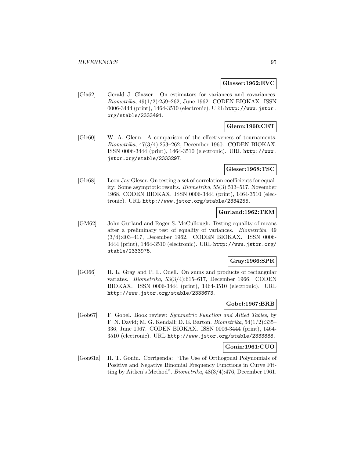#### **Glasser:1962:EVC**

[Gla62] Gerald J. Glasser. On estimators for variances and covariances. Biometrika, 49(1/2):259–262, June 1962. CODEN BIOKAX. ISSN 0006-3444 (print), 1464-3510 (electronic). URL http://www.jstor. org/stable/2333491.

# **Glenn:1960:CET**

[Gle60] W. A. Glenn. A comparison of the effectiveness of tournaments. Biometrika, 47(3/4):253–262, December 1960. CODEN BIOKAX. ISSN 0006-3444 (print), 1464-3510 (electronic). URL http://www. jstor.org/stable/2333297.

### **Gleser:1968:TSC**

[Gle68] Leon Jay Gleser. On testing a set of correlation coefficients for equality: Some asymptotic results. Biometrika, 55(3):513–517, November 1968. CODEN BIOKAX. ISSN 0006-3444 (print), 1464-3510 (electronic). URL http://www.jstor.org/stable/2334255.

# **Gurland:1962:TEM**

[GM62] John Gurland and Roger S. McCullough. Testing equality of means after a preliminary test of equality of variances. Biometrika, 49 (3/4):403–417, December 1962. CODEN BIOKAX. ISSN 0006- 3444 (print), 1464-3510 (electronic). URL http://www.jstor.org/ stable/2333975.

### **Gray:1966:SPR**

[GO66] H. L. Gray and P. L. Odell. On sums and products of rectangular variates. Biometrika, 53(3/4):615–617, December 1966. CODEN BIOKAX. ISSN 0006-3444 (print), 1464-3510 (electronic). URL http://www.jstor.org/stable/2333673.

# **Gobel:1967:BRB**

[Gob67] F. Gobel. Book review: Symmetric Function and Allied Tables, by F. N. David; M. G. Kendall; D. E. Barton. Biometrika, 54(1/2):335– 336, June 1967. CODEN BIOKAX. ISSN 0006-3444 (print), 1464- 3510 (electronic). URL http://www.jstor.org/stable/2333888.

### **Gonin:1961:CUO**

[Gon61a] H. T. Gonin. Corrigenda: "The Use of Orthogonal Polynomials of Positive and Negative Binomial Frequency Functions in Curve Fitting by Aitken's Method". Biometrika, 48(3/4):476, December 1961.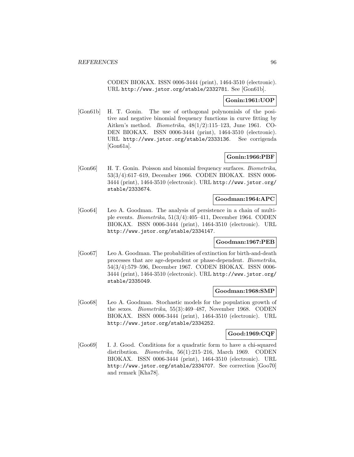CODEN BIOKAX. ISSN 0006-3444 (print), 1464-3510 (electronic). URL http://www.jstor.org/stable/2332781. See [Gon61b].

# **Gonin:1961:UOP**

[Gon61b] H. T. Gonin. The use of orthogonal polynomials of the positive and negative binomial frequency functions in curve fitting by Aitken's method. Biometrika, 48(1/2):115–123, June 1961. CO-DEN BIOKAX. ISSN 0006-3444 (print), 1464-3510 (electronic). URL http://www.jstor.org/stable/2333136. See corrigenda [Gon61a].

# **Gonin:1966:PBF**

[Gon66] H. T. Gonin. Poisson and binomial frequency surfaces. Biometrika, 53(3/4):617–619, December 1966. CODEN BIOKAX. ISSN 0006- 3444 (print), 1464-3510 (electronic). URL http://www.jstor.org/ stable/2333674.

### **Goodman:1964:APC**

[Goo64] Leo A. Goodman. The analysis of persistence in a chain of multiple events. Biometrika, 51(3/4):405–411, December 1964. CODEN BIOKAX. ISSN 0006-3444 (print), 1464-3510 (electronic). URL http://www.jstor.org/stable/2334147.

# **Goodman:1967:PEB**

[Goo67] Leo A. Goodman. The probabilities of extinction for birth-and-death processes that are age-dependent or phase-dependent. Biometrika, 54(3/4):579–596, December 1967. CODEN BIOKAX. ISSN 0006- 3444 (print), 1464-3510 (electronic). URL http://www.jstor.org/ stable/2335049.

### **Goodman:1968:SMP**

[Goo68] Leo A. Goodman. Stochastic models for the population growth of the sexes. Biometrika, 55(3):469–487, November 1968. CODEN BIOKAX. ISSN 0006-3444 (print), 1464-3510 (electronic). URL http://www.jstor.org/stable/2334252.

### **Good:1969:CQF**

[Goo69] I. J. Good. Conditions for a quadratic form to have a chi-squared distribution. Biometrika, 56(1):215–216, March 1969. CODEN BIOKAX. ISSN 0006-3444 (print), 1464-3510 (electronic). URL http://www.jstor.org/stable/2334707. See correction [Goo70] and remark [Kha78].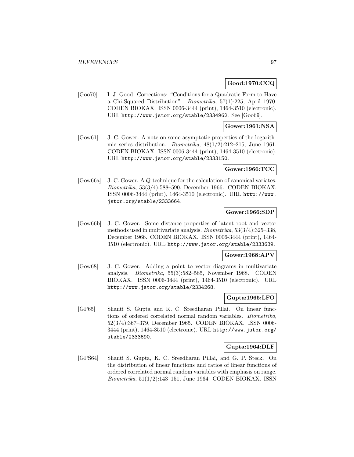### **Good:1970:CCQ**

[Goo70] I. J. Good. Corrections: "Conditions for a Quadratic Form to Have a Chi-Squared Distribution". Biometrika, 57(1):225, April 1970. CODEN BIOKAX. ISSN 0006-3444 (print), 1464-3510 (electronic). URL http://www.jstor.org/stable/2334962. See [Goo69].

# **Gower:1961:NSA**

[Gow61] J. C. Gower. A note on some asymptotic properties of the logarithmic series distribution. *Biometrika*,  $48(1/2):212-215$ , June 1961. CODEN BIOKAX. ISSN 0006-3444 (print), 1464-3510 (electronic). URL http://www.jstor.org/stable/2333150.

### **Gower:1966:TCC**

[Gow66a] J. C. Gower. A Q-technique for the calculation of canonical variates. Biometrika, 53(3/4):588–590, December 1966. CODEN BIOKAX. ISSN 0006-3444 (print), 1464-3510 (electronic). URL http://www. jstor.org/stable/2333664.

## **Gower:1966:SDP**

[Gow66b] J. C. Gower. Some distance properties of latent root and vector methods used in multivariate analysis. Biometrika, 53(3/4):325–338, December 1966. CODEN BIOKAX. ISSN 0006-3444 (print), 1464- 3510 (electronic). URL http://www.jstor.org/stable/2333639.

#### **Gower:1968:APV**

[Gow68] J. C. Gower. Adding a point to vector diagrams in multivariate analysis. Biometrika, 55(3):582–585, November 1968. CODEN BIOKAX. ISSN 0006-3444 (print), 1464-3510 (electronic). URL http://www.jstor.org/stable/2334268.

### **Gupta:1965:LFO**

[GP65] Shanti S. Gupta and K. C. Sreedharan Pillai. On linear functions of ordered correlated normal random variables. Biometrika, 52(3/4):367–379, December 1965. CODEN BIOKAX. ISSN 0006- 3444 (print), 1464-3510 (electronic). URL http://www.jstor.org/ stable/2333690.

#### **Gupta:1964:DLF**

[GPS64] Shanti S. Gupta, K. C. Sreedharan Pillai, and G. P. Steck. On the distribution of linear functions and ratios of linear functions of ordered correlated normal random variables with emphasis on range. Biometrika, 51(1/2):143–151, June 1964. CODEN BIOKAX. ISSN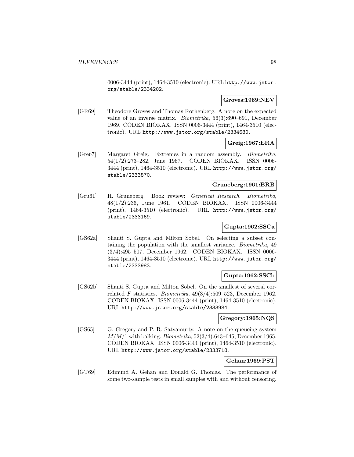0006-3444 (print), 1464-3510 (electronic). URL http://www.jstor. org/stable/2334202.

### **Groves:1969:NEV**

[GR69] Theodore Groves and Thomas Rothenberg. A note on the expected value of an inverse matrix. Biometrika, 56(3):690–691, December 1969. CODEN BIOKAX. ISSN 0006-3444 (print), 1464-3510 (electronic). URL http://www.jstor.org/stable/2334680.

### **Greig:1967:ERA**

[Gre67] Margaret Greig. Extremes in a random assembly. Biometrika, 54(1/2):273–282, June 1967. CODEN BIOKAX. ISSN 0006- 3444 (print), 1464-3510 (electronic). URL http://www.jstor.org/ stable/2333870.

## **Gruneberg:1961:BRB**

[Gru61] H. Gruneberg. Book review: Genetical Research. Biometrika, 48(1/2):236, June 1961. CODEN BIOKAX. ISSN 0006-3444 (print), 1464-3510 (electronic). URL http://www.jstor.org/ stable/2333169.

### **Gupta:1962:SSCa**

[GS62a] Shanti S. Gupta and Milton Sobel. On selecting a subset containing the population with the smallest variance. Biometrika, 49 (3/4):495–507, December 1962. CODEN BIOKAX. ISSN 0006- 3444 (print), 1464-3510 (electronic). URL http://www.jstor.org/ stable/2333983.

# **Gupta:1962:SSCb**

[GS62b] Shanti S. Gupta and Milton Sobel. On the smallest of several correlated F statistics. Biometrika,  $49(3/4)$ :509–523, December 1962. CODEN BIOKAX. ISSN 0006-3444 (print), 1464-3510 (electronic). URL http://www.jstor.org/stable/2333984.

### **Gregory:1965:NQS**

[GS65] G. Gregory and P. R. Satyamurty. A note on the queueing system  $M/M/1$  with balking. *Biometrika*,  $52(3/4):643-645$ , December 1965. CODEN BIOKAX. ISSN 0006-3444 (print), 1464-3510 (electronic). URL http://www.jstor.org/stable/2333718.

### **Gehan:1969:PST**

[GT69] Edmund A. Gehan and Donald G. Thomas. The performance of some two-sample tests in small samples with and without censoring.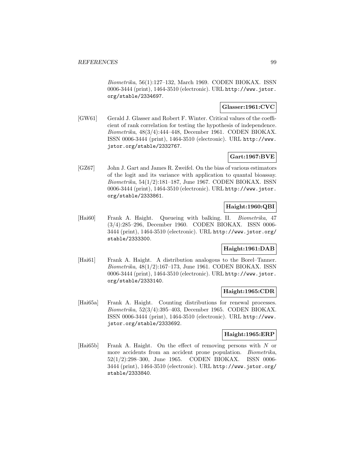Biometrika, 56(1):127–132, March 1969. CODEN BIOKAX. ISSN 0006-3444 (print), 1464-3510 (electronic). URL http://www.jstor. org/stable/2334697.

### **Glasser:1961:CVC**

[GW61] Gerald J. Glasser and Robert F. Winter. Critical values of the coefficient of rank correlation for testing the hypothesis of independence. Biometrika, 48(3/4):444–448, December 1961. CODEN BIOKAX. ISSN 0006-3444 (print), 1464-3510 (electronic). URL http://www. jstor.org/stable/2332767.

# **Gart:1967:BVE**

[GZ67] John J. Gart and James R. Zweifel. On the bias of various estimators of the logit and its variance with application to quantal bioassay. Biometrika, 54(1/2):181–187, June 1967. CODEN BIOKAX. ISSN 0006-3444 (print), 1464-3510 (electronic). URL http://www.jstor. org/stable/2333861.

### **Haight:1960:QBI**

[Hai60] Frank A. Haight. Queueing with balking. II. Biometrika, 47 (3/4):285–296, December 1960. CODEN BIOKAX. ISSN 0006- 3444 (print), 1464-3510 (electronic). URL http://www.jstor.org/ stable/2333300.

# **Haight:1961:DAB**

[Hai61] Frank A. Haight. A distribution analogous to the Borel–Tanner. Biometrika, 48(1/2):167–173, June 1961. CODEN BIOKAX. ISSN 0006-3444 (print), 1464-3510 (electronic). URL http://www.jstor. org/stable/2333140.

### **Haight:1965:CDR**

[Hai65a] Frank A. Haight. Counting distributions for renewal processes. Biometrika, 52(3/4):395–403, December 1965. CODEN BIOKAX. ISSN 0006-3444 (print), 1464-3510 (electronic). URL http://www. jstor.org/stable/2333692.

## **Haight:1965:ERP**

[Hai65b] Frank A. Haight. On the effect of removing persons with N or more accidents from an accident prone population. *Biometrika*, 52(1/2):298–300, June 1965. CODEN BIOKAX. ISSN 0006- 3444 (print), 1464-3510 (electronic). URL http://www.jstor.org/ stable/2333840.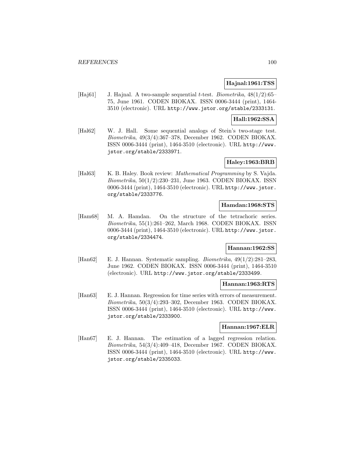### **Hajnal:1961:TSS**

[Haj61] J. Hajnal. A two-sample sequential *t*-test. *Biometrika*,  $48(1/2):65-$ 75, June 1961. CODEN BIOKAX. ISSN 0006-3444 (print), 1464- 3510 (electronic). URL http://www.jstor.org/stable/2333131.

# **Hall:1962:SSA**

[Hal62] W. J. Hall. Some sequential analogs of Stein's two-stage test. Biometrika, 49(3/4):367–378, December 1962. CODEN BIOKAX. ISSN 0006-3444 (print), 1464-3510 (electronic). URL http://www. jstor.org/stable/2333971.

# **Haley:1963:BRB**

[Hal63] K. B. Haley. Book review: *Mathematical Programming* by S. Vajda. Biometrika, 50(1/2):230–231, June 1963. CODEN BIOKAX. ISSN 0006-3444 (print), 1464-3510 (electronic). URL http://www.jstor. org/stable/2333776.

### **Hamdan:1968:STS**

[Ham68] M. A. Hamdan. On the structure of the tetrachoric series. Biometrika, 55(1):261–262, March 1968. CODEN BIOKAX. ISSN 0006-3444 (print), 1464-3510 (electronic). URL http://www.jstor. org/stable/2334474.

# **Hannan:1962:SS**

[Han62] E. J. Hannan. Systematic sampling. Biometrika, 49(1/2):281–283, June 1962. CODEN BIOKAX. ISSN 0006-3444 (print), 1464-3510 (electronic). URL http://www.jstor.org/stable/2333499.

### **Hannan:1963:RTS**

[Han63] E. J. Hannan. Regression for time series with errors of measurement. Biometrika, 50(3/4):293–302, December 1963. CODEN BIOKAX. ISSN 0006-3444 (print), 1464-3510 (electronic). URL http://www. jstor.org/stable/2333900.

### **Hannan:1967:ELR**

[Han67] E. J. Hannan. The estimation of a lagged regression relation. Biometrika, 54(3/4):409–418, December 1967. CODEN BIOKAX. ISSN 0006-3444 (print), 1464-3510 (electronic). URL http://www. jstor.org/stable/2335033.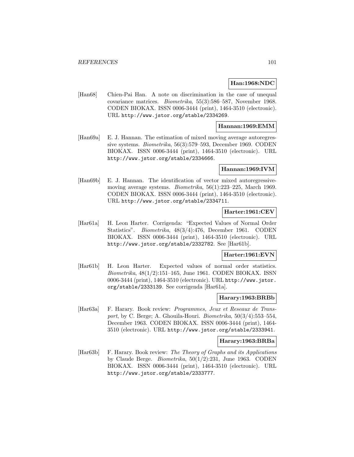### **Han:1968:NDC**

[Han68] Chien-Pai Han. A note on discrimination in the case of unequal covariance matrices. Biometrika, 55(3):586–587, November 1968. CODEN BIOKAX. ISSN 0006-3444 (print), 1464-3510 (electronic). URL http://www.jstor.org/stable/2334269.

### **Hannan:1969:EMM**

[Han69a] E. J. Hannan. The estimation of mixed moving average autoregressive systems. Biometrika, 56(3):579–593, December 1969. CODEN BIOKAX. ISSN 0006-3444 (print), 1464-3510 (electronic). URL http://www.jstor.org/stable/2334666.

### **Hannan:1969:IVM**

[Han69b] E. J. Hannan. The identification of vector mixed autoregressivemoving average systems. Biometrika, 56(1):223–225, March 1969. CODEN BIOKAX. ISSN 0006-3444 (print), 1464-3510 (electronic). URL http://www.jstor.org/stable/2334711.

## **Harter:1961:CEV**

[Har61a] H. Leon Harter. Corrigenda: "Expected Values of Normal Order Statistics". Biometrika, 48(3/4):476, December 1961. CODEN BIOKAX. ISSN 0006-3444 (print), 1464-3510 (electronic). URL http://www.jstor.org/stable/2332782. See [Har61b].

#### **Harter:1961:EVN**

[Har61b] H. Leon Harter. Expected values of normal order statistics. Biometrika, 48(1/2):151–165, June 1961. CODEN BIOKAX. ISSN 0006-3444 (print), 1464-3510 (electronic). URL http://www.jstor. org/stable/2333139. See corrigenda [Har61a].

#### **Harary:1963:BRBb**

[Har63a] F. Harary. Book review: Programmes, Jeux et Reseaux de Transport, by C. Berge; A. Ghouila-Houri. Biometrika, 50(3/4):553–554, December 1963. CODEN BIOKAX. ISSN 0006-3444 (print), 1464- 3510 (electronic). URL http://www.jstor.org/stable/2333941.

#### **Harary:1963:BRBa**

[Har63b] F. Harary. Book review: The Theory of Graphs and its Applications by Claude Berge. Biometrika, 50(1/2):231, June 1963. CODEN BIOKAX. ISSN 0006-3444 (print), 1464-3510 (electronic). URL http://www.jstor.org/stable/2333777.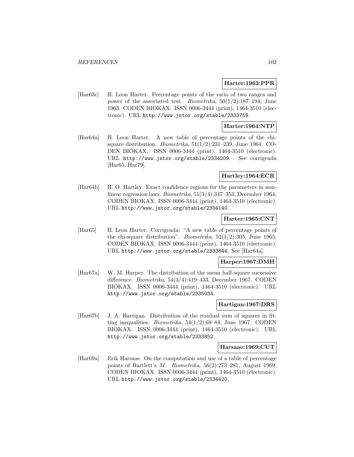#### **Harter:1963:PPR**

[Har63c] H. Leon Harter. Percentage points of the ratio of two ranges and power of the associated test. *Biometrika*,  $50(1/2):187-194$ , June 1963. CODEN BIOKAX. ISSN 0006-3444 (print), 1464-3510 (electronic). URL http://www.jstor.org/stable/2333759.

### **Harter:1964:NTP**

[Har64a] H. Leon Harter. A new table of percentage points of the chisquare distribution. *Biometrika*,  $51(1/2)$ :231–239, June 1964. CO-DEN BIOKAX. ISSN 0006-3444 (print), 1464-3510 (electronic). URL http://www.jstor.org/stable/2334209. See corrigenda [Har65, Har79].

### **Hartley:1964:ECR**

[Har64b] H. O. Hartley. Exact confidence regions for the parameters in nonlinear regression laws. Biometrika, 51(3/4):347–353, December 1964. CODEN BIOKAX. ISSN 0006-3444 (print), 1464-3510 (electronic). URL http://www.jstor.org/stable/2334140.

### **Harter:1965:CNT**

[Har65] H. Leon Harter. Corrigenda: "A new table of percentage points of the chi-square distribution". *Biometrika*,  $52(1/2)$ :305, June 1965. CODEN BIOKAX. ISSN 0006-3444 (print), 1464-3510 (electronic). URL http://www.jstor.org/stable/2333844. See [Har64a].

#### **Harper:1967:DMH**

[Har67a] W. M. Harper. The distribution of the mean half-square successive difference. Biometrika, 54(3/4):419–433, December 1967. CODEN BIOKAX. ISSN 0006-3444 (print), 1464-3510 (electronic). URL http://www.jstor.org/stable/2335034.

## **Hartigan:1967:DRS**

[Har67b] J. A. Hartigan. Distribution of the residual sum of squares in fitting inequalities. *Biometrika*,  $54(1/2)$ :69–84, June 1967. CODEN BIOKAX. ISSN 0006-3444 (print), 1464-3510 (electronic). URL http://www.jstor.org/stable/2333852.

#### **Harsaae:1969:CUT**

[Har69a] Erik Harsaae. On the computation and use of a table of percentage points of Bartlett's M. Biometrika, 56(2):273–281, August 1969. CODEN BIOKAX. ISSN 0006-3444 (print), 1464-3510 (electronic). URL http://www.jstor.org/stable/2334420.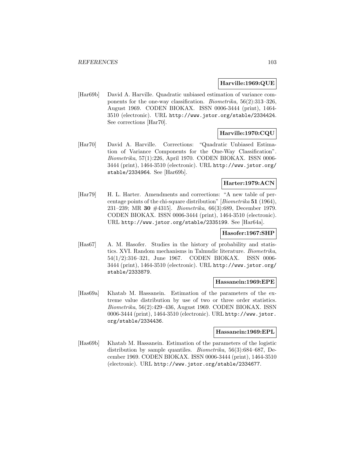### **Harville:1969:QUE**

[Har69b] David A. Harville. Quadratic unbiased estimation of variance components for the one-way classification. Biometrika, 56(2):313–326, August 1969. CODEN BIOKAX. ISSN 0006-3444 (print), 1464- 3510 (electronic). URL http://www.jstor.org/stable/2334424. See corrections [Har70].

# **Harville:1970:CQU**

[Har70] David A. Harville. Corrections: "Quadratic Unbiased Estimation of Variance Components for the One-Way Classification". Biometrika, 57(1):226, April 1970. CODEN BIOKAX. ISSN 0006- 3444 (print), 1464-3510 (electronic). URL http://www.jstor.org/ stable/2334964. See [Har69b].

## **Harter:1979:ACN**

[Har79] H. L. Harter. Amendments and corrections: "A new table of percentage points of the chi-square distribution" [Biometrika **51** (1964), 231–239; MR **30** #4315]. Biometrika, 66(3):689, December 1979. CODEN BIOKAX. ISSN 0006-3444 (print), 1464-3510 (electronic). URL http://www.jstor.org/stable/2335199. See [Har64a].

# **Hasofer:1967:SHP**

[Has67] A. M. Hasofer. Studies in the history of probability and statistics. XVI. Random mechanisms in Talmudic literature. Biometrika, 54(1/2):316–321, June 1967. CODEN BIOKAX. ISSN 0006- 3444 (print), 1464-3510 (electronic). URL http://www.jstor.org/ stable/2333879.

### **Hassanein:1969:EPE**

[Has69a] Khatab M. Hassanein. Estimation of the parameters of the extreme value distribution by use of two or three order statistics. Biometrika, 56(2):429–436, August 1969. CODEN BIOKAX. ISSN 0006-3444 (print), 1464-3510 (electronic). URL http://www.jstor. org/stable/2334436.

#### **Hassanein:1969:EPL**

[Has69b] Khatab M. Hassanein. Estimation of the parameters of the logistic distribution by sample quantiles. Biometrika, 56(3):684–687, December 1969. CODEN BIOKAX. ISSN 0006-3444 (print), 1464-3510 (electronic). URL http://www.jstor.org/stable/2334677.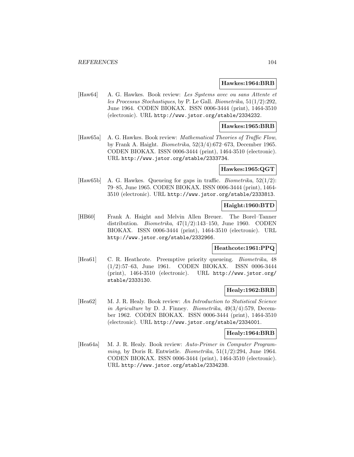#### **Hawkes:1964:BRB**

[Haw64] A. G. Hawkes. Book review: Les Systems avec ou sans Attente et les Processus Stochastiques, by P. Le Gall. Biometrika, 51(1/2):292, June 1964. CODEN BIOKAX. ISSN 0006-3444 (print), 1464-3510 (electronic). URL http://www.jstor.org/stable/2334232.

# **Hawkes:1965:BRB**

[Haw65a] A. G. Hawkes. Book review: *Mathematical Theories of Traffic Flow*, by Frank A. Haight. Biometrika, 52(3/4):672–673, December 1965. CODEN BIOKAX. ISSN 0006-3444 (print), 1464-3510 (electronic). URL http://www.jstor.org/stable/2333734.

#### **Hawkes:1965:QGT**

[Haw65b] A. G. Hawkes. Queueing for gaps in traffic. Biometrika, 52(1/2): 79–85, June 1965. CODEN BIOKAX. ISSN 0006-3444 (print), 1464- 3510 (electronic). URL http://www.jstor.org/stable/2333813.

#### **Haight:1960:BTD**

[HB60] Frank A. Haight and Melvin Allen Breuer. The Borel–Tanner distribution. *Biometrika*,  $47(1/2)$ :143-150, June 1960. CODEN BIOKAX. ISSN 0006-3444 (print), 1464-3510 (electronic). URL http://www.jstor.org/stable/2332966.

# **Heathcote:1961:PPQ**

[Hea61] C. R. Heathcote. Preemptive priority queueing. *Biometrika*, 48 (1/2):57–63, June 1961. CODEN BIOKAX. ISSN 0006-3444 (print), 1464-3510 (electronic). URL http://www.jstor.org/ stable/2333130.

### **Healy:1962:BRB**

[Hea62] M. J. R. Healy. Book review: An Introduction to Statistical Science in Agriculture by D. J. Finney. Biometrika, 49(3/4):579, December 1962. CODEN BIOKAX. ISSN 0006-3444 (print), 1464-3510 (electronic). URL http://www.jstor.org/stable/2334001.

## **Healy:1964:BRB**

[Hea64a] M. J. R. Healy. Book review: Auto-Primer in Computer Programming, by Doris R. Entwistle. Biometrika,  $51(1/2)$ :294, June 1964. CODEN BIOKAX. ISSN 0006-3444 (print), 1464-3510 (electronic). URL http://www.jstor.org/stable/2334238.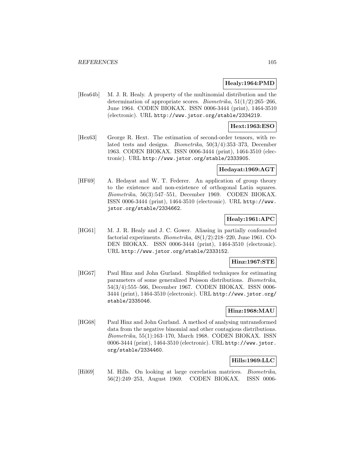### **Healy:1964:PMD**

[Hea64b] M. J. R. Healy. A property of the multinomial distribution and the determination of appropriate scores. *Biometrika*,  $51(1/2):265-266$ , June 1964. CODEN BIOKAX. ISSN 0006-3444 (print), 1464-3510 (electronic). URL http://www.jstor.org/stable/2334219.

### **Hext:1963:ESO**

[Hex63] George R. Hext. The estimation of second-order tensors, with related tests and designs. Biometrika, 50(3/4):353–373, December 1963. CODEN BIOKAX. ISSN 0006-3444 (print), 1464-3510 (electronic). URL http://www.jstor.org/stable/2333905.

### **Hedayat:1969:AGT**

[HF69] A. Hedayat and W. T. Federer. An application of group theory to the existence and non-existence of orthogonal Latin squares. Biometrika, 56(3):547–551, December 1969. CODEN BIOKAX. ISSN 0006-3444 (print), 1464-3510 (electronic). URL http://www. jstor.org/stable/2334662.

# **Healy:1961:APC**

[HG61] M. J. R. Healy and J. C. Gower. Aliasing in partially confounded factorial experiments. Biometrika, 48(1/2):218–220, June 1961. CO-DEN BIOKAX. ISSN 0006-3444 (print), 1464-3510 (electronic). URL http://www.jstor.org/stable/2333152.

### **Hinz:1967:STE**

[HG67] Paul Hinz and John Gurland. Simplified techniques for estimating parameters of some generalized Poisson distributions. Biometrika, 54(3/4):555–566, December 1967. CODEN BIOKAX. ISSN 0006- 3444 (print), 1464-3510 (electronic). URL http://www.jstor.org/ stable/2335046.

### **Hinz:1968:MAU**

[HG68] Paul Hinz and John Gurland. A method of analysing untransformed data from the negative binomial and other contagious distributions. Biometrika, 55(1):163–170, March 1968. CODEN BIOKAX. ISSN 0006-3444 (print), 1464-3510 (electronic). URL http://www.jstor. org/stable/2334460.

### **Hills:1969:LLC**

[Hil69] M. Hills. On looking at large correlation matrices. Biometrika, 56(2):249–253, August 1969. CODEN BIOKAX. ISSN 0006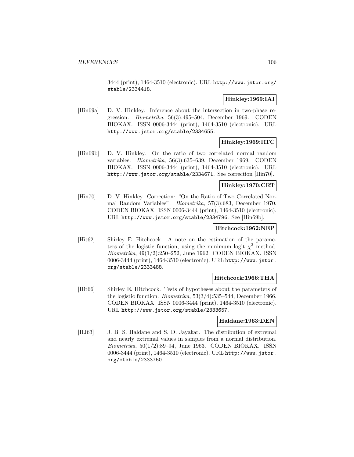3444 (print), 1464-3510 (electronic). URL http://www.jstor.org/ stable/2334418.

## **Hinkley:1969:IAI**

[Hin69a] D. V. Hinkley. Inference about the intersection in two-phase regression. Biometrika, 56(3):495–504, December 1969. CODEN BIOKAX. ISSN 0006-3444 (print), 1464-3510 (electronic). URL http://www.jstor.org/stable/2334655.

### **Hinkley:1969:RTC**

[Hin69b] D. V. Hinkley. On the ratio of two correlated normal random variables. Biometrika, 56(3):635–639, December 1969. CODEN BIOKAX. ISSN 0006-3444 (print), 1464-3510 (electronic). URL http://www.jstor.org/stable/2334671. See correction [Hin70].

## **Hinkley:1970:CRT**

[Hin70] D. V. Hinkley. Correction: "On the Ratio of Two Correlated Normal Random Variables". Biometrika, 57(3):683, December 1970. CODEN BIOKAX. ISSN 0006-3444 (print), 1464-3510 (electronic). URL http://www.jstor.org/stable/2334796. See [Hin69b].

# **Hitchcock:1962:NEP**

[Hit62] Shirley E. Hitchcock. A note on the estimation of the parameters of the logistic function, using the minimum logit  $\chi^2$  method. Biometrika, 49(1/2):250–252, June 1962. CODEN BIOKAX. ISSN 0006-3444 (print), 1464-3510 (electronic). URL http://www.jstor. org/stable/2333488.

# **Hitchcock:1966:THA**

[Hit66] Shirley E. Hitchcock. Tests of hypotheses about the parameters of the logistic function. Biometrika, 53(3/4):535–544, December 1966. CODEN BIOKAX. ISSN 0006-3444 (print), 1464-3510 (electronic). URL http://www.jstor.org/stable/2333657.

### **Haldane:1963:DEN**

[HJ63] J. B. S. Haldane and S. D. Jayakar. The distribution of extremal and nearly extremal values in samples from a normal distribution. Biometrika, 50(1/2):89–94, June 1963. CODEN BIOKAX. ISSN 0006-3444 (print), 1464-3510 (electronic). URL http://www.jstor. org/stable/2333750.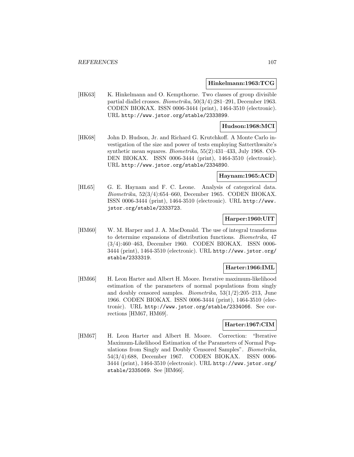#### **Hinkelmann:1963:TCG**

[HK63] K. Hinkelmann and O. Kempthorne. Two classes of group divisible partial diallel crosses. Biometrika, 50(3/4):281–291, December 1963. CODEN BIOKAX. ISSN 0006-3444 (print), 1464-3510 (electronic). URL http://www.jstor.org/stable/2333899.

## **Hudson:1968:MCI**

[HK68] John D. Hudson, Jr. and Richard G. Krutchkoff. A Monte Carlo investigation of the size and power of tests employing Satterthwaite's synthetic mean squares. Biometrika, 55(2):431–433, July 1968. CO-DEN BIOKAX. ISSN 0006-3444 (print), 1464-3510 (electronic). URL http://www.jstor.org/stable/2334890.

### **Haynam:1965:ACD**

[HL65] G. E. Haynam and F. C. Leone. Analysis of categorical data. Biometrika, 52(3/4):654–660, December 1965. CODEN BIOKAX. ISSN 0006-3444 (print), 1464-3510 (electronic). URL http://www. jstor.org/stable/2333723.

#### **Harper:1960:UIT**

[HM60] W. M. Harper and J. A. MacDonald. The use of integral transforms to determine expansions of distribution functions. Biometrika, 47 (3/4):460–463, December 1960. CODEN BIOKAX. ISSN 0006- 3444 (print), 1464-3510 (electronic). URL http://www.jstor.org/ stable/2333319.

### **Harter:1966:IML**

[HM66] H. Leon Harter and Albert H. Moore. Iterative maximum-likelihood estimation of the parameters of normal populations from singly and doubly censored samples. *Biometrika*,  $53(1/2):205-213$ , June 1966. CODEN BIOKAX. ISSN 0006-3444 (print), 1464-3510 (electronic). URL http://www.jstor.org/stable/2334066. See corrections [HM67, HM69].

### **Harter:1967:CIM**

[HM67] H. Leon Harter and Albert H. Moore. Correction: "Iterative Maximum-Likelihood Estimation of the Parameters of Normal Populations from Singly and Doubly Censored Samples". Biometrika, 54(3/4):688, December 1967. CODEN BIOKAX. ISSN 0006- 3444 (print), 1464-3510 (electronic). URL http://www.jstor.org/ stable/2335069. See [HM66].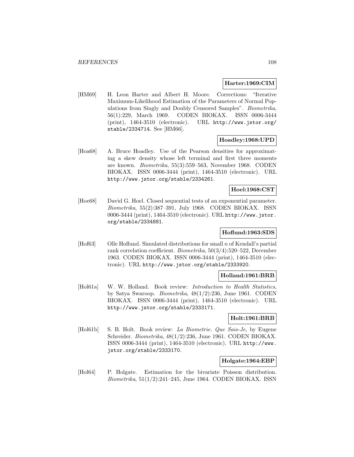### **Harter:1969:CIM**

[HM69] H. Leon Harter and Albert H. Moore. Corrections: "Iterative Maximum-Likelihood Estimation of the Parameters of Normal Populations from Singly and Doubly Censored Samples". Biometrika, 56(1):229, March 1969. CODEN BIOKAX. ISSN 0006-3444 (print), 1464-3510 (electronic). URL http://www.jstor.org/ stable/2334714. See [HM66].

### **Hoadley:1968:UPD**

[Hoa68] A. Bruce Hoadley. Use of the Pearson densities for approximating a skew density whose left terminal and first three moments are known. Biometrika, 55(3):559–563, November 1968. CODEN BIOKAX. ISSN 0006-3444 (print), 1464-3510 (electronic). URL http://www.jstor.org/stable/2334261.

# **Hoel:1968:CST**

[Hoe68] David G. Hoel. Closed sequential tests of an exponential parameter. Biometrika, 55(2):387–391, July 1968. CODEN BIOKAX. ISSN 0006-3444 (print), 1464-3510 (electronic). URL http://www.jstor. org/stable/2334881.

# **Hoflund:1963:SDS**

[Hof63] Olle Hoflund. Simulated distributions for small n of Kendall's partial rank correlation coefficient. Biometrika, 50(3/4):520–522, December 1963. CODEN BIOKAX. ISSN 0006-3444 (print), 1464-3510 (electronic). URL http://www.jstor.org/stable/2333920.

### **Holland:1961:BRB**

[Hol61a] W. W. Holland. Book review: *Introduction to Health Statistics*, by Satya Swaroop. Biometrika, 48(1/2):236, June 1961. CODEN BIOKAX. ISSN 0006-3444 (print), 1464-3510 (electronic). URL http://www.jstor.org/stable/2333171.

### **Holt:1961:BRB**

[Hol61b] S. B. Holt. Book review: La Biometrie. Que Sais-Je, by Eugene Schreider. Biometrika, 48(1/2):236, June 1961. CODEN BIOKAX. ISSN 0006-3444 (print), 1464-3510 (electronic). URL http://www. jstor.org/stable/2333170.

### **Holgate:1964:EBP**

[Hol64] P. Holgate. Estimation for the bivariate Poisson distribution. Biometrika, 51(1/2):241–245, June 1964. CODEN BIOKAX. ISSN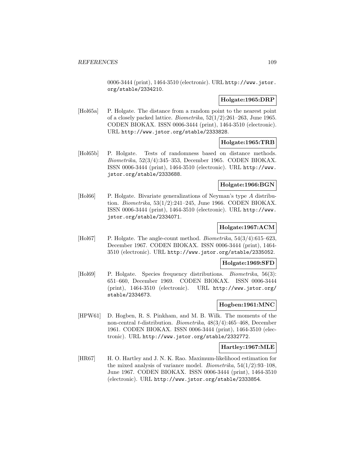0006-3444 (print), 1464-3510 (electronic). URL http://www.jstor. org/stable/2334210.

## **Holgate:1965:DRP**

[Hol65a] P. Holgate. The distance from a random point to the nearest point of a closely packed lattice. *Biometrika*,  $52(1/2):261-263$ , June 1965. CODEN BIOKAX. ISSN 0006-3444 (print), 1464-3510 (electronic). URL http://www.jstor.org/stable/2333828.

# **Holgate:1965:TRB**

[Hol65b] P. Holgate. Tests of randomness based on distance methods. Biometrika, 52(3/4):345–353, December 1965. CODEN BIOKAX. ISSN 0006-3444 (print), 1464-3510 (electronic). URL http://www. jstor.org/stable/2333688.

## **Holgate:1966:BGN**

[Hol66] P. Holgate. Bivariate generalizations of Neyman's type A distribution. Biometrika, 53(1/2):241–245, June 1966. CODEN BIOKAX. ISSN 0006-3444 (print), 1464-3510 (electronic). URL http://www. jstor.org/stable/2334071.

## **Holgate:1967:ACM**

[Hol67] P. Holgate. The angle-count method. *Biometrika*, 54(3/4):615–623, December 1967. CODEN BIOKAX. ISSN 0006-3444 (print), 1464- 3510 (electronic). URL http://www.jstor.org/stable/2335052.

#### **Holgate:1969:SFD**

[Hol69] P. Holgate. Species frequency distributions. Biometrika, 56(3): 651–660, December 1969. CODEN BIOKAX. ISSN 0006-3444 (print), 1464-3510 (electronic). URL http://www.jstor.org/ stable/2334673.

## **Hogben:1961:MNC**

[HPW61] D. Hogben, R. S. Pinkham, and M. B. Wilk. The moments of the non-central t-distribution. Biometrika, 48(3/4):465–468, December 1961. CODEN BIOKAX. ISSN 0006-3444 (print), 1464-3510 (electronic). URL http://www.jstor.org/stable/2332772.

## **Hartley:1967:MLE**

[HR67] H. O. Hartley and J. N. K. Rao. Maximum-likelihood estimation for the mixed analysis of variance model. Biometrika, 54(1/2):93–108, June 1967. CODEN BIOKAX. ISSN 0006-3444 (print), 1464-3510 (electronic). URL http://www.jstor.org/stable/2333854.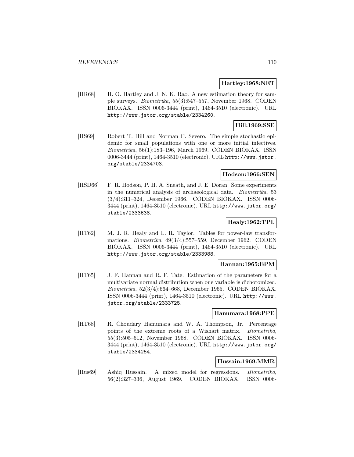### **Hartley:1968:NET**

[HR68] H. O. Hartley and J. N. K. Rao. A new estimation theory for sample surveys. Biometrika, 55(3):547–557, November 1968. CODEN BIOKAX. ISSN 0006-3444 (print), 1464-3510 (electronic). URL http://www.jstor.org/stable/2334260.

# **Hill:1969:SSE**

[HS69] Robert T. Hill and Norman C. Severo. The simple stochastic epidemic for small populations with one or more initial infectives. Biometrika, 56(1):183–196, March 1969. CODEN BIOKAX. ISSN 0006-3444 (print), 1464-3510 (electronic). URL http://www.jstor. org/stable/2334703.

## **Hodson:1966:SEN**

[HSD66] F. R. Hodson, P. H. A. Sneath, and J. E. Doran. Some experiments in the numerical analysis of archaeological data. Biometrika, 53 (3/4):311–324, December 1966. CODEN BIOKAX. ISSN 0006- 3444 (print), 1464-3510 (electronic). URL http://www.jstor.org/ stable/2333638.

# **Healy:1962:TPL**

[HT62] M. J. R. Healy and L. R. Taylor. Tables for power-law transformations. Biometrika, 49(3/4):557–559, December 1962. CODEN BIOKAX. ISSN 0006-3444 (print), 1464-3510 (electronic). URL http://www.jstor.org/stable/2333988.

## **Hannan:1965:EPM**

[HT65] J. F. Hannan and R. F. Tate. Estimation of the parameters for a multivariate normal distribution when one variable is dichotomized. Biometrika, 52(3/4):664–668, December 1965. CODEN BIOKAX. ISSN 0006-3444 (print), 1464-3510 (electronic). URL http://www. jstor.org/stable/2333725.

### **Hanumara:1968:PPE**

[HT68] R. Choudary Hanumara and W. A. Thompson, Jr. Percentage points of the extreme roots of a Wishart matrix. Biometrika, 55(3):505–512, November 1968. CODEN BIOKAX. ISSN 0006- 3444 (print), 1464-3510 (electronic). URL http://www.jstor.org/ stable/2334254.

# **Hussain:1969:MMR**

[Hus69] Ashiq Hussain. A mixed model for regressions. Biometrika, 56(2):327–336, August 1969. CODEN BIOKAX. ISSN 0006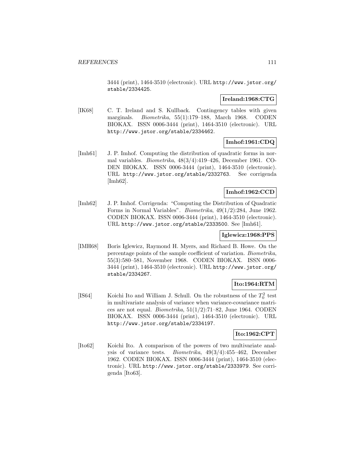3444 (print), 1464-3510 (electronic). URL http://www.jstor.org/ stable/2334425.

## **Ireland:1968:CTG**

[IK68] C. T. Ireland and S. Kullback. Contingency tables with given marginals. Biometrika, 55(1):179–188, March 1968. CODEN BIOKAX. ISSN 0006-3444 (print), 1464-3510 (electronic). URL http://www.jstor.org/stable/2334462.

# **Imhof:1961:CDQ**

[Imh61] J. P. Imhof. Computing the distribution of quadratic forms in normal variables. Biometrika, 48(3/4):419–426, December 1961. CO-DEN BIOKAX. ISSN 0006-3444 (print), 1464-3510 (electronic). URL http://www.jstor.org/stable/2332763. See corrigenda [Imh62].

# **Imhof:1962:CCD**

[Imh62] J. P. Imhof. Corrigenda: "Computing the Distribution of Quadratic Forms in Normal Variables". Biometrika, 49(1/2):284, June 1962. CODEN BIOKAX. ISSN 0006-3444 (print), 1464-3510 (electronic). URL http://www.jstor.org/stable/2333500. See [Imh61].

## **Iglewicz:1968:PPS**

[IMH68] Boris Iglewicz, Raymond H. Myers, and Richard B. Howe. On the percentage points of the sample coefficient of variation. Biometrika, 55(3):580–581, November 1968. CODEN BIOKAX. ISSN 0006- 3444 (print), 1464-3510 (electronic). URL http://www.jstor.org/ stable/2334267.

# **Ito:1964:RTM**

[IS64] Koichi Ito and William J. Schull. On the robustness of the  $T_0^2$  test in multivariate analysis of variance when variance-covariance matrices are not equal. *Biometrika*,  $51(1/2)$ :71–82, June 1964. CODEN BIOKAX. ISSN 0006-3444 (print), 1464-3510 (electronic). URL http://www.jstor.org/stable/2334197.

# **Ito:1962:CPT**

[Ito62] Koichi Ito. A comparison of the powers of two multivariate analysis of variance tests. Biometrika, 49(3/4):455–462, December 1962. CODEN BIOKAX. ISSN 0006-3444 (print), 1464-3510 (electronic). URL http://www.jstor.org/stable/2333979. See corrigenda [Ito63].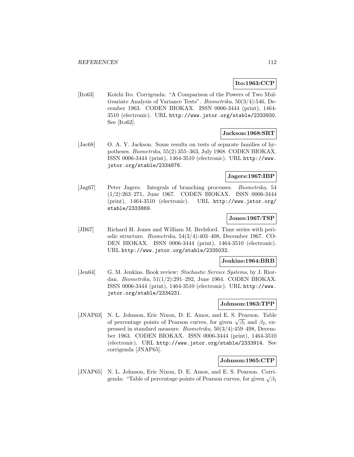# **Ito:1963:CCP**

[Ito63] Koichi Ito. Corrigenda: "A Comparison of the Powers of Two Multivariate Analysis of Variance Tests". Biometrika, 50(3/4):546, December 1963. CODEN BIOKAX. ISSN 0006-3444 (print), 1464- 3510 (electronic). URL http://www.jstor.org/stable/2333930. See [Ito62].

### **Jackson:1968:SRT**

[Jac68] O. A. Y. Jackson. Some results on tests of separate families of hypotheses. Biometrika, 55(2):355–363, July 1968. CODEN BIOKAX. ISSN 0006-3444 (print), 1464-3510 (electronic). URL http://www. jstor.org/stable/2334876.

## **Jagers:1967:IBP**

[Jag67] Peter Jagers. Integrals of branching processes. Biometrika, 54 (1/2):263–271, June 1967. CODEN BIOKAX. ISSN 0006-3444 (print), 1464-3510 (electronic). URL http://www.jstor.org/ stable/2333869.

### **Jones:1967:TSP**

[JB67] Richard H. Jones and William M. Brelsford. Time series with periodic structure. Biometrika, 54(3/4):403–408, December 1967. CO-DEN BIOKAX. ISSN 0006-3444 (print), 1464-3510 (electronic). URL http://www.jstor.org/stable/2335032.

#### **Jenkins:1964:BRB**

[Jen64] G. M. Jenkins. Book review: Stochastic Service Systems, by J. Riordan. Biometrika, 51(1/2):291–292, June 1964. CODEN BIOKAX. ISSN 0006-3444 (print), 1464-3510 (electronic). URL http://www. jstor.org/stable/2334231.

# **Johnson:1963:TPP**

[JNAP63] N. L. Johnson, Eric Nixon, D. E. Amos, and E. S. Pearson. Table of percentage points of Pearson curves, for given  $\sqrt{\beta_1}$  and  $\beta_2$ , expressed in standard measure. Biometrika, 50(3/4):459–498, December 1963. CODEN BIOKAX. ISSN 0006-3444 (print), 1464-3510 (electronic). URL http://www.jstor.org/stable/2333914. See corrigenda [JNAP65].

## **Johnson:1965:CTP**

[JNAP65] N. L. Johnson, Eric Nixon, D. E. Amos, and E. S. Pearson. Corrigenda: "Table of percentage points of Pearson curves, for given  $\sqrt{\beta_1}$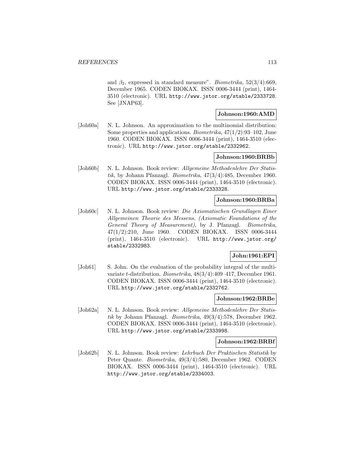and  $\beta_2$ , expressed in standard measure". Biometrika, 52(3/4):669, December 1965. CODEN BIOKAX. ISSN 0006-3444 (print), 1464- 3510 (electronic). URL http://www.jstor.org/stable/2333728. See [JNAP63].

## **Johnson:1960:AMD**

[Joh60a] N. L. Johnson. An approximation to the multinomial distribution: Some properties and applications. Biometrika, 47(1/2):93–102, June 1960. CODEN BIOKAX. ISSN 0006-3444 (print), 1464-3510 (electronic). URL http://www.jstor.org/stable/2332962.

# **Johnson:1960:BRBb**

[Joh60b] N. L. Johnson. Book review: Allgemeine Methodenlehre Der Statistik, by Johann Pfanzagl. Biometrika, 47(3/4):485, December 1960. CODEN BIOKAX. ISSN 0006-3444 (print), 1464-3510 (electronic). URL http://www.jstor.org/stable/2333328.

## **Johnson:1960:BRBa**

[Joh60c] N. L. Johnson. Book review: Die Axiomatischen Grundlagen Einer Allgemeinen Theorie des Messens. (Axiomatic Foundations of the General Theory of Measurement), by J. Pfanzagl. Biometrika, 47(1/2):210, June 1960. CODEN BIOKAX. ISSN 0006-3444 (print), 1464-3510 (electronic). URL http://www.jstor.org/ stable/2332983.

## **John:1961:EPI**

[Joh61] S. John. On the evaluation of the probability integral of the multivariate t-distribution. Biometrika, 48(3/4):409–417, December 1961. CODEN BIOKAX. ISSN 0006-3444 (print), 1464-3510 (electronic). URL http://www.jstor.org/stable/2332762.

### **Johnson:1962:BRBe**

[Joh62a] N. L. Johnson. Book review: Allgemeine Methodenlehre Der Statistik by Johann Pfanzagl. Biometrika, 49(3/4):578, December 1962. CODEN BIOKAX. ISSN 0006-3444 (print), 1464-3510 (electronic). URL http://www.jstor.org/stable/2333998.

#### **Johnson:1962:BRBf**

[Joh62b] N. L. Johnson. Book review: Lehrbuch Der Praktischen Statistik by Peter Quante. Biometrika, 49(3/4):580, December 1962. CODEN BIOKAX. ISSN 0006-3444 (print), 1464-3510 (electronic). URL http://www.jstor.org/stable/2334003.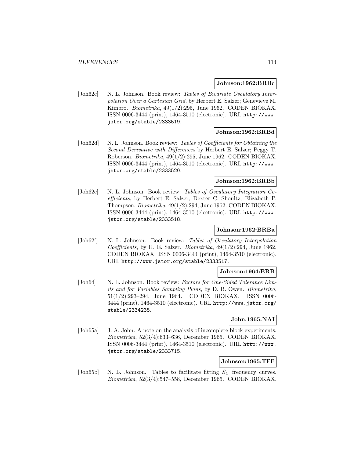### **Johnson:1962:BRBc**

[Joh62c] N. L. Johnson. Book review: Tables of Bivariate Osculatory Interpolation Over a Cartesian Grid, by Herbert E. Salzer; Genevieve M. Kimbro. Biometrika, 49(1/2):295, June 1962. CODEN BIOKAX. ISSN 0006-3444 (print), 1464-3510 (electronic). URL http://www. jstor.org/stable/2333519.

## **Johnson:1962:BRBd**

[Joh62d] N. L. Johnson. Book review: Tables of Coefficients for Obtaining the Second Derivative with Differences by Herbert E. Salzer; Peggy T. Roberson. Biometrika, 49(1/2):295, June 1962. CODEN BIOKAX. ISSN 0006-3444 (print), 1464-3510 (electronic). URL http://www. jstor.org/stable/2333520.

## **Johnson:1962:BRBb**

[Joh62e] N. L. Johnson. Book review: Tables of Osculatory Integration Coefficients, by Herbert E. Salzer; Dexter C. Shoultz; Elizabeth P. Thompson. Biometrika, 49(1/2):294, June 1962. CODEN BIOKAX. ISSN 0006-3444 (print), 1464-3510 (electronic). URL http://www. jstor.org/stable/2333518.

## **Johnson:1962:BRBa**

[Joh62f] N. L. Johnson. Book review: Tables of Osculatory Interpolation Coefficients, by H. E. Salzer. Biometrika, 49(1/2):294, June 1962. CODEN BIOKAX. ISSN 0006-3444 (print), 1464-3510 (electronic). URL http://www.jstor.org/stable/2333517.

# **Johnson:1964:BRB**

[Joh64] N. L. Johnson. Book review: Factors for One-Sided Tolerance Limits and for Variables Sampling Plans, by D. B. Owen. Biometrika, 51(1/2):293–294, June 1964. CODEN BIOKAX. ISSN 0006- 3444 (print), 1464-3510 (electronic). URL http://www.jstor.org/ stable/2334235.

## **John:1965:NAI**

[Joh65a] J. A. John. A note on the analysis of incomplete block experiments. Biometrika, 52(3/4):633–636, December 1965. CODEN BIOKAX. ISSN 0006-3444 (print), 1464-3510 (electronic). URL http://www. jstor.org/stable/2333715.

## **Johnson:1965:TFF**

[Joh65b] N. L. Johnson. Tables to facilitate fitting  $S_U$  frequency curves. Biometrika, 52(3/4):547–558, December 1965. CODEN BIOKAX.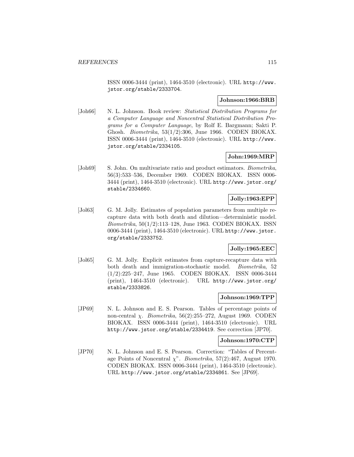ISSN 0006-3444 (print), 1464-3510 (electronic). URL http://www. jstor.org/stable/2333704.

## **Johnson:1966:BRB**

[Joh66] N. L. Johnson. Book review: Statistical Distribution Programs for a Computer Language and Noncentral Statistical Distribution Programs for a Computer Language, by Rolf E. Bargmann; Sakti P. Ghosh. Biometrika, 53(1/2):306, June 1966. CODEN BIOKAX. ISSN 0006-3444 (print), 1464-3510 (electronic). URL http://www. jstor.org/stable/2334105.

# **John:1969:MRP**

[Joh69] S. John. On multivariate ratio and product estimators. *Biometrika*, 56(3):533–536, December 1969. CODEN BIOKAX. ISSN 0006- 3444 (print), 1464-3510 (electronic). URL http://www.jstor.org/ stable/2334660.

# **Jolly:1963:EPP**

[Jol63] G. M. Jolly. Estimates of population parameters from multiple recapture data with both death and dilution—deterministic model. Biometrika, 50(1/2):113–128, June 1963. CODEN BIOKAX. ISSN 0006-3444 (print), 1464-3510 (electronic). URL http://www.jstor. org/stable/2333752.

# **Jolly:1965:EEC**

[Jol65] G. M. Jolly. Explicit estimates from capture-recapture data with both death and immigration-stochastic model. Biometrika, 52 (1/2):225–247, June 1965. CODEN BIOKAX. ISSN 0006-3444 (print), 1464-3510 (electronic). URL http://www.jstor.org/ stable/2333826.

## **Johnson:1969:TPP**

[JP69] N. L. Johnson and E. S. Pearson. Tables of percentage points of non-central *χ. Biometrika*,  $56(2):255-272$ , August 1969. CODEN BIOKAX. ISSN 0006-3444 (print), 1464-3510 (electronic). URL http://www.jstor.org/stable/2334419. See correction [JP70].

## **Johnson:1970:CTP**

[JP70] N. L. Johnson and E. S. Pearson. Correction: "Tables of Percentage Points of Noncentral  $\chi$ ". *Biometrika*, 57(2):467, August 1970. CODEN BIOKAX. ISSN 0006-3444 (print), 1464-3510 (electronic). URL http://www.jstor.org/stable/2334861. See [JP69].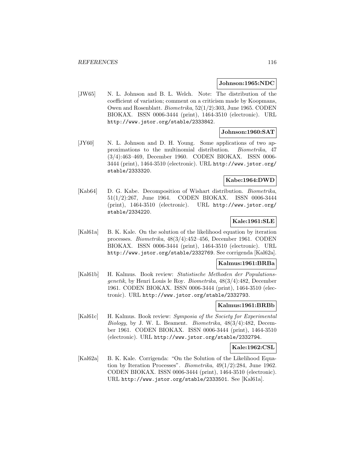#### **Johnson:1965:NDC**

[JW65] N. L. Johnson and B. L. Welch. Note: The distribution of the coefficient of variation; comment on a criticism made by Koopmans, Owen and Rosenblatt. Biometrika, 52(1/2):303, June 1965. CODEN BIOKAX. ISSN 0006-3444 (print), 1464-3510 (electronic). URL http://www.jstor.org/stable/2333842.

### **Johnson:1960:SAT**

[JY60] N. L. Johnson and D. H. Young. Some applications of two approximations to the multinomial distribution. Biometrika, 47 (3/4):463–469, December 1960. CODEN BIOKAX. ISSN 0006- 3444 (print), 1464-3510 (electronic). URL http://www.jstor.org/ stable/2333320.

# **Kabe:1964:DWD**

[Kab64] D. G. Kabe. Decomposition of Wishart distribution. Biometrika, 51(1/2):267, June 1964. CODEN BIOKAX. ISSN 0006-3444 (print), 1464-3510 (electronic). URL http://www.jstor.org/ stable/2334220.

## **Kale:1961:SLE**

[Kal61a] B. K. Kale. On the solution of the likelihood equation by iteration processes. Biometrika, 48(3/4):452–456, December 1961. CODEN BIOKAX. ISSN 0006-3444 (print), 1464-3510 (electronic). URL http://www.jstor.org/stable/2332769. See corrigenda [Kal62a].

#### **Kalmus:1961:BRBa**

[Kal61b] H. Kalmus. Book review: Statistische Methoden der Populationsgenetik, by Henri Louis le Roy. Biometrika, 48(3/4):482, December 1961. CODEN BIOKAX. ISSN 0006-3444 (print), 1464-3510 (electronic). URL http://www.jstor.org/stable/2332793.

## **Kalmus:1961:BRBb**

[Kal61c] H. Kalmus. Book review: Symposia of the Society for Experimental Biology, by J. W. L. Beament. Biometrika, 48(3/4):482, December 1961. CODEN BIOKAX. ISSN 0006-3444 (print), 1464-3510 (electronic). URL http://www.jstor.org/stable/2332794.

#### **Kale:1962:CSL**

[Kal62a] B. K. Kale. Corrigenda: "On the Solution of the Likelihood Equation by Iteration Processes". Biometrika, 49(1/2):284, June 1962. CODEN BIOKAX. ISSN 0006-3444 (print), 1464-3510 (electronic). URL http://www.jstor.org/stable/2333501. See [Kal61a].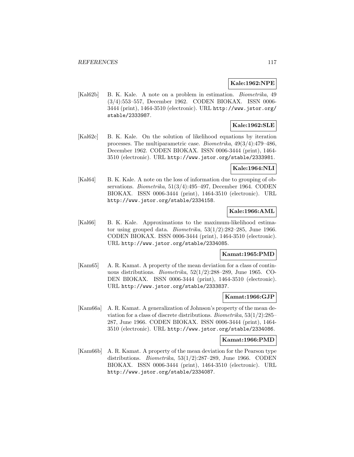## **Kale:1962:NPE**

[Kal62b] B. K. Kale. A note on a problem in estimation. Biometrika, 49 (3/4):553–557, December 1962. CODEN BIOKAX. ISSN 0006- 3444 (print), 1464-3510 (electronic). URL http://www.jstor.org/ stable/2333987.

# **Kale:1962:SLE**

[Kal62c] B. K. Kale. On the solution of likelihood equations by iteration processes. The multiparametric case. Biometrika, 49(3/4):479–486, December 1962. CODEN BIOKAX. ISSN 0006-3444 (print), 1464- 3510 (electronic). URL http://www.jstor.org/stable/2333981.

## **Kale:1964:NLI**

[Kal64] B. K. Kale. A note on the loss of information due to grouping of observations. Biometrika, 51(3/4):495–497, December 1964. CODEN BIOKAX. ISSN 0006-3444 (print), 1464-3510 (electronic). URL http://www.jstor.org/stable/2334158.

## **Kale:1966:AML**

[Kal66] B. K. Kale. Approximations to the maximum-likelihood estimator using grouped data. *Biometrika*,  $53(1/2)$ :282–285, June 1966. CODEN BIOKAX. ISSN 0006-3444 (print), 1464-3510 (electronic). URL http://www.jstor.org/stable/2334085.

## **Kamat:1965:PMD**

[Kam65] A. R. Kamat. A property of the mean deviation for a class of continuous distributions. Biometrika, 52(1/2):288–289, June 1965. CO-DEN BIOKAX. ISSN 0006-3444 (print), 1464-3510 (electronic). URL http://www.jstor.org/stable/2333837.

# **Kamat:1966:GJP**

[Kam66a] A. R. Kamat. A generalization of Johnson's property of the mean deviation for a class of discrete distributions. Biometrika, 53(1/2):285– 287, June 1966. CODEN BIOKAX. ISSN 0006-3444 (print), 1464- 3510 (electronic). URL http://www.jstor.org/stable/2334086.

#### **Kamat:1966:PMD**

[Kam66b] A. R. Kamat. A property of the mean deviation for the Pearson type distributions. Biometrika, 53(1/2):287–289, June 1966. CODEN BIOKAX. ISSN 0006-3444 (print), 1464-3510 (electronic). URL http://www.jstor.org/stable/2334087.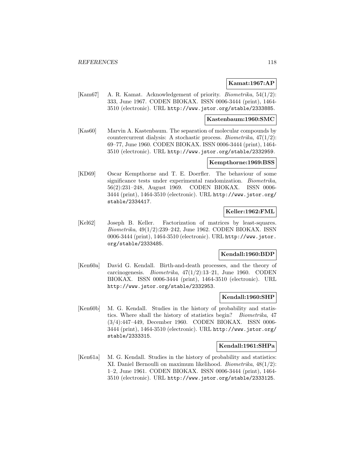## **Kamat:1967:AP**

[Kam67] A. R. Kamat. Acknowledgement of priority. Biometrika, 54(1/2): 333, June 1967. CODEN BIOKAX. ISSN 0006-3444 (print), 1464- 3510 (electronic). URL http://www.jstor.org/stable/2333885.

## **Kastenbaum:1960:SMC**

[Kas60] Marvin A. Kastenbaum. The separation of molecular compounds by countercurrent dialysis: A stochastic process. Biometrika, 47(1/2): 69–77, June 1960. CODEN BIOKAX. ISSN 0006-3444 (print), 1464- 3510 (electronic). URL http://www.jstor.org/stable/2332959.

### **Kempthorne:1969:BSS**

[KD69] Oscar Kempthorne and T. E. Doerfler. The behaviour of some significance tests under experimental randomization. Biometrika, 56(2):231–248, August 1969. CODEN BIOKAX. ISSN 0006- 3444 (print), 1464-3510 (electronic). URL http://www.jstor.org/ stable/2334417.

## **Keller:1962:FML**

[Kel62] Joseph B. Keller. Factorization of matrices by least-squares. Biometrika, 49(1/2):239–242, June 1962. CODEN BIOKAX. ISSN 0006-3444 (print), 1464-3510 (electronic). URL http://www.jstor. org/stable/2333485.

## **Kendall:1960:BDP**

[Ken60a] David G. Kendall. Birth-and-death processes, and the theory of carcinogenesis. Biometrika, 47(1/2):13–21, June 1960. CODEN BIOKAX. ISSN 0006-3444 (print), 1464-3510 (electronic). URL http://www.jstor.org/stable/2332953.

### **Kendall:1960:SHP**

[Ken60b] M. G. Kendall. Studies in the history of probability and statistics. Where shall the history of statistics begin? Biometrika, 47 (3/4):447–449, December 1960. CODEN BIOKAX. ISSN 0006- 3444 (print), 1464-3510 (electronic). URL http://www.jstor.org/ stable/2333315.

## **Kendall:1961:SHPa**

[Ken61a] M. G. Kendall. Studies in the history of probability and statistics: XI. Daniel Bernoulli on maximum likelihood. Biometrika, 48(1/2): 1–2, June 1961. CODEN BIOKAX. ISSN 0006-3444 (print), 1464- 3510 (electronic). URL http://www.jstor.org/stable/2333125.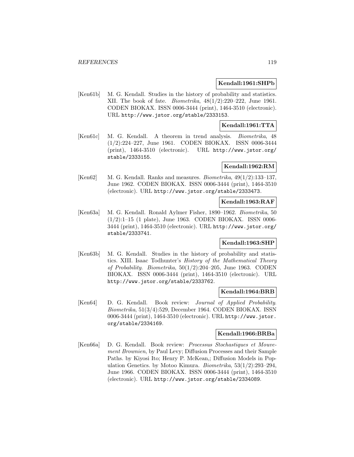## **Kendall:1961:SHPb**

[Ken61b] M. G. Kendall. Studies in the history of probability and statistics. XII. The book of fate. Biometrika, 48(1/2):220–222, June 1961. CODEN BIOKAX. ISSN 0006-3444 (print), 1464-3510 (electronic). URL http://www.jstor.org/stable/2333153.

## **Kendall:1961:TTA**

[Ken61c] M. G. Kendall. A theorem in trend analysis. Biometrika, 48 (1/2):224–227, June 1961. CODEN BIOKAX. ISSN 0006-3444 (print), 1464-3510 (electronic). URL http://www.jstor.org/ stable/2333155.

## **Kendall:1962:RM**

[Ken62] M. G. Kendall. Ranks and measures. *Biometrika*, 49(1/2):133–137, June 1962. CODEN BIOKAX. ISSN 0006-3444 (print), 1464-3510 (electronic). URL http://www.jstor.org/stable/2333473.

## **Kendall:1963:RAF**

[Ken63a] M. G. Kendall. Ronald Aylmer Fisher, 1890–1962. Biometrika, 50 (1/2):1–15 (1 plate), June 1963. CODEN BIOKAX. ISSN 0006- 3444 (print), 1464-3510 (electronic). URL http://www.jstor.org/ stable/2333741.

## **Kendall:1963:SHP**

[Ken63b] M. G. Kendall. Studies in the history of probability and statistics. XIII. Isaac Todhunter's History of the Mathematical Theory of Probability. Biometrika, 50(1/2):204–205, June 1963. CODEN BIOKAX. ISSN 0006-3444 (print), 1464-3510 (electronic). URL http://www.jstor.org/stable/2333762.

## **Kendall:1964:BRB**

[Ken64] D. G. Kendall. Book review: Journal of Applied Probability. Biometrika, 51(3/4):529, December 1964. CODEN BIOKAX. ISSN 0006-3444 (print), 1464-3510 (electronic). URL http://www.jstor. org/stable/2334169.

# **Kendall:1966:BRBa**

[Ken66a] D. G. Kendall. Book review: Processus Stochastiques et Mouvement Brownien, by Paul Levy; Diffusion Processes and their Sample Paths. by Kiyosi Ito; Henry P. McKean,; Diffusion Models in Population Genetics. by Motoo Kimura. Biometrika, 53(1/2):293–294, June 1966. CODEN BIOKAX. ISSN 0006-3444 (print), 1464-3510 (electronic). URL http://www.jstor.org/stable/2334089.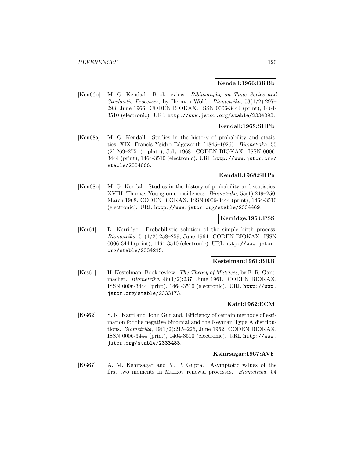### **Kendall:1966:BRBb**

[Ken66b] M. G. Kendall. Book review: Bibliography on Time Series and Stochastic Processes, by Herman Wold. Biometrika, 53(1/2):297– 298, June 1966. CODEN BIOKAX. ISSN 0006-3444 (print), 1464- 3510 (electronic). URL http://www.jstor.org/stable/2334093.

## **Kendall:1968:SHPb**

[Ken68a] M. G. Kendall. Studies in the history of probability and statistics. XIX. Francis Ysidro Edgeworth (1845–1926). Biometrika, 55 (2):269–275. (1 plate), July 1968. CODEN BIOKAX. ISSN 0006- 3444 (print), 1464-3510 (electronic). URL http://www.jstor.org/ stable/2334866.

## **Kendall:1968:SHPa**

[Ken68b] M. G. Kendall. Studies in the history of probability and statistics. XVIII. Thomas Young on coincidences. Biometrika, 55(1):249–250, March 1968. CODEN BIOKAX. ISSN 0006-3444 (print), 1464-3510 (electronic). URL http://www.jstor.org/stable/2334469.

### **Kerridge:1964:PSS**

[Ker64] D. Kerridge. Probabilistic solution of the simple birth process. Biometrika, 51(1/2):258–259, June 1964. CODEN BIOKAX. ISSN 0006-3444 (print), 1464-3510 (electronic). URL http://www.jstor. org/stable/2334215.

#### **Kestelman:1961:BRB**

[Kes61] H. Kestelman. Book review: The Theory of Matrices, by F. R. Gantmacher. Biometrika, 48(1/2):237, June 1961. CODEN BIOKAX. ISSN 0006-3444 (print), 1464-3510 (electronic). URL http://www. jstor.org/stable/2333173.

# **Katti:1962:ECM**

[KG62] S. K. Katti and John Gurland. Efficiency of certain methods of estimation for the negative binomial and the Neyman Type A distributions. Biometrika, 49(1/2):215–226, June 1962. CODEN BIOKAX. ISSN 0006-3444 (print), 1464-3510 (electronic). URL http://www. jstor.org/stable/2333483.

#### **Kshirsagar:1967:AVF**

[KG67] A. M. Kshirsagar and Y. P. Gupta. Asymptotic values of the first two moments in Markov renewal processes. Biometrika, 54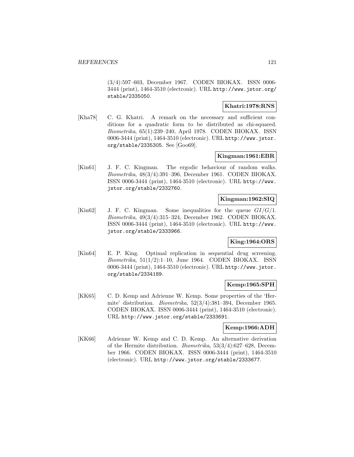(3/4):597–603, December 1967. CODEN BIOKAX. ISSN 0006- 3444 (print), 1464-3510 (electronic). URL http://www.jstor.org/ stable/2335050.

### **Khatri:1978:RNS**

[Kha78] C. G. Khatri. A remark on the necessary and sufficient conditions for a quadratic form to be distributed as chi-squared. Biometrika, 65(1):239–240, April 1978. CODEN BIOKAX. ISSN 0006-3444 (print), 1464-3510 (electronic). URL http://www.jstor. org/stable/2335305. See [Goo69].

## **Kingman:1961:EBR**

[Kin61] J. F. C. Kingman. The ergodic behaviour of random walks. Biometrika, 48(3/4):391–396, December 1961. CODEN BIOKAX. ISSN 0006-3444 (print), 1464-3510 (electronic). URL http://www. jstor.org/stable/2332760.

## **Kingman:1962:SIQ**

[Kin62] J. F. C. Kingman. Some inequalities for the queue  $GI/G/1$ . Biometrika, 49(3/4):315–324, December 1962. CODEN BIOKAX. ISSN 0006-3444 (print), 1464-3510 (electronic). URL http://www. jstor.org/stable/2333966.

## **King:1964:ORS**

[Kin64] E. P. King. Optimal replication in sequential drug screening. Biometrika,  $51(1/2):1-10$ , June 1964. CODEN BIOKAX. ISSN 0006-3444 (print), 1464-3510 (electronic). URL http://www.jstor. org/stable/2334189.

## **Kemp:1965:SPH**

[KK65] C. D. Kemp and Adrienne W. Kemp. Some properties of the 'Hermite' distribution. Biometrika, 52(3/4):381–394, December 1965. CODEN BIOKAX. ISSN 0006-3444 (print), 1464-3510 (electronic). URL http://www.jstor.org/stable/2333691.

## **Kemp:1966:ADH**

[KK66] Adrienne W. Kemp and C. D. Kemp. An alternative derivation of the Hermite distribution. Biometrika, 53(3/4):627–628, December 1966. CODEN BIOKAX. ISSN 0006-3444 (print), 1464-3510 (electronic). URL http://www.jstor.org/stable/2333677.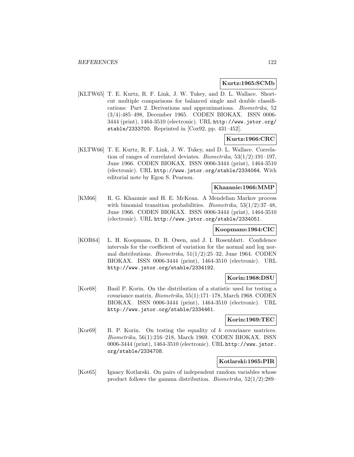### **Kurtz:1965:SCMb**

[KLTW65] T. E. Kurtz, R. F. Link, J. W. Tukey, and D. L. Wallace. Shortcut multiple comparisons for balanced single and double classifications: Part 2. Derivations and approximations. Biometrika, 52 (3/4):485–498, December 1965. CODEN BIOKAX. ISSN 0006- 3444 (print), 1464-3510 (electronic). URL http://www.jstor.org/ stable/2333700. Reprinted in [Cox92, pp. 431–452].

## **Kurtz:1966:CRC**

[KLTW66] T. E. Kurtz, R. F. Link, J. W. Tukey, and D. L. Wallace. Correlation of ranges of correlated deviates. Biometrika, 53(1/2):191–197, June 1966. CODEN BIOKAX. ISSN 0006-3444 (print), 1464-3510 (electronic). URL http://www.jstor.org/stable/2334064. With editorial note by Egon S. Pearson.

## **Khazanie:1966:MMP**

[KM66] R. G. Khazanie and H. E. McKean. A Mendelian Markov process with binomial transition probabilities. *Biometrika*,  $53(1/2)$ :37-48, June 1966. CODEN BIOKAX. ISSN 0006-3444 (print), 1464-3510 (electronic). URL http://www.jstor.org/stable/2334051.

# **Koopmans:1964:CIC**

[KOR64] L. H. Koopmans, D. B. Owen, and J. I. Rosenblatt. Confidence intervals for the coefficient of variation for the normal and log normal distributions. *Biometrika*,  $51(1/2):25-32$ , June 1964. CODEN BIOKAX. ISSN 0006-3444 (print), 1464-3510 (electronic). URL http://www.jstor.org/stable/2334192.

## **Korin:1968:DSU**

[Kor68] Basil P. Korin. On the distribution of a statistic used for testing a covariance matrix. Biometrika, 55(1):171–178, March 1968. CODEN BIOKAX. ISSN 0006-3444 (print), 1464-3510 (electronic). URL http://www.jstor.org/stable/2334461.

## **Korin:1969:TEC**

[Kor69] B. P. Korin. On testing the equality of k covariance matrices. Biometrika, 56(1):216–218, March 1969. CODEN BIOKAX. ISSN 0006-3444 (print), 1464-3510 (electronic). URL http://www.jstor. org/stable/2334708.

## **Kotlarski:1965:PIR**

[Kot65] Ignacy Kotlarski. On pairs of independent random variables whose product follows the gamma distribution. Biometrika, 52(1/2):289–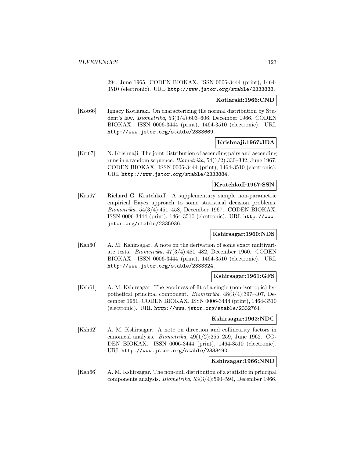294, June 1965. CODEN BIOKAX. ISSN 0006-3444 (print), 1464- 3510 (electronic). URL http://www.jstor.org/stable/2333838.

### **Kotlarski:1966:CND**

[Kot66] Ignacy Kotlarski. On characterizing the normal distribution by Student's law. Biometrika, 53(3/4):603–606, December 1966. CODEN BIOKAX. ISSN 0006-3444 (print), 1464-3510 (electronic). URL http://www.jstor.org/stable/2333669.

## **Krishnaji:1967:JDA**

[Kri67] N. Krishnaji. The joint distribution of ascending pairs and ascending runs in a random sequence. Biometrika,  $54(1/2):330-332$ , June 1967. CODEN BIOKAX. ISSN 0006-3444 (print), 1464-3510 (electronic). URL http://www.jstor.org/stable/2333884.

### **Krutchkoff:1967:SSN**

[Kru67] Richard G. Krutchkoff. A supplementary sample non-parametric empirical Bayes approach to some statistical decision problems. Biometrika, 54(3/4):451–458, December 1967. CODEN BIOKAX. ISSN 0006-3444 (print), 1464-3510 (electronic). URL http://www. jstor.org/stable/2335036.

## **Kshirsagar:1960:NDS**

[Ksh60] A. M. Kshirsagar. A note on the derivation of some exact multivariate tests. Biometrika, 47(3/4):480–482, December 1960. CODEN BIOKAX. ISSN 0006-3444 (print), 1464-3510 (electronic). URL http://www.jstor.org/stable/2333324.

## **Kshirsagar:1961:GFS**

[Ksh61] A. M. Kshirsagar. The goodness-of-fit of a single (non-isotropic) hypothetical principal component. Biometrika, 48(3/4):397–407, December 1961. CODEN BIOKAX. ISSN 0006-3444 (print), 1464-3510 (electronic). URL http://www.jstor.org/stable/2332761.

## **Kshirsagar:1962:NDC**

[Ksh62] A. M. Kshirsagar. A note on direction and collinearity factors in canonical analysis. *Biometrika*,  $49(1/2)$ :255–259, June 1962. CO-DEN BIOKAX. ISSN 0006-3444 (print), 1464-3510 (electronic). URL http://www.jstor.org/stable/2333490.

## **Kshirsagar:1966:NND**

[Ksh66] A. M. Kshirsagar. The non-null distribution of a statistic in principal components analysis. Biometrika, 53(3/4):590–594, December 1966.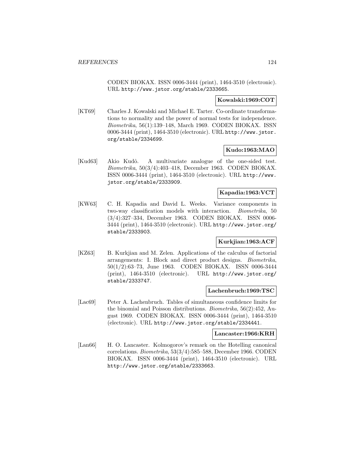CODEN BIOKAX. ISSN 0006-3444 (print), 1464-3510 (electronic). URL http://www.jstor.org/stable/2333665.

## **Kowalski:1969:COT**

[KT69] Charles J. Kowalski and Michael E. Tarter. Co-ordinate transformations to normality and the power of normal tests for independence. Biometrika, 56(1):139–148, March 1969. CODEN BIOKAX. ISSN 0006-3444 (print), 1464-3510 (electronic). URL http://www.jstor. org/stable/2334699.

## **Kudo:1963:MAO**

[Kud63] Akio Kudô. A multivariate analogue of the one-sided test. Biometrika, 50(3/4):403–418, December 1963. CODEN BIOKAX. ISSN 0006-3444 (print), 1464-3510 (electronic). URL http://www. jstor.org/stable/2333909.

## **Kapadia:1963:VCT**

[KW63] C. H. Kapadia and David L. Weeks. Variance components in two-way classification models with interaction. Biometrika, 50 (3/4):327–334, December 1963. CODEN BIOKAX. ISSN 0006- 3444 (print), 1464-3510 (electronic). URL http://www.jstor.org/ stable/2333903.

## **Kurkjian:1963:ACF**

[KZ63] B. Kurkjian and M. Zelen. Applications of the calculus of factorial arrangements: I. Block and direct product designs. Biometrika, 50(1/2):63–73, June 1963. CODEN BIOKAX. ISSN 0006-3444 (print), 1464-3510 (electronic). URL http://www.jstor.org/ stable/2333747.

#### **Lachenbruch:1969:TSC**

[Lac69] Peter A. Lachenbruch. Tables of simultaneous confidence limits for the binomial and Poisson distributions. Biometrika, 56(2):452, August 1969. CODEN BIOKAX. ISSN 0006-3444 (print), 1464-3510 (electronic). URL http://www.jstor.org/stable/2334441.

### **Lancaster:1966:KRH**

[Lan66] H. O. Lancaster. Kolmogorov's remark on the Hotelling canonical correlations. Biometrika, 53(3/4):585–588, December 1966. CODEN BIOKAX. ISSN 0006-3444 (print), 1464-3510 (electronic). URL http://www.jstor.org/stable/2333663.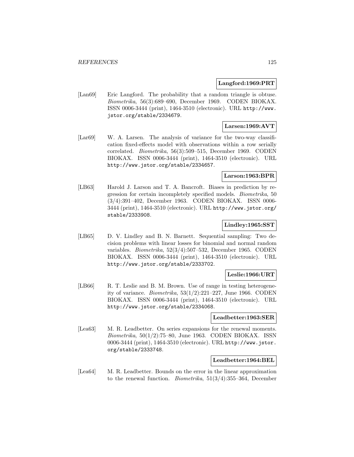### **Langford:1969:PRT**

[Lan69] Eric Langford. The probability that a random triangle is obtuse. Biometrika, 56(3):689–690, December 1969. CODEN BIOKAX. ISSN 0006-3444 (print), 1464-3510 (electronic). URL http://www. jstor.org/stable/2334679.

## **Larsen:1969:AVT**

[Lar69] W. A. Larsen. The analysis of variance for the two-way classification fixed-effects model with observations within a row serially correlated. Biometrika, 56(3):509–515, December 1969. CODEN BIOKAX. ISSN 0006-3444 (print), 1464-3510 (electronic). URL http://www.jstor.org/stable/2334657.

## **Larson:1963:BPR**

[LB63] Harold J. Larson and T. A. Bancroft. Biases in prediction by regression for certain incompletely specified models. Biometrika, 50 (3/4):391–402, December 1963. CODEN BIOKAX. ISSN 0006- 3444 (print), 1464-3510 (electronic). URL http://www.jstor.org/ stable/2333908.

## **Lindley:1965:SST**

[LB65] D. V. Lindley and B. N. Barnett. Sequential sampling: Two decision problems with linear losses for binomial and normal random variables. Biometrika, 52(3/4):507–532, December 1965. CODEN BIOKAX. ISSN 0006-3444 (print), 1464-3510 (electronic). URL http://www.jstor.org/stable/2333702.

## **Leslie:1966:URT**

[LB66] R. T. Leslie and B. M. Brown. Use of range in testing heterogeneity of variance. *Biometrika*,  $53(1/2):221-227$ , June 1966. CODEN BIOKAX. ISSN 0006-3444 (print), 1464-3510 (electronic). URL http://www.jstor.org/stable/2334068.

## **Leadbetter:1963:SER**

[Lea63] M. R. Leadbetter. On series expansions for the renewal moments. Biometrika, 50(1/2):75–80, June 1963. CODEN BIOKAX. ISSN 0006-3444 (print), 1464-3510 (electronic). URL http://www.jstor. org/stable/2333748.

### **Leadbetter:1964:BEL**

[Lea64] M. R. Leadbetter. Bounds on the error in the linear approximation to the renewal function. Biometrika, 51(3/4):355–364, December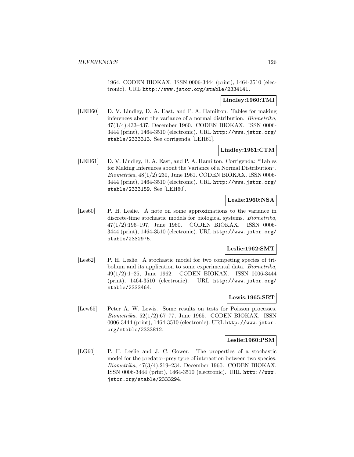1964. CODEN BIOKAX. ISSN 0006-3444 (print), 1464-3510 (electronic). URL http://www.jstor.org/stable/2334141.

## **Lindley:1960:TMI**

[LEH60] D. V. Lindley, D. A. East, and P. A. Hamilton. Tables for making inferences about the variance of a normal distribution. Biometrika, 47(3/4):433–437, December 1960. CODEN BIOKAX. ISSN 0006- 3444 (print), 1464-3510 (electronic). URL http://www.jstor.org/ stable/2333313. See corrigenda [LEH61].

## **Lindley:1961:CTM**

[LEH61] D. V. Lindley, D. A. East, and P. A. Hamilton. Corrigenda: "Tables" for Making Inferences about the Variance of a Normal Distribution". Biometrika, 48(1/2):230, June 1961. CODEN BIOKAX. ISSN 0006- 3444 (print), 1464-3510 (electronic). URL http://www.jstor.org/ stable/2333159. See [LEH60].

# **Leslie:1960:NSA**

[Les60] P. H. Leslie. A note on some approximations to the variance in discrete-time stochastic models for biological systems. Biometrika, 47(1/2):196–197, June 1960. CODEN BIOKAX. ISSN 0006- 3444 (print), 1464-3510 (electronic). URL http://www.jstor.org/ stable/2332975.

## **Leslie:1962:SMT**

[Les62] P. H. Leslie. A stochastic model for two competing species of tribolium and its application to some experimental data. Biometrika, 49(1/2):1–25, June 1962. CODEN BIOKAX. ISSN 0006-3444 (print), 1464-3510 (electronic). URL http://www.jstor.org/ stable/2333464.

## **Lewis:1965:SRT**

[Lew65] Peter A. W. Lewis. Some results on tests for Poisson processes.  $Biometrika$ ,  $52(1/2):67-77$ , June 1965. CODEN BIOKAX. ISSN 0006-3444 (print), 1464-3510 (electronic). URL http://www.jstor. org/stable/2333812.

## **Leslie:1960:PSM**

[LG60] P. H. Leslie and J. C. Gower. The properties of a stochastic model for the predator-prey type of interaction between two species. Biometrika, 47(3/4):219–234, December 1960. CODEN BIOKAX. ISSN 0006-3444 (print), 1464-3510 (electronic). URL http://www. jstor.org/stable/2333294.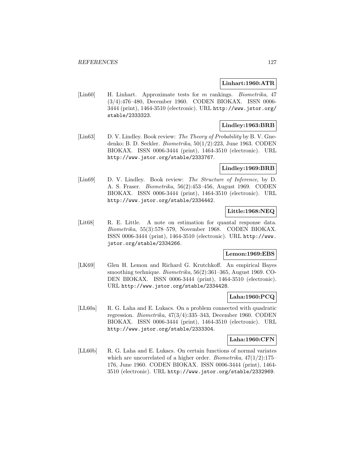## **Linhart:1960:ATR**

[Lin60] H. Linhart. Approximate tests for m rankings. *Biometrika*, 47 (3/4):476–480, December 1960. CODEN BIOKAX. ISSN 0006- 3444 (print), 1464-3510 (electronic). URL http://www.jstor.org/ stable/2333323.

## **Lindley:1963:BRB**

[Lin63] D. V. Lindley. Book review: The Theory of Probability by B. V. Gnedenko; B. D. Seckler. Biometrika, 50(1/2):223, June 1963. CODEN BIOKAX. ISSN 0006-3444 (print), 1464-3510 (electronic). URL http://www.jstor.org/stable/2333767.

## **Lindley:1969:BRB**

[Lin69] D. V. Lindley. Book review: The Structure of Inference, by D. A. S. Fraser. Biometrika, 56(2):453–456, August 1969. CODEN BIOKAX. ISSN 0006-3444 (print), 1464-3510 (electronic). URL http://www.jstor.org/stable/2334442.

## **Little:1968:NEQ**

[Lit68] R. E. Little. A note on estimation for quantal response data. Biometrika, 55(3):578–579, November 1968. CODEN BIOKAX. ISSN 0006-3444 (print), 1464-3510 (electronic). URL http://www. jstor.org/stable/2334266.

## **Lemon:1969:EBS**

[LK69] Glen H. Lemon and Richard G. Krutchkoff. An empirical Bayes smoothing technique. *Biometrika*, 56(2):361–365, August 1969. CO-DEN BIOKAX. ISSN 0006-3444 (print), 1464-3510 (electronic). URL http://www.jstor.org/stable/2334428.

## **Laha:1960:PCQ**

[LL60a] R. G. Laha and E. Lukacs. On a problem connected with quadratic regression. Biometrika, 47(3/4):335–343, December 1960. CODEN BIOKAX. ISSN 0006-3444 (print), 1464-3510 (electronic). URL http://www.jstor.org/stable/2333304.

### **Laha:1960:CFN**

[LL60b] R. G. Laha and E. Lukacs. On certain functions of normal variates which are uncorrelated of a higher order. *Biometrika*,  $47(1/2)$ :175– 176, June 1960. CODEN BIOKAX. ISSN 0006-3444 (print), 1464- 3510 (electronic). URL http://www.jstor.org/stable/2332969.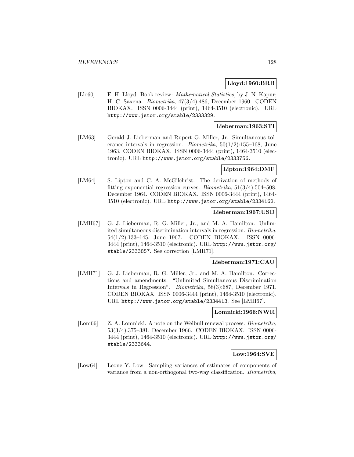## **Lloyd:1960:BRB**

[Llo60] E. H. Lloyd. Book review: *Mathematical Statistics*, by J. N. Kapur; H. C. Saxena. Biometrika, 47(3/4):486, December 1960. CODEN BIOKAX. ISSN 0006-3444 (print), 1464-3510 (electronic). URL http://www.jstor.org/stable/2333329.

## **Lieberman:1963:STI**

[LM63] Gerald J. Lieberman and Rupert G. Miller, Jr. Simultaneous tolerance intervals in regression. *Biometrika*,  $50(1/2)$ :155–168, June 1963. CODEN BIOKAX. ISSN 0006-3444 (print), 1464-3510 (electronic). URL http://www.jstor.org/stable/2333756.

## **Lipton:1964:DMF**

[LM64] S. Lipton and C. A. McGilchrist. The derivation of methods of fitting exponential regression curves. *Biometrika*,  $51(3/4):504-508$ , December 1964. CODEN BIOKAX. ISSN 0006-3444 (print), 1464- 3510 (electronic). URL http://www.jstor.org/stable/2334162.

## **Lieberman:1967:USD**

[LMH67] G. J. Lieberman, R. G. Miller, Jr., and M. A. Hamilton. Unlimited simultaneous discrimination intervals in regression. Biometrika, 54(1/2):133–145, June 1967. CODEN BIOKAX. ISSN 0006- 3444 (print), 1464-3510 (electronic). URL http://www.jstor.org/ stable/2333857. See correction [LMH71].

#### **Lieberman:1971:CAU**

[LMH71] G. J. Lieberman, R. G. Miller, Jr., and M. A. Hamilton. Corrections and amendments: "Unlimited Simultaneous Discrimination Intervals in Regression". Biometrika, 58(3):687, December 1971. CODEN BIOKAX. ISSN 0006-3444 (print), 1464-3510 (electronic). URL http://www.jstor.org/stable/2334413. See [LMH67].

#### **Lomnicki:1966:NWR**

[Lom66] Z. A. Lomnicki. A note on the Weibull renewal process. *Biometrika*, 53(3/4):375–381, December 1966. CODEN BIOKAX. ISSN 0006- 3444 (print), 1464-3510 (electronic). URL http://www.jstor.org/ stable/2333644.

## **Low:1964:SVE**

[Low64] Leone Y. Low. Sampling variances of estimates of components of variance from a non-orthogonal two-way classification. Biometrika,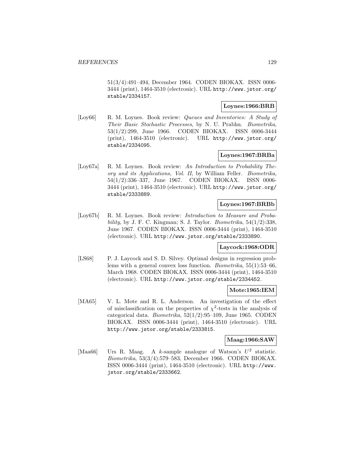51(3/4):491–494, December 1964. CODEN BIOKAX. ISSN 0006- 3444 (print), 1464-3510 (electronic). URL http://www.jstor.org/ stable/2334157.

## **Loynes:1966:BRB**

[Loy66] R. M. Loynes. Book review: *Queues and Inventories: A Study of* Their Basic Stochastic Processes, by N. U. Prabhu. Biometrika, 53(1/2):299, June 1966. CODEN BIOKAX. ISSN 0006-3444 (print), 1464-3510 (electronic). URL http://www.jstor.org/ stable/2334095.

## **Loynes:1967:BRBa**

[Loy67a] R. M. Loynes. Book review: An Introduction to Probability Theory and its Applications, Vol. II, by William Feller. Biometrika, 54(1/2):336–337, June 1967. CODEN BIOKAX. ISSN 0006- 3444 (print), 1464-3510 (electronic). URL http://www.jstor.org/ stable/2333889.

## **Loynes:1967:BRBb**

[Loy67b] R. M. Loynes. Book review: *Introduction to Measure and Proba*bility, by J. F. C. Kingman; S. J. Taylor. Biometrika,  $54(1/2):338$ , June 1967. CODEN BIOKAX. ISSN 0006-3444 (print), 1464-3510 (electronic). URL http://www.jstor.org/stable/2333890.

# **Laycock:1968:ODR**

[LS68] P. J. Laycock and S. D. Silvey. Optimal designs in regression problems with a general convex loss function. Biometrika, 55(1):53–66, March 1968. CODEN BIOKAX. ISSN 0006-3444 (print), 1464-3510 (electronic). URL http://www.jstor.org/stable/2334452.

# **Mote:1965:IEM**

[MA65] V. L. Mote and R. L. Anderson. An investigation of the effect of misclassification on the properties of  $\chi^2$ -tests in the analysis of categorical data. Biometrika, 52(1/2):95–109, June 1965. CODEN BIOKAX. ISSN 0006-3444 (print), 1464-3510 (electronic). URL http://www.jstor.org/stable/2333815.

## **Maag:1966:SAW**

[Maa66] Urs R. Maag. A k-sample analogue of Watson's  $U^2$  statistic. Biometrika, 53(3/4):579–583, December 1966. CODEN BIOKAX. ISSN 0006-3444 (print), 1464-3510 (electronic). URL http://www. jstor.org/stable/2333662.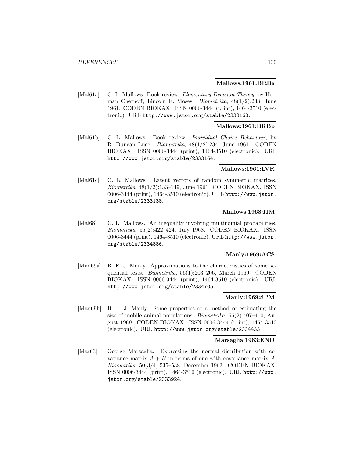#### **Mallows:1961:BRBa**

[Mal61a] C. L. Mallows. Book review: *Elementary Decision Theory*, by Herman Chernoff; Lincoln E. Moses. Biometrika, 48(1/2):233, June 1961. CODEN BIOKAX. ISSN 0006-3444 (print), 1464-3510 (electronic). URL http://www.jstor.org/stable/2333163.

# **Mallows:1961:BRBb**

[Mal61b] C. L. Mallows. Book review: *Individual Choice Behaviour*, by R. Duncan Luce. Biometrika, 48(1/2):234, June 1961. CODEN BIOKAX. ISSN 0006-3444 (print), 1464-3510 (electronic). URL http://www.jstor.org/stable/2333164.

#### **Mallows:1961:LVR**

[Mal61c] C. L. Mallows. Latent vectors of random symmetric matrices. Biometrika, 48(1/2):133–149, June 1961. CODEN BIOKAX. ISSN 0006-3444 (print), 1464-3510 (electronic). URL http://www.jstor. org/stable/2333138.

## **Mallows:1968:IIM**

[Mal68] C. L. Mallows. An inequality involving multinomial probabilities. Biometrika, 55(2):422–424, July 1968. CODEN BIOKAX. ISSN 0006-3444 (print), 1464-3510 (electronic). URL http://www.jstor. org/stable/2334886.

## **Manly:1969:ACS**

[Man69a] B. F. J. Manly. Approximations to the characteristics of some sequential tests. Biometrika, 56(1):203–206, March 1969. CODEN BIOKAX. ISSN 0006-3444 (print), 1464-3510 (electronic). URL http://www.jstor.org/stable/2334705.

## **Manly:1969:SPM**

[Man69b] B. F. J. Manly. Some properties of a method of estimating the size of mobile animal populations. Biometrika, 56(2):407–410, August 1969. CODEN BIOKAX. ISSN 0006-3444 (print), 1464-3510 (electronic). URL http://www.jstor.org/stable/2334433.

### **Marsaglia:1963:END**

[Mar63] George Marsaglia. Expressing the normal distribution with covariance matrix  $A + B$  in terms of one with covariance matrix A. Biometrika, 50(3/4):535–538, December 1963. CODEN BIOKAX. ISSN 0006-3444 (print), 1464-3510 (electronic). URL http://www. jstor.org/stable/2333924.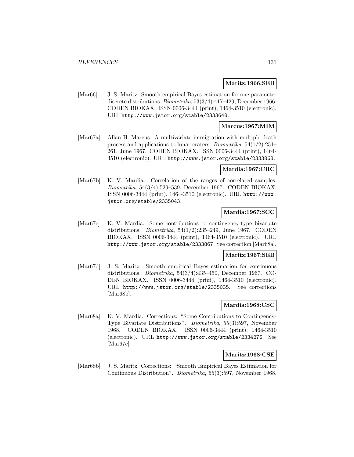### **Maritz:1966:SEB**

[Mar66] J. S. Maritz. Smooth empirical Bayes estimation for one-parameter discrete distributions. Biometrika, 53(3/4):417–429, December 1966. CODEN BIOKAX. ISSN 0006-3444 (print), 1464-3510 (electronic). URL http://www.jstor.org/stable/2333648.

## **Marcus:1967:MIM**

[Mar67a] Allan H. Marcus. A multivariate immigration with multiple death process and applications to lunar craters. Biometrika, 54(1/2):251– 261, June 1967. CODEN BIOKAX. ISSN 0006-3444 (print), 1464- 3510 (electronic). URL http://www.jstor.org/stable/2333868.

## **Mardia:1967:CRC**

[Mar67b] K. V. Mardia. Correlation of the ranges of correlated samples. Biometrika, 54(3/4):529–539, December 1967. CODEN BIOKAX. ISSN 0006-3444 (print), 1464-3510 (electronic). URL http://www. jstor.org/stable/2335043.

# **Mardia:1967:SCC**

[Mar67c] K. V. Mardia. Some contributions to contingency-type bivariate distributions. *Biometrika*,  $54(1/2):235-249$ , June 1967. CODEN BIOKAX. ISSN 0006-3444 (print), 1464-3510 (electronic). URL http://www.jstor.org/stable/2333867. See correction [Mar68a].

#### **Maritz:1967:SEB**

[Mar67d] J. S. Maritz. Smooth empirical Bayes estimation for continuous distributions. Biometrika, 54(3/4):435–450, December 1967. CO-DEN BIOKAX. ISSN 0006-3444 (print), 1464-3510 (electronic). URL http://www.jstor.org/stable/2335035. See corrections [Mar68b].

## **Mardia:1968:CSC**

[Mar68a] K. V. Mardia. Corrections: "Some Contributions to Contingency-Type Bivariate Distributions". Biometrika, 55(3):597, November 1968. CODEN BIOKAX. ISSN 0006-3444 (print), 1464-3510 (electronic). URL http://www.jstor.org/stable/2334276. See [Mar67c].

#### **Maritz:1968:CSE**

[Mar68b] J. S. Maritz. Corrections: "Smooth Empirical Bayes Estimation for Continuous Distribution". Biometrika, 55(3):597, November 1968.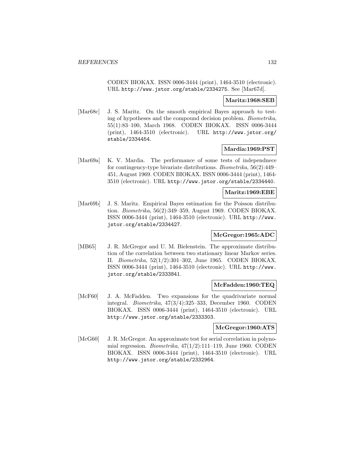CODEN BIOKAX. ISSN 0006-3444 (print), 1464-3510 (electronic). URL http://www.jstor.org/stable/2334275. See [Mar67d].

## **Maritz:1968:SEB**

[Mar68c] J. S. Maritz. On the smooth empirical Bayes approach to testing of hypotheses and the compound decision problem. Biometrika, 55(1):83–100, March 1968. CODEN BIOKAX. ISSN 0006-3444 (print), 1464-3510 (electronic). URL http://www.jstor.org/ stable/2334454.

## **Mardia:1969:PST**

[Mar69a] K. V. Mardia. The performance of some tests of independnece for contingency-type bivariate distributions. Biometrika, 56(2):449– 451, August 1969. CODEN BIOKAX. ISSN 0006-3444 (print), 1464- 3510 (electronic). URL http://www.jstor.org/stable/2334440.

### **Maritz:1969:EBE**

[Mar69b] J. S. Maritz. Empirical Bayes estimation for the Poisson distribution. Biometrika, 56(2):349–359, August 1969. CODEN BIOKAX. ISSN 0006-3444 (print), 1464-3510 (electronic). URL http://www. jstor.org/stable/2334427.

# **McGregor:1965:ADC**

[MB65] J. R. McGregor and U. M. Bielenstein. The approximate distribution of the correlation between two stationary linear Markov series. II. Biometrika, 52(1/2):301–302, June 1965. CODEN BIOKAX. ISSN 0006-3444 (print), 1464-3510 (electronic). URL http://www. jstor.org/stable/2333841.

## **McFadden:1960:TEQ**

[McF60] J. A. McFadden. Two expansions for the quadrivariate normal integral. Biometrika, 47(3/4):325–333, December 1960. CODEN BIOKAX. ISSN 0006-3444 (print), 1464-3510 (electronic). URL http://www.jstor.org/stable/2333303.

### **McGregor:1960:ATS**

[McG60] J. R. McGregor. An approximate test for serial correlation in polynomial regression. *Biometrika*,  $47(1/2):111-119$ , June 1960. CODEN BIOKAX. ISSN 0006-3444 (print), 1464-3510 (electronic). URL http://www.jstor.org/stable/2332964.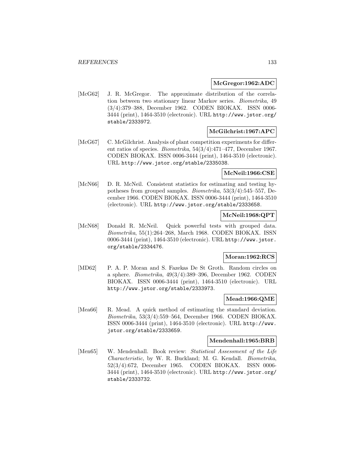### **McGregor:1962:ADC**

[McG62] J. R. McGregor. The approximate distribution of the correlation between two stationary linear Markov series. Biometrika, 49 (3/4):379–388, December 1962. CODEN BIOKAX. ISSN 0006- 3444 (print), 1464-3510 (electronic). URL http://www.jstor.org/ stable/2333972.

## **McGilchrist:1967:APC**

[McG67] C. McGilchrist. Analysis of plant competition experiments for different ratios of species. Biometrika, 54(3/4):471–477, December 1967. CODEN BIOKAX. ISSN 0006-3444 (print), 1464-3510 (electronic). URL http://www.jstor.org/stable/2335038.

## **McNeil:1966:CSE**

[McN66] D. R. McNeil. Consistent statistics for estimating and testing hypotheses from grouped samples. Biometrika, 53(3/4):545–557, December 1966. CODEN BIOKAX. ISSN 0006-3444 (print), 1464-3510 (electronic). URL http://www.jstor.org/stable/2333658.

# **McNeil:1968:QPT**

[McN68] Donald R. McNeil. Quick powerful tests with grouped data. Biometrika, 55(1):264–268, March 1968. CODEN BIOKAX. ISSN 0006-3444 (print), 1464-3510 (electronic). URL http://www.jstor. org/stable/2334476.

# **Moran:1962:RCS**

[MD62] P. A. P. Moran and S. Fazekas De St Groth. Random circles on a sphere. Biometrika, 49(3/4):389–396, December 1962. CODEN BIOKAX. ISSN 0006-3444 (print), 1464-3510 (electronic). URL http://www.jstor.org/stable/2333973.

### **Mead:1966:QME**

[Mea66] R. Mead. A quick method of estimating the standard deviation. Biometrika, 53(3/4):559–564, December 1966. CODEN BIOKAX. ISSN 0006-3444 (print), 1464-3510 (electronic). URL http://www. jstor.org/stable/2333659.

#### **Mendenhall:1965:BRB**

[Men65] W. Mendenhall. Book review: Statistical Assessment of the Life Characteristic, by W. R. Buckland; M. G. Kendall. Biometrika, 52(3/4):672, December 1965. CODEN BIOKAX. ISSN 0006- 3444 (print), 1464-3510 (electronic). URL http://www.jstor.org/ stable/2333732.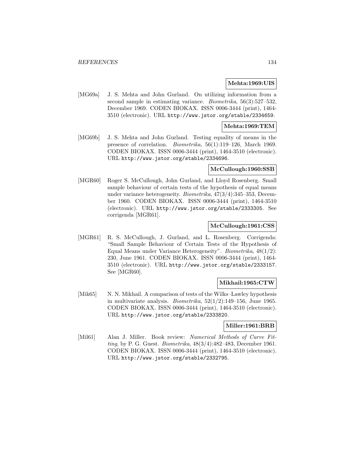## **Mehta:1969:UIS**

[MG69a] J. S. Mehta and John Gurland. On utilizing information from a second sample in estimating variance. Biometrika, 56(3):527–532, December 1969. CODEN BIOKAX. ISSN 0006-3444 (print), 1464- 3510 (electronic). URL http://www.jstor.org/stable/2334659.

## **Mehta:1969:TEM**

[MG69b] J. S. Mehta and John Gurland. Testing equality of means in the presence of correlation. Biometrika, 56(1):119–126, March 1969. CODEN BIOKAX. ISSN 0006-3444 (print), 1464-3510 (electronic). URL http://www.jstor.org/stable/2334696.

## **McCullough:1960:SSB**

[MGR60] Roger S. McCullough, John Gurland, and Lloyd Rosenberg. Small sample behaviour of certain tests of the hypothesis of equal means under variance heterogeneity. Biometrika, 47(3/4):345–353, December 1960. CODEN BIOKAX. ISSN 0006-3444 (print), 1464-3510 (electronic). URL http://www.jstor.org/stable/2333305. See corrigenda [MGR61].

### **McCullough:1961:CSS**

[MGR61] R. S. McCullough, J. Gurland, and L. Rosenberg. Corrigenda: "Small Sample Behaviour of Certain Tests of the Hypothesis of Equal Means under Variance Heterogeneity". Biometrika, 48(1/2): 230, June 1961. CODEN BIOKAX. ISSN 0006-3444 (print), 1464- 3510 (electronic). URL http://www.jstor.org/stable/2333157. See [MGR60].

## **Mikhail:1965:CTW**

[Mik65] N. N. Mikhail. A comparison of tests of the Wilks–Lawley hypothesis in multivariate analysis. *Biometrika*,  $52(1/2)$ :149–156, June 1965. CODEN BIOKAX. ISSN 0006-3444 (print), 1464-3510 (electronic). URL http://www.jstor.org/stable/2333820.

## **Miller:1961:BRB**

[Mil61] Alan J. Miller. Book review: Numerical Methods of Curve Fitting, by P. G. Guest. Biometrika, 48(3/4):482–483, December 1961. CODEN BIOKAX. ISSN 0006-3444 (print), 1464-3510 (electronic). URL http://www.jstor.org/stable/2332795.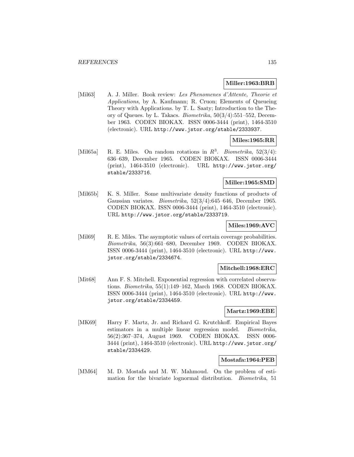### **Miller:1963:BRB**

[Mil63] A. J. Miller. Book review: Les Phenomenes d'Attente, Theorie et Applications, by A. Kaufmann; R. Cruon; Elements of Queueing Theory with Applications. by T. L. Saaty; Introduction to the Theory of Queues. by L. Takacs. Biometrika, 50(3/4):551–552, December 1963. CODEN BIOKAX. ISSN 0006-3444 (print), 1464-3510 (electronic). URL http://www.jstor.org/stable/2333937.

## **Miles:1965:RR**

[Mil65a] R. E. Miles. On random rotations in  $R^3$ . Biometrika, 52(3/4): 636–639, December 1965. CODEN BIOKAX. ISSN 0006-3444 (print), 1464-3510 (electronic). URL http://www.jstor.org/ stable/2333716.

#### **Miller:1965:SMD**

[Mil65b] K. S. Miller. Some multivariate density functions of products of Gaussian variates. Biometrika, 52(3/4):645–646, December 1965. CODEN BIOKAX. ISSN 0006-3444 (print), 1464-3510 (electronic). URL http://www.jstor.org/stable/2333719.

## **Miles:1969:AVC**

[Mil69] R. E. Miles. The asymptotic values of certain coverage probabilities. Biometrika, 56(3):661–680, December 1969. CODEN BIOKAX. ISSN 0006-3444 (print), 1464-3510 (electronic). URL http://www. jstor.org/stable/2334674.

## **Mitchell:1968:ERC**

[Mit68] Ann F. S. Mitchell. Exponential regression with correlated observations. Biometrika, 55(1):149–162, March 1968. CODEN BIOKAX. ISSN 0006-3444 (print), 1464-3510 (electronic). URL http://www. jstor.org/stable/2334459.

### **Martz:1969:EBE**

[MK69] Harry F. Martz, Jr. and Richard G. Krutchkoff. Empirical Bayes estimators in a multiple linear regression model. Biometrika, 56(2):367–374, August 1969. CODEN BIOKAX. ISSN 0006- 3444 (print), 1464-3510 (electronic). URL http://www.jstor.org/ stable/2334429.

### **Mostafa:1964:PEB**

[MM64] M. D. Mostafa and M. W. Mahmoud. On the problem of estimation for the bivariate lognormal distribution. Biometrika, 51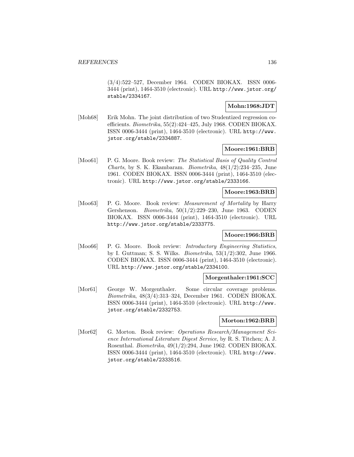(3/4):522–527, December 1964. CODEN BIOKAX. ISSN 0006- 3444 (print), 1464-3510 (electronic). URL http://www.jstor.org/ stable/2334167.

## **Mohn:1968:JDT**

[Moh68] Erik Mohn. The joint distribution of two Studentized regression coefficients. Biometrika, 55(2):424–425, July 1968. CODEN BIOKAX. ISSN 0006-3444 (print), 1464-3510 (electronic). URL http://www. jstor.org/stable/2334887.

## **Moore:1961:BRB**

[Moo61] P. G. Moore. Book review: The Statistical Basis of Quality Control Charts, by S. K. Ekambaram. Biometrika, 48(1/2):234–235, June 1961. CODEN BIOKAX. ISSN 0006-3444 (print), 1464-3510 (electronic). URL http://www.jstor.org/stable/2333166.

## **Moore:1963:BRB**

[Moo63] P. G. Moore. Book review: *Measurement of Mortality* by Harry Gershenson. Biometrika, 50(1/2):229–230, June 1963. CODEN BIOKAX. ISSN 0006-3444 (print), 1464-3510 (electronic). URL http://www.jstor.org/stable/2333775.

## **Moore:1966:BRB**

[Moo66] P. G. Moore. Book review: *Introductory Engineering Statistics*, by I. Guttman; S. S. Wilks. Biometrika, 53(1/2):302, June 1966. CODEN BIOKAX. ISSN 0006-3444 (print), 1464-3510 (electronic). URL http://www.jstor.org/stable/2334100.

## **Morgenthaler:1961:SCC**

[Mor61] George W. Morgenthaler. Some circular coverage problems. Biometrika, 48(3/4):313–324, December 1961. CODEN BIOKAX. ISSN 0006-3444 (print), 1464-3510 (electronic). URL http://www. jstor.org/stable/2332753.

## **Morton:1962:BRB**

[Mor62] G. Morton. Book review: Operations Research/Management Science International Literature Digest Service, by R. S. Titchen; A. J. Rosenthal. Biometrika, 49(1/2):294, June 1962. CODEN BIOKAX. ISSN 0006-3444 (print), 1464-3510 (electronic). URL http://www. jstor.org/stable/2333516.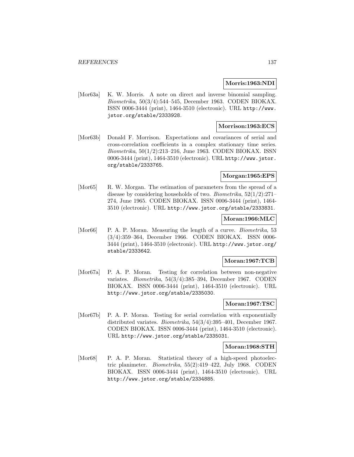### **Morris:1963:NDI**

[Mor63a] K. W. Morris. A note on direct and inverse binomial sampling. Biometrika, 50(3/4):544–545, December 1963. CODEN BIOKAX. ISSN 0006-3444 (print), 1464-3510 (electronic). URL http://www. jstor.org/stable/2333928.

## **Morrison:1963:ECS**

[Mor63b] Donald F. Morrison. Expectations and covariances of serial and cross-correlation coefficients in a complex stationary time series. Biometrika, 50(1/2):213–216, June 1963. CODEN BIOKAX. ISSN 0006-3444 (print), 1464-3510 (electronic). URL http://www.jstor. org/stable/2333765.

## **Morgan:1965:EPS**

[Mor65] R. W. Morgan. The estimation of parameters from the spread of a disease by considering households of two. Biometrika, 52(1/2):271– 274, June 1965. CODEN BIOKAX. ISSN 0006-3444 (print), 1464- 3510 (electronic). URL http://www.jstor.org/stable/2333831.

## **Moran:1966:MLC**

[Mor66] P. A. P. Moran. Measuring the length of a curve. *Biometrika*, 53 (3/4):359–364, December 1966. CODEN BIOKAX. ISSN 0006- 3444 (print), 1464-3510 (electronic). URL http://www.jstor.org/ stable/2333642.

# **Moran:1967:TCB**

[Mor67a] P. A. P. Moran. Testing for correlation between non-negative variates. Biometrika, 54(3/4):385–394, December 1967. CODEN BIOKAX. ISSN 0006-3444 (print), 1464-3510 (electronic). URL http://www.jstor.org/stable/2335030.

# **Moran:1967:TSC**

[Mor67b] P. A. P. Moran. Testing for serial correlation with exponentially distributed variates. Biometrika, 54(3/4):395–401, December 1967. CODEN BIOKAX. ISSN 0006-3444 (print), 1464-3510 (electronic). URL http://www.jstor.org/stable/2335031.

## **Moran:1968:STH**

[Mor68] P. A. P. Moran. Statistical theory of a high-speed photoelectric planimeter. Biometrika, 55(2):419–422, July 1968. CODEN BIOKAX. ISSN 0006-3444 (print), 1464-3510 (electronic). URL http://www.jstor.org/stable/2334885.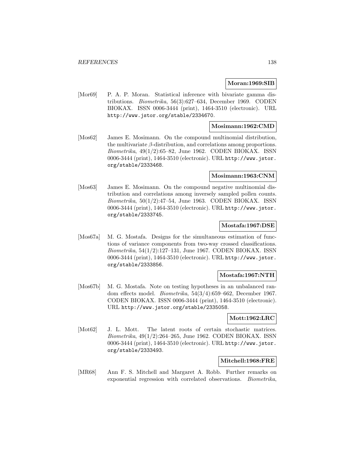## **Moran:1969:SIB**

[Mor69] P. A. P. Moran. Statistical inference with bivariate gamma distributions. Biometrika, 56(3):627–634, December 1969. CODEN BIOKAX. ISSN 0006-3444 (print), 1464-3510 (electronic). URL http://www.jstor.org/stable/2334670.

## **Mosimann:1962:CMD**

[Mos62] James E. Mosimann. On the compound multinomial distribution, the multivariate  $\beta$ -distribution, and correlations among proportions. Biometrika, 49(1/2):65–82, June 1962. CODEN BIOKAX. ISSN 0006-3444 (print), 1464-3510 (electronic). URL http://www.jstor. org/stable/2333468.

## **Mosimann:1963:CNM**

[Mos63] James E. Mosimann. On the compound negative multinomial distribution and correlations among inversely sampled pollen counts.  $Biometrika$ ,  $50(1/2):47-54$ , June 1963. CODEN BIOKAX. ISSN 0006-3444 (print), 1464-3510 (electronic). URL http://www.jstor. org/stable/2333745.

### **Mostafa:1967:DSE**

[Mos67a] M. G. Mostafa. Designs for the simultaneous estimation of functions of variance components from two-way crossed classifications. Biometrika, 54(1/2):127–131, June 1967. CODEN BIOKAX. ISSN 0006-3444 (print), 1464-3510 (electronic). URL http://www.jstor. org/stable/2333856.

# **Mostafa:1967:NTH**

[Mos67b] M. G. Mostafa. Note on testing hypotheses in an unbalanced random effects model. Biometrika, 54(3/4):659–662, December 1967. CODEN BIOKAX. ISSN 0006-3444 (print), 1464-3510 (electronic). URL http://www.jstor.org/stable/2335058.

## **Mott:1962:LRC**

[Mot62] J. L. Mott. The latent roots of certain stochastic matrices. Biometrika, 49(1/2):264–265, June 1962. CODEN BIOKAX. ISSN 0006-3444 (print), 1464-3510 (electronic). URL http://www.jstor. org/stable/2333493.

## **Mitchell:1968:FRE**

[MR68] Ann F. S. Mitchell and Margaret A. Robb. Further remarks on exponential regression with correlated observations. Biometrika,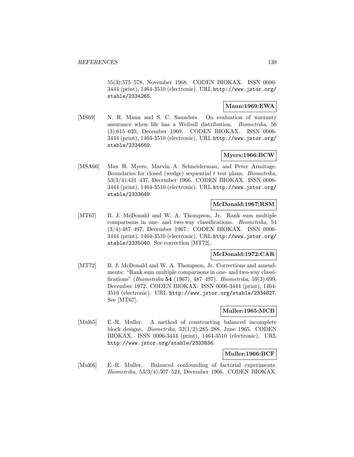55(3):575–578, November 1968. CODEN BIOKAX. ISSN 0006- 3444 (print), 1464-3510 (electronic). URL http://www.jstor.org/ stable/2334265.

## **Mann:1969:EWA**

[MS69] N. R. Mann and S. C. Saunders. On evaluation of warranty assurance when life has a Weibull distribution. Biometrika, 56 (3):615–625, December 1969. CODEN BIOKAX. ISSN 0006- 3444 (print), 1464-3510 (electronic). URL http://www.jstor.org/ stable/2334669.

# **Myers:1966:BCW**

[MSA66] Max H. Myers, Marvin A. Schneiderman, and Peter Armitage. Boundaries for closed (wedge) sequential  $t$  test plans. Biometrika, 53(3/4):431–437, December 1966. CODEN BIOKAX. ISSN 0006- 3444 (print), 1464-3510 (electronic). URL http://www.jstor.org/ stable/2333649.

## **McDonald:1967:RSM**

[MT67] B. J. McDonald and W. A. Thompson, Jr. Rank sum multiple comparisons in one- and two-way classifications. Biometrika, 54 (3/4):487–497, December 1967. CODEN BIOKAX. ISSN 0006- 3444 (print), 1464-3510 (electronic). URL http://www.jstor.org/ stable/2335040. See correction [MT72].

# **McDonald:1972:CAR**

[MT72] B. J. McDonald and W. A. Thompson, Jr. Corrections and amendments: "Rank sum multiple comparisons in one- and two-way classifications" (Biometrika **54** (1967), 487–497). Biometrika, 59(3):699, December 1972. CODEN BIOKAX. ISSN 0006-3444 (print), 1464- 3510 (electronic). URL http://www.jstor.org/stable/2334827. See [MT67].

# **Muller:1965:MCB**

[Mul65] E.-R. Muller. A method of constructing balanced incomplete block designs. Biometrika, 52(1/2):285–288, June 1965. CODEN BIOKAX. ISSN 0006-3444 (print), 1464-3510 (electronic). URL http://www.jstor.org/stable/2333836.

## **Muller:1966:BCF**

[Mul66] E.-R. Muller. Balanced confounding of factorial experiments. Biometrika, 53(3/4):507–524, December 1966. CODEN BIOKAX.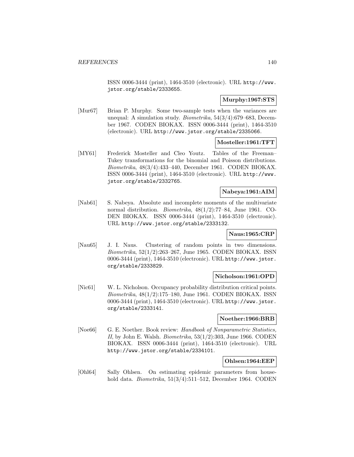ISSN 0006-3444 (print), 1464-3510 (electronic). URL http://www. jstor.org/stable/2333655.

### **Murphy:1967:STS**

[Mur67] Brian P. Murphy. Some two-sample tests when the variances are unequal: A simulation study. Biometrika, 54(3/4):679–683, December 1967. CODEN BIOKAX. ISSN 0006-3444 (print), 1464-3510 (electronic). URL http://www.jstor.org/stable/2335066.

### **Mosteller:1961:TFT**

[MY61] Frederick Mosteller and Cleo Youtz. Tables of the Freeman– Tukey transformations for the binomial and Poisson distributions. Biometrika, 48(3/4):433–440, December 1961. CODEN BIOKAX. ISSN 0006-3444 (print), 1464-3510 (electronic). URL http://www. jstor.org/stable/2332765.

## **Nabeya:1961:AIM**

[Nab61] S. Nabeya. Absolute and incomplete moments of the multivariate normal distribution. Biometrika, 48(1/2):77–84, June 1961. CO-DEN BIOKAX. ISSN 0006-3444 (print), 1464-3510 (electronic). URL http://www.jstor.org/stable/2333132.

## **Naus:1965:CRP**

[Nau65] J. I. Naus. Clustering of random points in two dimensions. Biometrika, 52(1/2):263–267, June 1965. CODEN BIOKAX. ISSN 0006-3444 (print), 1464-3510 (electronic). URL http://www.jstor. org/stable/2333829.

### **Nicholson:1961:OPD**

[Nic61] W. L. Nicholson. Occupancy probability distribution critical points. Biometrika, 48(1/2):175–180, June 1961. CODEN BIOKAX. ISSN 0006-3444 (print), 1464-3510 (electronic). URL http://www.jstor. org/stable/2333141.

## **Noether:1966:BRB**

[Noe66] G. E. Noether. Book review: Handbook of Nonparametric Statistics, II, by John E. Walsh. Biometrika,  $53(1/2)$ :303, June 1966. CODEN BIOKAX. ISSN 0006-3444 (print), 1464-3510 (electronic). URL http://www.jstor.org/stable/2334101.

# **Ohlsen:1964:EEP**

[Ohl64] Sally Ohlsen. On estimating epidemic parameters from household data. *Biometrika*, 51(3/4):511–512, December 1964. CODEN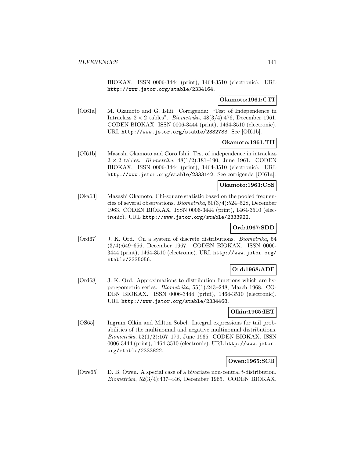BIOKAX. ISSN 0006-3444 (print), 1464-3510 (electronic). URL http://www.jstor.org/stable/2334164.

## **Okamoto:1961:CTI**

[OI61a] M. Okamoto and G. Ishii. Corrigenda: "Test of Independence in Intraclass  $2 \times 2$  tables". *Biometrika*,  $48(3/4):476$ , December 1961. CODEN BIOKAX. ISSN 0006-3444 (print), 1464-3510 (electronic). URL http://www.jstor.org/stable/2332783. See [OI61b].

## **Okamoto:1961:TII**

[OI61b] Masashi Okamoto and Goro Ishii. Test of independence in intraclass  $2 \times 2$  tables. *Biometrika*,  $48(1/2):181-190$ , June 1961. CODEN BIOKAX. ISSN 0006-3444 (print), 1464-3510 (electronic). URL http://www.jstor.org/stable/2333142. See corrigenda [OI61a].

## **Okamoto:1963:CSS**

[Oka63] Masashi Okamoto. Chi-square statistic based on the pooled frequencies of several observations. Biometrika, 50(3/4):524–528, December 1963. CODEN BIOKAX. ISSN 0006-3444 (print), 1464-3510 (electronic). URL http://www.jstor.org/stable/2333922.

# **Ord:1967:SDD**

[Ord67] J. K. Ord. On a system of discrete distributions. Biometrika, 54 (3/4):649–656, December 1967. CODEN BIOKAX. ISSN 0006- 3444 (print), 1464-3510 (electronic). URL http://www.jstor.org/ stable/2335056.

## **Ord:1968:ADF**

[Ord68] J. K. Ord. Approximations to distribution functions which are hypergeometric series. Biometrika, 55(1):243–248, March 1968. CO-DEN BIOKAX. ISSN 0006-3444 (print), 1464-3510 (electronic). URL http://www.jstor.org/stable/2334468.

# **Olkin:1965:IET**

[OS65] Ingram Olkin and Milton Sobel. Integral expressions for tail probabilities of the multinomial and negative multinomial distributions. Biometrika, 52(1/2):167–179, June 1965. CODEN BIOKAX. ISSN 0006-3444 (print), 1464-3510 (electronic). URL http://www.jstor. org/stable/2333822.

# **Owen:1965:SCB**

[ $O$ we $65$ ] D. B. Owen. A special case of a bivariate non-central t-distribution. Biometrika, 52(3/4):437–446, December 1965. CODEN BIOKAX.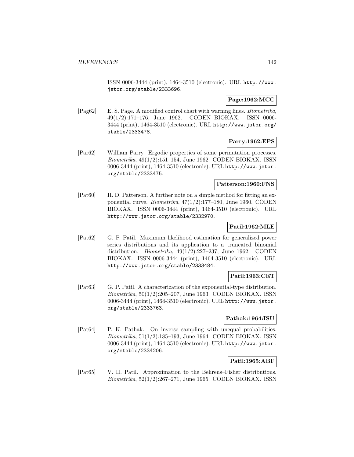ISSN 0006-3444 (print), 1464-3510 (electronic). URL http://www. jstor.org/stable/2333696.

# **Page:1962:MCC**

[Pag62] E. S. Page. A modified control chart with warning lines. Biometrika, 49(1/2):171–176, June 1962. CODEN BIOKAX. ISSN 0006- 3444 (print), 1464-3510 (electronic). URL http://www.jstor.org/ stable/2333478.

# **Parry:1962:EPS**

[Par62] William Parry. Ergodic properties of some permutation processes. Biometrika, 49(1/2):151–154, June 1962. CODEN BIOKAX. ISSN 0006-3444 (print), 1464-3510 (electronic). URL http://www.jstor. org/stable/2333475.

## **Patterson:1960:FNS**

[Pat60] H. D. Patterson. A further note on a simple method for fitting an exponential curve. Biometrika, 47(1/2):177–180, June 1960. CODEN BIOKAX. ISSN 0006-3444 (print), 1464-3510 (electronic). URL http://www.jstor.org/stable/2332970.

# **Patil:1962:MLE**

[Pat62] G. P. Patil. Maximum likelihood estimation for generalized power series distributions and its application to a truncated binomial distribution. *Biometrika*,  $49(1/2):227-237$ , June 1962. CODEN BIOKAX. ISSN 0006-3444 (print), 1464-3510 (electronic). URL http://www.jstor.org/stable/2333484.

# **Patil:1963:CET**

[Pat63] G. P. Patil. A characterization of the exponential-type distribution. Biometrika, 50(1/2):205–207, June 1963. CODEN BIOKAX. ISSN 0006-3444 (print), 1464-3510 (electronic). URL http://www.jstor. org/stable/2333763.

## **Pathak:1964:ISU**

[Pat64] P. K. Pathak. On inverse sampling with unequal probabilities. Biometrika, 51(1/2):185–193, June 1964. CODEN BIOKAX. ISSN 0006-3444 (print), 1464-3510 (electronic). URL http://www.jstor. org/stable/2334206.

## **Patil:1965:ABF**

[Pat65] V. H. Patil. Approximation to the Behrens–Fisher distributions. Biometrika, 52(1/2):267–271, June 1965. CODEN BIOKAX. ISSN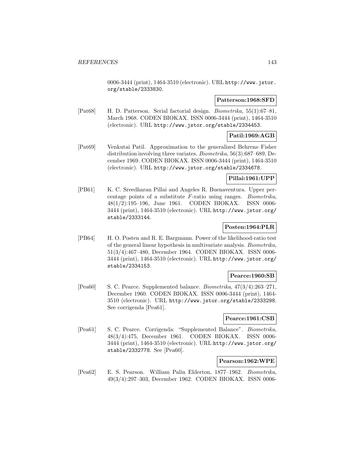0006-3444 (print), 1464-3510 (electronic). URL http://www.jstor. org/stable/2333830.

## **Patterson:1968:SFD**

[Pat68] H. D. Patterson. Serial factorial design. Biometrika, 55(1):67–81, March 1968. CODEN BIOKAX. ISSN 0006-3444 (print), 1464-3510 (electronic). URL http://www.jstor.org/stable/2334453.

# **Patil:1969:AGB**

[Pat69] Venkutai Patil. Approximation to the generalized Behrens–Fisher distribution involving three variates. Biometrika, 56(3):687–689, December 1969. CODEN BIOKAX. ISSN 0006-3444 (print), 1464-3510 (electronic). URL http://www.jstor.org/stable/2334678.

## **Pillai:1961:UPP**

[PB61] K. C. Sreedharan Pillai and Angeles R. Buenaventura. Upper percentage points of a substitute F-ratio using ranges. Biometrika, 48(1/2):195–196, June 1961. CODEN BIOKAX. ISSN 0006- 3444 (print), 1464-3510 (electronic). URL http://www.jstor.org/ stable/2333144.

# **Posten:1964:PLR**

[PB64] H. O. Posten and R. E. Bargmann. Power of the likelihood-ratio test of the general linear hypothesis in multivariate analysis. Biometrika, 51(3/4):467–480, December 1964. CODEN BIOKAX. ISSN 0006- 3444 (print), 1464-3510 (electronic). URL http://www.jstor.org/ stable/2334153.

## **Pearce:1960:SB**

[Pea60] S. C. Pearce. Supplemented balance. Biometrika, 47(3/4):263–271, December 1960. CODEN BIOKAX. ISSN 0006-3444 (print), 1464- 3510 (electronic). URL http://www.jstor.org/stable/2333298. See corrigenda [Pea61].

## **Pearce:1961:CSB**

[Pea61] S. C. Pearce. Corrigenda: "Supplemented Balance". Biometrika, 48(3/4):475, December 1961. CODEN BIOKAX. ISSN 0006- 3444 (print), 1464-3510 (electronic). URL http://www.jstor.org/ stable/2332778. See [Pea60].

# **Pearson:1962:WPE**

[Pea62] E. S. Pearson. William Palin Elderton, 1877–1962. Biometrika, 49(3/4):297–303, December 1962. CODEN BIOKAX. ISSN 0006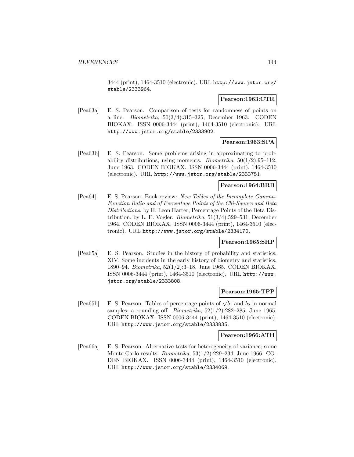3444 (print), 1464-3510 (electronic). URL http://www.jstor.org/ stable/2333964.

### **Pearson:1963:CTR**

[Pea63a] E. S. Pearson. Comparison of tests for randomness of points on a line. Biometrika, 50(3/4):315–325, December 1963. CODEN BIOKAX. ISSN 0006-3444 (print), 1464-3510 (electronic). URL http://www.jstor.org/stable/2333902.

## **Pearson:1963:SPA**

[Pea63b] E. S. Pearson. Some problems arising in approximating to probability distributions, using moments. *Biometrika*,  $50(1/2):95-112$ , June 1963. CODEN BIOKAX. ISSN 0006-3444 (print), 1464-3510 (electronic). URL http://www.jstor.org/stable/2333751.

## **Pearson:1964:BRB**

[Pea64] E. S. Pearson. Book review: New Tables of the Incomplete Gamma-Function Ratio and of Percentage Points of the Chi-Square and Beta Distributions, by H. Leon Harter; Percentage Points of the Beta Distribution. by L. E. Vogler. Biometrika, 51(3/4):529–531, December 1964. CODEN BIOKAX. ISSN 0006-3444 (print), 1464-3510 (electronic). URL http://www.jstor.org/stable/2334170.

#### **Pearson:1965:SHP**

[Pea65a] E. S. Pearson. Studies in the history of probability and statistics. XIV. Some incidents in the early history of biometry and statistics, 1890–94. Biometrika, 52(1/2):3–18, June 1965. CODEN BIOKAX. ISSN 0006-3444 (print), 1464-3510 (electronic). URL http://www. jstor.org/stable/2333808.

## **Pearson:1965:TPP**

[Pea65b] E. S. Pearson. Tables of percentage points of  $\sqrt{b_1}$  and  $b_2$  in normal samples; a rounding off. *Biometrika*,  $52(1/2)$ :282-285, June 1965. CODEN BIOKAX. ISSN 0006-3444 (print), 1464-3510 (electronic). URL http://www.jstor.org/stable/2333835.

#### **Pearson:1966:ATH**

[Pea66a] E. S. Pearson. Alternative tests for heterogeneity of variance; some Monte Carlo results. Biometrika, 53(1/2):229–234, June 1966. CO-DEN BIOKAX. ISSN 0006-3444 (print), 1464-3510 (electronic). URL http://www.jstor.org/stable/2334069.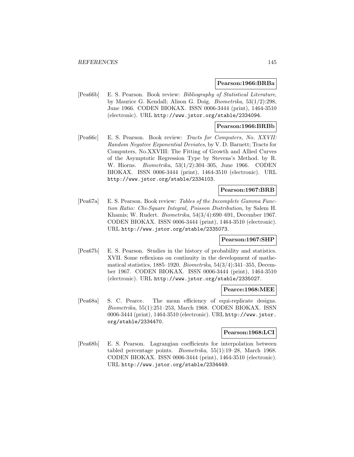#### **Pearson:1966:BRBa**

[Pea66b] E. S. Pearson. Book review: Bibliography of Statistical Literature, by Maurice G. Kendall; Alison G. Doig. Biometrika, 53(1/2):298, June 1966. CODEN BIOKAX. ISSN 0006-3444 (print), 1464-3510 (electronic). URL http://www.jstor.org/stable/2334094.

### **Pearson:1966:BRBb**

[Pea66c] E. S. Pearson. Book review: Tracts for Computers, No. XXVII: Random Negative Exponential Deviates, by V. D. Barnett; Tracts for Computers, No.XXVIII: The Fitting of Growth and Allied Curves of the Asymptotic Regression Type by Stevens's Method. by R. W. Hiorns. Biometrika, 53(1/2):304–305, June 1966. CODEN BIOKAX. ISSN 0006-3444 (print), 1464-3510 (electronic). URL http://www.jstor.org/stable/2334103.

## **Pearson:1967:BRB**

[Pea67a] E. S. Pearson. Book review: Tables of the Incomplete Gamma Function Ratio: Chi-Square Integral, Poisson Distribution, by Salem H. Khamis; W. Rudert. Biometrika, 54(3/4):690–691, December 1967. CODEN BIOKAX. ISSN 0006-3444 (print), 1464-3510 (electronic). URL http://www.jstor.org/stable/2335073.

### **Pearson:1967:SHP**

[Pea67b] E. S. Pearson. Studies in the history of probability and statistics. XVII. Some reflexions on continuity in the development of mathematical statistics,  $1885-1920$ . *Biometrika*,  $54(3/4)$ : $341-355$ , December 1967. CODEN BIOKAX. ISSN 0006-3444 (print), 1464-3510 (electronic). URL http://www.jstor.org/stable/2335027.

#### **Pearce:1968:MEE**

[Pea68a] S. C. Pearce. The mean efficiency of equi-replicate designs. Biometrika, 55(1):251–253, March 1968. CODEN BIOKAX. ISSN 0006-3444 (print), 1464-3510 (electronic). URL http://www.jstor. org/stable/2334470.

## **Pearson:1968:LCI**

[Pea68b] E. S. Pearson. Lagrangian coefficients for interpolation between tabled percentage points. Biometrika, 55(1):19–28, March 1968. CODEN BIOKAX. ISSN 0006-3444 (print), 1464-3510 (electronic). URL http://www.jstor.org/stable/2334449.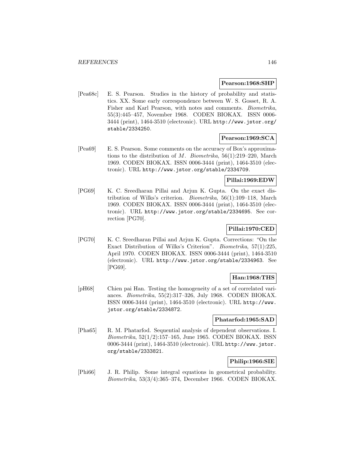#### **Pearson:1968:SHP**

[Pea68c] E. S. Pearson. Studies in the history of probability and statistics. XX. Some early correspondence between W. S. Gosset, R. A. Fisher and Karl Pearson, with notes and comments. Biometrika, 55(3):445–457, November 1968. CODEN BIOKAX. ISSN 0006- 3444 (print), 1464-3510 (electronic). URL http://www.jstor.org/ stable/2334250.

## **Pearson:1969:SCA**

[Pea69] E. S. Pearson. Some comments on the accuracy of Box's approximations to the distribution of M. Biometrika,  $56(1):219-220$ , March 1969. CODEN BIOKAX. ISSN 0006-3444 (print), 1464-3510 (electronic). URL http://www.jstor.org/stable/2334709.

## **Pillai:1969:EDW**

[PG69] K. C. Sreedharan Pillai and Arjun K. Gupta. On the exact distribution of Wilks's criterion. Biometrika, 56(1):109–118, March 1969. CODEN BIOKAX. ISSN 0006-3444 (print), 1464-3510 (electronic). URL http://www.jstor.org/stable/2334695. See correction [PG70].

# **Pillai:1970:CED**

[PG70] K. C. Sreedharan Pillai and Arjun K. Gupta. Corrections: "On the Exact Distribution of Wilks's Criterion". Biometrika, 57(1):225, April 1970. CODEN BIOKAX. ISSN 0006-3444 (print), 1464-3510 (electronic). URL http://www.jstor.org/stable/2334963. See [PG69].

### **Han:1968:THS**

[pH68] Chien pai Han. Testing the homogeneity of a set of correlated variances. Biometrika, 55(2):317–326, July 1968. CODEN BIOKAX. ISSN 0006-3444 (print), 1464-3510 (electronic). URL http://www. jstor.org/stable/2334872.

### **Phatarfod:1965:SAD**

[Pha65] R. M. Phatarfod. Sequential analysis of dependent observations. I. Biometrika, 52(1/2):157–165, June 1965. CODEN BIOKAX. ISSN 0006-3444 (print), 1464-3510 (electronic). URL http://www.jstor. org/stable/2333821.

## **Philip:1966:SIE**

[Phi66] J. R. Philip. Some integral equations in geometrical probability. Biometrika, 53(3/4):365–374, December 1966. CODEN BIOKAX.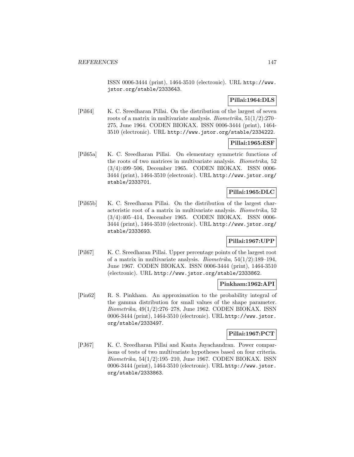ISSN 0006-3444 (print), 1464-3510 (electronic). URL http://www. jstor.org/stable/2333643.

# **Pillai:1964:DLS**

[Pil64] K. C. Sreedharan Pillai. On the distribution of the largest of seven roots of a matrix in multivariate analysis. Biometrika, 51(1/2):270– 275, June 1964. CODEN BIOKAX. ISSN 0006-3444 (print), 1464- 3510 (electronic). URL http://www.jstor.org/stable/2334222.

## **Pillai:1965:ESF**

[Pil65a] K. C. Sreedharan Pillai. On elementary symmetric functions of the roots of two matrices in multivariate analysis. Biometrika, 52 (3/4):499–506, December 1965. CODEN BIOKAX. ISSN 0006- 3444 (print), 1464-3510 (electronic). URL http://www.jstor.org/ stable/2333701.

## **Pillai:1965:DLC**

[Pil65b] K. C. Sreedharan Pillai. On the distribution of the largest characteristic root of a matrix in multivariate analysis. Biometrika, 52 (3/4):405–414, December 1965. CODEN BIOKAX. ISSN 0006- 3444 (print), 1464-3510 (electronic). URL http://www.jstor.org/ stable/2333693.

# **Pillai:1967:UPP**

[Pil67] K. C. Sreedharan Pillai. Upper percentage points of the largest root of a matrix in multivariate analysis. *Biometrika*,  $54(1/2):189-194$ , June 1967. CODEN BIOKAX. ISSN 0006-3444 (print), 1464-3510 (electronic). URL http://www.jstor.org/stable/2333862.

### **Pinkham:1962:API**

[Pin62] R. S. Pinkham. An approximation to the probability integral of the gamma distribution for small values of the shape parameter. Biometrika, 49(1/2):276–278, June 1962. CODEN BIOKAX. ISSN 0006-3444 (print), 1464-3510 (electronic). URL http://www.jstor. org/stable/2333497.

## **Pillai:1967:PCT**

[PJ67] K. C. Sreedharan Pillai and Kanta Jayachandran. Power comparisons of tests of two multivariate hypotheses based on four criteria. Biometrika, 54(1/2):195–210, June 1967. CODEN BIOKAX. ISSN 0006-3444 (print), 1464-3510 (electronic). URL http://www.jstor. org/stable/2333863.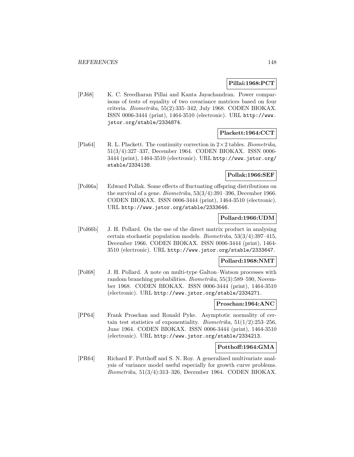### **Pillai:1968:PCT**

[PJ68] K. C. Sreedharan Pillai and Kanta Jayachandran. Power comparisons of tests of equality of two covariance matrices based on four criteria. Biometrika, 55(2):335–342, July 1968. CODEN BIOKAX. ISSN 0006-3444 (print), 1464-3510 (electronic). URL http://www. jstor.org/stable/2334874.

# **Plackett:1964:CCT**

[Pla64] R. L. Plackett. The continuity correction in  $2 \times 2$  tables. Biometrika, 51(3/4):327–337, December 1964. CODEN BIOKAX. ISSN 0006- 3444 (print), 1464-3510 (electronic). URL http://www.jstor.org/ stable/2334138.

### **Pollak:1966:SEF**

[Pol66a] Edward Pollak. Some effects of fluctuating offspring distributions on the survival of a gene. Biometrika, 53(3/4):391–396, December 1966. CODEN BIOKAX. ISSN 0006-3444 (print), 1464-3510 (electronic). URL http://www.jstor.org/stable/2333646.

## **Pollard:1966:UDM**

[Pol66b] J. H. Pollard. On the use of the direct matrix product in analysing certain stochastic population models. Biometrika, 53(3/4):397–415, December 1966. CODEN BIOKAX. ISSN 0006-3444 (print), 1464- 3510 (electronic). URL http://www.jstor.org/stable/2333647.

### **Pollard:1968:NMT**

[Pol68] J. H. Pollard. A note on multi-type Galton–Watson processes with random branching probabilities. Biometrika, 55(3):589–590, November 1968. CODEN BIOKAX. ISSN 0006-3444 (print), 1464-3510 (electronic). URL http://www.jstor.org/stable/2334271.

## **Proschan:1964:ANC**

[PP64] Frank Proschan and Ronald Pyke. Asymptotic normality of certain test statistics of exponentiality. Biometrika,  $51(1/2):253-256$ , June 1964. CODEN BIOKAX. ISSN 0006-3444 (print), 1464-3510 (electronic). URL http://www.jstor.org/stable/2334213.

### **Potthoff:1964:GMA**

[PR64] Richard F. Potthoff and S. N. Roy. A generalized multivariate analysis of variance model useful especially for growth curve problems. Biometrika, 51(3/4):313–326, December 1964. CODEN BIOKAX.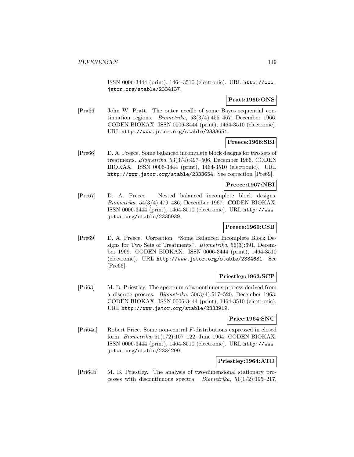ISSN 0006-3444 (print), 1464-3510 (electronic). URL http://www. jstor.org/stable/2334137.

### **Pratt:1966:ONS**

[Pra66] John W. Pratt. The outer needle of some Bayes sequential continuation regions. Biometrika, 53(3/4):455–467, December 1966. CODEN BIOKAX. ISSN 0006-3444 (print), 1464-3510 (electronic). URL http://www.jstor.org/stable/2333651.

## **Preece:1966:SBI**

[Pre66] D. A. Preece. Some balanced incomplete block designs for two sets of treatments. Biometrika, 53(3/4):497–506, December 1966. CODEN BIOKAX. ISSN 0006-3444 (print), 1464-3510 (electronic). URL http://www.jstor.org/stable/2333654. See correction [Pre69].

## **Preece:1967:NBI**

[Pre67] D. A. Preece. Nested balanced incomplete block designs. Biometrika, 54(3/4):479–486, December 1967. CODEN BIOKAX. ISSN 0006-3444 (print), 1464-3510 (electronic). URL http://www. jstor.org/stable/2335039.

## **Preece:1969:CSB**

[Pre69] D. A. Preece. Correction: "Some Balanced Incomplete Block Designs for Two Sets of Treatments". Biometrika, 56(3):691, December 1969. CODEN BIOKAX. ISSN 0006-3444 (print), 1464-3510 (electronic). URL http://www.jstor.org/stable/2334681. See [Pre66].

## **Priestley:1963:SCP**

[Pri63] M. B. Priestley. The spectrum of a continuous process derived from a discrete process. Biometrika,  $50(3/4):517-520$ , December 1963. CODEN BIOKAX. ISSN 0006-3444 (print), 1464-3510 (electronic). URL http://www.jstor.org/stable/2333919.

### **Price:1964:SNC**

[Pri64a] Robert Price. Some non-central F-distributions expressed in closed form. Biometrika, 51(1/2):107–122, June 1964. CODEN BIOKAX. ISSN 0006-3444 (print), 1464-3510 (electronic). URL http://www. jstor.org/stable/2334200.

## **Priestley:1964:ATD**

[Pri64b] M. B. Priestley. The analysis of two-dimensional stationary processes with discontinuous spectra. *Biometrika*,  $51(1/2):195-217$ ,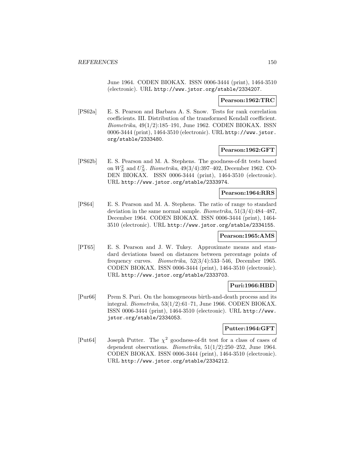June 1964. CODEN BIOKAX. ISSN 0006-3444 (print), 1464-3510 (electronic). URL http://www.jstor.org/stable/2334207.

#### **Pearson:1962:TRC**

[PS62a] E. S. Pearson and Barbara A. S. Snow. Tests for rank correlation coefficients. III. Distribution of the transformed Kendall coefficient. Biometrika, 49(1/2):185–191, June 1962. CODEN BIOKAX. ISSN 0006-3444 (print), 1464-3510 (electronic). URL http://www.jstor. org/stable/2333480.

### **Pearson:1962:GFT**

[PS62b] E. S. Pearson and M. A. Stephens. The goodness-of-fit tests based on  $W_N^2$  and  $U_N^2$ . *Biometrika*, 49(3/4):397–402, December 1962. CO-DEN BIOKAX. ISSN 0006-3444 (print), 1464-3510 (electronic). URL http://www.jstor.org/stable/2333974.

### **Pearson:1964:RRS**

[PS64] E. S. Pearson and M. A. Stephens. The ratio of range to standard deviation in the same normal sample. *Biometrika*,  $51(3/4):484-487$ , December 1964. CODEN BIOKAX. ISSN 0006-3444 (print), 1464- 3510 (electronic). URL http://www.jstor.org/stable/2334155.

#### **Pearson:1965:AMS**

[PT65] E. S. Pearson and J. W. Tukey. Approximate means and standard deviations based on distances between percentage points of frequency curves. Biometrika, 52(3/4):533–546, December 1965. CODEN BIOKAX. ISSN 0006-3444 (print), 1464-3510 (electronic). URL http://www.jstor.org/stable/2333703.

### **Puri:1966:HBD**

[Pur66] Prem S. Puri. On the homogeneous birth-and-death process and its integral. Biometrika, 53(1/2):61–71, June 1966. CODEN BIOKAX. ISSN 0006-3444 (print), 1464-3510 (electronic). URL http://www. jstor.org/stable/2334053.

#### **Putter:1964:GFT**

[Put64] Joseph Putter. The  $\chi^2$  goodness-of-fit test for a class of cases of dependent observations. Biometrika, 51(1/2):250–252, June 1964. CODEN BIOKAX. ISSN 0006-3444 (print), 1464-3510 (electronic). URL http://www.jstor.org/stable/2334212.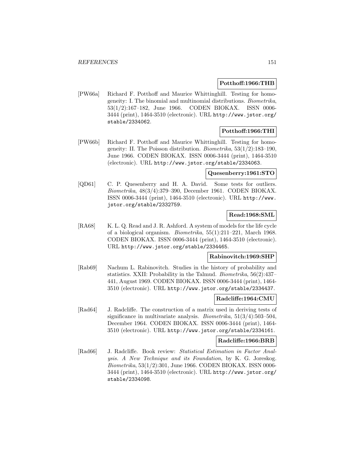### **Potthoff:1966:THB**

[PW66a] Richard F. Potthoff and Maurice Whittinghill. Testing for homogeneity: I. The binomial and multinomial distributions. Biometrika, 53(1/2):167–182, June 1966. CODEN BIOKAX. ISSN 0006- 3444 (print), 1464-3510 (electronic). URL http://www.jstor.org/ stable/2334062.

### **Potthoff:1966:THI**

[PW66b] Richard F. Potthoff and Maurice Whittinghill. Testing for homogeneity: II. The Poisson distribution. Biometrika, 53(1/2):183–190, June 1966. CODEN BIOKAX. ISSN 0006-3444 (print), 1464-3510 (electronic). URL http://www.jstor.org/stable/2334063.

#### **Quesenberry:1961:STO**

[QD61] C. P. Quesenberry and H. A. David. Some tests for outliers. Biometrika, 48(3/4):379–390, December 1961. CODEN BIOKAX. ISSN 0006-3444 (print), 1464-3510 (electronic). URL http://www. jstor.org/stable/2332759.

### **Read:1968:SML**

[RA68] K. L. Q. Read and J. R. Ashford. A system of models for the life cycle of a biological organism. Biometrika, 55(1):211–221, March 1968. CODEN BIOKAX. ISSN 0006-3444 (print), 1464-3510 (electronic). URL http://www.jstor.org/stable/2334465.

## **Rabinovitch:1969:SHP**

[Rab69] Nachum L. Rabinovitch. Studies in the history of probability and statistics. XXII: Probability in the Talmud. Biometrika, 56(2):437– 441, August 1969. CODEN BIOKAX. ISSN 0006-3444 (print), 1464- 3510 (electronic). URL http://www.jstor.org/stable/2334437.

#### **Radcliffe:1964:CMU**

[Rad64] J. Radcliffe. The construction of a matrix used in deriving tests of significance in multivariate analysis. *Biometrika*,  $51(3/4)$ :503-504, December 1964. CODEN BIOKAX. ISSN 0006-3444 (print), 1464- 3510 (electronic). URL http://www.jstor.org/stable/2334161.

#### **Radcliffe:1966:BRB**

[Rad66] J. Radcliffe. Book review: Statistical Estimation in Factor Analysis. A New Technique and its Foundation, by K. G. Joreskog. Biometrika, 53(1/2):301, June 1966. CODEN BIOKAX. ISSN 0006- 3444 (print), 1464-3510 (electronic). URL http://www.jstor.org/ stable/2334098.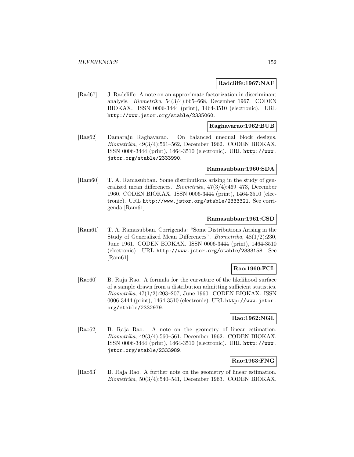#### **Radcliffe:1967:NAF**

[Rad67] J. Radcliffe. A note on an approximate factorization in discriminant analysis. Biometrika, 54(3/4):665–668, December 1967. CODEN BIOKAX. ISSN 0006-3444 (print), 1464-3510 (electronic). URL http://www.jstor.org/stable/2335060.

#### **Raghavarao:1962:BUB**

[Rag62] Damaraju Raghavarao. On balanced unequal block designs. Biometrika, 49(3/4):561–562, December 1962. CODEN BIOKAX. ISSN 0006-3444 (print), 1464-3510 (electronic). URL http://www. jstor.org/stable/2333990.

#### **Ramasubban:1960:SDA**

[Ram60] T. A. Ramasubban. Some distributions arising in the study of generalized mean differences. Biometrika, 47(3/4):469–473, December 1960. CODEN BIOKAX. ISSN 0006-3444 (print), 1464-3510 (electronic). URL http://www.jstor.org/stable/2333321. See corrigenda [Ram61].

### **Ramasubban:1961:CSD**

[Ram61] T. A. Ramasubban. Corrigenda: "Some Distributions Arising in the Study of Generalized Mean Differences". Biometrika, 48(1/2):230, June 1961. CODEN BIOKAX. ISSN 0006-3444 (print), 1464-3510 (electronic). URL http://www.jstor.org/stable/2333158. See [Ram61].

### **Rao:1960:FCL**

[Rao60] B. Raja Rao. A formula for the curvature of the likelihood surface of a sample drawn from a distribution admitting sufficient statistics. Biometrika, 47(1/2):203–207, June 1960. CODEN BIOKAX. ISSN 0006-3444 (print), 1464-3510 (electronic). URL http://www.jstor. org/stable/2332979.

### **Rao:1962:NGL**

[Rao62] B. Raja Rao. A note on the geometry of linear estimation. Biometrika, 49(3/4):560–561, December 1962. CODEN BIOKAX. ISSN 0006-3444 (print), 1464-3510 (electronic). URL http://www. jstor.org/stable/2333989.

### **Rao:1963:FNG**

[Rao63] B. Raja Rao. A further note on the geometry of linear estimation. Biometrika, 50(3/4):540–541, December 1963. CODEN BIOKAX.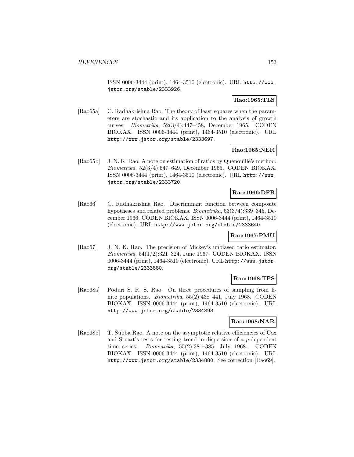ISSN 0006-3444 (print), 1464-3510 (electronic). URL http://www. jstor.org/stable/2333926.

# **Rao:1965:TLS**

[Rao65a] C. Radhakrishna Rao. The theory of least squares when the parameters are stochastic and its application to the analysis of growth curves. Biometrika, 52(3/4):447–458, December 1965. CODEN BIOKAX. ISSN 0006-3444 (print), 1464-3510 (electronic). URL http://www.jstor.org/stable/2333697.

### **Rao:1965:NER**

[Rao65b] J. N. K. Rao. A note on estimation of ratios by Quenouille's method. Biometrika, 52(3/4):647–649, December 1965. CODEN BIOKAX. ISSN 0006-3444 (print), 1464-3510 (electronic). URL http://www. jstor.org/stable/2333720.

### **Rao:1966:DFB**

[Rao66] C. Radhakrishna Rao. Discriminant function between composite hypotheses and related problems. Biometrika, 53(3/4):339–345, December 1966. CODEN BIOKAX. ISSN 0006-3444 (print), 1464-3510 (electronic). URL http://www.jstor.org/stable/2333640.

### **Rao:1967:PMU**

[Rao67] J. N. K. Rao. The precision of Mickey's unbiased ratio estimator. Biometrika, 54(1/2):321–324, June 1967. CODEN BIOKAX. ISSN 0006-3444 (print), 1464-3510 (electronic). URL http://www.jstor. org/stable/2333880.

## **Rao:1968:TPS**

[Rao68a] Poduri S. R. S. Rao. On three procedures of sampling from finite populations. Biometrika, 55(2):438–441, July 1968. CODEN BIOKAX. ISSN 0006-3444 (print), 1464-3510 (electronic). URL http://www.jstor.org/stable/2334893.

### **Rao:1968:NAR**

[Rao68b] T. Subba Rao. A note on the asymptotic relative efficiencies of Cox and Stuart's tests for testing trend in dispersion of a p-dependent time series. Biometrika, 55(2):381–385, July 1968. CODEN BIOKAX. ISSN 0006-3444 (print), 1464-3510 (electronic). URL http://www.jstor.org/stable/2334880. See correction [Rao69].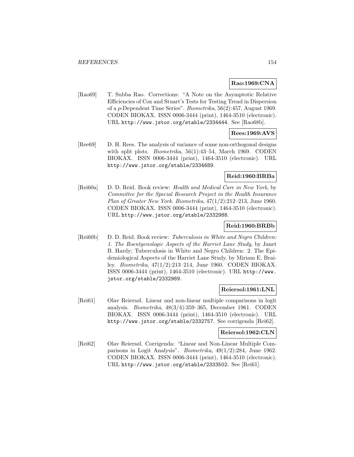## **Rao:1969:CNA**

[Rao69] T. Subba Rao. Corrections: "A Note on the Asymptotic Relative Efficiencies of Cox and Stuart's Tests for Testing Trend in Dispersion of a p-Dependent Time Series". Biometrika, 56(2):457, August 1969. CODEN BIOKAX. ISSN 0006-3444 (print), 1464-3510 (electronic). URL http://www.jstor.org/stable/2334444. See [Rao68b].

# **Rees:1969:AVS**

[Ree69] D. H. Rees. The analysis of variance of some non-orthogonal designs with split plots. *Biometrika*, 56(1):43–54, March 1969. CODEN BIOKAX. ISSN 0006-3444 (print), 1464-3510 (electronic). URL http://www.jstor.org/stable/2334689.

## **Reid:1960:BRBa**

[Rei60a] D. D. Reid. Book review: Health and Medical Care in New York, by Committee for the Special Research Project in the Health Insurance Plan of Greater New York. Biometrika, 47(1/2):212–213, June 1960. CODEN BIOKAX. ISSN 0006-3444 (print), 1464-3510 (electronic). URL http://www.jstor.org/stable/2332988.

### **Reid:1960:BRBb**

[Rei60b] D. D. Reid. Book review: Tuberculosis in White and Negro Children: 1. The Roentgenologic Aspects of the Harriet Lane Study, by Janet B. Hardy; Tuberculosis in White and Negro Children: 2. The Epidemiological Aspects of the Harriet Lane Study. by Miriam E. Brailey. Biometrika, 47(1/2):213–214, June 1960. CODEN BIOKAX. ISSN 0006-3444 (print), 1464-3510 (electronic). URL http://www. jstor.org/stable/2332989.

### **Reiersol:1961:LNL**

[Rei61] Olav Reiersøl. Linear and non-linear multiple comparisons in logit analysis. Biometrika, 48(3/4):359–365, December 1961. CODEN BIOKAX. ISSN 0006-3444 (print), 1464-3510 (electronic). URL http://www.jstor.org/stable/2332757. See corrigenda [Rei62].

## **Reiersol:1962:CLN**

[Rei62] Olav Reiersøl. Corrigenda: "Linear and Non-Linear Multiple Comparisons in Logit Analysis". Biometrika, 49(1/2):284, June 1962. CODEN BIOKAX. ISSN 0006-3444 (print), 1464-3510 (electronic). URL http://www.jstor.org/stable/2333502. See [Rei61].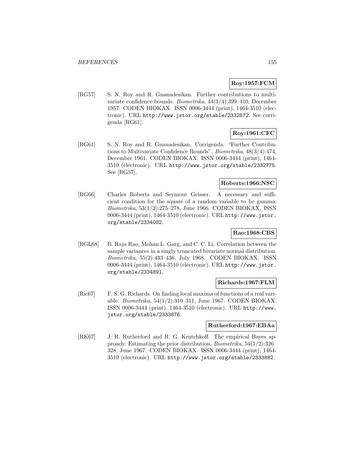# **Roy:1957:FCM**

[RG57] S. N. Roy and R. Gnanadesikan. Further contributions to multivariate confidence bounds. Biometrika, 44(3/4):399–410, December 1957. CODEN BIOKAX. ISSN 0006-3444 (print), 1464-3510 (electronic). URL http://www.jstor.org/stable/2332872. See corrigenda [RG61].

# **Roy:1961:CFC**

[RG61] S. N. Roy and R. Gnanadesikan. Corrigenda: "Further Contributions to Multivariate Confidence Bounds". Biometrika, 48(3/4):474, December 1961. CODEN BIOKAX. ISSN 0006-3444 (print), 1464- 3510 (electronic). URL http://www.jstor.org/stable/2332775. See [RG57].

## **Roberts:1966:NSC**

[RG66] Charles Roberts and Seymour Geisser. A necessary and sufficient condition for the square of a random variable to be gamma. Biometrika, 53(1/2):275–278, June 1966. CODEN BIOKAX. ISSN 0006-3444 (print), 1464-3510 (electronic). URL http://www.jstor. org/stable/2334082.

## **Rao:1968:CBS**

[RGL68] B. Raja Rao, Mohan L. Garg, and C. C. Li. Correlation between the sample variances in a singly truncated bivariate normal distribution. Biometrika, 55(2):433–436, July 1968. CODEN BIOKAX. ISSN 0006-3444 (print), 1464-3510 (electronic). URL http://www.jstor. org/stable/2334891.

#### **Richards:1967:FLM**

[Ric67] F. S. G. Richards. On finding local maxima of functions of a real variable. Biometrika, 54(1/2):310–311, June 1967. CODEN BIOKAX. ISSN 0006-3444 (print), 1464-3510 (electronic). URL http://www. jstor.org/stable/2333876.

### **Rutherford:1967:EBAa**

[RK67] J. R. Rutherford and R. G. Krutchkoff. The empirical Bayes approach: Estimating the prior distribution. Biometrika, 54(1/2):326– 328, June 1967. CODEN BIOKAX. ISSN 0006-3444 (print), 1464- 3510 (electronic). URL http://www.jstor.org/stable/2333882.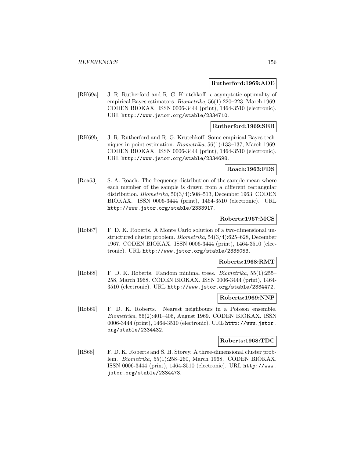#### **Rutherford:1969:AOE**

[RK69a] J. R. Rutherford and R. G. Krutchkoff.  $\epsilon$  asymptotic optimality of empirical Bayes estimators. Biometrika, 56(1):220–223, March 1969. CODEN BIOKAX. ISSN 0006-3444 (print), 1464-3510 (electronic). URL http://www.jstor.org/stable/2334710.

#### **Rutherford:1969:SEB**

[RK69b] J. R. Rutherford and R. G. Krutchkoff. Some empirical Bayes techniques in point estimation. Biometrika, 56(1):133–137, March 1969. CODEN BIOKAX. ISSN 0006-3444 (print), 1464-3510 (electronic). URL http://www.jstor.org/stable/2334698.

### **Roach:1963:FDS**

[Roa63] S. A. Roach. The frequency distribution of the sample mean where each member of the sample is drawn from a different rectangular distribution. Biometrika, 50(3/4):508–513, December 1963. CODEN BIOKAX. ISSN 0006-3444 (print), 1464-3510 (electronic). URL http://www.jstor.org/stable/2333917.

#### **Roberts:1967:MCS**

[Rob67] F. D. K. Roberts. A Monte Carlo solution of a two-dimensional unstructured cluster problem. Biometrika, 54(3/4):625–628, December 1967. CODEN BIOKAX. ISSN 0006-3444 (print), 1464-3510 (electronic). URL http://www.jstor.org/stable/2335053.

#### **Roberts:1968:RMT**

[Rob68] F. D. K. Roberts. Random minimal trees. Biometrika, 55(1):255– 258, March 1968. CODEN BIOKAX. ISSN 0006-3444 (print), 1464- 3510 (electronic). URL http://www.jstor.org/stable/2334472.

#### **Roberts:1969:NNP**

[Rob69] F. D. K. Roberts. Nearest neighbours in a Poisson ensemble. Biometrika, 56(2):401–406, August 1969. CODEN BIOKAX. ISSN 0006-3444 (print), 1464-3510 (electronic). URL http://www.jstor. org/stable/2334432.

#### **Roberts:1968:TDC**

[RS68] F. D. K. Roberts and S. H. Storey. A three-dimensional cluster problem. Biometrika, 55(1):258–260, March 1968. CODEN BIOKAX. ISSN 0006-3444 (print), 1464-3510 (electronic). URL http://www. jstor.org/stable/2334473.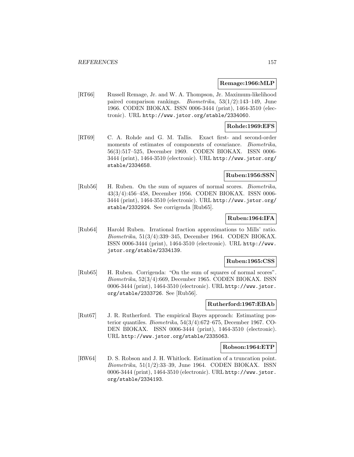#### **Remage:1966:MLP**

[RT66] Russell Remage, Jr. and W. A. Thompson, Jr. Maximum-likelihood paired comparison rankings. Biometrika, 53(1/2):143–149, June 1966. CODEN BIOKAX. ISSN 0006-3444 (print), 1464-3510 (electronic). URL http://www.jstor.org/stable/2334060.

### **Rohde:1969:EFS**

[RT69] C. A. Rohde and G. M. Tallis. Exact first- and second-order moments of estimates of components of covariance. *Biometrika*, 56(3):517–525, December 1969. CODEN BIOKAX. ISSN 0006- 3444 (print), 1464-3510 (electronic). URL http://www.jstor.org/ stable/2334658.

### **Ruben:1956:SSN**

[Rub56] H. Ruben. On the sum of squares of normal scores. Biometrika, 43(3/4):456–458, December 1956. CODEN BIOKAX. ISSN 0006- 3444 (print), 1464-3510 (electronic). URL http://www.jstor.org/ stable/2332924. See corrigenda [Rub65].

## **Ruben:1964:IFA**

[Rub64] Harold Ruben. Irrational fraction approximations to Mills' ratio. Biometrika, 51(3/4):339–345, December 1964. CODEN BIOKAX. ISSN 0006-3444 (print), 1464-3510 (electronic). URL http://www. jstor.org/stable/2334139.

#### **Ruben:1965:CSS**

[Rub65] H. Ruben. Corrigenda: "On the sum of squares of normal scores". Biometrika, 52(3/4):669, December 1965. CODEN BIOKAX. ISSN 0006-3444 (print), 1464-3510 (electronic). URL http://www.jstor. org/stable/2333726. See [Rub56].

### **Rutherford:1967:EBAb**

[Rut67] J. R. Rutherford. The empirical Bayes approach: Estimating posterior quantiles. Biometrika, 54(3/4):672–675, December 1967. CO-DEN BIOKAX. ISSN 0006-3444 (print), 1464-3510 (electronic). URL http://www.jstor.org/stable/2335063.

#### **Robson:1964:ETP**

[RW64] D. S. Robson and J. H. Whitlock. Estimation of a truncation point. Biometrika,  $51(1/2)$ :33–39, June 1964. CODEN BIOKAX. ISSN 0006-3444 (print), 1464-3510 (electronic). URL http://www.jstor. org/stable/2334193.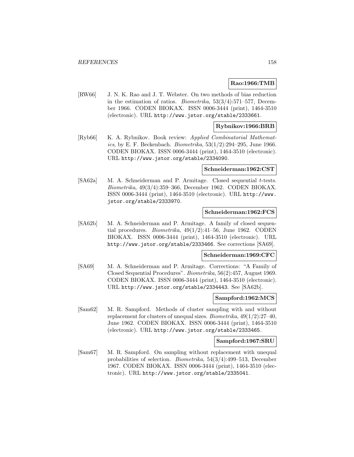### **Rao:1966:TMB**

[RW66] J. N. K. Rao and J. T. Webster. On two methods of bias reduction in the estimation of ratios. *Biometrika*,  $53(3/4):571-577$ , December 1966. CODEN BIOKAX. ISSN 0006-3444 (print), 1464-3510 (electronic). URL http://www.jstor.org/stable/2333661.

### **Rybnikov:1966:BRB**

[Ryb66] K. A. Rybnikov. Book review: Applied Combinatorial Mathematics, by E. F. Beckenbach. *Biometrika*,  $53(1/2)$ :294–295, June 1966. CODEN BIOKAX. ISSN 0006-3444 (print), 1464-3510 (electronic). URL http://www.jstor.org/stable/2334090.

#### **Schneiderman:1962:CST**

[SA62a] M. A. Schneiderman and P. Armitage. Closed sequential t-tests. Biometrika, 49(3/4):359–366, December 1962. CODEN BIOKAX. ISSN 0006-3444 (print), 1464-3510 (electronic). URL http://www. jstor.org/stable/2333970.

## **Schneiderman:1962:FCS**

[SA62b] M. A. Schneiderman and P. Armitage. A family of closed sequential procedures. *Biometrika*,  $49(1/2):41-56$ , June 1962. CODEN BIOKAX. ISSN 0006-3444 (print), 1464-3510 (electronic). URL http://www.jstor.org/stable/2333466. See corrections [SA69].

#### **Schneiderman:1969:CFC**

[SA69] M. A. Schneiderman and P. Armitage. Corrections: "A Family of Closed Sequential Procedures". Biometrika, 56(2):457, August 1969. CODEN BIOKAX. ISSN 0006-3444 (print), 1464-3510 (electronic). URL http://www.jstor.org/stable/2334443. See [SA62b].

#### **Sampford:1962:MCS**

[Sam62] M. R. Sampford. Methods of cluster sampling with and without replacement for clusters of unequal sizes. *Biometrika*,  $49(1/2)$ : 27–40, June 1962. CODEN BIOKAX. ISSN 0006-3444 (print), 1464-3510 (electronic). URL http://www.jstor.org/stable/2333465.

#### **Sampford:1967:SRU**

[Sam67] M. R. Sampford. On sampling without replacement with unequal probabilities of selection. Biometrika, 54(3/4):499–513, December 1967. CODEN BIOKAX. ISSN 0006-3444 (print), 1464-3510 (electronic). URL http://www.jstor.org/stable/2335041.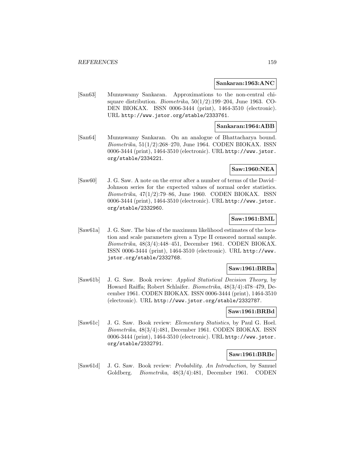#### **Sankaran:1963:ANC**

[San63] Munuswamy Sankaran. Approximations to the non-central chisquare distribution. *Biometrika*,  $50(1/2)$ :199–204, June 1963. CO-DEN BIOKAX. ISSN 0006-3444 (print), 1464-3510 (electronic). URL http://www.jstor.org/stable/2333761.

#### **Sankaran:1964:ABB**

[San64] Munuswamy Sankaran. On an analogue of Bhattacharya bound. Biometrika, 51(1/2):268–270, June 1964. CODEN BIOKAX. ISSN 0006-3444 (print), 1464-3510 (electronic). URL http://www.jstor. org/stable/2334221.

## **Saw:1960:NEA**

[Saw60] J. G. Saw. A note on the error after a number of terms of the David– Johnson series for the expected values of normal order statistics. Biometrika, 47(1/2):79–86, June 1960. CODEN BIOKAX. ISSN 0006-3444 (print), 1464-3510 (electronic). URL http://www.jstor. org/stable/2332960.

### **Saw:1961:BML**

[Saw61a] J. G. Saw. The bias of the maximum likelihood estimates of the location and scale parameters given a Type II censored normal sample. Biometrika, 48(3/4):448–451, December 1961. CODEN BIOKAX. ISSN 0006-3444 (print), 1464-3510 (electronic). URL http://www. jstor.org/stable/2332768.

### **Saw:1961:BRBa**

[Saw61b] J. G. Saw. Book review: Applied Statistical Decision Theory, by Howard Raiffa; Robert Schlaifer. Biometrika, 48(3/4):478–479, December 1961. CODEN BIOKAX. ISSN 0006-3444 (print), 1464-3510 (electronic). URL http://www.jstor.org/stable/2332787.

#### **Saw:1961:BRBd**

[Saw61c] J. G. Saw. Book review: Elementary Statistics, by Paul G. Hoel. Biometrika, 48(3/4):481, December 1961. CODEN BIOKAX. ISSN 0006-3444 (print), 1464-3510 (electronic). URL http://www.jstor. org/stable/2332791.

### **Saw:1961:BRBc**

[Saw61d] J. G. Saw. Book review: Probability. An Introduction, by Samuel Goldberg. Biometrika, 48(3/4):481, December 1961. CODEN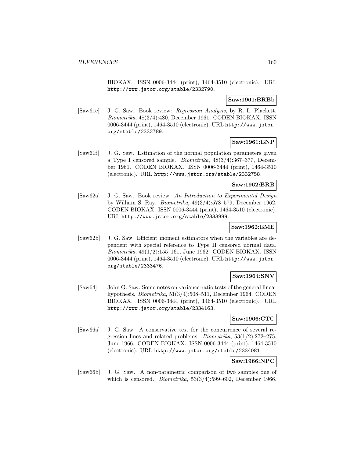BIOKAX. ISSN 0006-3444 (print), 1464-3510 (electronic). URL http://www.jstor.org/stable/2332790.

# **Saw:1961:BRBb**

[Saw61e] J. G. Saw. Book review: Regression Analysis, by R. L. Plackett. Biometrika, 48(3/4):480, December 1961. CODEN BIOKAX. ISSN 0006-3444 (print), 1464-3510 (electronic). URL http://www.jstor. org/stable/2332789.

# **Saw:1961:ENP**

[Saw61f] J. G. Saw. Estimation of the normal population parameters given a Type I censored sample. Biometrika, 48(3/4):367–377, December 1961. CODEN BIOKAX. ISSN 0006-3444 (print), 1464-3510 (electronic). URL http://www.jstor.org/stable/2332758.

### **Saw:1962:BRB**

[Saw62a] J. G. Saw. Book review: An Introduction to Experimental Design by William S. Ray. Biometrika, 49(3/4):578–579, December 1962. CODEN BIOKAX. ISSN 0006-3444 (print), 1464-3510 (electronic). URL http://www.jstor.org/stable/2333999.

### **Saw:1962:EME**

[Saw62b] J. G. Saw. Efficient moment estimators when the variables are dependent with special reference to Type II censored normal data. Biometrika, 49(1/2):155–161, June 1962. CODEN BIOKAX. ISSN 0006-3444 (print), 1464-3510 (electronic). URL http://www.jstor. org/stable/2333476.

# **Saw:1964:SNV**

[Saw64] John G. Saw. Some notes on variance-ratio tests of the general linear hypothesis. Biometrika, 51(3/4):508–511, December 1964. CODEN BIOKAX. ISSN 0006-3444 (print), 1464-3510 (electronic). URL http://www.jstor.org/stable/2334163.

## **Saw:1966:CTC**

[Saw66a] J. G. Saw. A conservative test for the concurrence of several regression lines and related problems. Biometrika, 53(1/2):272–275, June 1966. CODEN BIOKAX. ISSN 0006-3444 (print), 1464-3510 (electronic). URL http://www.jstor.org/stable/2334081.

# **Saw:1966:NPC**

[Saw66b] J. G. Saw. A non-parametric comparison of two samples one of which is censored. *Biometrika*,  $53(3/4)$ :599–602, December 1966.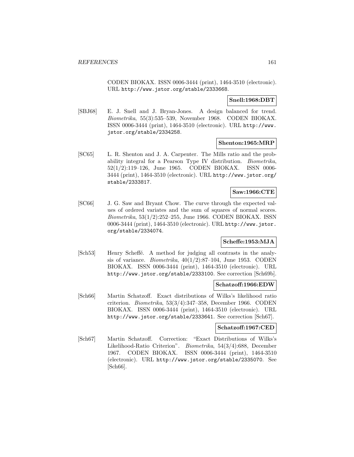CODEN BIOKAX. ISSN 0006-3444 (print), 1464-3510 (electronic). URL http://www.jstor.org/stable/2333668.

**Snell:1968:DBT**

[SBJ68] E. J. Snell and J. Bryan-Jones. A design balanced for trend. Biometrika, 55(3):535–539, November 1968. CODEN BIOKAX. ISSN 0006-3444 (print), 1464-3510 (electronic). URL http://www. jstor.org/stable/2334258.

### **Shenton:1965:MRP**

[SC65] L. R. Shenton and J. A. Carpenter. The Mills ratio and the probability integral for a Pearson Type IV distribution. Biometrika, 52(1/2):119–126, June 1965. CODEN BIOKAX. ISSN 0006- 3444 (print), 1464-3510 (electronic). URL http://www.jstor.org/ stable/2333817.

## **Saw:1966:CTE**

[SC66] J. G. Saw and Bryant Chow. The curve through the expected values of ordered variates and the sum of squares of normal scores. Biometrika, 53(1/2):252–255, June 1966. CODEN BIOKAX. ISSN 0006-3444 (print), 1464-3510 (electronic). URL http://www.jstor. org/stable/2334074.

### **Scheffe:1953:MJA**

[Sch53] Henry Scheffé. A method for judging all contrasts in the analysis of variance. *Biometrika*,  $40(1/2):87-104$ , June 1953. CODEN BIOKAX. ISSN 0006-3444 (print), 1464-3510 (electronic). URL http://www.jstor.org/stable/2333100. See correction [Sch69b].

### **Schatzoff:1966:EDW**

[Sch66] Martin Schatzoff. Exact distributions of Wilks's likelihood ratio criterion. Biometrika, 53(3/4):347–358, December 1966. CODEN BIOKAX. ISSN 0006-3444 (print), 1464-3510 (electronic). URL http://www.jstor.org/stable/2333641. See correction [Sch67].

### **Schatzoff:1967:CED**

[Sch67] Martin Schatzoff. Correction: "Exact Distributions of Wilks's Likelihood-Ratio Criterion". Biometrika, 54(3/4):688, December 1967. CODEN BIOKAX. ISSN 0006-3444 (print), 1464-3510 (electronic). URL http://www.jstor.org/stable/2335070. See [Sch66].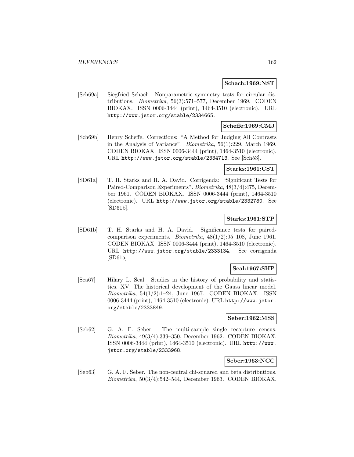#### **Schach:1969:NST**

[Sch69a] Siegfried Schach. Nonparametric symmetry tests for circular distributions. Biometrika, 56(3):571–577, December 1969. CODEN BIOKAX. ISSN 0006-3444 (print), 1464-3510 (electronic). URL http://www.jstor.org/stable/2334665.

### **Scheffe:1969:CMJ**

[Sch69b] Henry Scheffe. Corrections: "A Method for Judging All Contrasts in the Analysis of Variance". Biometrika, 56(1):229, March 1969. CODEN BIOKAX. ISSN 0006-3444 (print), 1464-3510 (electronic). URL http://www.jstor.org/stable/2334713. See [Sch53].

#### **Starks:1961:CST**

[SD61a] T. H. Starks and H. A. David. Corrigenda: "Significant Tests for Paired-Comparison Experiments". Biometrika, 48(3/4):475, December 1961. CODEN BIOKAX. ISSN 0006-3444 (print), 1464-3510 (electronic). URL http://www.jstor.org/stable/2332780. See  $|SD61b|$ .

### **Starks:1961:STP**

[SD61b] T. H. Starks and H. A. David. Significance tests for pairedcomparison experiments. Biometrika, 48(1/2):95–108, June 1961. CODEN BIOKAX. ISSN 0006-3444 (print), 1464-3510 (electronic). URL http://www.jstor.org/stable/2333134. See corrigenda [SD61a].

### **Seal:1967:SHP**

[Sea67] Hilary L. Seal. Studies in the history of probability and statistics. XV. The historical development of the Gauss linear model.  $Biometrika$ , 54(1/2):1–24, June 1967. CODEN BIOKAX. ISSN 0006-3444 (print), 1464-3510 (electronic). URL http://www.jstor. org/stable/2333849.

### **Seber:1962:MSS**

[Seb62] G. A. F. Seber. The multi-sample single recapture census. Biometrika, 49(3/4):339–350, December 1962. CODEN BIOKAX. ISSN 0006-3444 (print), 1464-3510 (electronic). URL http://www. jstor.org/stable/2333968.

### **Seber:1963:NCC**

[Seb63] G. A. F. Seber. The non-central chi-squared and beta distributions. Biometrika, 50(3/4):542–544, December 1963. CODEN BIOKAX.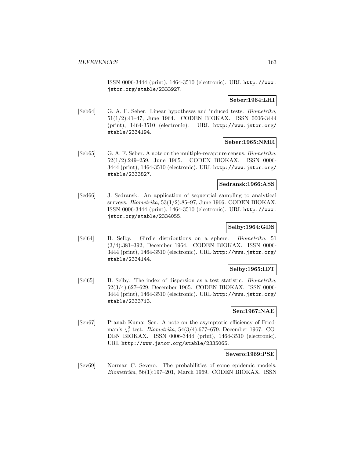ISSN 0006-3444 (print), 1464-3510 (electronic). URL http://www. jstor.org/stable/2333927.

## **Seber:1964:LHI**

[Seb64] G. A. F. Seber. Linear hypotheses and induced tests. *Biometrika*, 51(1/2):41–47, June 1964. CODEN BIOKAX. ISSN 0006-3444 (print), 1464-3510 (electronic). URL http://www.jstor.org/ stable/2334194.

### **Seber:1965:NMR**

[Seb65] G. A. F. Seber. A note on the multiple-recapture census. Biometrika, 52(1/2):249–259, June 1965. CODEN BIOKAX. ISSN 0006- 3444 (print), 1464-3510 (electronic). URL http://www.jstor.org/ stable/2333827.

### **Sedransk:1966:ASS**

[Sed66] J. Sedransk. An application of sequential sampling to analytical surveys. Biometrika, 53(1/2):85–97, June 1966. CODEN BIOKAX. ISSN 0006-3444 (print), 1464-3510 (electronic). URL http://www. jstor.org/stable/2334055.

## **Selby:1964:GDS**

[Sel64] B. Selby. Girdle distributions on a sphere. Biometrika, 51 (3/4):381–392, December 1964. CODEN BIOKAX. ISSN 0006- 3444 (print), 1464-3510 (electronic). URL http://www.jstor.org/ stable/2334144.

### **Selby:1965:IDT**

[Sel65] B. Selby. The index of dispersion as a test statistic. Biometrika, 52(3/4):627–629, December 1965. CODEN BIOKAX. ISSN 0006- 3444 (print), 1464-3510 (electronic). URL http://www.jstor.org/ stable/2333713.

# **Sen:1967:NAE**

[Sen67] Pranab Kumar Sen. A note on the asymptotic efficiency of Friedman's  $\chi^2_r$ -test. *Biometrika*, 54(3/4):677–679, December 1967. CO-DEN BIOKAX. ISSN 0006-3444 (print), 1464-3510 (electronic). URL http://www.jstor.org/stable/2335065.

### **Severo:1969:PSE**

[Sev69] Norman C. Severo. The probabilities of some epidemic models. Biometrika, 56(1):197–201, March 1969. CODEN BIOKAX. ISSN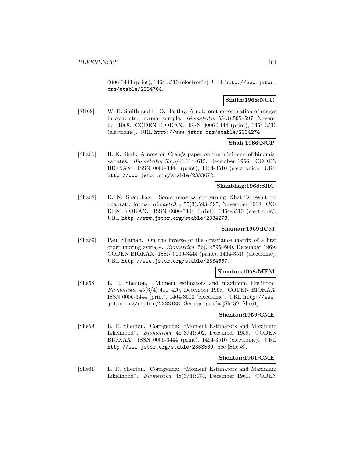0006-3444 (print), 1464-3510 (electronic). URL http://www.jstor. org/stable/2334704.

## **Smith:1968:NCR**

[SH68] W. B. Smith and H. O. Hartley. A note on the correlation of ranges in correlated normal sample. Biometrika, 55(3):595–597, November 1968. CODEN BIOKAX. ISSN 0006-3444 (print), 1464-3510 (electronic). URL http://www.jstor.org/stable/2334274.

### **Shah:1966:NCP**

[Sha66] B. K. Shah. A note on Craig's paper on the minimum of binomial variates. Biometrika, 53(3/4):614–615, December 1966. CODEN BIOKAX. ISSN 0006-3444 (print), 1464-3510 (electronic). URL http://www.jstor.org/stable/2333672.

#### **Shanbhag:1968:SRC**

[Sha68] D. N. Shanbhag. Some remarks concerning Khatri's result on quadratic forms. Biometrika, 55(3):593–595, November 1968. CO-DEN BIOKAX. ISSN 0006-3444 (print), 1464-3510 (electronic). URL http://www.jstor.org/stable/2334273.

### **Shaman:1969:ICM**

[Sha69] Paul Shaman. On the inverse of the covariance matrix of a first order moving average. Biometrika, 56(3):595–600, December 1969. CODEN BIOKAX. ISSN 0006-3444 (print), 1464-3510 (electronic). URL http://www.jstor.org/stable/2334667.

### **Shenton:1958:MEM**

[She58] L. R. Shenton. Moment estimators and maximum likelihood. Biometrika, 45(3/4):411–420, December 1958. CODEN BIOKAX. ISSN 0006-3444 (print), 1464-3510 (electronic). URL http://www. jstor.org/stable/2333188. See corrigenda [She59, She61].

### **Shenton:1959:CME**

[She59] L. R. Shenton. Corrigenda: "Moment Estimators and Maximum Likelihood". Biometrika, 46(3/4):502, December 1959. CODEN BIOKAX. ISSN 0006-3444 (print), 1464-3510 (electronic). URL http://www.jstor.org/stable/2333569. See [She58].

### **Shenton:1961:CME**

[She61] L. R. Shenton. Corrigenda: "Moment Estimators and Maximum Likelihood". Biometrika, 48(3/4):474, December 1961. CODEN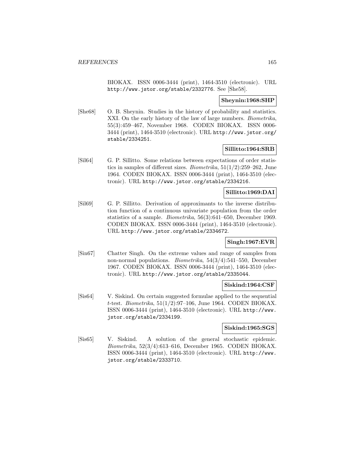BIOKAX. ISSN 0006-3444 (print), 1464-3510 (electronic). URL http://www.jstor.org/stable/2332776. See [She58].

### **Sheynin:1968:SHP**

[She68] O. B. Sheynin. Studies in the history of probability and statistics. XXI. On the early history of the law of large numbers. *Biometrika*, 55(3):459–467, November 1968. CODEN BIOKAX. ISSN 0006- 3444 (print), 1464-3510 (electronic). URL http://www.jstor.org/ stable/2334251.

### **Sillitto:1964:SRB**

[Sil64] G. P. Sillitto. Some relations between expectations of order statistics in samples of different sizes. *Biometrika*,  $51(1/2):259-262$ , June 1964. CODEN BIOKAX. ISSN 0006-3444 (print), 1464-3510 (electronic). URL http://www.jstor.org/stable/2334216.

### **Sillitto:1969:DAI**

[Sil69] G. P. Sillitto. Derivation of approximants to the inverse distribution function of a continuous univariate population from the order statistics of a sample. Biometrika, 56(3):641–650, December 1969. CODEN BIOKAX. ISSN 0006-3444 (print), 1464-3510 (electronic). URL http://www.jstor.org/stable/2334672.

## **Singh:1967:EVR**

[Sin67] Chatter Singh. On the extreme values and range of samples from non-normal populations. Biometrika, 54(3/4):541–550, December 1967. CODEN BIOKAX. ISSN 0006-3444 (print), 1464-3510 (electronic). URL http://www.jstor.org/stable/2335044.

## **Siskind:1964:CSF**

[Sis64] V. Siskind. On certain suggested formulae applied to the sequential t-test. Biometrika,  $51(1/2)$ :97-106, June 1964. CODEN BIOKAX. ISSN 0006-3444 (print), 1464-3510 (electronic). URL http://www. jstor.org/stable/2334199.

### **Siskind:1965:SGS**

[Sis65] V. Siskind. A solution of the general stochastic epidemic. Biometrika, 52(3/4):613–616, December 1965. CODEN BIOKAX. ISSN 0006-3444 (print), 1464-3510 (electronic). URL http://www. jstor.org/stable/2333710.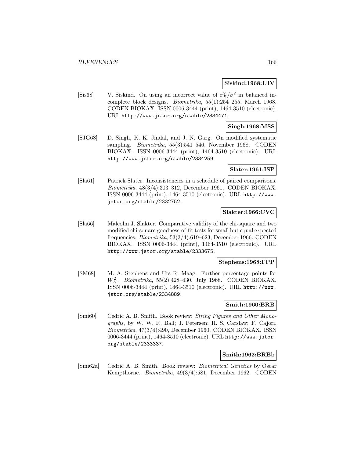#### **Siskind:1968:UIV**

[Sis68] V. Siskind. On using an incorrect value of  $\sigma_B^2/\sigma^2$  in balanced incomplete block designs. Biometrika, 55(1):254–255, March 1968. CODEN BIOKAX. ISSN 0006-3444 (print), 1464-3510 (electronic). URL http://www.jstor.org/stable/2334471.

### **Singh:1968:MSS**

[SJG68] D. Singh, K. K. Jindal, and J. N. Garg. On modified systematic sampling. Biometrika, 55(3):541–546, November 1968. CODEN BIOKAX. ISSN 0006-3444 (print), 1464-3510 (electronic). URL http://www.jstor.org/stable/2334259.

#### **Slater:1961:ISP**

[Sla61] Patrick Slater. Inconsistencies in a schedule of paired comparisons. Biometrika, 48(3/4):303–312, December 1961. CODEN BIOKAX. ISSN 0006-3444 (print), 1464-3510 (electronic). URL http://www. jstor.org/stable/2332752.

#### **Slakter:1966:CVC**

[Sla66] Malcolm J. Slakter. Comparative validity of the chi-square and two modified chi-square goodness-of-fit tests for small but equal expected frequencies. Biometrika, 53(3/4):619–623, December 1966. CODEN BIOKAX. ISSN 0006-3444 (print), 1464-3510 (electronic). URL http://www.jstor.org/stable/2333675.

#### **Stephens:1968:FPP**

[SM68] M. A. Stephens and Urs R. Maag. Further percentage points for  $W_N^2$ . Biometrika, 55(2):428-430, July 1968. CODEN BIOKAX. ISSN 0006-3444 (print), 1464-3510 (electronic). URL http://www. jstor.org/stable/2334889.

## **Smith:1960:BRB**

[Smi60] Cedric A. B. Smith. Book review: String Figures and Other Monographs, by W. W. R. Ball; J. Petersen; H. S. Carslaw; F. Cajori. Biometrika, 47(3/4):490, December 1960. CODEN BIOKAX. ISSN 0006-3444 (print), 1464-3510 (electronic). URL http://www.jstor. org/stable/2333337.

#### **Smith:1962:BRBb**

[Smi62a] Cedric A. B. Smith. Book review: Biometrical Genetics by Oscar Kempthorne. Biometrika, 49(3/4):581, December 1962. CODEN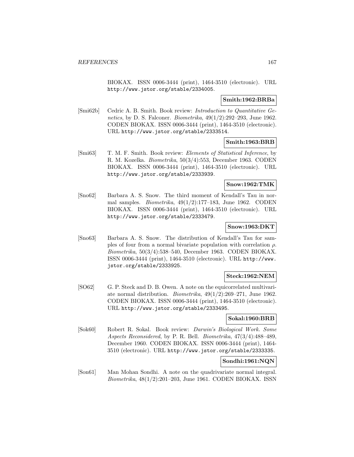BIOKAX. ISSN 0006-3444 (print), 1464-3510 (electronic). URL http://www.jstor.org/stable/2334005.

#### **Smith:1962:BRBa**

[Smi62b] Cedric A. B. Smith. Book review: Introduction to Quantitative Genetics, by D. S. Falconer. Biometrika,  $49(1/2):292-293$ , June 1962. CODEN BIOKAX. ISSN 0006-3444 (print), 1464-3510 (electronic). URL http://www.jstor.org/stable/2333514.

# **Smith:1963:BRB**

[Smi63] T. M. F. Smith. Book review: Elements of Statistical Inference, by R. M. Kozelka. Biometrika, 50(3/4):553, December 1963. CODEN BIOKAX. ISSN 0006-3444 (print), 1464-3510 (electronic). URL http://www.jstor.org/stable/2333939.

### **Snow:1962:TMK**

[Sno62] Barbara A. S. Snow. The third moment of Kendall's Tau in normal samples. *Biometrika*,  $49(1/2):177-183$ , June 1962. CODEN BIOKAX. ISSN 0006-3444 (print), 1464-3510 (electronic). URL http://www.jstor.org/stable/2333479.

### **Snow:1963:DKT**

[Sno63] Barbara A. S. Snow. The distribution of Kendall's Tau for samples of four from a normal bivariate population with correlation  $\rho$ . Biometrika, 50(3/4):538–540, December 1963. CODEN BIOKAX. ISSN 0006-3444 (print), 1464-3510 (electronic). URL http://www. jstor.org/stable/2333925.

### **Steck:1962:NEM**

[SO62] G. P. Steck and D. B. Owen. A note on the equicorrelated multivariate normal distribution. Biometrika, 49(1/2):269–271, June 1962. CODEN BIOKAX. ISSN 0006-3444 (print), 1464-3510 (electronic). URL http://www.jstor.org/stable/2333495.

### **Sokal:1960:BRB**

[Sok60] Robert R. Sokal. Book review: Darwin's Biological Work. Some Aspects Reconsidered, by P. R. Bell. Biometrika, 47(3/4):488–489, December 1960. CODEN BIOKAX. ISSN 0006-3444 (print), 1464- 3510 (electronic). URL http://www.jstor.org/stable/2333335.

## **Sondhi:1961:NQN**

[Son61] Man Mohan Sondhi. A note on the quadrivariate normal integral. Biometrika, 48(1/2):201–203, June 1961. CODEN BIOKAX. ISSN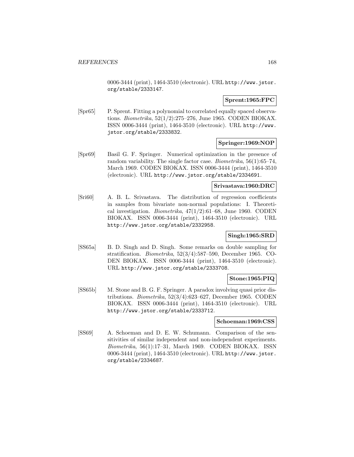0006-3444 (print), 1464-3510 (electronic). URL http://www.jstor. org/stable/2333147.

### **Sprent:1965:FPC**

[Spr65] P. Sprent. Fitting a polynomial to correlated equally spaced observations. Biometrika, 52(1/2):275–276, June 1965. CODEN BIOKAX. ISSN 0006-3444 (print), 1464-3510 (electronic). URL http://www. jstor.org/stable/2333832.

### **Springer:1969:NOP**

[Spr69] Basil G. F. Springer. Numerical optimization in the presence of random variability. The single factor case. Biometrika, 56(1):65–74, March 1969. CODEN BIOKAX. ISSN 0006-3444 (print), 1464-3510 (electronic). URL http://www.jstor.org/stable/2334691.

### **Srivastava:1960:DRC**

[Sri60] A. B. L. Srivastava. The distribution of regression coefficients in samples from bivariate non-normal populations: I. Theoretical investigation. *Biometrika*,  $47(1/2)$ :61–68, June 1960. CODEN BIOKAX. ISSN 0006-3444 (print), 1464-3510 (electronic). URL http://www.jstor.org/stable/2332958.

### **Singh:1965:SRD**

[SS65a] B. D. Singh and D. Singh. Some remarks on double sampling for stratification. Biometrika, 52(3/4):587–590, December 1965. CO-DEN BIOKAX. ISSN 0006-3444 (print), 1464-3510 (electronic). URL http://www.jstor.org/stable/2333708.

### **Stone:1965:PIQ**

[SS65b] M. Stone and B. G. F. Springer. A paradox involving quasi prior distributions. Biometrika, 52(3/4):623–627, December 1965. CODEN BIOKAX. ISSN 0006-3444 (print), 1464-3510 (electronic). URL http://www.jstor.org/stable/2333712.

### **Schoeman:1969:CSS**

[SS69] A. Schoeman and D. E. W. Schumann. Comparison of the sensitivities of similar independent and non-independent experiments. Biometrika, 56(1):17–31, March 1969. CODEN BIOKAX. ISSN 0006-3444 (print), 1464-3510 (electronic). URL http://www.jstor. org/stable/2334687.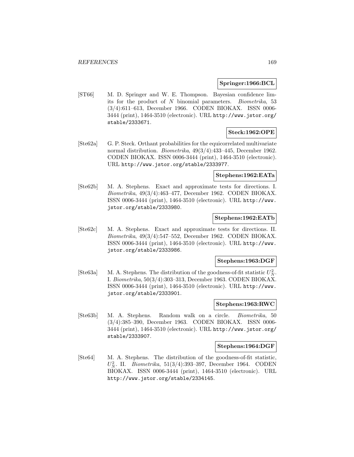### **Springer:1966:BCL**

[ST66] M. D. Springer and W. E. Thompson. Bayesian confidence limits for the product of N binomial parameters. Biometrika, 53 (3/4):611–613, December 1966. CODEN BIOKAX. ISSN 0006- 3444 (print), 1464-3510 (electronic). URL http://www.jstor.org/ stable/2333671.

## **Steck:1962:OPE**

[Ste62a] G. P. Steck. Orthant probabilities for the equicorrelated multivariate normal distribution. Biometrika, 49(3/4):433–445, December 1962. CODEN BIOKAX. ISSN 0006-3444 (print), 1464-3510 (electronic). URL http://www.jstor.org/stable/2333977.

### **Stephens:1962:EATa**

[Ste62b] M. A. Stephens. Exact and approximate tests for directions. I. Biometrika, 49(3/4):463–477, December 1962. CODEN BIOKAX. ISSN 0006-3444 (print), 1464-3510 (electronic). URL http://www. jstor.org/stable/2333980.

### **Stephens:1962:EATb**

[Ste62c] M. A. Stephens. Exact and approximate tests for directions. II. Biometrika, 49(3/4):547–552, December 1962. CODEN BIOKAX. ISSN 0006-3444 (print), 1464-3510 (electronic). URL http://www. jstor.org/stable/2333986.

## **Stephens:1963:DGF**

[Ste63a] M. A. Stephens. The distribution of the goodness-of-fit statistic  $U_N^2$ . I. Biometrika, 50(3/4):303–313, December 1963. CODEN BIOKAX. ISSN 0006-3444 (print), 1464-3510 (electronic). URL http://www. jstor.org/stable/2333901.

### **Stephens:1963:RWC**

[Ste63b] M. A. Stephens. Random walk on a circle. Biometrika, 50 (3/4):385–390, December 1963. CODEN BIOKAX. ISSN 0006- 3444 (print), 1464-3510 (electronic). URL http://www.jstor.org/ stable/2333907.

## **Stephens:1964:DGF**

[Ste64] M. A. Stephens. The distribution of the goodness-of-fit statistic,  $U_N^2$ . II. *Biometrika*, 51(3/4):393-397, December 1964. CODEN BIOKAX. ISSN 0006-3444 (print), 1464-3510 (electronic). URL http://www.jstor.org/stable/2334145.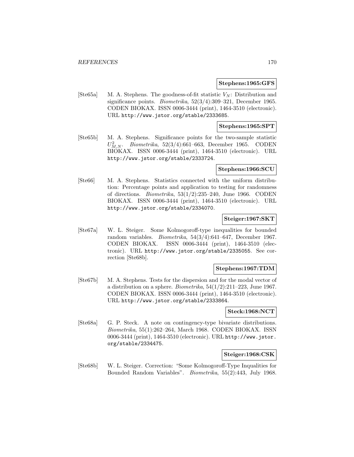#### **Stephens:1965:GFS**

[Ste65a] M. A. Stephens. The goodness-of-fit statistic  $V_N$ : Distribution and significance points. Biometrika, 52(3/4):309–321, December 1965. CODEN BIOKAX. ISSN 0006-3444 (print), 1464-3510 (electronic). URL http://www.jstor.org/stable/2333685.

#### **Stephens:1965:SPT**

[Ste65b] M. A. Stephens. Significance points for the two-sample statistic  $U_{M,N}^2$ . Biometrika, 52(3/4):661-663, December 1965. CODEN BIOKAX. ISSN 0006-3444 (print), 1464-3510 (electronic). URL http://www.jstor.org/stable/2333724.

#### **Stephens:1966:SCU**

[Ste66] M. A. Stephens. Statistics connected with the uniform distribution: Percentage points and application to testing for randomness of directions. Biometrika, 53(1/2):235–240, June 1966. CODEN BIOKAX. ISSN 0006-3444 (print), 1464-3510 (electronic). URL http://www.jstor.org/stable/2334070.

### **Steiger:1967:SKT**

[Ste67a] W. L. Steiger. Some Kolmogoroff-type inequalities for bounded random variables. Biometrika, 54(3/4):641–647, December 1967. CODEN BIOKAX. ISSN 0006-3444 (print), 1464-3510 (electronic). URL http://www.jstor.org/stable/2335055. See correction [Ste68b].

### **Stephens:1967:TDM**

[Ste67b] M. A. Stephens. Tests for the dispersion and for the modal vector of a distribution on a sphere. *Biometrika*,  $54(1/2):211-223$ , June 1967. CODEN BIOKAX. ISSN 0006-3444 (print), 1464-3510 (electronic). URL http://www.jstor.org/stable/2333864.

#### **Steck:1968:NCT**

[Ste68a] G. P. Steck. A note on contingency-type bivariate distributions. Biometrika, 55(1):262–264, March 1968. CODEN BIOKAX. ISSN 0006-3444 (print), 1464-3510 (electronic). URL http://www.jstor. org/stable/2334475.

### **Steiger:1968:CSK**

[Ste68b] W. L. Steiger. Correction: "Some Kolmogoroff-Type Inqualities for Bounded Random Variables". Biometrika, 55(2):443, July 1968.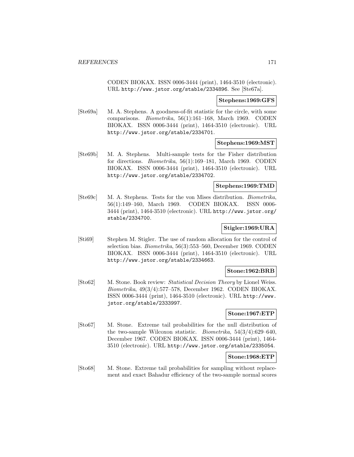CODEN BIOKAX. ISSN 0006-3444 (print), 1464-3510 (electronic). URL http://www.jstor.org/stable/2334896. See [Ste67a].

### **Stephens:1969:GFS**

[Ste69a] M. A. Stephens. A goodness-of-fit statistic for the circle, with some comparisons. Biometrika, 56(1):161–168, March 1969. CODEN BIOKAX. ISSN 0006-3444 (print), 1464-3510 (electronic). URL http://www.jstor.org/stable/2334701.

#### **Stephens:1969:MST**

[Ste69b] M. A. Stephens. Multi-sample tests for the Fisher distribution for directions. Biometrika, 56(1):169–181, March 1969. CODEN BIOKAX. ISSN 0006-3444 (print), 1464-3510 (electronic). URL http://www.jstor.org/stable/2334702.

#### **Stephens:1969:TMD**

[Ste69c] M. A. Stephens. Tests for the von Mises distribution. Biometrika, 56(1):149–160, March 1969. CODEN BIOKAX. ISSN 0006- 3444 (print), 1464-3510 (electronic). URL http://www.jstor.org/ stable/2334700.

# **Stigler:1969:URA**

[Sti69] Stephen M. Stigler. The use of random allocation for the control of selection bias. Biometrika, 56(3):553–560, December 1969. CODEN BIOKAX. ISSN 0006-3444 (print), 1464-3510 (electronic). URL http://www.jstor.org/stable/2334663.

### **Stone:1962:BRB**

[Sto62] M. Stone. Book review: Statistical Decision Theory by Lionel Weiss. Biometrika, 49(3/4):577–578, December 1962. CODEN BIOKAX. ISSN 0006-3444 (print), 1464-3510 (electronic). URL http://www. jstor.org/stable/2333997.

#### **Stone:1967:ETP**

[Sto67] M. Stone. Extreme tail probabilities for the null distribution of the two-sample Wilcoxon statistic. Biometrika, 54(3/4):629–640, December 1967. CODEN BIOKAX. ISSN 0006-3444 (print), 1464- 3510 (electronic). URL http://www.jstor.org/stable/2335054.

### **Stone:1968:ETP**

[Sto68] M. Stone. Extreme tail probabilities for sampling without replacement and exact Bahadur efficiency of the two-sample normal scores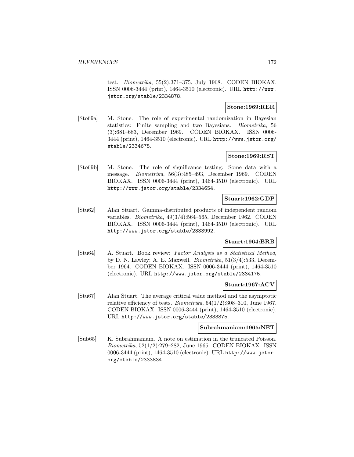test. Biometrika, 55(2):371–375, July 1968. CODEN BIOKAX. ISSN 0006-3444 (print), 1464-3510 (electronic). URL http://www. jstor.org/stable/2334878.

## **Stone:1969:RER**

[Sto69a] M. Stone. The role of experimental randomization in Bayesian statistics: Finite sampling and two Bayesians. Biometrika, 56 (3):681–683, December 1969. CODEN BIOKAX. ISSN 0006- 3444 (print), 1464-3510 (electronic). URL http://www.jstor.org/ stable/2334675.

## **Stone:1969:RST**

[Sto69b] M. Stone. The role of significance testing: Some data with a message. Biometrika, 56(3):485–493, December 1969. CODEN BIOKAX. ISSN 0006-3444 (print), 1464-3510 (electronic). URL http://www.jstor.org/stable/2334654.

## **Stuart:1962:GDP**

[Stu62] Alan Stuart. Gamma-distributed products of independent random variables. Biometrika, 49(3/4):564–565, December 1962. CODEN BIOKAX. ISSN 0006-3444 (print), 1464-3510 (electronic). URL http://www.jstor.org/stable/2333992.

### **Stuart:1964:BRB**

[Stu64] A. Stuart. Book review: Factor Analysis as a Statistical Method, by D. N. Lawley; A. E. Maxwell. Biometrika, 51(3/4):533, December 1964. CODEN BIOKAX. ISSN 0006-3444 (print), 1464-3510 (electronic). URL http://www.jstor.org/stable/2334175.

## **Stuart:1967:ACV**

[Stu67] Alan Stuart. The average critical value method and the asymptotic relative efficiency of tests. *Biometrika*,  $54(1/2)$ :308–310, June 1967. CODEN BIOKAX. ISSN 0006-3444 (print), 1464-3510 (electronic). URL http://www.jstor.org/stable/2333875.

### **Subrahmaniam:1965:NET**

[Sub65] K. Subrahmaniam. A note on estimation in the truncated Poisson. Biometrika, 52(1/2):279–282, June 1965. CODEN BIOKAX. ISSN 0006-3444 (print), 1464-3510 (electronic). URL http://www.jstor. org/stable/2333834.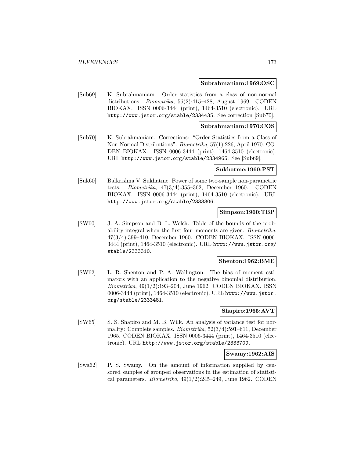#### **Subrahmaniam:1969:OSC**

[Sub69] K. Subrahmaniam. Order statistics from a class of non-normal distributions. Biometrika, 56(2):415–428, August 1969. CODEN BIOKAX. ISSN 0006-3444 (print), 1464-3510 (electronic). URL http://www.jstor.org/stable/2334435. See correction [Sub70].

#### **Subrahmaniam:1970:COS**

[Sub70] K. Subrahmaniam. Corrections: "Order Statistics from a Class of Non-Normal Distributions". Biometrika, 57(1):226, April 1970. CO-DEN BIOKAX. ISSN 0006-3444 (print), 1464-3510 (electronic). URL http://www.jstor.org/stable/2334965. See [Sub69].

#### **Sukhatme:1960:PST**

[Suk60] Balkrishna V. Sukhatme. Power of some two-sample non-parametric tests. Biometrika, 47(3/4):355–362, December 1960. CODEN BIOKAX. ISSN 0006-3444 (print), 1464-3510 (electronic). URL http://www.jstor.org/stable/2333306.

### **Simpson:1960:TBP**

[SW60] J. A. Simpson and B. L. Welch. Table of the bounds of the probability integral when the first four moments are given. Biometrika, 47(3/4):399–410, December 1960. CODEN BIOKAX. ISSN 0006- 3444 (print), 1464-3510 (electronic). URL http://www.jstor.org/ stable/2333310.

#### **Shenton:1962:BME**

[SW62] L. R. Shenton and P. A. Wallington. The bias of moment estimators with an application to the negative binomial distribution. Biometrika, 49(1/2):193–204, June 1962. CODEN BIOKAX. ISSN 0006-3444 (print), 1464-3510 (electronic). URL http://www.jstor. org/stable/2333481.

#### **Shapiro:1965:AVT**

[SW65] S. S. Shapiro and M. B. Wilk. An analysis of variance test for normality: Complete samples. Biometrika, 52(3/4):591–611, December 1965. CODEN BIOKAX. ISSN 0006-3444 (print), 1464-3510 (electronic). URL http://www.jstor.org/stable/2333709.

#### **Swamy:1962:AIS**

[Swa62] P. S. Swamy. On the amount of information supplied by censored samples of grouped observations in the estimation of statistical parameters. *Biometrika*,  $49(1/2):245-249$ , June 1962. CODEN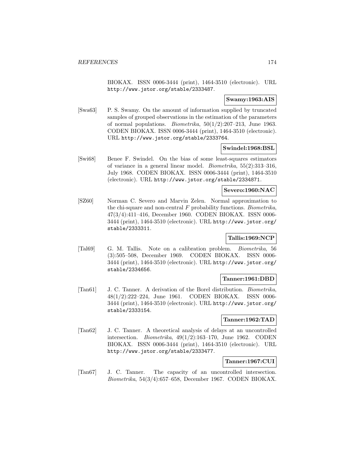BIOKAX. ISSN 0006-3444 (print), 1464-3510 (electronic). URL http://www.jstor.org/stable/2333487.

### **Swamy:1963:AIS**

[Swa63] P. S. Swamy. On the amount of information supplied by truncated samples of grouped observations in the estimation of the parameters of normal populations. *Biometrika*,  $50(1/2):207-213$ , June 1963. CODEN BIOKAX. ISSN 0006-3444 (print), 1464-3510 (electronic). URL http://www.jstor.org/stable/2333764.

### **Swindel:1968:BSL**

[Swi68] Benee F. Swindel. On the bias of some least-squares estimators of variance in a general linear model. Biometrika, 55(2):313–316, July 1968. CODEN BIOKAX. ISSN 0006-3444 (print), 1464-3510 (electronic). URL http://www.jstor.org/stable/2334871.

## **Severo:1960:NAC**

[SZ60] Norman C. Severo and Marvin Zelen. Normal approximation to the chi-square and non-central  $F$  probability functions. Biometrika, 47(3/4):411–416, December 1960. CODEN BIOKAX. ISSN 0006- 3444 (print), 1464-3510 (electronic). URL http://www.jstor.org/ stable/2333311.

# **Tallis:1969:NCP**

[Tal69] G. M. Tallis. Note on a calibration problem. Biometrika, 56 (3):505–508, December 1969. CODEN BIOKAX. ISSN 0006- 3444 (print), 1464-3510 (electronic). URL http://www.jstor.org/ stable/2334656.

### **Tanner:1961:DBD**

[Tan61] J. C. Tanner. A derivation of the Borel distribution. Biometrika, 48(1/2):222–224, June 1961. CODEN BIOKAX. ISSN 0006- 3444 (print), 1464-3510 (electronic). URL http://www.jstor.org/ stable/2333154.

### **Tanner:1962:TAD**

[Tan62] J. C. Tanner. A theoretical analysis of delays at an uncontrolled intersection. Biometrika, 49(1/2):163–170, June 1962. CODEN BIOKAX. ISSN 0006-3444 (print), 1464-3510 (electronic). URL http://www.jstor.org/stable/2333477.

## **Tanner:1967:CUI**

[Tan67] J. C. Tanner. The capacity of an uncontrolled intersection. Biometrika, 54(3/4):657–658, December 1967. CODEN BIOKAX.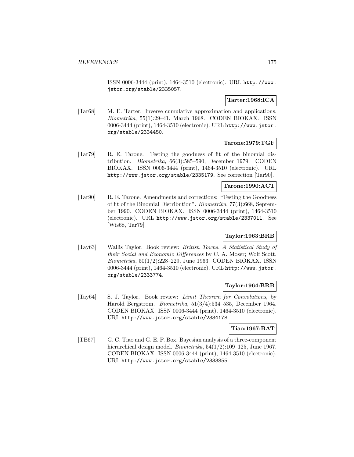ISSN 0006-3444 (print), 1464-3510 (electronic). URL http://www. jstor.org/stable/2335057.

## **Tarter:1968:ICA**

[Tar68] M. E. Tarter. Inverse cumulative approximation and applications. Biometrika, 55(1):29–41, March 1968. CODEN BIOKAX. ISSN 0006-3444 (print), 1464-3510 (electronic). URL http://www.jstor. org/stable/2334450.

### **Tarone:1979:TGF**

[Tar79] R. E. Tarone. Testing the goodness of fit of the binomial distribution. Biometrika, 66(3):585–590, December 1979. CODEN BIOKAX. ISSN 0006-3444 (print), 1464-3510 (electronic). URL http://www.jstor.org/stable/2335179. See correction [Tar90].

### **Tarone:1990:ACT**

[Tar90] R. E. Tarone. Amendments and corrections: "Testing the Goodness of fit of the Binomial Distribution". Biometrika, 77(3):668, September 1990. CODEN BIOKAX. ISSN 0006-3444 (print), 1464-3510 (electronic). URL http://www.jstor.org/stable/2337011. See [Wis68, Tar79].

## **Taylor:1963:BRB**

[Tay63] Wallis Taylor. Book review: British Towns. A Statistical Study of their Social and Economic Differences by C. A. Moser; Wolf Scott. Biometrika, 50(1/2):228–229, June 1963. CODEN BIOKAX. ISSN 0006-3444 (print), 1464-3510 (electronic). URL http://www.jstor. org/stable/2333774.

## **Taylor:1964:BRB**

[Tay64] S. J. Taylor. Book review: Limit Theorem for Convolutions, by Harold Bergstrom. Biometrika, 51(3/4):534–535, December 1964. CODEN BIOKAX. ISSN 0006-3444 (print), 1464-3510 (electronic). URL http://www.jstor.org/stable/2334178.

### **Tiao:1967:BAT**

[TB67] G. C. Tiao and G. E. P. Box. Bayesian analysis of a three-component hierarchical design model. *Biometrika*, 54(1/2):109–125, June 1967. CODEN BIOKAX. ISSN 0006-3444 (print), 1464-3510 (electronic). URL http://www.jstor.org/stable/2333855.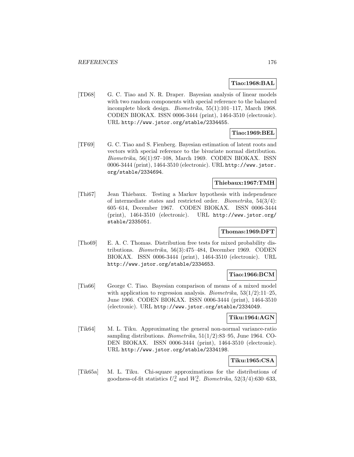### **Tiao:1968:BAL**

[TD68] G. C. Tiao and N. R. Draper. Bayesian analysis of linear models with two random components with special reference to the balanced incomplete block design. Biometrika, 55(1):101–117, March 1968. CODEN BIOKAX. ISSN 0006-3444 (print), 1464-3510 (electronic). URL http://www.jstor.org/stable/2334455.

# **Tiao:1969:BEL**

[TF69] G. C. Tiao and S. Fienberg. Bayesian estimation of latent roots and vectors with special reference to the bivariate normal distribution. Biometrika, 56(1):97–108, March 1969. CODEN BIOKAX. ISSN 0006-3444 (print), 1464-3510 (electronic). URL http://www.jstor. org/stable/2334694.

#### **Thiebaux:1967:TMH**

[Thi67] Jean Thiebaux. Testing a Markov hypothesis with independence of intermediate states and restricted order. Biometrika, 54(3/4): 605–614, December 1967. CODEN BIOKAX. ISSN 0006-3444 (print), 1464-3510 (electronic). URL http://www.jstor.org/ stable/2335051.

# **Thomas:1969:DFT**

[Tho69] E. A. C. Thomas. Distribution free tests for mixed probability distributions. Biometrika, 56(3):475–484, December 1969. CODEN BIOKAX. ISSN 0006-3444 (print), 1464-3510 (electronic). URL http://www.jstor.org/stable/2334653.

### **Tiao:1966:BCM**

[Tia66] George C. Tiao. Bayesian comparison of means of a mixed model with application to regression analysis. *Biometrika*,  $53(1/2):11-25$ , June 1966. CODEN BIOKAX. ISSN 0006-3444 (print), 1464-3510 (electronic). URL http://www.jstor.org/stable/2334049.

#### **Tiku:1964:AGN**

[Tik64] M. L. Tiku. Approximating the general non-normal variance-ratio sampling distributions. Biometrika, 51(1/2):83–95, June 1964. CO-DEN BIOKAX. ISSN 0006-3444 (print), 1464-3510 (electronic). URL http://www.jstor.org/stable/2334198.

## **Tiku:1965:CSA**

[Tik65a] M. L. Tiku. Chi-square approximations for the distributions of goodness-of-fit statistics  $U_n^2$  and  $W_n^2$ . Biometrika, 52(3/4):630–633,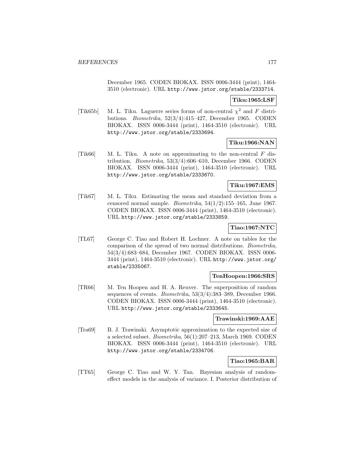December 1965. CODEN BIOKAX. ISSN 0006-3444 (print), 1464- 3510 (electronic). URL http://www.jstor.org/stable/2333714.

# **Tiku:1965:LSF**

[Tik65b] M. L. Tiku. Laguerre series forms of non-central  $\chi^2$  and F distributions. Biometrika, 52(3/4):415–427, December 1965. CODEN BIOKAX. ISSN 0006-3444 (print), 1464-3510 (electronic). URL http://www.jstor.org/stable/2333694.

## **Tiku:1966:NAN**

[Tik66] M. L. Tiku. A note on approximating to the non-central  $F$  distribution. Biometrika, 53(3/4):606–610, December 1966. CODEN BIOKAX. ISSN 0006-3444 (print), 1464-3510 (electronic). URL http://www.jstor.org/stable/2333670.

### **Tiku:1967:EMS**

[Tik67] M. L. Tiku. Estimating the mean and standard deviation from a censored normal sample. Biometrika, 54(1/2):155–165, June 1967. CODEN BIOKAX. ISSN 0006-3444 (print), 1464-3510 (electronic). URL http://www.jstor.org/stable/2333859.

# **Tiao:1967:NTC**

[TL67] George C. Tiao and Robert H. Lochner. A note on tables for the comparison of the spread of two normal distributions. Biometrika, 54(3/4):683–684, December 1967. CODEN BIOKAX. ISSN 0006- 3444 (print), 1464-3510 (electronic). URL http://www.jstor.org/ stable/2335067.

### **TenHoopen:1966:SRS**

[TR66] M. Ten Hoopen and H. A. Reuver. The superposition of random sequences of events. Biometrika, 53(3/4):383–389, December 1966. CODEN BIOKAX. ISSN 0006-3444 (print), 1464-3510 (electronic). URL http://www.jstor.org/stable/2333645.

### **Trawinski:1969:AAE**

[Tra69] B. J. Trawinski. Asymptotic approximation to the expected size of a selected subset. Biometrika, 56(1):207–213, March 1969. CODEN BIOKAX. ISSN 0006-3444 (print), 1464-3510 (electronic). URL http://www.jstor.org/stable/2334706.

## **Tiao:1965:BAR**

[TT65] George C. Tiao and W. Y. Tan. Bayesian analysis of randomeffect models in the analysis of variance. I. Posterior distribution of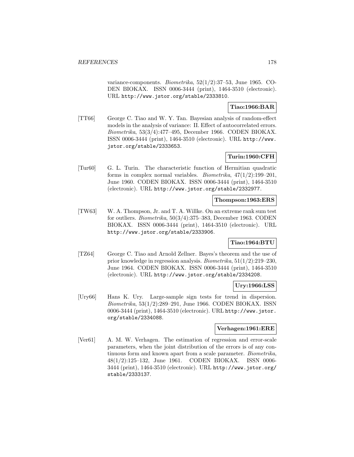variance-components. Biometrika, 52(1/2):37–53, June 1965. CO-DEN BIOKAX. ISSN 0006-3444 (print), 1464-3510 (electronic). URL http://www.jstor.org/stable/2333810.

# **Tiao:1966:BAR**

[TT66] George C. Tiao and W. Y. Tan. Bayesian analysis of random-effect models in the analysis of variance: II. Effect of autocorrelated errors. Biometrika, 53(3/4):477–495, December 1966. CODEN BIOKAX. ISSN 0006-3444 (print), 1464-3510 (electronic). URL http://www. jstor.org/stable/2333653.

# **Turin:1960:CFH**

[Tur60] G. L. Turin. The characteristic function of Hermitian quadratic forms in complex normal variables. *Biometrika*,  $47(1/2):199-201$ , June 1960. CODEN BIOKAX. ISSN 0006-3444 (print), 1464-3510 (electronic). URL http://www.jstor.org/stable/2332977.

# **Thompson:1963:ERS**

[TW63] W. A. Thompson, Jr. and T. A. Willke. On an extreme rank sum test for outliers. Biometrika, 50(3/4):375–383, December 1963. CODEN BIOKAX. ISSN 0006-3444 (print), 1464-3510 (electronic). URL http://www.jstor.org/stable/2333906.

### **Tiao:1964:BTU**

[TZ64] George C. Tiao and Arnold Zellner. Bayes's theorem and the use of prior knowledge in regression analysis. Biometrika, 51(1/2):219–230, June 1964. CODEN BIOKAX. ISSN 0006-3444 (print), 1464-3510 (electronic). URL http://www.jstor.org/stable/2334208.

# **Ury:1966:LSS**

[Ury66] Hans K. Ury. Large-sample sign tests for trend in dispersion. Biometrika, 53(1/2):289–291, June 1966. CODEN BIOKAX. ISSN 0006-3444 (print), 1464-3510 (electronic). URL http://www.jstor. org/stable/2334088.

### **Verhagen:1961:ERE**

[Ver61] A. M. W. Verhagen. The estimation of regression and error-scale parameters, when the joint distribution of the errors is of any continuous form and known apart from a scale parameter. Biometrika, 48(1/2):125–132, June 1961. CODEN BIOKAX. ISSN 0006- 3444 (print), 1464-3510 (electronic). URL http://www.jstor.org/ stable/2333137.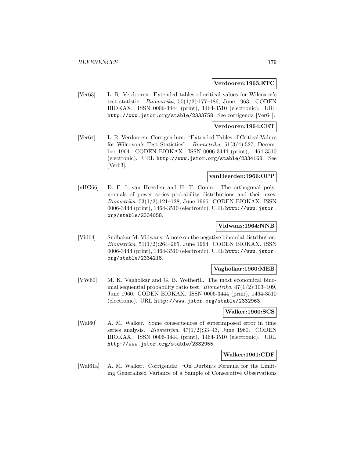#### **Verdooren:1963:ETC**

[Ver63] L. R. Verdooren. Extended tables of critical values for Wilcoxon's test statistic. *Biometrika*,  $50(1/2):177-186$ , June 1963. CODEN BIOKAX. ISSN 0006-3444 (print), 1464-3510 (electronic). URL http://www.jstor.org/stable/2333758. See corrigenda [Ver64].

#### **Verdooren:1964:CET**

[Ver64] L. R. Verdooren. Corrigendum: "Extended Tables of Critical Values for Wilcoxon's Test Statistics". Biometrika, 51(3/4):527, December 1964. CODEN BIOKAX. ISSN 0006-3444 (print), 1464-3510 (electronic). URL http://www.jstor.org/stable/2334168. See [Ver63].

#### **vanHeerden:1966:OPP**

[vHG66] D. F. I. van Heerden and H. T. Gonin. The orthogonal polynomials of power series probability distributions and their uses. Biometrika, 53(1/2):121–128, June 1966. CODEN BIOKAX. ISSN 0006-3444 (print), 1464-3510 (electronic). URL http://www.jstor. org/stable/2334058.

#### **Vidwans:1964:NNB**

[Vid64] Sudhakar M. Vidwans. A note on the negative binomial distribution. Biometrika, 51(1/2):264–265, June 1964. CODEN BIOKAX. ISSN 0006-3444 (print), 1464-3510 (electronic). URL http://www.jstor. org/stable/2334218.

#### **Vagholkar:1960:MEB**

[VW60] M. K. Vagholkar and G. B. Wetherill. The most economical binomial sequential probability ratio test. *Biometrika*,  $47(1/2):103-109$ , June 1960. CODEN BIOKAX. ISSN 0006-3444 (print), 1464-3510 (electronic). URL http://www.jstor.org/stable/2332963.

#### **Walker:1960:SCS**

[Wal60] A. M. Walker. Some consequences of superimposed error in time series analysis. Biometrika, 47(1/2):33–43, June 1960. CODEN BIOKAX. ISSN 0006-3444 (print), 1464-3510 (electronic). URL http://www.jstor.org/stable/2332955.

#### **Walker:1961:CDF**

[Wal61a] A. M. Walker. Corrigenda: "On Durbin's Formula for the Limiting Generalized Variance of a Sample of Consecutive Observations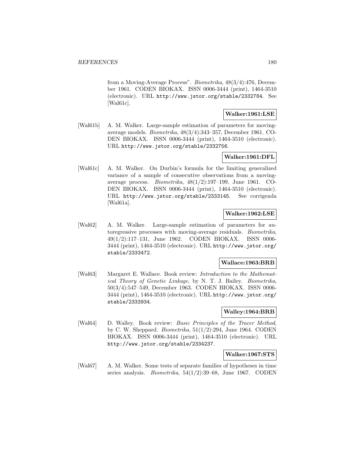from a Moving-Average Process". Biometrika, 48(3/4):476, December 1961. CODEN BIOKAX. ISSN 0006-3444 (print), 1464-3510 (electronic). URL http://www.jstor.org/stable/2332784. See [Wal61c].

### **Walker:1961:LSE**

[Wal61b] A. M. Walker. Large-sample estimation of parameters for movingaverage models. Biometrika, 48(3/4):343–357, December 1961. CO-DEN BIOKAX. ISSN 0006-3444 (print), 1464-3510 (electronic). URL http://www.jstor.org/stable/2332756.

## **Walker:1961:DFL**

[Wal61c] A. M. Walker. On Durbin's formula for the limiting generalized variance of a sample of consecutive observations from a movingaverage process. Biometrika, 48(1/2):197–199, June 1961. CO-DEN BIOKAX. ISSN 0006-3444 (print), 1464-3510 (electronic). URL http://www.jstor.org/stable/2333145. See corrigenda [Wal61a].

## **Walker:1962:LSE**

[Wal62] A. M. Walker. Large-sample estimation of parameters for autoregressive processes with moving-average residuals. Biometrika, 49(1/2):117–131, June 1962. CODEN BIOKAX. ISSN 0006- 3444 (print), 1464-3510 (electronic). URL http://www.jstor.org/ stable/2333472.

### **Wallace:1963:BRB**

[Wal63] Margaret E. Wallace. Book review: Introduction to the Mathematical Theory of Genetic Linkage, by N. T. J. Bailey. Biometrika, 50(3/4):547–549, December 1963. CODEN BIOKAX. ISSN 0006- 3444 (print), 1464-3510 (electronic). URL http://www.jstor.org/ stable/2333934.

### **Walley:1964:BRB**

[Wal64] D. Walley. Book review: *Basic Principles of the Tracer Method*, by C. W. Sheppard. Biometrika, 51(1/2):294, June 1964. CODEN BIOKAX. ISSN 0006-3444 (print), 1464-3510 (electronic). URL http://www.jstor.org/stable/2334237.

**Walker:1967:STS**

[Wal67] A. M. Walker. Some tests of separate families of hypotheses in time series analysis. Biometrika, 54(1/2):39–68, June 1967. CODEN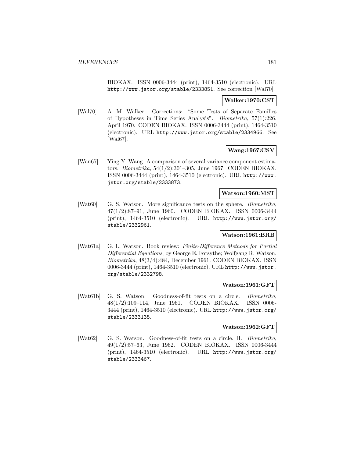BIOKAX. ISSN 0006-3444 (print), 1464-3510 (electronic). URL http://www.jstor.org/stable/2333851. See correction [Wal70].

### **Walker:1970:CST**

[Wal70] A. M. Walker. Corrections: "Some Tests of Separate Families of Hypotheses in Time Series Analysis". Biometrika, 57(1):226, April 1970. CODEN BIOKAX. ISSN 0006-3444 (print), 1464-3510 (electronic). URL http://www.jstor.org/stable/2334966. See [Wal67].

### **Wang:1967:CSV**

[Wan67] Ying Y. Wang. A comparison of several variance component estimators. Biometrika, 54(1/2):301–305, June 1967. CODEN BIOKAX. ISSN 0006-3444 (print), 1464-3510 (electronic). URL http://www. jstor.org/stable/2333873.

### **Watson:1960:MST**

[Wat60] G. S. Watson. More significance tests on the sphere. *Biometrika*, 47(1/2):87–91, June 1960. CODEN BIOKAX. ISSN 0006-3444 (print), 1464-3510 (electronic). URL http://www.jstor.org/ stable/2332961.

# **Watson:1961:BRB**

[Wat61a] G. L. Watson. Book review: Finite-Difference Methods for Partial Differential Equations, by George E. Forsythe; Wolfgang R. Watson. Biometrika, 48(3/4):484, December 1961. CODEN BIOKAX. ISSN 0006-3444 (print), 1464-3510 (electronic). URL http://www.jstor. org/stable/2332798.

### **Watson:1961:GFT**

[Wat61b] G. S. Watson. Goodness-of-fit tests on a circle. Biometrika, 48(1/2):109–114, June 1961. CODEN BIOKAX. ISSN 0006- 3444 (print), 1464-3510 (electronic). URL http://www.jstor.org/ stable/2333135.

#### **Watson:1962:GFT**

[Wat62] G. S. Watson. Goodness-of-fit tests on a circle. II. Biometrika, 49(1/2):57–63, June 1962. CODEN BIOKAX. ISSN 0006-3444 (print), 1464-3510 (electronic). URL http://www.jstor.org/ stable/2333467.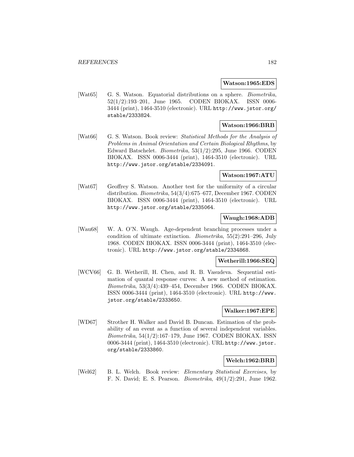#### **Watson:1965:EDS**

[Wat65] G. S. Watson. Equatorial distributions on a sphere. *Biometrika*, 52(1/2):193–201, June 1965. CODEN BIOKAX. ISSN 0006- 3444 (print), 1464-3510 (electronic). URL http://www.jstor.org/ stable/2333824.

# **Watson:1966:BRB**

[Wat66] G. S. Watson. Book review: Statistical Methods for the Analysis of Problems in Animal Orientation and Certain Biological Rhythms, by Edward Batschelet. Biometrika, 53(1/2):295, June 1966. CODEN BIOKAX. ISSN 0006-3444 (print), 1464-3510 (electronic). URL http://www.jstor.org/stable/2334091.

### **Watson:1967:ATU**

[Wat67] Geoffrey S. Watson. Another test for the uniformity of a circular distribution. Biometrika, 54(3/4):675–677, December 1967. CODEN BIOKAX. ISSN 0006-3444 (print), 1464-3510 (electronic). URL http://www.jstor.org/stable/2335064.

### **Waugh:1968:ADB**

[Wau68] W. A. O'N. Waugh. Age-dependent branching processes under a condition of ultimate extinction. Biometrika, 55(2):291–296, July 1968. CODEN BIOKAX. ISSN 0006-3444 (print), 1464-3510 (electronic). URL http://www.jstor.org/stable/2334868.

### **Wetherill:1966:SEQ**

[WCV66] G. B. Wetherill, H. Chen, and R. B. Vasudeva. Sequential estimation of quantal response curves: A new method of estimation. Biometrika, 53(3/4):439–454, December 1966. CODEN BIOKAX. ISSN 0006-3444 (print), 1464-3510 (electronic). URL http://www. jstor.org/stable/2333650.

#### **Walker:1967:EPE**

[WD67] Strother H. Walker and David B. Duncan. Estimation of the probability of an event as a function of several independent variables. Biometrika, 54(1/2):167–179, June 1967. CODEN BIOKAX. ISSN 0006-3444 (print), 1464-3510 (electronic). URL http://www.jstor. org/stable/2333860.

#### **Welch:1962:BRB**

[Wel62] B. L. Welch. Book review: Elementary Statistical Exercises, by F. N. David; E. S. Pearson. Biometrika, 49(1/2):291, June 1962.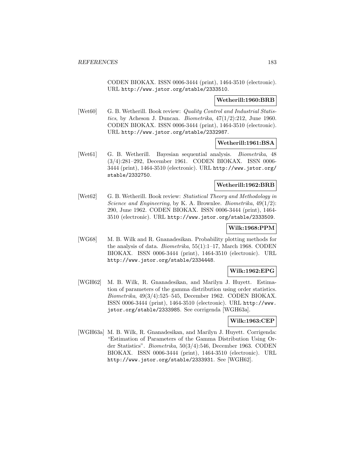CODEN BIOKAX. ISSN 0006-3444 (print), 1464-3510 (electronic). URL http://www.jstor.org/stable/2333510.

#### **Wetherill:1960:BRB**

[Wet60] G. B. Wetherill. Book review: Quality Control and Industrial Statistics, by Acheson J. Duncan. *Biometrika*,  $47(1/2):212$ , June 1960. CODEN BIOKAX. ISSN 0006-3444 (print), 1464-3510 (electronic). URL http://www.jstor.org/stable/2332987.

#### **Wetherill:1961:BSA**

[Wet61] G. B. Wetherill. Bayesian sequential analysis. Biometrika, 48 (3/4):281–292, December 1961. CODEN BIOKAX. ISSN 0006- 3444 (print), 1464-3510 (electronic). URL http://www.jstor.org/ stable/2332750.

#### **Wetherill:1962:BRB**

[Wet62] G. B. Wetherill. Book review: Statistical Theory and Methodology in Science and Engineering, by K. A. Brownlee. Biometrika, 49(1/2): 290, June 1962. CODEN BIOKAX. ISSN 0006-3444 (print), 1464- 3510 (electronic). URL http://www.jstor.org/stable/2333509.

# **Wilk:1968:PPM**

[WG68] M. B. Wilk and R. Gnanadesikan. Probability plotting methods for the analysis of data. Biometrika, 55(1):1–17, March 1968. CODEN BIOKAX. ISSN 0006-3444 (print), 1464-3510 (electronic). URL http://www.jstor.org/stable/2334448.

### **Wilk:1962:EPG**

[WGH62] M. B. Wilk, R. Gnanadesikan, and Marilyn J. Huyett. Estimation of parameters of the gamma distribution using order statistics. Biometrika, 49(3/4):525–545, December 1962. CODEN BIOKAX. ISSN 0006-3444 (print), 1464-3510 (electronic). URL http://www. jstor.org/stable/2333985. See corrigenda [WGH63a].

#### **Wilk:1963:CEP**

[WGH63a] M. B. Wilk, R. Gnanadesikan, and Marilyn J. Huyett. Corrigenda: "Estimation of Parameters of the Gamma Distribution Using Order Statistics". Biometrika, 50(3/4):546, December 1963. CODEN BIOKAX. ISSN 0006-3444 (print), 1464-3510 (electronic). URL http://www.jstor.org/stable/2333931. See [WGH62].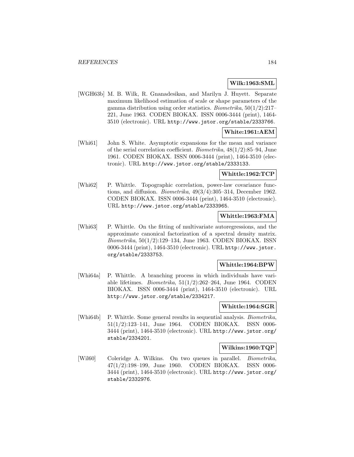### **Wilk:1963:SML**

[WGH63b] M. B. Wilk, R. Gnanadesikan, and Marilyn J. Huyett. Separate maximum likelihood estimation of scale or shape parameters of the gamma distribution using order statistics. Biometrika, 50(1/2):217– 221, June 1963. CODEN BIOKAX. ISSN 0006-3444 (print), 1464- 3510 (electronic). URL http://www.jstor.org/stable/2333766.

### **White:1961:AEM**

[Whi61] John S. White. Asymptotic expansions for the mean and variance of the serial correlation coefficient. Biometrika, 48(1/2):85–94, June 1961. CODEN BIOKAX. ISSN 0006-3444 (print), 1464-3510 (electronic). URL http://www.jstor.org/stable/2333133.

# **Whittle:1962:TCP**

[Whi62] P. Whittle. Topographic correlation, power-law covariance functions, and diffusion. Biometrika, 49(3/4):305–314, December 1962. CODEN BIOKAX. ISSN 0006-3444 (print), 1464-3510 (electronic). URL http://www.jstor.org/stable/2333965.

### **Whittle:1963:FMA**

[Whi63] P. Whittle. On the fitting of multivariate autoregressions, and the approximate canonical factorization of a spectral density matrix. Biometrika, 50(1/2):129–134, June 1963. CODEN BIOKAX. ISSN 0006-3444 (print), 1464-3510 (electronic). URL http://www.jstor. org/stable/2333753.

### **Whittle:1964:BPW**

[Whi64a] P. Whittle. A branching process in which individuals have variable lifetimes. *Biometrika*,  $51(1/2):262-264$ , June 1964. CODEN BIOKAX. ISSN 0006-3444 (print), 1464-3510 (electronic). URL http://www.jstor.org/stable/2334217.

### **Whittle:1964:SGR**

[Whi64b] P. Whittle. Some general results in sequential analysis. Biometrika, 51(1/2):123–141, June 1964. CODEN BIOKAX. ISSN 0006- 3444 (print), 1464-3510 (electronic). URL http://www.jstor.org/ stable/2334201.

### **Wilkins:1960:TQP**

[Wil60] Coleridge A. Wilkins. On two queues in parallel. *Biometrika*, 47(1/2):198–199, June 1960. CODEN BIOKAX. ISSN 0006- 3444 (print), 1464-3510 (electronic). URL http://www.jstor.org/ stable/2332976.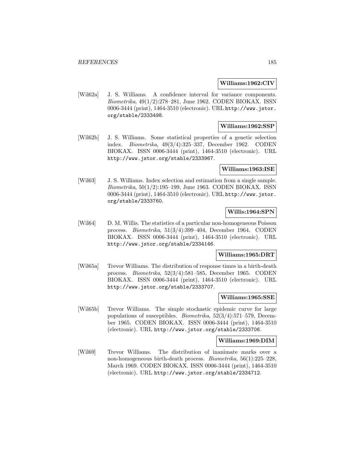#### **Williams:1962:CIV**

[Wil62a] J. S. Williams. A confidence interval for variance components. Biometrika, 49(1/2):278–281, June 1962. CODEN BIOKAX. ISSN 0006-3444 (print), 1464-3510 (electronic). URL http://www.jstor. org/stable/2333498.

# **Williams:1962:SSP**

[Wil62b] J. S. Williams. Some statistical properties of a genetic selection index. Biometrika, 49(3/4):325–337, December 1962. CODEN BIOKAX. ISSN 0006-3444 (print), 1464-3510 (electronic). URL http://www.jstor.org/stable/2333967.

#### **Williams:1963:ISE**

[Wil63] J. S. Williams. Index selection and estimation from a single sample. Biometrika, 50(1/2):195–199, June 1963. CODEN BIOKAX. ISSN 0006-3444 (print), 1464-3510 (electronic). URL http://www.jstor. org/stable/2333760.

### **Willis:1964:SPN**

[Wil64] D. M. Willis. The statistics of a particular non-homogeneous Poisson process. Biometrika, 51(3/4):399–404, December 1964. CODEN BIOKAX. ISSN 0006-3444 (print), 1464-3510 (electronic). URL http://www.jstor.org/stable/2334146.

#### **Williams:1965:DRT**

[Wil65a] Trevor Williams. The distribution of response times in a birth-death process. Biometrika, 52(3/4):581–585, December 1965. CODEN BIOKAX. ISSN 0006-3444 (print), 1464-3510 (electronic). URL http://www.jstor.org/stable/2333707.

### **Williams:1965:SSE**

[Wil65b] Trevor Williams. The simple stochastic epidemic curve for large populations of susceptibles. Biometrika, 52(3/4):571–579, December 1965. CODEN BIOKAX. ISSN 0006-3444 (print), 1464-3510 (electronic). URL http://www.jstor.org/stable/2333706.

#### **Williams:1969:DIM**

[Wil69] Trevor Williams. The distribution of inanimate marks over a non-homogeneous birth-death process. Biometrika, 56(1):225–228, March 1969. CODEN BIOKAX. ISSN 0006-3444 (print), 1464-3510 (electronic). URL http://www.jstor.org/stable/2334712.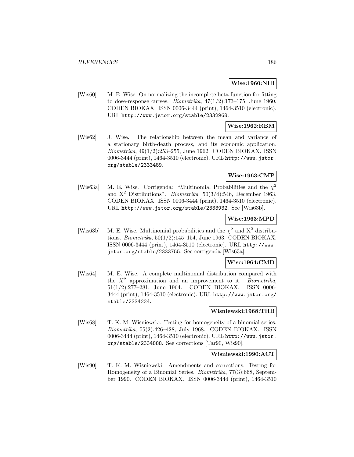### **Wise:1960:NIB**

[Wis60] M. E. Wise. On normalizing the incomplete beta-function for fitting to dose-response curves. *Biometrika*,  $47(1/2)$ :173-175, June 1960. CODEN BIOKAX. ISSN 0006-3444 (print), 1464-3510 (electronic). URL http://www.jstor.org/stable/2332968.

# **Wise:1962:RBM**

[Wis62] J. Wise. The relationship between the mean and variance of a stationary birth-death process, and its economic application. Biometrika, 49(1/2):253–255, June 1962. CODEN BIOKAX. ISSN 0006-3444 (print), 1464-3510 (electronic). URL http://www.jstor. org/stable/2333489.

### **Wise:1963:CMP**

[Wis63a] M. E. Wise. Corrigenda: "Multinomial Probabilities and the  $\chi^2$ and  $X^2$  Distributions". *Biometrika*, 50(3/4):546, December 1963. CODEN BIOKAX. ISSN 0006-3444 (print), 1464-3510 (electronic). URL http://www.jstor.org/stable/2333932. See [Wis63b].

### **Wise:1963:MPD**

[Wis63b] M. E. Wise. Multinomial probabilities and the  $\chi^2$  and  $X^2$  distributions. Biometrika, 50(1/2):145–154, June 1963. CODEN BIOKAX. ISSN 0006-3444 (print), 1464-3510 (electronic). URL http://www. jstor.org/stable/2333755. See corrigenda [Wis63a].

#### **Wise:1964:CMD**

[Wis64] M. E. Wise. A complete multinomial distribution compared with the  $X^2$  approximation and an improvement to it. *Biometrika*, 51(1/2):277–281, June 1964. CODEN BIOKAX. ISSN 0006- 3444 (print), 1464-3510 (electronic). URL http://www.jstor.org/ stable/2334224.

#### **Wisniewski:1968:THB**

[Wis68] T. K. M. Wisniewski. Testing for homogeneity of a binomial series. Biometrika, 55(2):426–428, July 1968. CODEN BIOKAX. ISSN 0006-3444 (print), 1464-3510 (electronic). URL http://www.jstor. org/stable/2334888. See corrections [Tar90, Wis90].

### **Wisniewski:1990:ACT**

[Wis90] T. K. M. Wisniewski. Amendments and corrections: Testing for Homogeneity of a Binomial Series. Biometrika, 77(3):668, September 1990. CODEN BIOKAX. ISSN 0006-3444 (print), 1464-3510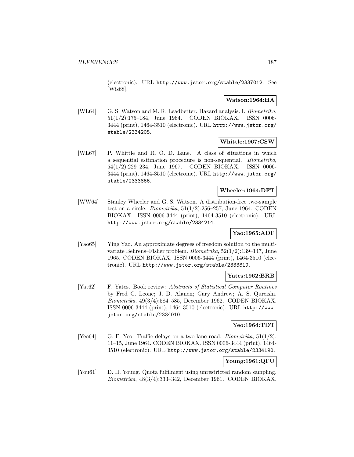(electronic). URL http://www.jstor.org/stable/2337012. See [Wis68].

# **Watson:1964:HA**

[WL64] G. S. Watson and M. R. Leadbetter. Hazard analysis. I. Biometrika, 51(1/2):175–184, June 1964. CODEN BIOKAX. ISSN 0006- 3444 (print), 1464-3510 (electronic). URL http://www.jstor.org/ stable/2334205.

# **Whittle:1967:CSW**

[WL67] P. Whittle and R. O. D. Lane. A class of situations in which a sequential estimation procedure is non-sequential. Biometrika, 54(1/2):229–234, June 1967. CODEN BIOKAX. ISSN 0006- 3444 (print), 1464-3510 (electronic). URL http://www.jstor.org/ stable/2333866.

### **Wheeler:1964:DFT**

[WW64] Stanley Wheeler and G. S. Watson. A distribution-free two-sample test on a circle. *Biometrika*,  $51(1/2):256-257$ , June 1964. CODEN BIOKAX. ISSN 0006-3444 (print), 1464-3510 (electronic). URL http://www.jstor.org/stable/2334214.

# **Yao:1965:ADF**

[Yao65] Ying Yao. An approximate degrees of freedom solution to the multivariate Behrens–Fisher problem. Biometrika, 52(1/2):139–147, June 1965. CODEN BIOKAX. ISSN 0006-3444 (print), 1464-3510 (electronic). URL http://www.jstor.org/stable/2333819.

# **Yates:1962:BRB**

[Yat62] F. Yates. Book review: Abstracts of Statistical Computer Routines by Fred C. Leone; J. D. Alanen; Gary Andrew; A. S. Qureishi. Biometrika, 49(3/4):584–585, December 1962. CODEN BIOKAX. ISSN 0006-3444 (print), 1464-3510 (electronic). URL http://www. jstor.org/stable/2334010.

### **Yeo:1964:TDT**

[Yeo64] G. F. Yeo. Traffic delays on a two-lane road. *Biometrika*,  $51(1/2)$ : 11–15, June 1964. CODEN BIOKAX. ISSN 0006-3444 (print), 1464- 3510 (electronic). URL http://www.jstor.org/stable/2334190.

# **Young:1961:QFU**

[You61] D. H. Young. Quota fulfilment using unrestricted random sampling. Biometrika, 48(3/4):333–342, December 1961. CODEN BIOKAX.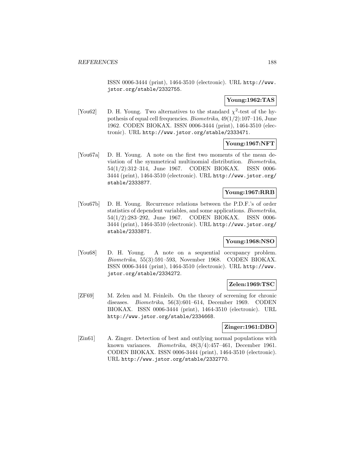ISSN 0006-3444 (print), 1464-3510 (electronic). URL http://www. jstor.org/stable/2332755.

# **Young:1962:TAS**

[You62] D. H. Young. Two alternatives to the standard  $\chi^2$ -test of the hypothesis of equal cell frequencies. *Biometrika*,  $49(1/2):107-116$ , June 1962. CODEN BIOKAX. ISSN 0006-3444 (print), 1464-3510 (electronic). URL http://www.jstor.org/stable/2333471.

### **Young:1967:NFT**

[You67a] D. H. Young. A note on the first two moments of the mean deviation of the symmetrical multinomial distribution. Biometrika, 54(1/2):312–314, June 1967. CODEN BIOKAX. ISSN 0006- 3444 (print), 1464-3510 (electronic). URL http://www.jstor.org/ stable/2333877.

# **Young:1967:RRB**

[You67b] D. H. Young. Recurrence relations between the P.D.F.'s of order statistics of dependent variables, and some applications. Biometrika, 54(1/2):283–292, June 1967. CODEN BIOKAX. ISSN 0006- 3444 (print), 1464-3510 (electronic). URL http://www.jstor.org/ stable/2333871.

# **Young:1968:NSO**

[You68] D. H. Young. A note on a sequential occupancy problem. Biometrika, 55(3):591–593, November 1968. CODEN BIOKAX. ISSN 0006-3444 (print), 1464-3510 (electronic). URL http://www. jstor.org/stable/2334272.

### **Zelen:1969:TSC**

[ZF69] M. Zelen and M. Feinleib. On the theory of screening for chronic diseases. Biometrika, 56(3):601–614, December 1969. CODEN BIOKAX. ISSN 0006-3444 (print), 1464-3510 (electronic). URL http://www.jstor.org/stable/2334668.

### **Zinger:1961:DBO**

[Zin61] A. Zinger. Detection of best and outlying normal populations with known variances. Biometrika, 48(3/4):457–461, December 1961. CODEN BIOKAX. ISSN 0006-3444 (print), 1464-3510 (electronic). URL http://www.jstor.org/stable/2332770.